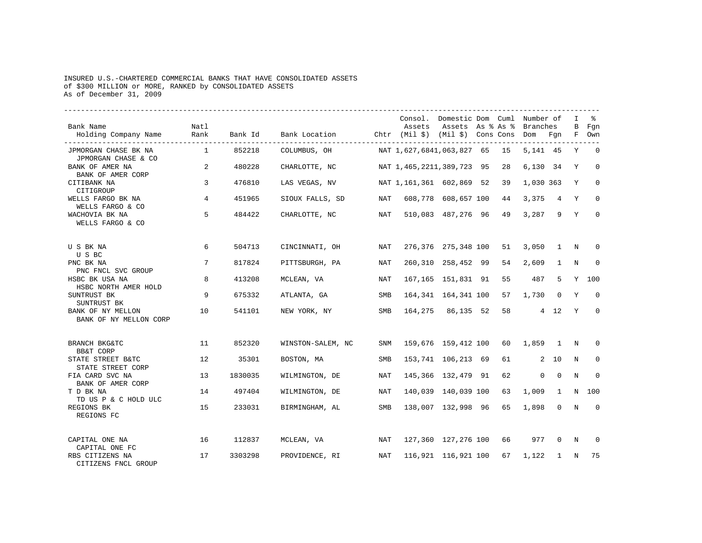## INSURED U.S.-CHARTERED COMMERCIAL BANKS THAT HAVE CONSOLIDATED ASSETS of \$300 MILLION or MORE, RANKED by CONSOLIDATED ASSETS As of December 31, 2009

| Bank Name<br>Holding Company Name                           | Natl<br>Rank    | Bank Id | Bank Location Chtr (Mil \$) (Mil \$) Cons Cons Dom Fgn |            | Assets                      | Consol. Domestic Dom Cuml Number of<br>Assets As % As % Branches |    |                |                | $\mathbf{I}$ | B Fgn<br>F Own |
|-------------------------------------------------------------|-----------------|---------|--------------------------------------------------------|------------|-----------------------------|------------------------------------------------------------------|----|----------------|----------------|--------------|----------------|
| JPMORGAN CHASE BK NA                                        | $\overline{1}$  | 852218  | COLUMBUS, OH                                           |            | NAT 1,627,6841,063,827 65   |                                                                  | 15 | 5, 141 45      |                | Y            | $\overline{0}$ |
| JPMORGAN CHASE & CO<br>BANK OF AMER NA<br>BANK OF AMER CORP | 2               | 480228  | CHARLOTTE, NC                                          |            | NAT 1,465,2211,389,723 95   |                                                                  | 28 | 6,130 34       |                | Y            | $\Omega$       |
| CITIBANK NA<br>CITIGROUP                                    | 3               | 476810  | LAS VEGAS, NV                                          |            | NAT 1, 161, 361 602, 869 52 |                                                                  | 39 | 1,030 363      |                | Y            | $\mathbf 0$    |
| WELLS FARGO BK NA<br>WELLS FARGO & CO                       | 4               | 451965  | SIOUX FALLS, SD                                        | NAT        |                             | 608,778 608,657 100 44                                           |    | 3,375          | $\overline{4}$ | Y            | $\mathbf 0$    |
| WACHOVIA BK NA<br>WELLS FARGO & CO                          | $5^{\circ}$     | 484422  | CHARLOTTE, NC                                          | NAT        |                             | 510,083 487,276 96                                               | 49 | 3,287          |                | 9 Y          | $\Omega$       |
| U S BK NA<br>USBC                                           | 6               | 504713  | CINCINNATI, OH                                         | NAT        |                             | 276,376 275,348 100                                              | 51 | 3,050 1 N      |                |              |                |
| PNC BK NA<br>PNC FNCL SVC GROUP                             | $7\overline{ }$ | 817824  | PITTSBURGH, PA                                         | NAT        |                             | 260,310 258,452 99                                               | 54 | 2,609          | $\mathbf{1}$   | N            | $\mathbf 0$    |
| HSBC BK USA NA<br>HSBC NORTH AMER HOLD                      | 8               | 413208  | MCLEAN, VA                                             | NAT        |                             | 167, 165 151, 831 91                                             | 55 | 487            | 5 <sup>5</sup> |              | Y 100          |
| SUNTRUST BK<br>SUNTRUST BK                                  | 9               | 675332  | ATLANTA, GA                                            | SMB        |                             | 164, 341 164, 341 100                                            | 57 | 1,730          | $\Omega$       | $\mathbf{Y}$ | $\Omega$       |
| BANK OF NY MELLON<br>BANK OF NY MELLON CORP                 | 10              | 541101  | NEW YORK, NY                                           | SMB        |                             | 164,275 86,135 52                                                | 58 |                | 4 12           | $\mathbf{Y}$ | $\Omega$       |
| BRANCH BKG&TC<br><b>BB&amp;T CORP</b>                       | 11              | 852320  | WINSTON-SALEM, NC                                      | SNM        |                             | 159,676 159,412 100                                              | 60 | 1,859 1        |                | $_{\rm N}$   | $\Omega$       |
| STATE STREET B&TC<br>STATE STREET CORP                      | 12              | 35301   | BOSTON, MA                                             | <b>SMB</b> |                             | 153,741 106,213 69                                               | 61 |                | $2\quad 10$    | N            | $\mathbf 0$    |
| FIA CARD SVC NA<br>BANK OF AMER CORP                        | 13              | 1830035 | WILMINGTON, DE                                         | NAT        |                             | 145,366 132,479 91                                               | 62 | $\overline{0}$ | $\mathbf 0$    | $\rm N$      | $\mathbf 0$    |
| T D BK NA<br>TD US P & C HOLD ULC                           | 14              | 497404  | WILMINGTON, DE                                         | NAT        |                             | 140,039 140,039 100                                              | 63 | 1,009          | $\overline{1}$ | N            | 100            |
| REGIONS BK<br>REGIONS FC                                    | 15              | 233031  | BIRMINGHAM, AL                                         | SMB        |                             | 138,007 132,998 96                                               | 65 | 1,898          | $\Omega$       | N            | $\Omega$       |
| CAPITAL ONE NA<br>CAPITAL ONE FC                            | 16              | 112837  | MCLEAN, VA                                             | NAT        |                             | 127,360 127,276 100 66                                           |    | 977            | $\overline{0}$ | N            | $\Omega$       |
| RBS CITIZENS NA<br>CITIZENS FNCL GROUP                      | 17              | 3303298 | PROVIDENCE, RI                                         | NAT        |                             | 116,921 116,921 100                                              | 67 | 1,122          | $\mathbf{1}$   | N            | 75             |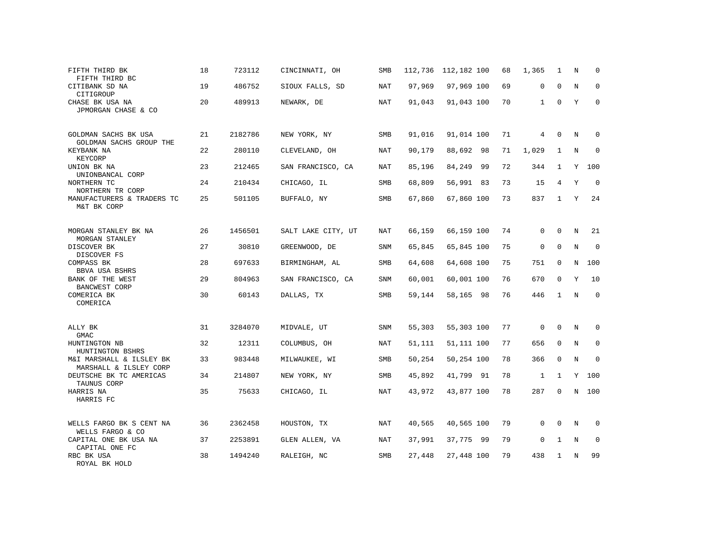| FIFTH THIRD BK<br>FIFTH THIRD BC                   | 18 | 723112  | CINCINNATI, OH     | SMB        |        | 112,736 112,182 100 | 68 | 1,365        | 1            | N           | $\Omega$    |
|----------------------------------------------------|----|---------|--------------------|------------|--------|---------------------|----|--------------|--------------|-------------|-------------|
| CITIBANK SD NA<br>CITIGROUP                        | 19 | 486752  | SIOUX FALLS, SD    | <b>NAT</b> | 97,969 | 97,969 100          | 69 | $\mathbf 0$  | $\Omega$     | N           | $\mathbf 0$ |
| CHASE BK USA NA<br>JPMORGAN CHASE & CO             | 20 | 489913  | NEWARK, DE         | NAT        | 91,043 | 91,043 100          | 70 | $\mathbf{1}$ | $\Omega$     | Y           | $\Omega$    |
| GOLDMAN SACHS BK USA<br>GOLDMAN SACHS GROUP THE    | 21 | 2182786 | NEW YORK, NY       | <b>SMB</b> | 91,016 | 91,014 100          | 71 | 4            | $\Omega$     | N           | $\Omega$    |
| KEYBANK NA<br>KEYCORP                              | 22 | 280110  | CLEVELAND, OH      | NAT        | 90,179 | 88,692 98           | 71 | 1,029        | $\mathbf{1}$ | N           | $\mathbf 0$ |
| UNION BK NA<br>UNIONBANCAL CORP                    | 23 | 212465  | SAN FRANCISCO, CA  | NAT        | 85,196 | 84,249 99           | 72 | 344          | $\mathbf{1}$ | Y           | 100         |
| NORTHERN TC<br>NORTHERN TR CORP                    | 24 | 210434  | CHICAGO, IL        | <b>SMB</b> | 68,809 | 56,991 83           | 73 | 15           | 4            | Y           | $\mathbf 0$ |
| MANUFACTURERS & TRADERS TC<br>M&T BK CORP          | 25 | 501105  | BUFFALO, NY        | SMB        | 67,860 | 67,860 100          | 73 | 837          | $\mathbf{1}$ | Y           | 24          |
| MORGAN STANLEY BK NA<br>MORGAN STANLEY             | 26 | 1456501 | SALT LAKE CITY, UT | NAT        | 66,159 | 66,159 100          | 74 | $\mathbf 0$  | $\mathbf 0$  | $\mathbf N$ | 21          |
| DISCOVER BK<br>DISCOVER FS                         | 27 | 30810   | GREENWOOD, DE      | <b>SNM</b> | 65,845 | 65,845 100          | 75 | $\mathbf 0$  | $\Omega$     | $\mathbf N$ | $\mathbf 0$ |
| <b>COMPASS BK</b><br>BBVA USA BSHRS                | 28 | 697633  | BIRMINGHAM, AL     | SMB        | 64,608 | 64,608 100          | 75 | 751          | 0            | N           | 100         |
| BANK OF THE WEST<br><b>BANCWEST CORP</b>           | 29 | 804963  | SAN FRANCISCO, CA  | SNM        | 60,001 | 60,001 100          | 76 | 670          | $\mathbf 0$  | Y           | 10          |
| COMERICA BK<br>COMERICA                            | 30 | 60143   | DALLAS, TX         | SMB        | 59,144 | 58,165 98           | 76 | 446          | $\mathbf{1}$ | N           | $\mathbf 0$ |
| ALLY BK<br>GMAC                                    | 31 | 3284070 | MIDVALE, UT        | <b>SNM</b> | 55,303 | 55,303 100          | 77 | $\mathbf 0$  | $\mathbf 0$  | N           | 0           |
| HUNTINGTON NB<br>HUNTINGTON BSHRS                  | 32 | 12311   | COLUMBUS, OH       | NAT        | 51,111 | 51,111 100          | 77 | 656          | $\mathbf 0$  | N           | $\mathbf 0$ |
| M&I MARSHALL & ILSLEY BK<br>MARSHALL & ILSLEY CORP | 33 | 983448  | MILWAUKEE, WI      | <b>SMB</b> | 50,254 | 50,254 100          | 78 | 366          | 0            | $\mathbf N$ | $\mathbf 0$ |
| DEUTSCHE BK TC AMERICAS<br>TAUNUS CORP             | 34 | 214807  | NEW YORK, NY       | <b>SMB</b> | 45,892 | 41,799 91           | 78 | $\mathbf{1}$ | $\mathbf{1}$ |             | Y 100       |
| HARRIS NA<br>HARRIS FC                             | 35 | 75633   | CHICAGO, IL        | <b>NAT</b> | 43,972 | 43,877 100          | 78 | 287          | $\mathbf 0$  | N           | 100         |
| WELLS FARGO BK S CENT NA<br>WELLS FARGO & CO       | 36 | 2362458 | HOUSTON, TX        | NAT        | 40,565 | 40,565 100          | 79 | 0            | $\mathbf 0$  | N           | 0           |
| CAPITAL ONE BK USA NA<br>CAPITAL ONE FC            | 37 | 2253891 | GLEN ALLEN, VA     | <b>NAT</b> | 37,991 | 37,775 99           | 79 | $\mathbf 0$  | 1            | N           | $\mathbf 0$ |
| RBC BK USA<br>ROYAL BK HOLD                        | 38 | 1494240 | RALEIGH, NC        | <b>SMB</b> | 27,448 | 27,448 100          | 79 | 438          | 1            | N           | 99          |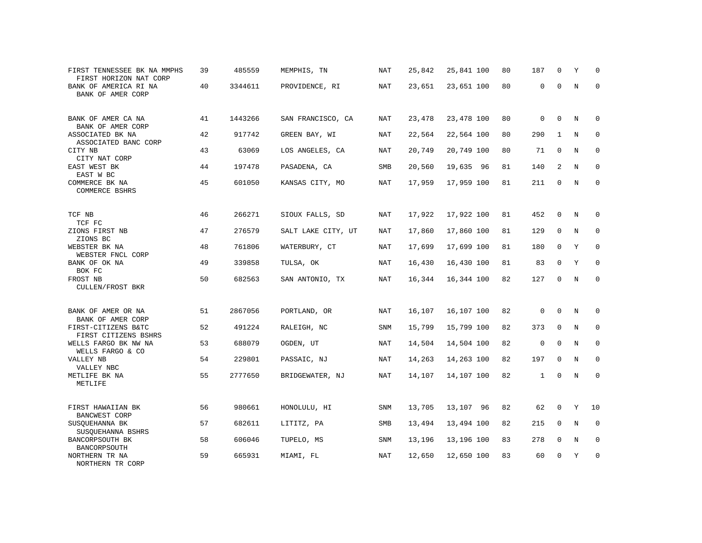| FIRST TENNESSEE BK NA MMPHS<br>FIRST HORIZON NAT CORP | 39 | 485559  | MEMPHIS, TN        | NAT | 25,842 | 25,841 100 | 80 | 187          | 0            | Y           | $\Omega$            |
|-------------------------------------------------------|----|---------|--------------------|-----|--------|------------|----|--------------|--------------|-------------|---------------------|
| BANK OF AMERICA RI NA<br>BANK OF AMER CORP            | 40 | 3344611 | PROVIDENCE, RI     | NAT | 23,651 | 23,651 100 | 80 | $\mathbf 0$  | $\Omega$     | N           | $\mathbf 0$         |
| BANK OF AMER CA NA<br>BANK OF AMER CORP               | 41 | 1443266 | SAN FRANCISCO, CA  | NAT | 23,478 | 23,478 100 | 80 | $\mathbf 0$  | $\mathbf 0$  | $\rm N$     | $\mathbf 0$         |
| ASSOCIATED BK NA<br>ASSOCIATED BANC CORP              | 42 | 917742  | GREEN BAY, WI      | NAT | 22,564 | 22,564 100 | 80 | 290          | $\mathbf{1}$ | $\mathbf N$ | $\mathbf 0$         |
| CITY NB<br>CITY NAT CORP                              | 43 | 63069   | LOS ANGELES, CA    | NAT | 20,749 | 20,749 100 | 80 | 71           | $\mathbf 0$  | N           | $\mathbf 0$         |
| EAST WEST BK<br>EAST W BC                             | 44 | 197478  | PASADENA, CA       | SMB | 20,560 | 19,635 96  | 81 | 140          | 2            | N           | $\mathbf 0$         |
| COMMERCE BK NA<br>COMMERCE BSHRS                      | 45 | 601050  | KANSAS CITY, MO    | NAT | 17,959 | 17,959 100 | 81 | 211          | $\mathbf{0}$ | N           | $\mathbf 0$         |
| TCF NB<br>TCF FC                                      | 46 | 266271  | SIOUX FALLS, SD    | NAT | 17,922 | 17,922 100 | 81 | 452          | $\mathbf 0$  | N           | 0                   |
| ZIONS FIRST NB<br>ZIONS BC                            | 47 | 276579  | SALT LAKE CITY, UT | NAT | 17,860 | 17,860 100 | 81 | 129          | $\mathbf{0}$ | N           | $\mathbf 0$         |
| WEBSTER BK NA<br>WEBSTER FNCL CORP                    | 48 | 761806  | WATERBURY, CT      | NAT | 17,699 | 17,699 100 | 81 | 180          | $\mathbf{0}$ | Y           | $\mathbf 0$         |
| BANK OF OK NA<br>BOK FC                               | 49 | 339858  | TULSA, OK          | NAT | 16,430 | 16,430 100 | 81 | 83           | 0            | Y           | $\mathbf 0$         |
| FROST NB<br><b>CULLEN/FROST BKR</b>                   | 50 | 682563  | SAN ANTONIO, TX    | NAT | 16,344 | 16,344 100 | 82 | 127          | $\mathbf 0$  | $\mathbb N$ | $\mathsf{O}\xspace$ |
| BANK OF AMER OR NA<br>BANK OF AMER CORP               | 51 | 2867056 | PORTLAND, OR       | NAT | 16,107 | 16,107 100 | 82 | $\mathbf 0$  | $\mathbf 0$  | N           | $\mathbf 0$         |
| FIRST-CITIZENS B&TC<br>FIRST CITIZENS BSHRS           | 52 | 491224  | RALEIGH, NC        | SNM | 15,799 | 15,799 100 | 82 | 373          | $\mathbf 0$  | $_{\rm N}$  | $\mathbf 0$         |
| WELLS FARGO BK NW NA<br>WELLS FARGO & CO              | 53 | 688079  | OGDEN, UT          | NAT | 14,504 | 14,504 100 | 82 | $\mathbf 0$  | $\Omega$     | $\mathbf N$ | $\mathbf 0$         |
| VALLEY NB<br>VALLEY NBC                               | 54 | 229801  | PASSAIC, NJ        | NAT | 14,263 | 14,263 100 | 82 | 197          | $\Omega$     | N           | $\mathbf 0$         |
| METLIFE BK NA<br>METLIFE                              | 55 | 2777650 | BRIDGEWATER, NJ    | NAT | 14,107 | 14,107 100 | 82 | $\mathbf{1}$ | $\mathbf 0$  | N           | $\mathbf 0$         |
| FIRST HAWAIIAN BK<br><b>BANCWEST CORP</b>             | 56 | 980661  | HONOLULU, HI       | SNM | 13,705 | 13,107 96  | 82 | 62           | $\mathbf 0$  | Y           | 10                  |
| SUSQUEHANNA BK<br>SUSQUEHANNA BSHRS                   | 57 | 682611  | LITITZ, PA         | SMB | 13,494 | 13,494 100 | 82 | 215          | $\mathbf 0$  | N           | 0                   |
| BANCORPSOUTH BK<br>BANCORPSOUTH                       | 58 | 606046  | TUPELO, MS         | SNM | 13,196 | 13,196 100 | 83 | 278          | $\mathbf 0$  | N           | $\mathbf 0$         |
| NORTHERN TR NA<br>NORTHERN TR CORP                    | 59 | 665931  | MIAMI, FL          | NAT | 12,650 | 12,650 100 | 83 | 60           | 0            | Y           | $\mathbf 0$         |
|                                                       |    |         |                    |     |        |            |    |              |              |             |                     |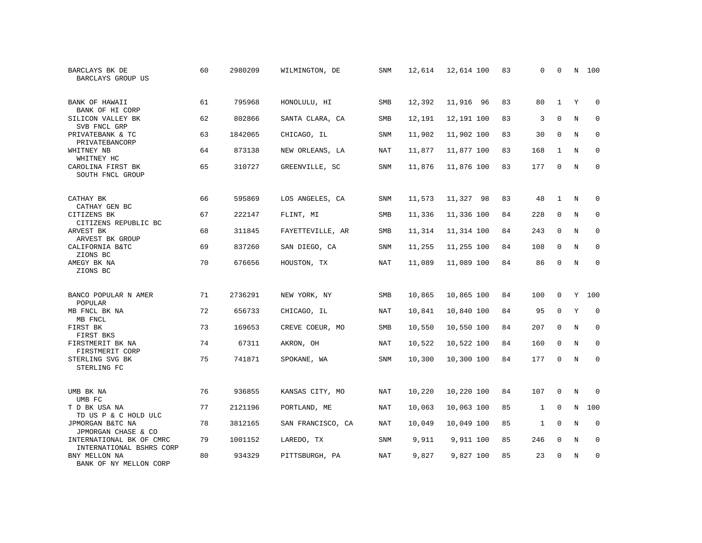| BARCLAYS BK DE<br>BARCLAYS GROUP US                  | 60 | 2980209 | WILMINGTON, DE    | <b>SNM</b> | 12,614 | 12,614 100 | 83 | 0            | 0            | N           | 100         |
|------------------------------------------------------|----|---------|-------------------|------------|--------|------------|----|--------------|--------------|-------------|-------------|
| BANK OF HAWAII<br>BANK OF HI CORP                    | 61 | 795968  | HONOLULU, HI      | <b>SMB</b> | 12,392 | 11,916 96  | 83 | 80           | $\mathbf{1}$ | Y           | $\Omega$    |
| SILICON VALLEY BK<br>SVB FNCL GRP                    | 62 | 802866  | SANTA CLARA, CA   | SMB        | 12,191 | 12,191 100 | 83 | 3            | $\mathbf 0$  | $\mathbb N$ | $\mathbf 0$ |
| PRIVATEBANK & TC<br>PRIVATEBANCORP                   | 63 | 1842065 | CHICAGO, IL       | <b>SNM</b> | 11,902 | 11,902 100 | 83 | 30           | $\Omega$     | N           | $\Omega$    |
| WHITNEY NB<br>WHITNEY HC                             | 64 | 873138  | NEW ORLEANS, LA   | NAT        | 11,877 | 11,877 100 | 83 | 168          | 1            | N           | $\mathbf 0$ |
| CAROLINA FIRST BK<br>SOUTH FNCL GROUP                | 65 | 310727  | GREENVILLE, SC    | <b>SNM</b> | 11,876 | 11,876 100 | 83 | 177          | $\mathbf 0$  | $\mathbb N$ | $\mathbf 0$ |
| CATHAY BK<br>CATHAY GEN BC                           | 66 | 595869  | LOS ANGELES, CA   | SNM        | 11,573 | 11,327 98  | 83 | 48           | $\mathbf{1}$ | N           | 0           |
| CITIZENS BK<br>CITIZENS REPUBLIC BC                  | 67 | 222147  | FLINT, MI         | <b>SMB</b> | 11,336 | 11,336 100 | 84 | 228          | $\mathbf 0$  | $\mathbb N$ | $\mathbf 0$ |
| ARVEST BK<br>ARVEST BK GROUP                         | 68 | 311845  | FAYETTEVILLE, AR  | <b>SMB</b> | 11,314 | 11,314 100 | 84 | 243          | $\mathbf 0$  | N           | $\mathbf 0$ |
| CALIFORNIA B&TC<br>ZIONS BC                          | 69 | 837260  | SAN DIEGO, CA     | <b>SNM</b> | 11,255 | 11,255 100 | 84 | 108          | $\Omega$     | N           | $\mathbf 0$ |
| AMEGY BK NA<br>ZIONS BC                              | 70 | 676656  | HOUSTON, TX       | <b>NAT</b> | 11,089 | 11,089 100 | 84 | 86           | $\Omega$     | N           | $\mathbf 0$ |
| BANCO POPULAR N AMER<br>POPULAR                      | 71 | 2736291 | NEW YORK, NY      | <b>SMB</b> | 10,865 | 10,865 100 | 84 | 100          | $\Omega$     | Y           | 100         |
| MB FNCL BK NA<br>MB FNCL                             | 72 | 656733  | CHICAGO, IL       | NAT        | 10,841 | 10,840 100 | 84 | 95           | $\mathbf 0$  | Y           | $\mathbf 0$ |
| FIRST BK<br>FIRST BKS                                | 73 | 169653  | CREVE COEUR, MO   | SMB        | 10,550 | 10,550 100 | 84 | 207          | $\mathbf 0$  | N           | $\mathbf 0$ |
| FIRSTMERIT BK NA<br>FIRSTMERIT CORP                  | 74 | 67311   | AKRON, OH         | <b>NAT</b> | 10,522 | 10,522 100 | 84 | 160          | $\Omega$     | $_{\rm N}$  | $\mathbf 0$ |
| STERLING SVG BK<br>STERLING FC                       | 75 | 741871  | SPOKANE, WA       | SNM        | 10,300 | 10,300 100 | 84 | 177          | $\mathbf 0$  | N           | $\mathbf 0$ |
| UMB BK NA<br>UMB FC                                  | 76 | 936855  | KANSAS CITY, MO   | NAT        | 10,220 | 10,220 100 | 84 | 107          | $\mathbf 0$  | N           | $\mathbf 0$ |
| T D BK USA NA<br>TD US P & C HOLD ULC                | 77 | 2121196 | PORTLAND, ME      | NAT        | 10,063 | 10,063 100 | 85 | $\mathbf{1}$ | $\mathbf 0$  | $\mathbf N$ | 100         |
| JPMORGAN B&TC NA<br>JPMORGAN CHASE & CO              | 78 | 3812165 | SAN FRANCISCO, CA | <b>NAT</b> | 10,049 | 10,049 100 | 85 | $\mathbf{1}$ | $\Omega$     | N           | $\mathbf 0$ |
| INTERNATIONAL BK OF CMRC<br>INTERNATIONAL BSHRS CORP | 79 | 1001152 | LAREDO, TX        | SNM        | 9,911  | 9,911 100  | 85 | 246          | $\mathbf 0$  | N           | 0           |
| BNY MELLON NA<br>BANK OF NY MELLON CORP              | 80 | 934329  | PITTSBURGH, PA    | <b>NAT</b> | 9,827  | 9,827 100  | 85 | 23           | $\Omega$     | N           | $\mathbf 0$ |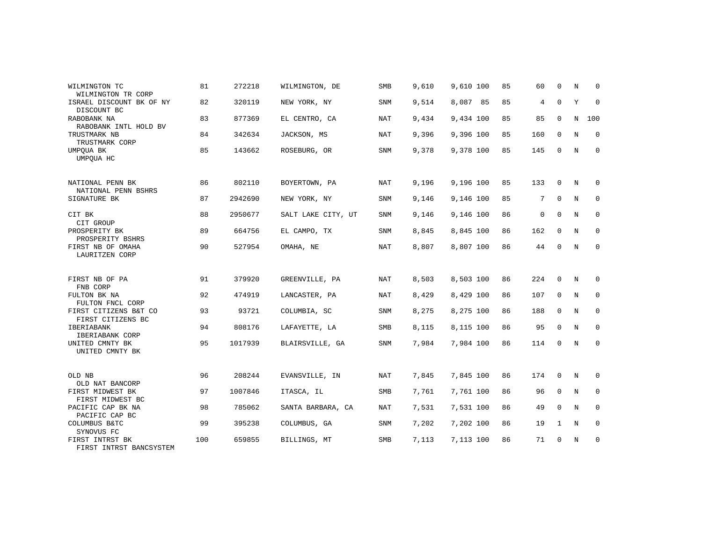| WILMINGTON TC<br>WILMINGTON TR CORP        | 81  | 272218  | WILMINGTON, DE     | <b>SMB</b> | 9,610 | 9,610 100 | 85 | 60          | $\Omega$     | N           | 0           |
|--------------------------------------------|-----|---------|--------------------|------------|-------|-----------|----|-------------|--------------|-------------|-------------|
| ISRAEL DISCOUNT BK OF NY<br>DISCOUNT BC    | 82  | 320119  | NEW YORK, NY       | <b>SNM</b> | 9,514 | 8,087 85  | 85 | 4           | 0            | Y           | $\mathbf 0$ |
| RABOBANK NA<br>RABOBANK INTL HOLD BV       | 83  | 877369  | EL CENTRO, CA      | <b>NAT</b> | 9,434 | 9,434 100 | 85 | 85          | $\mathbf 0$  | N           | 100         |
| TRUSTMARK NB<br>TRUSTMARK CORP             | 84  | 342634  | JACKSON, MS        | NAT        | 9,396 | 9,396 100 | 85 | 160         | $\Omega$     | N           | $\mathbf 0$ |
| UMPOUA BK<br>UMPOUA HC                     | 85  | 143662  | ROSEBURG, OR       | <b>SNM</b> | 9,378 | 9,378 100 | 85 | 145         | $\Omega$     | $\mathbf N$ | $\mathbf 0$ |
| NATIONAL PENN BK<br>NATIONAL PENN BSHRS    | 86  | 802110  | BOYERTOWN, PA      | NAT        | 9,196 | 9,196 100 | 85 | 133         | $\mathbf 0$  | N           | 0           |
| SIGNATURE BK                               | 87  | 2942690 | NEW YORK, NY       | SNM        | 9,146 | 9,146 100 | 85 | 7           | $\mathbf 0$  | N           | 0           |
| CIT BK<br>CIT GROUP                        | 88  | 2950677 | SALT LAKE CITY, UT | SNM        | 9,146 | 9,146 100 | 86 | $\mathbf 0$ | $\Omega$     | N           | $\mathbf 0$ |
| PROSPERITY BK<br>PROSPERITY BSHRS          | 89  | 664756  | EL CAMPO, TX       | SNM        | 8,845 | 8,845 100 | 86 | 162         | 0            | N           | 0           |
| FIRST NB OF OMAHA<br>LAURITZEN CORP        | 90  | 527954  | OMAHA, NE          | <b>NAT</b> | 8,807 | 8,807 100 | 86 | 44          | $\Omega$     | $_{\rm N}$  | $\mathbf 0$ |
| FIRST NB OF PA<br>FNB CORP                 | 91  | 379920  | GREENVILLE, PA     | NAT        | 8,503 | 8,503 100 | 86 | 224         | $\mathbf 0$  | N           | 0           |
| FULTON BK NA<br>FULTON FNCL CORP           | 92  | 474919  | LANCASTER, PA      | NAT        | 8,429 | 8,429 100 | 86 | 107         | $\mathbf 0$  | N           | $\mathbf 0$ |
| FIRST CITIZENS B&T CO<br>FIRST CITIZENS BC | 93  | 93721   | COLUMBIA, SC       | SNM        | 8,275 | 8,275 100 | 86 | 188         | $\mathbf 0$  | N           | 0           |
| IBERIABANK<br>IBERIABANK CORP              | 94  | 808176  | LAFAYETTE, LA      | SMB        | 8,115 | 8,115 100 | 86 | 95          | $\Omega$     | N           | $\mathbf 0$ |
| UNITED CMNTY BK<br>UNITED CMNTY BK         | 95  | 1017939 | BLAIRSVILLE, GA    | SNM        | 7,984 | 7,984 100 | 86 | 114         | $\mathbf 0$  | N           | $\mathbf 0$ |
| OLD NB<br>OLD NAT BANCORP                  | 96  | 208244  | EVANSVILLE, IN     | NAT        | 7,845 | 7,845 100 | 86 | 174         | 0            | N           | 0           |
| FIRST MIDWEST BK<br>FIRST MIDWEST BC       | 97  | 1007846 | ITASCA, IL         | SMB        | 7,761 | 7,761 100 | 86 | 96          | $\Omega$     | N           | $\mathbf 0$ |
| PACIFIC CAP BK NA<br>PACIFIC CAP BC        | 98  | 785062  | SANTA BARBARA, CA  | NAT        | 7,531 | 7,531 100 | 86 | 49          | $\mathbf 0$  | N           | 0           |
| COLUMBUS B&TC<br>SYNOVUS FC                | 99  | 395238  | COLUMBUS, GA       | <b>SNM</b> | 7,202 | 7,202 100 | 86 | 19          | $\mathbf{1}$ | N           | $\mathbf 0$ |
| FIRST INTRST BK<br>FIRST INTRST BANCSYSTEM | 100 | 659855  | BILLINGS, MT       | <b>SMB</b> | 7,113 | 7,113 100 | 86 | 71          | $\mathbf 0$  | N           | 0           |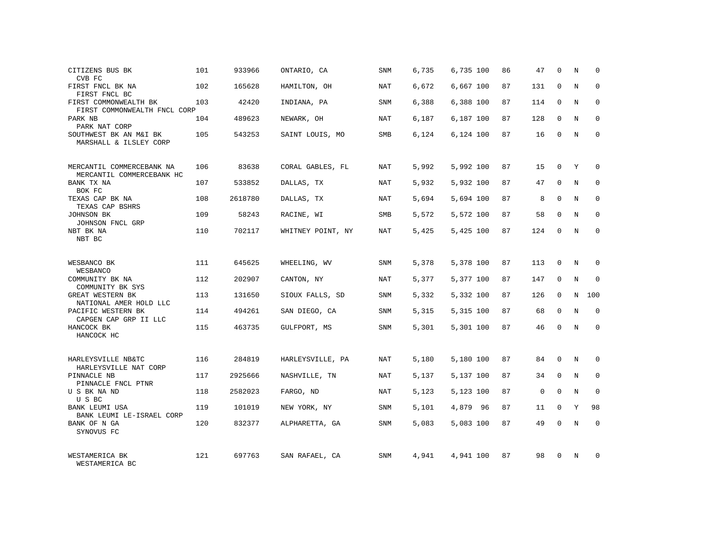| CITIZENS BUS BK<br>CVB FC                              | 101 | 933966  | ONTARIO, CA       | SNM        | 6,735 | 6,735 100 | 86 | 47       | $\Omega$     | N           | $\mathbf 0$  |
|--------------------------------------------------------|-----|---------|-------------------|------------|-------|-----------|----|----------|--------------|-------------|--------------|
| FIRST FNCL BK NA<br>FIRST FNCL BC                      | 102 | 165628  | HAMILTON, OH      | NAT        | 6,672 | 6,667 100 | 87 | 131      | $\Omega$     | N           | $\mathbf 0$  |
| FIRST COMMONWEALTH BK<br>FIRST COMMONWEALTH FNCL CORP  | 103 | 42420   | INDIANA, PA       | SNM        | 6,388 | 6,388 100 | 87 | 114      | $\mathbf 0$  | N           | $\mathbf{0}$ |
| PARK NB<br>PARK NAT CORP                               | 104 | 489623  | NEWARK, OH        | NAT        | 6,187 | 6,187 100 | 87 | 128      | $\Omega$     | N           | $\mathbf{0}$ |
| SOUTHWEST BK AN M&I BK<br>MARSHALL & ILSLEY CORP       | 105 | 543253  | SAINT LOUIS, MO   | SMB        | 6,124 | 6,124 100 | 87 | 16       | $\Omega$     | N           | $\Omega$     |
| MERCANTIL COMMERCEBANK NA<br>MERCANTIL COMMERCEBANK HC | 106 | 83638   | CORAL GABLES, FL  | NAT        | 5,992 | 5,992 100 | 87 | 15       | $\Omega$     | Y           | $\Omega$     |
| BANK TX NA<br>BOK FC                                   | 107 | 533852  | DALLAS, TX        | NAT        | 5,932 | 5,932 100 | 87 | 47       | $\mathbf 0$  | N           | $\mathbf{0}$ |
| TEXAS CAP BK NA<br>TEXAS CAP BSHRS                     | 108 | 2618780 | DALLAS, TX        | NAT        | 5,694 | 5,694 100 | 87 | 8        | $\Omega$     | N           | $\Omega$     |
| JOHNSON BK<br>JOHNSON FNCL GRP                         | 109 | 58243   | RACINE, WI        | SMB        | 5,572 | 5,572 100 | 87 | 58       | $\mathbf 0$  | N           | $\mathbf 0$  |
| NBT BK NA<br>NBT BC                                    | 110 | 702117  | WHITNEY POINT, NY | NAT        | 5,425 | 5,425 100 | 87 | 124      | $\Omega$     | N           | $\Omega$     |
| WESBANCO BK<br>WESBANCO                                | 111 | 645625  | WHEELING, WV      | SNM        | 5,378 | 5,378 100 | 87 | 113      | 0            | N           | $\mathbf 0$  |
| COMMUNITY BK NA<br>COMMUNITY BK SYS                    | 112 | 202907  | CANTON, NY        | NAT        | 5,377 | 5,377 100 | 87 | 147      | $\Omega$     | $_{\rm N}$  | $\Omega$     |
| GREAT WESTERN BK<br>NATIONAL AMER HOLD LLC             | 113 | 131650  | SIOUX FALLS, SD   | <b>SNM</b> | 5,332 | 5,332 100 | 87 | 126      | 0            | N           | 100          |
| PACIFIC WESTERN BK<br>CAPGEN CAP GRP II LLC            | 114 | 494261  | SAN DIEGO, CA     | <b>SNM</b> | 5,315 | 5,315 100 | 87 | 68       | $\Omega$     | $\mathbb N$ | $\mathbf 0$  |
| HANCOCK BK<br>HANCOCK HC                               | 115 | 463735  | GULFPORT, MS      | SNM        | 5,301 | 5,301 100 | 87 | 46       | $\mathbf 0$  | N           | $\mathbf 0$  |
| HARLEYSVILLE NB&TC<br>HARLEYSVILLE NAT CORP            | 116 | 284819  | HARLEYSVILLE, PA  | NAT        | 5,180 | 5,180 100 | 87 | 84       | $\mathbf 0$  | N           | $\mathbf{0}$ |
| PINNACLE NB<br>PINNACLE FNCL PTNR                      | 117 | 2925666 | NASHVILLE, TN     | NAT        | 5,137 | 5,137 100 | 87 | 34       | $\mathbf 0$  | N           | $\mathbf 0$  |
| U S BK NA ND<br>U S BC                                 | 118 | 2582023 | FARGO, ND         | NAT        | 5,123 | 5,123 100 | 87 | $\Omega$ | $\Omega$     | $_{\rm N}$  | $\mathbf 0$  |
| BANK LEUMI USA<br>BANK LEUMI LE-ISRAEL CORP            | 119 | 101019  | NEW YORK, NY      | SNM        | 5,101 | 4,879 96  | 87 | 11       | 0            | Υ           | 98           |
| BANK OF N GA<br>SYNOVUS FC                             | 120 | 832377  | ALPHARETTA, GA    | <b>SNM</b> | 5,083 | 5,083 100 | 87 | 49       | $\Omega$     | $_{\rm N}$  | $\mathbf{0}$ |
| WESTAMERICA BK<br>WESTAMERICA BC                       | 121 | 697763  | SAN RAFAEL, CA    | <b>SNM</b> | 4,941 | 4,941 100 | 87 | 98       | <sup>0</sup> | N           | $\Omega$     |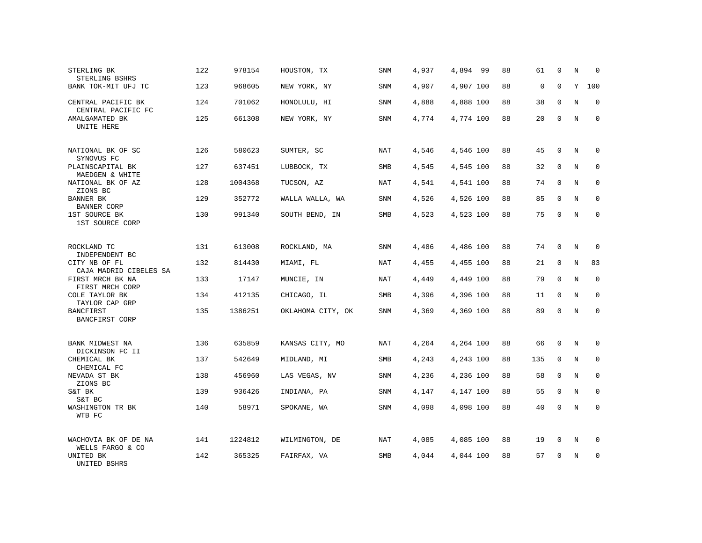| STERLING BK<br>STERLING BSHRS            | 122 | 978154  | HOUSTON, TX       | SNM        | 4,937 | 4,894 99  | 88 | 61          | $\mathbf 0$ | N          | $\mathbf 0$  |
|------------------------------------------|-----|---------|-------------------|------------|-------|-----------|----|-------------|-------------|------------|--------------|
| BANK TOK-MIT UFJ TC                      | 123 | 968605  | NEW YORK, NY      | SNM        | 4,907 | 4,907 100 | 88 | $\mathbf 0$ | $\Omega$    | Υ          | 100          |
| CENTRAL PACIFIC BK<br>CENTRAL PACIFIC FC | 124 | 701062  | HONOLULU, HI      | SNM        | 4,888 | 4,888 100 | 88 | 38          | $\mathbf 0$ | N          | $\mathbf 0$  |
| AMALGAMATED BK<br>UNITE HERE             | 125 | 661308  | NEW YORK, NY      | SNM        | 4,774 | 4,774 100 | 88 | 20          | $\mathbf 0$ | N          | $\mathbf 0$  |
| NATIONAL BK OF SC<br>SYNOVUS FC          | 126 | 580623  | SUMTER, SC        | NAT        | 4,546 | 4,546 100 | 88 | 45          | $\mathbf 0$ | N          | $\mathbf 0$  |
| PLAINSCAPITAL BK<br>MAEDGEN & WHITE      | 127 | 637451  | LUBBOCK, TX       | <b>SMB</b> | 4,545 | 4,545 100 | 88 | 32          | $\Omega$    | N          | $\mathbf 0$  |
| NATIONAL BK OF AZ<br>ZIONS BC            | 128 | 1004368 | TUCSON, AZ        | NAT        | 4,541 | 4,541 100 | 88 | 74          | $\mathbf 0$ | N          | $\mathbf{0}$ |
| BANNER BK<br>BANNER CORP                 | 129 | 352772  | WALLA WALLA, WA   | SNM        | 4,526 | 4,526 100 | 88 | 85          | $\Omega$    | N          | $\mathbf 0$  |
| 1ST SOURCE BK<br>1ST SOURCE CORP         | 130 | 991340  | SOUTH BEND, IN    | SMB        | 4,523 | 4,523 100 | 88 | 75          | 0           | N          | $\mathbf 0$  |
| ROCKLAND TC<br>INDEPENDENT BC            | 131 | 613008  | ROCKLAND, MA      | SNM        | 4,486 | 4,486 100 | 88 | 74          | 0           | N          | $\mathbf 0$  |
| CITY NB OF FL<br>CAJA MADRID CIBELES SA  | 132 | 814430  | MIAMI, FL         | NAT        | 4,455 | 4,455 100 | 88 | 21          | 0           | N          | 83           |
| FIRST MRCH BK NA<br>FIRST MRCH CORP      | 133 | 17147   | MUNCIE, IN        | <b>NAT</b> | 4,449 | 4,449 100 | 88 | 79          | $\mathbf 0$ | N          | $\mathbf{0}$ |
| COLE TAYLOR BK<br>TAYLOR CAP GRP         | 134 | 412135  | CHICAGO, IL       | SMB        | 4,396 | 4,396 100 | 88 | 11          | 0           | N          | $\mathbf 0$  |
| <b>BANCFIRST</b><br>BANCFIRST CORP       | 135 | 1386251 | OKLAHOMA CITY, OK | SNM        | 4,369 | 4,369 100 | 88 | 89          | $\mathbf 0$ | N          | $\mathbf{0}$ |
| BANK MIDWEST NA<br>DICKINSON FC II       | 136 | 635859  | KANSAS CITY, MO   | NAT        | 4,264 | 4,264 100 | 88 | 66          | $\mathbf 0$ | N          | 0            |
| CHEMICAL BK<br>CHEMICAL FC               | 137 | 542649  | MIDLAND, MI       | SMB        | 4,243 | 4,243 100 | 88 | 135         | 0           | N          | $\mathbf 0$  |
| NEVADA ST BK<br>ZIONS BC                 | 138 | 456960  | LAS VEGAS, NV     | SNM        | 4,236 | 4,236 100 | 88 | 58          | $\mathbf 0$ | N          | $\mathbf 0$  |
| S&T BK<br>S&T BC                         | 139 | 936426  | INDIANA, PA       | SNM        | 4,147 | 4,147 100 | 88 | 55          | 0           | $_{\rm N}$ | $\mathbf 0$  |
| WASHINGTON TR BK<br>WTB FC               | 140 | 58971   | SPOKANE, WA       | SNM        | 4,098 | 4,098 100 | 88 | 40          | $\mathbf 0$ | N          | $\mathbf{0}$ |
| WACHOVIA BK OF DE NA<br>WELLS FARGO & CO | 141 | 1224812 | WILMINGTON, DE    | NAT        | 4,085 | 4,085 100 | 88 | 19          | 0           | N          | 0            |
| UNITED BK<br>UNITED BSHRS                | 142 | 365325  | FAIRFAX, VA       | SMB        | 4,044 | 4,044 100 | 88 | 57          | $\mathbf 0$ | N          | $\mathbf{0}$ |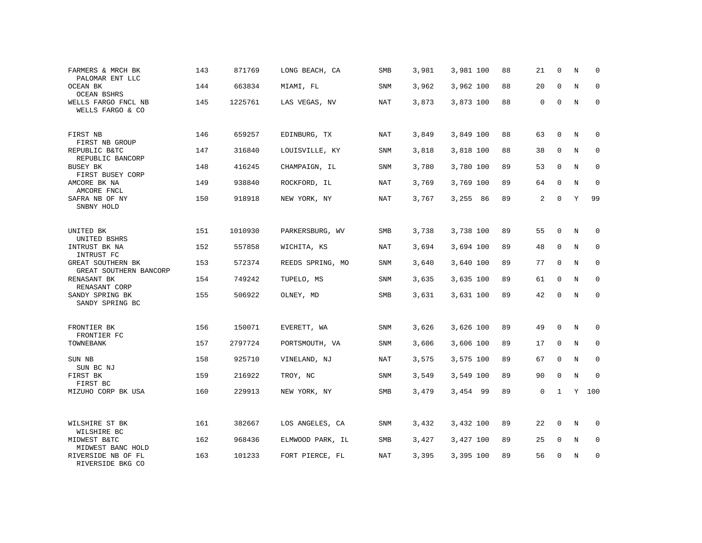| FARMERS & MRCH BK<br>PALOMAR ENT LLC        | 143 | 871769  | LONG BEACH, CA   | SMB        | 3,981 | 3,981 100 | 88 | 21          | 0            | Ν           | 0           |
|---------------------------------------------|-----|---------|------------------|------------|-------|-----------|----|-------------|--------------|-------------|-------------|
| <b>OCEAN BK</b><br><b>OCEAN BSHRS</b>       | 144 | 663834  | MIAMI, FL        | <b>SNM</b> | 3,962 | 3,962 100 | 88 | 20          | $\Omega$     | N           | $\Omega$    |
| WELLS FARGO FNCL NB<br>WELLS FARGO & CO     | 145 | 1225761 | LAS VEGAS, NV    | <b>NAT</b> | 3,873 | 3,873 100 | 88 | $\mathbf 0$ | $\mathbf 0$  | N           | 0           |
| FIRST NB<br>FIRST NB GROUP                  | 146 | 659257  | EDINBURG, TX     | NAT        | 3,849 | 3,849 100 | 88 | 63          | 0            | N           | 0           |
| REPUBLIC B&TC<br>REPUBLIC BANCORP           | 147 | 316840  | LOUISVILLE, KY   | SNM        | 3,818 | 3,818 100 | 88 | 38          | $\Omega$     | N           | $\mathbf 0$ |
| BUSEY BK<br>FIRST BUSEY CORP                | 148 | 416245  | CHAMPAIGN, IL    | SNM        | 3,780 | 3,780 100 | 89 | 53          | $\mathbf 0$  | N           | 0           |
| AMCORE BK NA<br>AMCORE FNCL                 | 149 | 938840  | ROCKFORD, IL     | <b>NAT</b> | 3,769 | 3,769 100 | 89 | 64          | $\Omega$     | N           | $\Omega$    |
| SAFRA NB OF NY<br>SNBNY HOLD                | 150 | 918918  | NEW YORK, NY     | NAT        | 3,767 | 3,255 86  | 89 | 2           | $\Omega$     | Y           | 99          |
| UNITED BK                                   | 151 | 1010930 | PARKERSBURG, WV  | SMB        | 3,738 | 3,738 100 | 89 | 55          | 0            | N           | $\Omega$    |
| UNITED BSHRS<br>INTRUST BK NA<br>INTRUST FC | 152 | 557858  | WICHITA, KS      | <b>NAT</b> | 3,694 | 3,694 100 | 89 | 48          | $\Omega$     | N           | $\mathbf 0$ |
| GREAT SOUTHERN BK<br>GREAT SOUTHERN BANCORP | 153 | 572374  | REEDS SPRING, MO | SNM        | 3,640 | 3,640 100 | 89 | 77          | $\Omega$     | N           | $\mathbf 0$ |
| RENASANT BK<br>RENASANT CORP                | 154 | 749242  | TUPELO, MS       | SNM        | 3,635 | 3,635 100 | 89 | 61          | 0            | N           | $\mathbf 0$ |
| SANDY SPRING BK<br>SANDY SPRING BC          | 155 | 506922  | OLNEY, MD        | <b>SMB</b> | 3,631 | 3,631 100 | 89 | 42          | $\Omega$     | N           | $\mathbf 0$ |
| FRONTIER BK                                 | 156 | 150071  | EVERETT, WA      | SNM        | 3,626 | 3,626 100 | 89 | 49          | 0            | N           | 0           |
| FRONTIER FC<br>TOWNEBANK                    | 157 | 2797724 | PORTSMOUTH, VA   | <b>SNM</b> | 3,606 | 3,606 100 | 89 | 17          | $\mathbf 0$  | $\mathbf N$ | $\mathbf 0$ |
| SUN NB<br>SUN BC NJ                         | 158 | 925710  | VINELAND, NJ     | NAT        | 3,575 | 3,575 100 | 89 | 67          | $\mathbf 0$  | N           | $\mathbf 0$ |
| FIRST BK<br>FIRST BC                        | 159 | 216922  | TROY, NC         | SNM        | 3,549 | 3,549 100 | 89 | 90          | $\mathbf 0$  | $\rm N$     | $\mathbf 0$ |
| MIZUHO CORP BK USA                          | 160 | 229913  | NEW YORK, NY     | <b>SMB</b> | 3,479 | 3,454 99  | 89 | $\mathbf 0$ | $\mathbf{1}$ | Y           | 100         |
| WILSHIRE ST BK<br>WILSHIRE BC               | 161 | 382667  | LOS ANGELES, CA  | SNM        | 3,432 | 3,432 100 | 89 | 22          | 0            | N           | 0           |
| MIDWEST B&TC<br>MIDWEST BANC HOLD           | 162 | 968436  | ELMWOOD PARK, IL | SMB        | 3,427 | 3,427 100 | 89 | 25          | 0            | Ν           | 0           |
| RIVERSIDE NB OF FL<br>RIVERSIDE BKG CO      | 163 | 101233  | FORT PIERCE, FL  | <b>NAT</b> | 3,395 | 3,395 100 | 89 | 56          | $\Omega$     | N           | $\mathbf 0$ |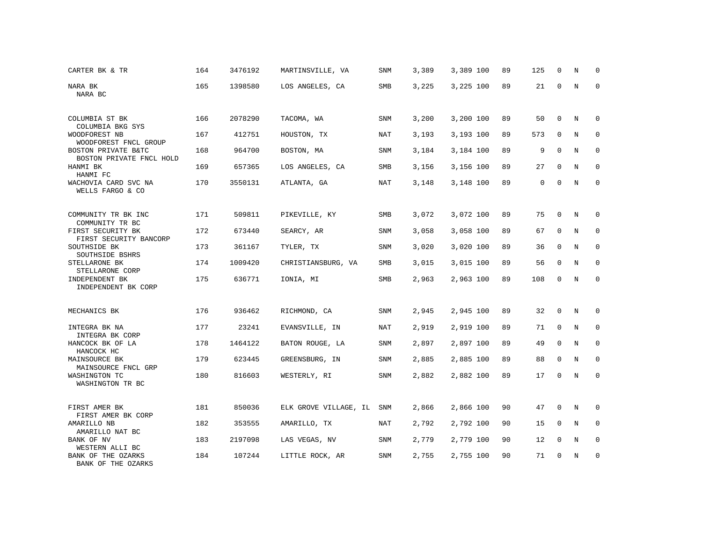| CARTER BK & TR                                           | 164 | 3476192 | MARTINSVILLE, VA      | SNM        | 3,389 | 3,389 100 | 89 | 125      | $\mathbf 0$  | N | $\Omega$     |
|----------------------------------------------------------|-----|---------|-----------------------|------------|-------|-----------|----|----------|--------------|---|--------------|
| NARA BK<br>NARA BC                                       | 165 | 1398580 | LOS ANGELES, CA       | SMB        | 3,225 | 3,225 100 | 89 | 21       | $\mathbf 0$  | N | $\mathbf{0}$ |
| COLUMBIA ST BK                                           | 166 | 2078290 | TACOMA, WA            | SNM        | 3,200 | 3,200 100 | 89 | 50       | $\mathbf 0$  | N | $\Omega$     |
| COLUMBIA BKG SYS<br>WOODFOREST NB                        | 167 | 412751  | HOUSTON, TX           | NAT        | 3,193 | 3,193 100 | 89 | 573      | $\mathbf{0}$ | N | $\mathbf{0}$ |
| WOODFOREST FNCL GROUP<br>BOSTON PRIVATE B&TC             | 168 | 964700  | BOSTON, MA            | SNM        | 3,184 | 3,184 100 | 89 | 9        | $\mathbf 0$  | N | $\mathbf{0}$ |
| BOSTON PRIVATE FNCL HOLD<br>HANMI BK                     | 169 | 657365  | LOS ANGELES, CA       | SMB        | 3,156 | 3,156 100 | 89 | 27       | $\mathbf 0$  | N | $\mathbf{0}$ |
| HANMI FC<br>WACHOVIA CARD SVC NA<br>WELLS FARGO & CO     | 170 | 3550131 | ATLANTA, GA           | <b>NAT</b> | 3,148 | 3,148 100 | 89 | $\Omega$ | $\Omega$     | N | $\Omega$     |
| COMMUNITY TR BK INC<br>COMMUNITY TR BC                   | 171 | 509811  | PIKEVILLE, KY         | <b>SMB</b> | 3,072 | 3,072 100 | 89 | 75       | $\mathbf 0$  | N | 0            |
| FIRST SECURITY BK<br>FIRST SECURITY BANCORP              | 172 | 673440  | SEARCY, AR            | SNM        | 3,058 | 3,058 100 | 89 | 67       | $\mathbf{0}$ | N | $\mathbf 0$  |
| SOUTHSIDE BK<br>SOUTHSIDE BSHRS                          | 173 | 361167  | TYLER, TX             | SNM        | 3,020 | 3,020 100 | 89 | 36       | $\mathbf 0$  | N | $\mathbf{0}$ |
| STELLARONE BK                                            | 174 | 1009420 | CHRISTIANSBURG, VA    | <b>SMB</b> | 3,015 | 3,015 100 | 89 | 56       | $\mathbf{0}$ | N | $\mathbf{0}$ |
| STELLARONE CORP<br>INDEPENDENT BK<br>INDEPENDENT BK CORP | 175 | 636771  | IONIA, MI             | SMB        | 2,963 | 2,963 100 | 89 | 108      | $\mathbf 0$  | N | $\mathbf{0}$ |
| MECHANICS BK                                             | 176 | 936462  | RICHMOND, CA          | SNM        | 2,945 | 2,945 100 | 89 | 32       | 0            | Ν | 0            |
| INTEGRA BK NA<br>INTEGRA BK CORP                         | 177 | 23241   | EVANSVILLE, IN        | NAT        | 2,919 | 2,919 100 | 89 | 71       | $\mathbf{0}$ | N | $\mathbf 0$  |
| HANCOCK BK OF LA                                         | 178 | 1464122 | BATON ROUGE, LA       | SNM        | 2,897 | 2,897 100 | 89 | 49       | $\mathbf 0$  | N | 0            |
| HANCOCK HC<br>MAINSOURCE BK                              | 179 | 623445  | GREENSBURG, IN        | SNM        | 2,885 | 2,885 100 | 89 | 88       | $\mathbf{0}$ | N | $\mathbf 0$  |
| MAINSOURCE FNCL GRP<br>WASHINGTON TC<br>WASHINGTON TR BC | 180 | 816603  | WESTERLY, RI          | SNM        | 2,882 | 2,882 100 | 89 | 17       | $\Omega$     | N | $\mathbf{0}$ |
| FIRST AMER BK<br>FIRST AMER BK CORP                      | 181 | 850036  | ELK GROVE VILLAGE, IL | SNM        | 2,866 | 2,866 100 | 90 | 47       | $\mathbf 0$  | N | 0            |
| AMARILLO NB<br>AMARILLO NAT BC                           | 182 | 353555  | AMARILLO, TX          | NAT        | 2,792 | 2,792 100 | 90 | 15       | $\mathbf{0}$ | N | $\mathbf 0$  |
| BANK OF NV<br>WESTERN ALLI BC                            | 183 | 2197098 | LAS VEGAS, NV         | SNM        | 2,779 | 2,779 100 | 90 | 12       | 0            | N | 0            |
| BANK OF THE OZARKS<br>BANK OF THE OZARKS                 | 184 | 107244  | LITTLE ROCK, AR       | SNM        | 2,755 | 2,755 100 | 90 | 71       | $\Omega$     | N | $\mathbf{0}$ |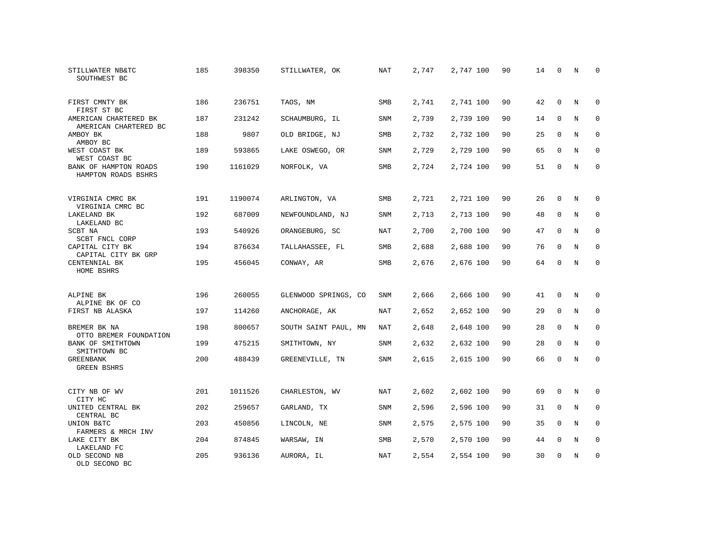| STILLWATER NB&TC<br>SOUTHWEST BC               | 185 | 398350  | STILLWATER, OK       | NAT        | 2,747 | 2,747 100 | 90 | 14 | 0            | N           | $\mathbf 0$  |
|------------------------------------------------|-----|---------|----------------------|------------|-------|-----------|----|----|--------------|-------------|--------------|
| FIRST CMNTY BK<br>FIRST ST BC                  | 186 | 236751  | TAOS, NM             | <b>SMB</b> | 2,741 | 2,741 100 | 90 | 42 | $\Omega$     | N           | $\Omega$     |
| AMERICAN CHARTERED BK<br>AMERICAN CHARTERED BC | 187 | 231242  | SCHAUMBURG, IL       | SNM        | 2,739 | 2,739 100 | 90 | 14 | $\mathbf 0$  | N           | $\mathbf 0$  |
| AMBOY BK<br>AMBOY BC                           | 188 | 9807    | OLD BRIDGE, NJ       | <b>SMB</b> | 2,732 | 2,732 100 | 90 | 25 | $\Omega$     | N           | $\Omega$     |
| WEST COAST BK<br>WEST COAST BC                 | 189 | 593865  | LAKE OSWEGO, OR      | SNM        | 2,729 | 2,729 100 | 90 | 65 | $\mathbf 0$  | N           | 0            |
| BANK OF HAMPTON ROADS<br>HAMPTON ROADS BSHRS   | 190 | 1161029 | NORFOLK, VA          | SMB        | 2,724 | 2,724 100 | 90 | 51 | $\mathbf{0}$ | N           | $\mathbf 0$  |
| VIRGINIA CMRC BK<br>VIRGINIA CMRC BC           | 191 | 1190074 | ARLINGTON, VA        | SMB        | 2,721 | 2,721 100 | 90 | 26 | $\mathbf{0}$ | N           | $\mathbf 0$  |
| LAKELAND BK<br>LAKELAND BC                     | 192 | 687009  | NEWFOUNDLAND, NJ     | <b>SNM</b> | 2,713 | 2,713 100 | 90 | 48 | $\mathbf 0$  | N           | 0            |
| SCBT NA<br>SCBT FNCL CORP                      | 193 | 540926  | ORANGEBURG, SC       | NAT        | 2,700 | 2,700 100 | 90 | 47 | $\mathbf 0$  | N           | $\mathbf 0$  |
| CAPITAL CITY BK<br>CAPITAL CITY BK GRP         | 194 | 876634  | TALLAHASSEE, FL      | <b>SMB</b> | 2,688 | 2,688 100 | 90 | 76 | $\mathbf 0$  | N           | $\mathbf{0}$ |
| CENTENNIAL BK<br>HOME BSHRS                    | 195 | 456045  | CONWAY, AR           | SMB        | 2,676 | 2,676 100 | 90 | 64 | $\Omega$     | $\mathbf N$ | $\mathbf{0}$ |
| ALPINE BK                                      | 196 | 260055  | GLENWOOD SPRINGS, CO | <b>SNM</b> | 2,666 | 2,666 100 | 90 | 41 | $\mathbf{0}$ | N           | $\mathbf 0$  |
| ALPINE BK OF CO<br>FIRST NB ALASKA             | 197 | 114260  | ANCHORAGE, AK        | NAT        | 2,652 | 2,652 100 | 90 | 29 | 0            | N           | 0            |
| BREMER BK NA<br>OTTO BREMER FOUNDATION         | 198 | 800657  | SOUTH SAINT PAUL, MN | NAT        | 2,648 | 2,648 100 | 90 | 28 | $\mathbf 0$  | N           | $\mathbf 0$  |
| BANK OF SMITHTOWN<br>SMITHTOWN BC              | 199 | 475215  | SMITHTOWN, NY        | <b>SNM</b> | 2,632 | 2,632 100 | 90 | 28 | $\Omega$     | N           | 0            |
| <b>GREENBANK</b><br><b>GREEN BSHRS</b>         | 200 | 488439  | GREENEVILLE, TN      | SNM        | 2,615 | 2,615 100 | 90 | 66 | $\mathbf 0$  | N           | $\mathbf 0$  |
| CITY NB OF WV<br>CITY HC                       | 201 | 1011526 | CHARLESTON, WV       | NAT        | 2,602 | 2,602 100 | 90 | 69 | $\mathbf 0$  | N           | 0            |
| UNITED CENTRAL BK<br>CENTRAL BC                | 202 | 259657  | GARLAND, TX          | SNM        | 2,596 | 2,596 100 | 90 | 31 | $\mathbf 0$  | N           | 0            |
| UNION B&TC<br>FARMERS & MRCH INV               | 203 | 450856  | LINCOLN, NE          | SNM        | 2,575 | 2,575 100 | 90 | 35 | $\Omega$     | N           | $\mathbf 0$  |
| LAKE CITY BK<br>LAKELAND FC                    | 204 | 874845  | WARSAW, IN           | SMB        | 2,570 | 2,570 100 | 90 | 44 | $\mathbf 0$  | N           | 0            |
| OLD SECOND NB<br>OLD SECOND BC                 | 205 | 936136  | AURORA, IL           | NAT        | 2,554 | 2,554 100 | 90 | 30 | $\Omega$     | N           | $\mathbf{0}$ |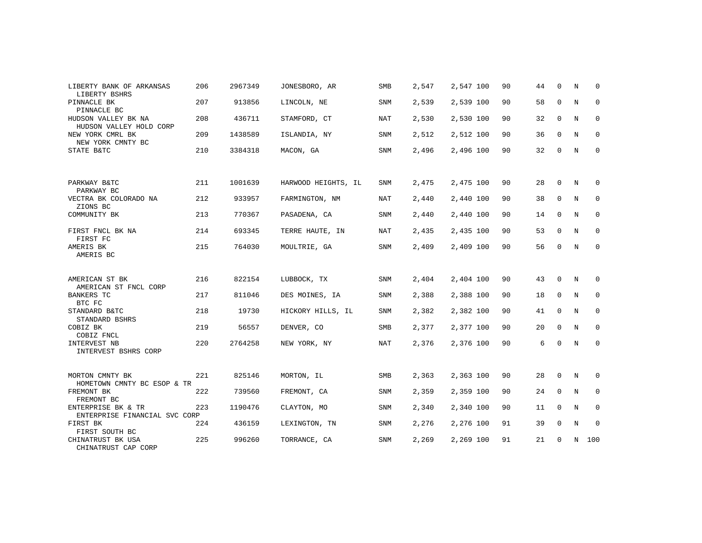| LIBERTY BANK OF ARKANSAS<br>LIBERTY BSHRS           | 206 | 2967349 | JONESBORO, AR       | <b>SMB</b> | 2,547 | 2,547 100 | 90 | 44 | $\Omega$    | N | $\Omega$    |
|-----------------------------------------------------|-----|---------|---------------------|------------|-------|-----------|----|----|-------------|---|-------------|
| PINNACLE BK<br>PINNACLE BC                          | 207 | 913856  | LINCOLN, NE         | <b>SNM</b> | 2,539 | 2,539 100 | 90 | 58 | $\mathbf 0$ | N | $\mathbf 0$ |
| HUDSON VALLEY BK NA<br>HUDSON VALLEY HOLD CORP      | 208 | 436711  | STAMFORD, CT        | <b>NAT</b> | 2,530 | 2,530 100 | 90 | 32 | $\mathbf 0$ | N | 0           |
| NEW YORK CMRL BK<br>NEW YORK CMNTY BC               | 209 | 1438589 | ISLANDIA, NY        | <b>SNM</b> | 2,512 | 2,512 100 | 90 | 36 | $\mathbf 0$ | N | 0           |
| STATE B&TC                                          | 210 | 3384318 | MACON, GA           | <b>SNM</b> | 2,496 | 2,496 100 | 90 | 32 | $\mathbf 0$ | N | $\mathbf 0$ |
|                                                     |     |         |                     |            |       |           |    |    |             |   |             |
| PARKWAY B&TC<br>PARKWAY BC                          | 211 | 1001639 | HARWOOD HEIGHTS, IL | <b>SNM</b> | 2,475 | 2,475 100 | 90 | 28 | $\Omega$    | N | $\Omega$    |
| VECTRA BK COLORADO NA<br>ZIONS BC                   | 212 | 933957  | FARMINGTON, NM      | NAT        | 2,440 | 2,440 100 | 90 | 38 | $\mathbf 0$ | N | 0           |
| COMMUNITY BK                                        | 213 | 770367  | PASADENA, CA        | <b>SNM</b> | 2,440 | 2,440 100 | 90 | 14 | $\mathbf 0$ | N | 0           |
| FIRST FNCL BK NA<br>FIRST FC                        | 214 | 693345  | TERRE HAUTE, IN     | NAT        | 2,435 | 2,435 100 | 90 | 53 | $\mathbf 0$ | N | $\mathbf 0$ |
| AMERIS BK<br>AMERIS BC                              | 215 | 764030  | MOULTRIE, GA        | SNM        | 2,409 | 2,409 100 | 90 | 56 | $\mathbf 0$ | N | $\mathbf 0$ |
|                                                     |     |         |                     |            |       |           |    |    |             |   |             |
| AMERICAN ST BK<br>AMERICAN ST FNCL CORP             | 216 | 822154  | LUBBOCK, TX         | <b>SNM</b> | 2,404 | 2,404 100 | 90 | 43 | $\Omega$    | N | $\Omega$    |
| <b>BANKERS TC</b><br>BTC FC                         | 217 | 811046  | DES MOINES, IA      | SNM        | 2,388 | 2,388 100 | 90 | 18 | $\mathbf 0$ | N | $\mathbf 0$ |
| STANDARD B&TC<br>STANDARD BSHRS                     | 218 | 19730   | HICKORY HILLS, IL   | <b>SNM</b> | 2,382 | 2,382 100 | 90 | 41 | $\mathbf 0$ | N | 0           |
| COBIZ BK<br>COBIZ FNCL                              | 219 | 56557   | DENVER, CO          | SMB        | 2,377 | 2,377 100 | 90 | 20 | $\mathbf 0$ | N | $\mathbf 0$ |
| INTERVEST NB<br>INTERVEST BSHRS CORP                | 220 | 2764258 | NEW YORK, NY        | NAT        | 2,376 | 2,376 100 | 90 | 6  | $\mathbf 0$ | N | 0           |
|                                                     |     |         |                     |            |       |           |    |    |             |   |             |
| MORTON CMNTY BK<br>HOMETOWN CMNTY BC ESOP & TR      | 221 | 825146  | MORTON, IL          | <b>SMB</b> | 2,363 | 2,363 100 | 90 | 28 | $\mathbf 0$ | N | 0           |
| FREMONT BK<br>FREMONT BC                            | 222 | 739560  | FREMONT, CA         | SNM        | 2,359 | 2,359 100 | 90 | 24 | $\Omega$    | N | $\mathbf 0$ |
| ENTERPRISE BK & TR<br>ENTERPRISE FINANCIAL SVC CORP | 223 | 1190476 | CLAYTON, MO         | <b>SNM</b> | 2,340 | 2,340 100 | 90 | 11 | $\mathbf 0$ | N | 0           |
| FIRST BK<br>FIRST SOUTH BC                          | 224 | 436159  | LEXINGTON, TN       | <b>SNM</b> | 2,276 | 2,276 100 | 91 | 39 | $\mathbf 0$ | N | $\mathbf 0$ |
| CHINATRUST BK USA<br>CHINATRUST CAP CORP            | 225 | 996260  | TORRANCE, CA        | <b>SNM</b> | 2,269 | 2,269 100 | 91 | 21 | $\mathbf 0$ | N | 100         |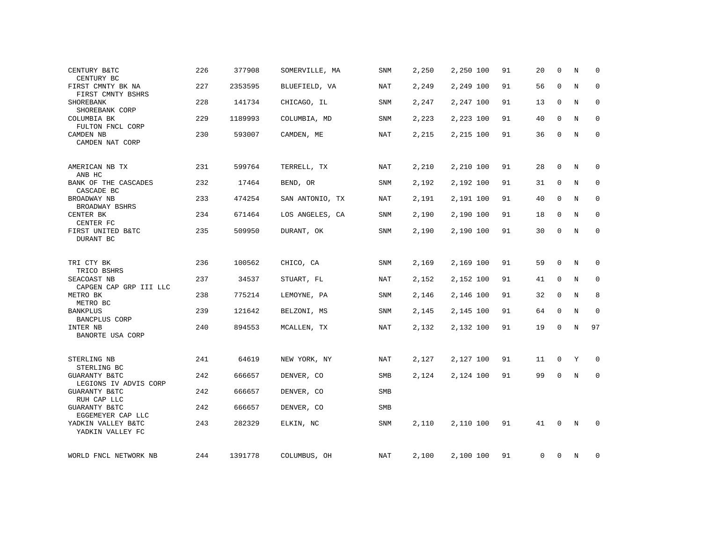| CENTURY B&TC<br>CENTURY BC                        | 226 | 377908  | SOMERVILLE, MA  | <b>SNM</b> | 2,250 | 2,250 100 | 91 | 20 | $\Omega$    | N           | $\Omega$    |
|---------------------------------------------------|-----|---------|-----------------|------------|-------|-----------|----|----|-------------|-------------|-------------|
| FIRST CMNTY BK NA<br>FIRST CMNTY BSHRS            | 227 | 2353595 | BLUEFIELD, VA   | <b>NAT</b> | 2,249 | 2,249 100 | 91 | 56 | $\mathbf 0$ | N           | $\mathbf 0$ |
| SHOREBANK<br>SHOREBANK CORP                       | 228 | 141734  | CHICAGO, IL     | SNM        | 2,247 | 2,247 100 | 91 | 13 | 0           | N           | 0           |
| COLUMBIA BK<br>FULTON FNCL CORP                   | 229 | 1189993 | COLUMBIA, MD    | SNM        | 2,223 | 2,223 100 | 91 | 40 | 0           | N           | 0           |
| CAMDEN NB<br>CAMDEN NAT CORP                      | 230 | 593007  | CAMDEN, ME      | <b>NAT</b> | 2,215 | 2,215 100 | 91 | 36 | $\mathbf 0$ | N           | $\mathbf 0$ |
| AMERICAN NB TX<br>ANB HC                          | 231 | 599764  | TERRELL, TX     | <b>NAT</b> | 2,210 | 2,210 100 | 91 | 28 | 0           | N           | 0           |
| BANK OF THE CASCADES<br>CASCADE BC                | 232 | 17464   | BEND, OR        | SNM        | 2,192 | 2,192 100 | 91 | 31 | $\mathbf 0$ | $\mathbf N$ | $\mathbf 0$ |
| BROADWAY NB<br>BROADWAY BSHRS                     | 233 | 474254  | SAN ANTONIO, TX | NAT        | 2,191 | 2,191 100 | 91 | 40 | $\mathbf 0$ | N           | $\mathbf 0$ |
| CENTER BK<br>CENTER FC                            | 234 | 671464  | LOS ANGELES, CA | SNM        | 2,190 | 2,190 100 | 91 | 18 | 0           | N           | $\mathbf 0$ |
| FIRST UNITED B&TC<br>DURANT BC                    | 235 | 509950  | DURANT, OK      | SNM        | 2,190 | 2,190 100 | 91 | 30 | 0           | N           | 0           |
| TRI CTY BK<br>TRICO BSHRS                         | 236 | 100562  | CHICO, CA       | SNM        | 2,169 | 2,169 100 | 91 | 59 | 0           | N           | 0           |
| SEACOAST NB<br>CAPGEN CAP GRP III LLC             | 237 | 34537   | STUART, FL      | NAT        | 2,152 | 2,152 100 | 91 | 41 | 0           | N           | 0           |
| METRO BK<br>METRO BC                              | 238 | 775214  | LEMOYNE, PA     | SNM        | 2,146 | 2,146 100 | 91 | 32 | $\mathbf 0$ | $\mathbf N$ | 8           |
| <b>BANKPLUS</b><br>BANCPLUS CORP                  | 239 | 121642  | BELZONI, MS     | SNM        | 2,145 | 2,145 100 | 91 | 64 | $\mathbf 0$ | N           | 0           |
| INTER NB<br>BANORTE USA CORP                      | 240 | 894553  | MCALLEN, TX     | NAT        | 2,132 | 2,132 100 | 91 | 19 | $\mathbf 0$ | N           | 97          |
| STERLING NB<br>STERLING BC                        | 241 | 64619   | NEW YORK, NY    | <b>NAT</b> | 2,127 | 2,127 100 | 91 | 11 | $\mathbf 0$ | Υ           | 0           |
| <b>GUARANTY B&amp;TC</b><br>LEGIONS IV ADVIS CORP | 242 | 666657  | DENVER, CO      | SMB        | 2,124 | 2,124 100 | 91 | 99 | 0           | N           | $\mathbf 0$ |
| GUARANTY B&TC<br>RUH CAP LLC                      | 242 | 666657  | DENVER, CO      | SMB        |       |           |    |    |             |             |             |
| GUARANTY B&TC<br>EGGEMEYER CAP LLC                | 242 | 666657  | DENVER, CO      | <b>SMB</b> |       |           |    |    |             |             |             |
| YADKIN VALLEY B&TC<br>YADKIN VALLEY FC            | 243 | 282329  | ELKIN, NC       | SNM        | 2,110 | 2,110 100 | 91 | 41 | $\Omega$    | N           | $\mathbf 0$ |
| WORLD FNCL NETWORK NB                             | 244 | 1391778 | COLUMBUS, OH    | NAT        | 2,100 | 2,100 100 | 91 | 0  | 0           | N           | 0           |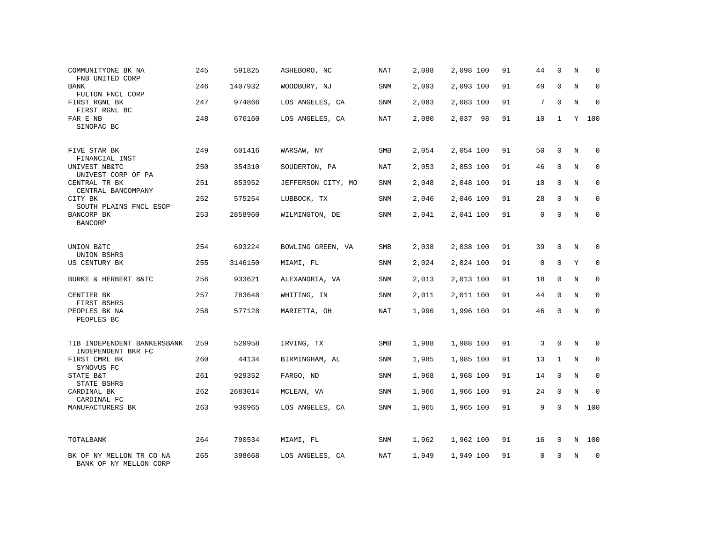| COMMUNITYONE BK NA<br>FNB UNITED CORP                 | 245 | 591825  | ASHEBORO, NC       | NAT        | 2,098 | 2,098 100 | 91 | 44          | $\mathbf 0$  | N       | $\mathbf 0$  |
|-------------------------------------------------------|-----|---------|--------------------|------------|-------|-----------|----|-------------|--------------|---------|--------------|
| <b>BANK</b><br>FULTON FNCL CORP                       | 246 | 1407932 | WOODBURY, NJ       | SNM        | 2,093 | 2,093 100 | 91 | 49          | $\mathbf 0$  | N       | $\mathbf 0$  |
| FIRST RGNL BK<br>FIRST RGNL BC                        | 247 | 974866  | LOS ANGELES, CA    | SNM        | 2,083 | 2,083 100 | 91 | 7           | 0            | N       | $\mathbf{0}$ |
| FAR E NB<br>SINOPAC BC                                | 248 | 676160  | LOS ANGELES, CA    | NAT        | 2,080 | 2,037 98  | 91 | 10          | $\mathbf{1}$ | Y       | 100          |
| FIVE STAR BK                                          | 249 | 601416  | WARSAW, NY         | <b>SMB</b> | 2,054 | 2,054 100 | 91 | 50          | 0            | N       | $\mathbf{0}$ |
| FINANCIAL INST<br>UNIVEST NB&TC<br>UNIVEST CORP OF PA | 250 | 354310  | SOUDERTON, PA      | NAT        | 2,053 | 2,053 100 | 91 | 46          | $\mathbf 0$  | N       | $\mathbf 0$  |
| CENTRAL TR BK<br>CENTRAL BANCOMPANY                   | 251 | 853952  | JEFFERSON CITY, MO | SNM        | 2,048 | 2,048 100 | 91 | 10          | 0            | N       | 0            |
| CITY BK<br>SOUTH PLAINS FNCL ESOP                     | 252 | 575254  | LUBBOCK, TX        | SNM        | 2,046 | 2,046 100 | 91 | 28          | $\mathbf 0$  | N       | $\mathbf 0$  |
| BANCORP BK<br><b>BANCORP</b>                          | 253 | 2858960 | WILMINGTON, DE     | SNM        | 2,041 | 2,041 100 | 91 | $\mathbf 0$ | $\mathbf 0$  | N       | $\mathbf 0$  |
| UNION B&TC                                            | 254 | 693224  | BOWLING GREEN, VA  | SMB        | 2,038 | 2,038 100 | 91 | 39          | $\mathbf 0$  | N       | $\mathbf 0$  |
| UNION BSHRS<br>US CENTURY BK                          | 255 | 3146150 | MIAMI, FL          | SNM        | 2,024 | 2,024 100 | 91 | 0           | $\Omega$     | Y       | $\mathbf 0$  |
| BURKE & HERBERT B&TC                                  | 256 | 933621  | ALEXANDRIA, VA     | SNM        | 2,013 | 2,013 100 | 91 | 18          | $\mathbf 0$  | N       | $\mathbf 0$  |
| CENTIER BK<br>FIRST BSHRS                             | 257 | 783648  | WHITING, IN        | SNM        | 2,011 | 2,011 100 | 91 | 44          | $\mathbf 0$  | N       | $\mathbf 0$  |
| PEOPLES BK NA<br>PEOPLES BC                           | 258 | 577128  | MARIETTA, OH       | NAT        | 1,996 | 1,996 100 | 91 | 46          | $\Omega$     | N       | $\mathbf{0}$ |
| TIB INDEPENDENT BANKERSBANK                           | 259 | 529958  | IRVING, TX         | SMB        | 1,988 | 1,988 100 | 91 | 3           | $\mathbf 0$  | N       | $\mathbf{0}$ |
| INDEPENDENT BKR FC<br>FIRST CMRL BK                   | 260 | 44134   | BIRMINGHAM, AL     | SNM        | 1,985 | 1,985 100 | 91 | 13          | 1            | N       | 0            |
| SYNOVUS FC<br>STATE B&T<br>STATE BSHRS                | 261 | 929352  | FARGO, ND          | <b>SNM</b> | 1,968 | 1,968 100 | 91 | 14          | $\mathbf 0$  | N       | $\mathbf{0}$ |
| CARDINAL BK<br>CARDINAL FC                            | 262 | 2683014 | MCLEAN, VA         | SNM        | 1,966 | 1,966 100 | 91 | 24          | $\mathbf 0$  | N       | $\mathbf{0}$ |
| MANUFACTURERS BK                                      | 263 | 930965  | LOS ANGELES, CA    | SNM        | 1,965 | 1,965 100 | 91 | 9           | $\mathbf 0$  | $\rm N$ | 100          |
| TOTALBANK                                             | 264 | 790534  | MIAMI, FL          | SNM        | 1,962 | 1,962 100 | 91 | 16          | 0            | N       | 100          |
| BK OF NY MELLON TR CO NA<br>BANK OF NY MELLON CORP    | 265 | 398668  | LOS ANGELES, CA    | NAT        | 1,949 | 1,949 100 | 91 | $\mathbf 0$ | 0            | N       | $\mathbf 0$  |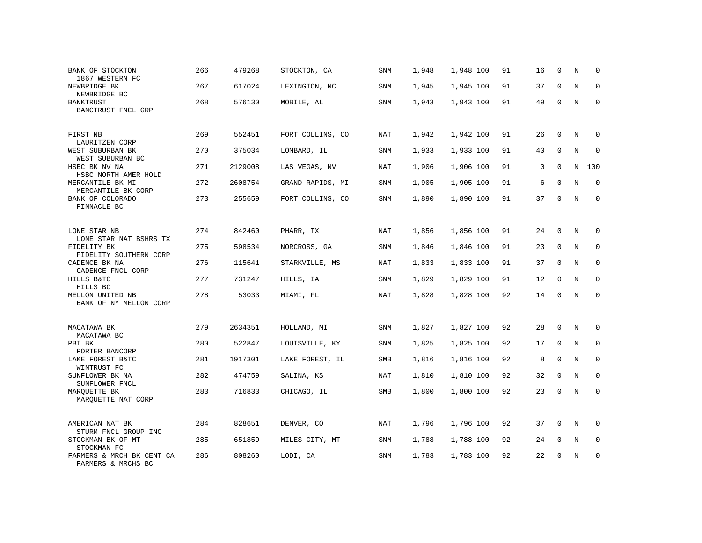| BANK OF STOCKTON<br>1867 WESTERN FC             | 266 | 479268  | STOCKTON, CA     | <b>SNM</b> | 1,948 | 1,948 100 | 91 | 16          | $\mathbf 0$ | N           | 0           |
|-------------------------------------------------|-----|---------|------------------|------------|-------|-----------|----|-------------|-------------|-------------|-------------|
| NEWBRIDGE BK<br>NEWBRIDGE BC                    | 267 | 617024  | LEXINGTON, NC    | SNM        | 1,945 | 1,945 100 | 91 | 37          | $\mathbf 0$ | N           | 0           |
| <b>BANKTRUST</b><br>BANCTRUST FNCL GRP          | 268 | 576130  | MOBILE, AL       | SNM        | 1,943 | 1,943 100 | 91 | 49          | $\mathbf 0$ | N           | $\mathbf 0$ |
| FIRST NB<br>LAURITZEN CORP                      | 269 | 552451  | FORT COLLINS, CO | NAT        | 1,942 | 1,942 100 | 91 | 26          | $\Omega$    | N           | $\Omega$    |
| WEST SUBURBAN BK<br>WEST SUBURBAN BC            | 270 | 375034  | LOMBARD, IL      | SNM        | 1,933 | 1,933 100 | 91 | 40          | 0           | N           | $\mathbf 0$ |
| HSBC BK NV NA<br>HSBC NORTH AMER HOLD           | 271 | 2129008 | LAS VEGAS, NV    | NAT        | 1,906 | 1,906 100 | 91 | $\mathbf 0$ | $\mathbf 0$ | N           | 100         |
| MERCANTILE BK MI<br>MERCANTILE BK CORP          | 272 | 2608754 | GRAND RAPIDS, MI | SNM        | 1,905 | 1,905 100 | 91 | 6           | $\mathbf 0$ | N           | $\mathbf 0$ |
| BANK OF COLORADO<br>PINNACLE BC                 | 273 | 255659  | FORT COLLINS, CO | SNM        | 1,890 | 1,890 100 | 91 | 37          | $\mathbf 0$ | $\mathbf N$ | $\mathbf 0$ |
| LONE STAR NB<br>LONE STAR NAT BSHRS TX          | 274 | 842460  | PHARR, TX        | <b>NAT</b> | 1,856 | 1,856 100 | 91 | 24          | $\mathbf 0$ | N           | 0           |
| FIDELITY BK<br>FIDELITY SOUTHERN CORP           | 275 | 598534  | NORCROSS, GA     | SNM        | 1,846 | 1,846 100 | 91 | 23          | $\mathbf 0$ | N           | 0           |
| CADENCE BK NA<br>CADENCE FNCL CORP              | 276 | 115641  | STARKVILLE, MS   | NAT        | 1,833 | 1,833 100 | 91 | 37          | 0           | N           | 0           |
| HILLS B&TC<br>HILLS BC                          | 277 | 731247  | HILLS, IA        | SNM        | 1,829 | 1,829 100 | 91 | 12          | 0           | N           | 0           |
| MELLON UNITED NB<br>BANK OF NY MELLON CORP      | 278 | 53033   | MIAMI, FL        | <b>NAT</b> | 1,828 | 1,828 100 | 92 | 14          | $\mathbf 0$ | $\rm N$     | 0           |
| MACATAWA BK<br>MACATAWA BC                      | 279 | 2634351 | HOLLAND, MI      | SNM        | 1,827 | 1,827 100 | 92 | 28          | 0           | N           | 0           |
| PBI BK<br>PORTER BANCORP                        | 280 | 522847  | LOUISVILLE, KY   | SNM        | 1,825 | 1,825 100 | 92 | 17          | 0           | N           | 0           |
| LAKE FOREST B&TC<br>WINTRUST FC                 | 281 | 1917301 | LAKE FOREST, IL  | SMB        | 1,816 | 1,816 100 | 92 | 8           | 0           | N           | 0           |
| SUNFLOWER BK NA<br>SUNFLOWER FNCL               | 282 | 474759  | SALINA, KS       | <b>NAT</b> | 1,810 | 1,810 100 | 92 | 32          | $\mathbf 0$ | N           | $\mathbf 0$ |
| MARQUETTE BK<br>MARQUETTE NAT CORP              | 283 | 716833  | CHICAGO, IL      | SMB        | 1,800 | 1,800 100 | 92 | 23          | $\mathbf 0$ | N           | $\mathbf 0$ |
| AMERICAN NAT BK<br>STURM FNCL GROUP INC         | 284 | 828651  | DENVER, CO       | <b>NAT</b> | 1,796 | 1,796 100 | 92 | 37          | $\mathbf 0$ | N           | 0           |
| STOCKMAN BK OF MT<br>STOCKMAN FC                | 285 | 651859  | MILES CITY, MT   | <b>SNM</b> | 1,788 | 1,788 100 | 92 | 24          | $\mathbf 0$ | N           | $\mathbf 0$ |
| FARMERS & MRCH BK CENT CA<br>FARMERS & MRCHS BC | 286 | 808260  | LODI, CA         | SNM        | 1,783 | 1,783 100 | 92 | 22          | U           | N           | $\mathbf 0$ |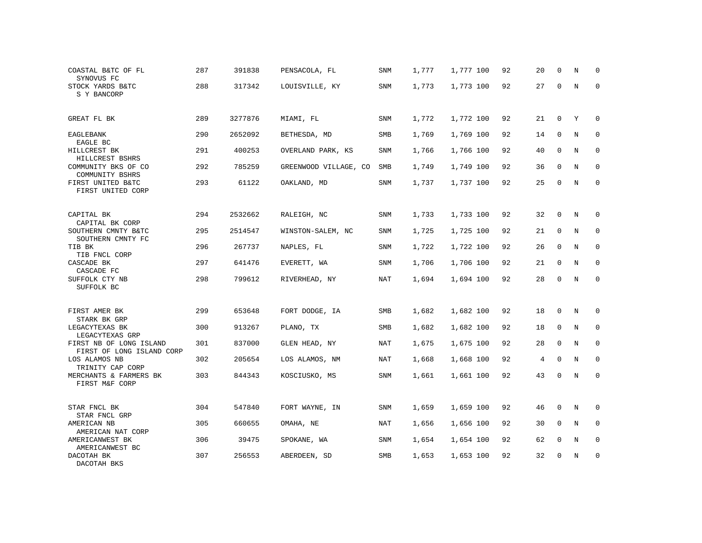| COASTAL B&TC OF FL<br>SYNOVUS FC                     | 287 | 391838  | PENSACOLA, FL         | SNM        | 1,777 | 1,777 100 | 92 | 20 | $\mathbf 0$ | N           | $\Omega$    |
|------------------------------------------------------|-----|---------|-----------------------|------------|-------|-----------|----|----|-------------|-------------|-------------|
| STOCK YARDS B&TC<br>S Y BANCORP                      | 288 | 317342  | LOUISVILLE, KY        | SNM        | 1,773 | 1,773 100 | 92 | 27 | 0           | N           | $\mathbf 0$ |
| GREAT FL BK                                          | 289 | 3277876 | MIAMI, FL             | SNM        | 1,772 | 1,772 100 | 92 | 21 | 0           | Y           | $\mathbf 0$ |
| EAGLEBANK<br>EAGLE BC                                | 290 | 2652092 | BETHESDA, MD          | <b>SMB</b> | 1,769 | 1,769 100 | 92 | 14 | $\Omega$    | N           | $\mathbf 0$ |
| HILLCREST BK<br>HILLCREST BSHRS                      | 291 | 400253  | OVERLAND PARK, KS     | SNM        | 1,766 | 1,766 100 | 92 | 40 | $\mathbf 0$ | N           | $\mathbf 0$ |
| COMMUNITY BKS OF CO<br>COMMUNITY BSHRS               | 292 | 785259  | GREENWOOD VILLAGE, CO | SMB        | 1,749 | 1,749 100 | 92 | 36 | 0           | N           | $\mathbf 0$ |
| FIRST UNITED B&TC<br>FIRST UNITED CORP               | 293 | 61122   | OAKLAND, MD           | SNM        | 1,737 | 1,737 100 | 92 | 25 | 0           | N           | $\mathbf 0$ |
| CAPITAL BK<br>CAPITAL BK CORP                        | 294 | 2532662 | RALEIGH, NC           | SNM        | 1,733 | 1,733 100 | 92 | 32 | 0           | N           | 0           |
| SOUTHERN CMNTY B&TC<br>SOUTHERN CMNTY FC             | 295 | 2514547 | WINSTON-SALEM, NC     | SNM        | 1,725 | 1,725 100 | 92 | 21 | 0           | N           | $\mathbf 0$ |
| TIB BK<br>TIB FNCL CORP                              | 296 | 267737  | NAPLES, FL            | SNM        | 1,722 | 1,722 100 | 92 | 26 | 0           | $\rm N$     | $\mathbf 0$ |
| CASCADE BK<br>CASCADE FC                             | 297 | 641476  | EVERETT, WA           | SNM        | 1,706 | 1,706 100 | 92 | 21 | $\mathbf 0$ | N           | $\mathbf 0$ |
| SUFFOLK CTY NB<br>SUFFOLK BC                         | 298 | 799612  | RIVERHEAD, NY         | NAT        | 1,694 | 1,694 100 | 92 | 28 | $\mathbf 0$ | $\mathbb N$ | $\mathbf 0$ |
| FIRST AMER BK<br>STARK BK GRP                        | 299 | 653648  | FORT DODGE, IA        | SMB        | 1,682 | 1,682 100 | 92 | 18 | 0           | N           | 0           |
| LEGACYTEXAS BK<br>LEGACYTEXAS GRP                    | 300 | 913267  | PLANO, TX             | SMB        | 1,682 | 1,682 100 | 92 | 18 | $\mathbf 0$ | N           | 0           |
| FIRST NB OF LONG ISLAND<br>FIRST OF LONG ISLAND CORP | 301 | 837000  | GLEN HEAD, NY         | NAT        | 1,675 | 1,675 100 | 92 | 28 | $\mathbf 0$ | N           | $\mathsf 0$ |
| LOS ALAMOS NB<br>TRINITY CAP CORP                    | 302 | 205654  | LOS ALAMOS, NM        | <b>NAT</b> | 1,668 | 1,668 100 | 92 | 4  | $\mathbf 0$ | $\rm N$     | $\mathbf 0$ |
| MERCHANTS & FARMERS BK<br>FIRST M&F CORP             | 303 | 844343  | KOSCIUSKO, MS         | SNM        | 1,661 | 1,661 100 | 92 | 43 | $\mathbf 0$ | $\mathbb N$ | $\mathbf 0$ |
| STAR FNCL BK<br>STAR FNCL GRP                        | 304 | 547840  | FORT WAYNE, IN        | <b>SNM</b> | 1,659 | 1,659 100 | 92 | 46 | 0           | N           | 0           |
| AMERICAN NB<br>AMERICAN NAT CORP                     | 305 | 660655  | OMAHA, NE             | <b>NAT</b> | 1,656 | 1,656 100 | 92 | 30 | $\mathbf 0$ | N           | 0           |
| AMERICANWEST BK<br>AMERICANWEST BC                   | 306 | 39475   | SPOKANE, WA           | SNM        | 1,654 | 1,654 100 | 92 | 62 | 0           | N           | 0           |
| DACOTAH BK<br>DACOTAH BKS                            | 307 | 256553  | ABERDEEN, SD          | SMB        | 1,653 | 1,653 100 | 92 | 32 | 0           | N           | $\mathbf 0$ |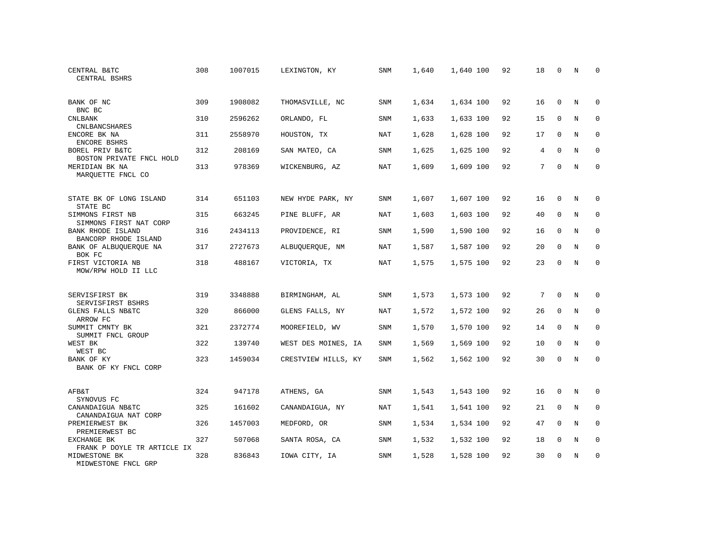| CENTRAL B&TC<br>CENTRAL BSHRS                    | 308 | 1007015 | LEXINGTON, KY       | <b>SNM</b> | 1,640 | 1,640 100 | 92 | 18 | 0           | N           | 0           |
|--------------------------------------------------|-----|---------|---------------------|------------|-------|-----------|----|----|-------------|-------------|-------------|
| BANK OF NC<br>BNC BC                             | 309 | 1908082 | THOMASVILLE, NC     | <b>SNM</b> | 1,634 | 1,634 100 | 92 | 16 | $\Omega$    | N           | $\Omega$    |
| <b>CNLBANK</b><br><b>CNLBANCSHARES</b>           | 310 | 2596262 | ORLANDO, FL         | SNM        | 1,633 | 1,633 100 | 92 | 15 | $\mathbf 0$ | N           | $\mathbf 0$ |
| ENCORE BK NA<br>ENCORE BSHRS                     | 311 | 2558970 | HOUSTON, TX         | NAT        | 1,628 | 1,628 100 | 92 | 17 | $\Omega$    | N           | $\Omega$    |
| BOREL PRIV B&TC<br>BOSTON PRIVATE FNCL HOLD      | 312 | 208169  | SAN MATEO, CA       | SNM        | 1,625 | 1,625 100 | 92 | 4  | $\mathbf 0$ | N           | $\mathbf 0$ |
| MERIDIAN BK NA<br>MAROUETTE FNCL CO              | 313 | 978369  | WICKENBURG, AZ      | <b>NAT</b> | 1,609 | 1,609 100 | 92 | 7  | $\Omega$    | $_{\rm N}$  | $\mathbf 0$ |
| STATE BK OF LONG ISLAND<br>STATE BC              | 314 | 651103  | NEW HYDE PARK, NY   | SNM        | 1,607 | 1,607 100 | 92 | 16 | 0           | N           | 0           |
| SIMMONS FIRST NB<br>SIMMONS FIRST NAT CORP       | 315 | 663245  | PINE BLUFF, AR      | <b>NAT</b> | 1,603 | 1,603 100 | 92 | 40 | $\mathbf 0$ | $\rm N$     | $\mathbf 0$ |
| <b>BANK RHODE ISLAND</b><br>BANCORP RHODE ISLAND | 316 | 2434113 | PROVIDENCE, RI      | SNM        | 1,590 | 1,590 100 | 92 | 16 | 0           | N           | $\mathbf 0$ |
| BANK OF ALBUQUERQUE NA<br>BOK FC                 | 317 | 2727673 | ALBUQUERQUE, NM     | <b>NAT</b> | 1,587 | 1,587 100 | 92 | 20 | $\Omega$    | $\rm N$     | $\mathbf 0$ |
| FIRST VICTORIA NB<br>MOW/RPW HOLD II LLC         | 318 | 488167  | VICTORIA, TX        | <b>NAT</b> | 1,575 | 1,575 100 | 92 | 23 | $\Omega$    | $_{\rm N}$  | $\Omega$    |
| SERVISFIRST BK<br>SERVISFIRST BSHRS              | 319 | 3348888 | BIRMINGHAM, AL      | <b>SNM</b> | 1,573 | 1,573 100 | 92 | 7  | $\Omega$    | $\mathbf N$ | 0           |
| GLENS FALLS NB&TC<br>ARROW FC                    | 320 | 866000  | GLENS FALLS, NY     | NAT        | 1,572 | 1,572 100 | 92 | 26 | $\mathbf 0$ | N           | 0           |
| SUMMIT CMNTY BK<br>SUMMIT FNCL GROUP             | 321 | 2372774 | MOOREFIELD, WV      | SNM        | 1,570 | 1,570 100 | 92 | 14 | $\mathbf 0$ | N           | $\mathbf 0$ |
| WEST BK<br>WEST BC                               | 322 | 139740  | WEST DES MOINES, IA | <b>SNM</b> | 1,569 | 1,569 100 | 92 | 10 | $\Omega$    | $_{\rm N}$  | $\mathbf 0$ |
| BANK OF KY<br>BANK OF KY FNCL CORP               | 323 | 1459034 | CRESTVIEW HILLS, KY | SNM        | 1,562 | 1,562 100 | 92 | 30 | $\mathbf 0$ | N           | $\mathbf 0$ |
| AFB&T<br>SYNOVUS FC                              | 324 | 947178  | ATHENS, GA          | SNM        | 1,543 | 1,543 100 | 92 | 16 | 0           | N           | 0           |
| CANANDAIGUA NB&TC<br>CANANDAIGUA NAT CORP        | 325 | 161602  | CANANDAIGUA, NY     | <b>NAT</b> | 1,541 | 1,541 100 | 92 | 21 | $\mathbf 0$ | N           | $\mathbf 0$ |
| PREMIERWEST BK<br>PREMIERWEST BC                 | 326 | 1457003 | MEDFORD, OR         | SNM        | 1,534 | 1,534 100 | 92 | 47 | $\Omega$    | N           | $\mathbf 0$ |
| EXCHANGE BK<br>FRANK P DOYLE TR ARTICLE IX       | 327 | 507068  | SANTA ROSA, CA      | SNM        | 1,532 | 1,532 100 | 92 | 18 | $\mathbf 0$ | N           | 0           |
| MIDWESTONE BK<br>MIDWESTONE FNCL GRP             | 328 | 836843  | IOWA CITY, IA       | SNM        | 1,528 | 1,528 100 | 92 | 30 | $\Omega$    | N           | $\mathbf 0$ |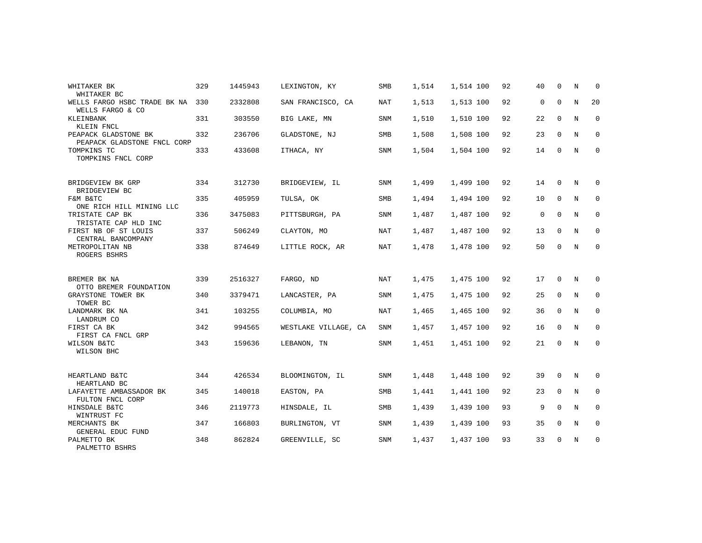| WHITAKER BK<br>WHITAKER BC                          | 329 | 1445943 | LEXINGTON, KY        | <b>SMB</b> | 1,514 | 1,514 100 | 92 | 40          | $\Omega$    | N       | $\Omega$    |
|-----------------------------------------------------|-----|---------|----------------------|------------|-------|-----------|----|-------------|-------------|---------|-------------|
| WELLS FARGO HSBC TRADE BK NA<br>WELLS FARGO & CO    | 330 | 2332808 | SAN FRANCISCO, CA    | NAT        | 1,513 | 1,513 100 | 92 | $\mathbf 0$ | $\mathbf 0$ | $\rm N$ | 20          |
| KLEINBANK<br>KLEIN FNCL                             | 331 | 303550  | BIG LAKE, MN         | <b>SNM</b> | 1,510 | 1,510 100 | 92 | 22          | $\mathbf 0$ | N       | 0           |
| PEAPACK GLADSTONE BK<br>PEAPACK GLADSTONE FNCL CORP | 332 | 236706  | GLADSTONE, NJ        | <b>SMB</b> | 1,508 | 1,508 100 | 92 | 23          | $\Omega$    | N       | 0           |
| TOMPKINS TC<br>TOMPKINS FNCL CORP                   | 333 | 433608  | ITHACA, NY           | <b>SNM</b> | 1,504 | 1,504 100 | 92 | 14          | $\Omega$    | N       | $\mathbf 0$ |
| BRIDGEVIEW BK GRP<br>BRIDGEVIEW BC                  | 334 | 312730  | BRIDGEVIEW, IL       | <b>SNM</b> | 1,499 | 1,499 100 | 92 | 14          | $\Omega$    | N       | $\Omega$    |
| F&M B&TC<br>ONE RICH HILL MINING LLC                | 335 | 405959  | TULSA, OK            | SMB        | 1,494 | 1,494 100 | 92 | 10          | $\mathbf 0$ | N       | 0           |
| TRISTATE CAP BK<br>TRISTATE CAP HLD INC             | 336 | 3475083 | PITTSBURGH, PA       | SNM        | 1,487 | 1,487 100 | 92 | $\mathbf 0$ | $\Omega$    | N       | 0           |
| FIRST NB OF ST LOUIS<br>CENTRAL BANCOMPANY          | 337 | 506249  | CLAYTON, MO          | NAT        | 1,487 | 1,487 100 | 92 | 13          | $\mathbf 0$ | N       | $\mathbf 0$ |
| METROPOLITAN NB<br>ROGERS BSHRS                     | 338 | 874649  | LITTLE ROCK, AR      | <b>NAT</b> | 1,478 | 1,478 100 | 92 | 50          | 0           | N       | $\mathbf 0$ |
| BREMER BK NA<br>OTTO BREMER FOUNDATION              | 339 | 2516327 | FARGO, ND            | <b>NAT</b> | 1,475 | 1,475 100 | 92 | 17          | $\Omega$    | N       | $\Omega$    |
| GRAYSTONE TOWER BK<br>TOWER BC                      | 340 | 3379471 | LANCASTER, PA        | SNM        | 1,475 | 1,475 100 | 92 | 25          | $\mathbf 0$ | N       | $\mathbf 0$ |
| LANDMARK BK NA<br>LANDRUM CO                        | 341 | 103255  | COLUMBIA, MO         | <b>NAT</b> | 1,465 | 1,465 100 | 92 | 36          | $\mathbf 0$ | N       | 0           |
| FIRST CA BK<br>FIRST CA FNCL GRP                    | 342 | 994565  | WESTLAKE VILLAGE, CA | SNM        | 1,457 | 1,457 100 | 92 | 16          | $\Omega$    | N       | $\mathbf 0$ |
| WILSON B&TC<br>WILSON BHC                           | 343 | 159636  | LEBANON, TN          | <b>SNM</b> | 1,451 | 1,451 100 | 92 | 21          | $\mathbf 0$ | N       | 0           |
| HEARTLAND B&TC<br>HEARTLAND BC                      | 344 | 426534  | BLOOMINGTON, IL      | SNM        | 1,448 | 1,448 100 | 92 | 39          | $\mathbf 0$ | N       | 0           |
| LAFAYETTE AMBASSADOR BK<br>FULTON FNCL CORP         | 345 | 140018  | EASTON, PA           | SMB        | 1,441 | 1,441 100 | 92 | 23          | $\Omega$    | N       | $\mathbf 0$ |
| HINSDALE B&TC<br>WINTRUST FC                        | 346 | 2119773 | HINSDALE, IL         | <b>SMB</b> | 1,439 | 1,439 100 | 93 | 9           | $\mathbf 0$ | N       | 0           |
| MERCHANTS BK<br>GENERAL EDUC FUND                   | 347 | 166803  | BURLINGTON, VT       | <b>SNM</b> | 1,439 | 1,439 100 | 93 | 35          | $\Omega$    | N       | $\mathbf 0$ |
| PALMETTO BK<br>PALMETTO BSHRS                       | 348 | 862824  | GREENVILLE, SC       | <b>SNM</b> | 1,437 | 1,437 100 | 93 | 33          | 0           | N       | 0           |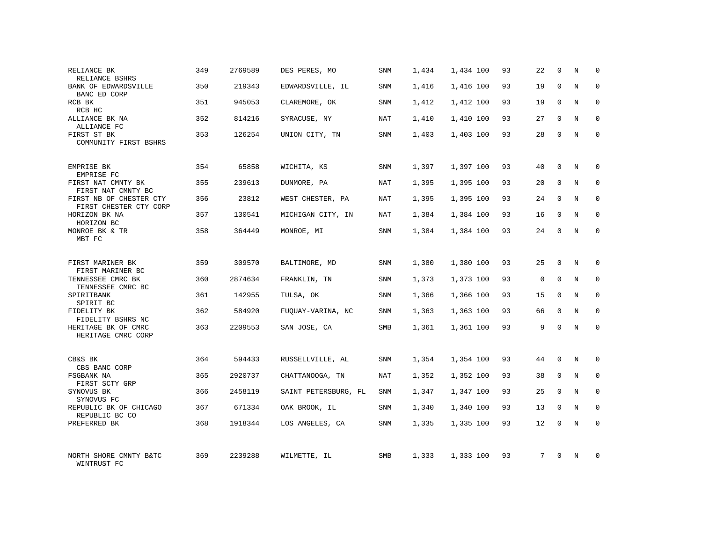| RELIANCE BK<br>RELIANCE BSHRS                     | 349 | 2769589 | DES PERES, MO        | SNM        | 1,434 | 1,434 100 | 93 | 22       | $\mathbf 0$ | N           | $\Omega$    |
|---------------------------------------------------|-----|---------|----------------------|------------|-------|-----------|----|----------|-------------|-------------|-------------|
| BANK OF EDWARDSVILLE<br>BANC ED CORP              | 350 | 219343  | EDWARDSVILLE, IL     | SNM        | 1,416 | 1,416 100 | 93 | 19       | $\Omega$    | N           | $\Omega$    |
| RCB BK<br>RCB HC                                  | 351 | 945053  | CLAREMORE, OK        | SNM        | 1,412 | 1,412 100 | 93 | 19       | $\mathbf 0$ | N           | $\mathbf 0$ |
| ALLIANCE BK NA<br>ALLIANCE FC                     | 352 | 814216  | SYRACUSE, NY         | <b>NAT</b> | 1,410 | 1,410 100 | 93 | 27       | $\Omega$    | N           | $\Omega$    |
| FIRST ST BK<br>COMMUNITY FIRST BSHRS              | 353 | 126254  | UNION CITY, TN       | SNM        | 1,403 | 1,403 100 | 93 | 28       | $\Omega$    | N           | $\Omega$    |
| EMPRISE BK<br>EMPRISE FC                          | 354 | 65858   | WICHITA, KS          | SNM        | 1,397 | 1,397 100 | 93 | 40       | $\Omega$    | N           | $\Omega$    |
| FIRST NAT CMNTY BK<br>FIRST NAT CMNTY BC          | 355 | 239613  | DUNMORE, PA          | NAT        | 1,395 | 1,395 100 | 93 | 20       | $\mathbf 0$ | N           | $\mathbf 0$ |
| FIRST NB OF CHESTER CTY<br>FIRST CHESTER CTY CORP | 356 | 23812   | WEST CHESTER, PA     | <b>NAT</b> | 1,395 | 1,395 100 | 93 | 24       | $\Omega$    | N           | $\Omega$    |
| HORIZON BK NA<br>HORIZON BC                       | 357 | 130541  | MICHIGAN CITY, IN    | NAT        | 1,384 | 1,384 100 | 93 | 16       | 0           | N           | $\mathbf 0$ |
| MONROE BK & TR<br>MBT FC                          | 358 | 364449  | MONROE, MI           | SNM        | 1,384 | 1,384 100 | 93 | 24       | $\Omega$    | N           | $\Omega$    |
| FIRST MARINER BK<br>FIRST MARINER BC              | 359 | 309570  | BALTIMORE, MD        | <b>SNM</b> | 1,380 | 1,380 100 | 93 | 25       | $\mathbf 0$ | N           | 0           |
| TENNESSEE CMRC BK<br>TENNESSEE CMRC BC            | 360 | 2874634 | FRANKLIN, TN         | SNM        | 1,373 | 1,373 100 | 93 | $\Omega$ | $\Omega$    | $_{\rm N}$  | $\Omega$    |
| SPIRITBANK<br>SPIRIT BC                           | 361 | 142955  | TULSA, OK            | SNM        | 1,366 | 1,366 100 | 93 | 15       | $\Omega$    | N           | $\mathbf 0$ |
| FIDELITY BK<br>FIDELITY BSHRS NC                  | 362 | 584920  | FUOUAY-VARINA, NC    | SNM        | 1,363 | 1,363 100 | 93 | 66       | $\Omega$    | $_{\rm N}$  | $\mathbf 0$ |
| HERITAGE BK OF CMRC<br>HERITAGE CMRC CORP         | 363 | 2209553 | SAN JOSE, CA         | SMB        | 1,361 | 1,361 100 | 93 | 9        | $\Omega$    | N           | $\mathbf 0$ |
| CB&S BK<br>CBS BANC CORP                          | 364 | 594433  | RUSSELLVILLE, AL     | SNM        | 1,354 | 1,354 100 | 93 | 44       | $\mathbf 0$ | $\mathbf N$ | $\mathbf 0$ |
| FSGBANK NA<br>FIRST SCTY GRP                      | 365 | 2920737 | CHATTANOOGA, TN      | <b>NAT</b> | 1,352 | 1,352 100 | 93 | 38       | $\mathbf 0$ | N           | $\mathbf 0$ |
| SYNOVUS BK<br>SYNOVUS FC                          | 366 | 2458119 | SAINT PETERSBURG, FL | SNM        | 1,347 | 1,347 100 | 93 | 25       | $\Omega$    | N           | $\Omega$    |
| REPUBLIC BK OF CHICAGO<br>REPUBLIC BC CO          | 367 | 671334  | OAK BROOK, IL        | SNM        | 1,340 | 1,340 100 | 93 | 13       | $\mathbf 0$ | N           | $\mathbf 0$ |
| PREFERRED BK                                      | 368 | 1918344 | LOS ANGELES, CA      | SNM        | 1,335 | 1,335 100 | 93 | 12       | $\Omega$    | N           | $\Omega$    |
| NORTH SHORE CMNTY B&TC<br>WINTRUST FC             | 369 | 2239288 | WILMETTE, IL         | SMB        | 1,333 | 1,333 100 | 93 | 7        | $\Omega$    | N           | $\Omega$    |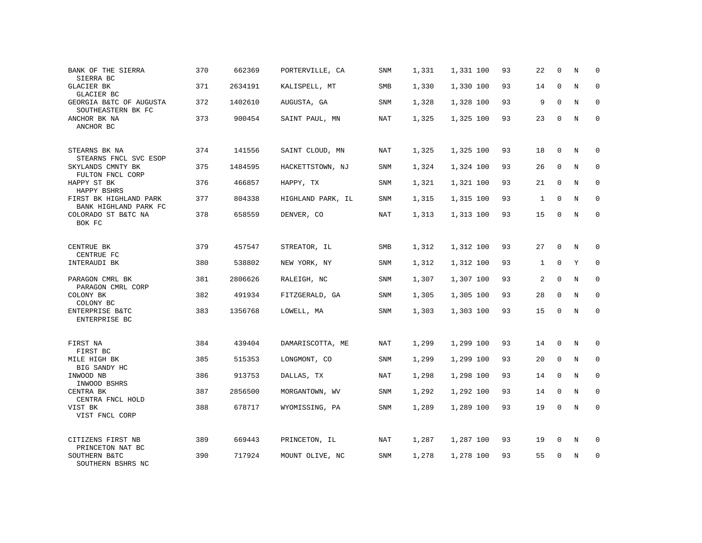| BANK OF THE SIERRA<br>SIERRA BC                        | 370 | 662369  | PORTERVILLE, CA   | SNM        | 1,331 | 1,331 100 | 93 | 22           | 0           | N | $\mathbf 0$  |
|--------------------------------------------------------|-----|---------|-------------------|------------|-------|-----------|----|--------------|-------------|---|--------------|
| GLACIER BK<br>GLACIER BC                               | 371 | 2634191 | KALISPELL, MT     | SMB        | 1,330 | 1,330 100 | 93 | 14           | $\mathbf 0$ | N | $\mathbf{0}$ |
| GEORGIA B&TC OF AUGUSTA<br>SOUTHEASTERN BK FC          | 372 | 1402610 | AUGUSTA, GA       | SNM        | 1,328 | 1,328 100 | 93 | 9            | 0           | N | 0            |
| ANCHOR BK NA<br>ANCHOR BC                              | 373 | 900454  | SAINT PAUL, MN    | NAT        | 1,325 | 1,325 100 | 93 | 23           | $\Omega$    | N | $\mathbf 0$  |
| STEARNS BK NA<br>STEARNS FNCL SVC ESOP                 | 374 | 141556  | SAINT CLOUD, MN   | NAT        | 1,325 | 1,325 100 | 93 | 18           | 0           | N | $\mathbf 0$  |
| SKYLANDS CMNTY BK<br>FULTON FNCL CORP                  | 375 | 1484595 | HACKETTSTOWN, NJ  | SNM        | 1,324 | 1,324 100 | 93 | 26           | $\mathbf 0$ | N | $\mathbf 0$  |
| HAPPY ST BK<br>HAPPY BSHRS                             | 376 | 466857  | HAPPY, TX         | SNM        | 1,321 | 1,321 100 | 93 | 21           | 0           | N | $\mathbf 0$  |
| FIRST BK HIGHLAND PARK<br>BANK HIGHLAND PARK FC        | 377 | 804338  | HIGHLAND PARK, IL | SNM        | 1,315 | 1,315 100 | 93 | 1            | $\mathbf 0$ | N | $\mathbf 0$  |
| COLORADO ST B&TC NA<br>BOK FC                          | 378 | 658559  | DENVER, CO        | NAT        | 1,313 | 1,313 100 | 93 | 15           | $\mathbf 0$ | N | $\mathbf{0}$ |
| CENTRUE BK<br>CENTRUE FC                               | 379 | 457547  | STREATOR, IL      | SMB        | 1,312 | 1,312 100 | 93 | 27           | $\mathbf 0$ | N | $\mathbf 0$  |
| INTERAUDI BK                                           | 380 | 538802  | NEW YORK, NY      | SNM        | 1,312 | 1,312 100 | 93 | $\mathbf{1}$ | $\Omega$    | Y | $\mathbf 0$  |
| PARAGON CMRL BK<br>PARAGON CMRL CORP                   | 381 | 2806626 | RALEIGH, NC       | SNM        | 1,307 | 1,307 100 | 93 | 2            | $\mathbf 0$ | N | $\mathbf{0}$ |
| COLONY BK<br>COLONY BC                                 | 382 | 491934  | FITZGERALD, GA    | <b>SNM</b> | 1,305 | 1,305 100 | 93 | 28           | $\Omega$    | N | $\mathbf 0$  |
| ENTERPRISE B&TC<br>ENTERPRISE BC                       | 383 | 1356768 | LOWELL, MA        | SNM        | 1,303 | 1,303 100 | 93 | 15           | 0           | N | $\mathbf 0$  |
| FIRST NA<br>FIRST BC                                   | 384 | 439404  | DAMARISCOTTA, ME  | NAT        | 1,299 | 1,299 100 | 93 | 14           | 0           | N | 0            |
| MILE HIGH BK<br>BIG SANDY HC                           | 385 | 515353  | LONGMONT, CO      | <b>SNM</b> | 1,299 | 1,299 100 | 93 | 20           | $\mathbf 0$ | N | $\mathbf 0$  |
| INWOOD NB<br>INWOOD BSHRS                              | 386 | 913753  | DALLAS, TX        | NAT        | 1,298 | 1,298 100 | 93 | 14           | 0           | N | 0            |
| CENTRA BK<br>CENTRA FNCL HOLD                          | 387 | 2856500 | MORGANTOWN, WV    | <b>SNM</b> | 1,292 | 1,292 100 | 93 | 14           | $\mathbf 0$ | N | $\mathbf 0$  |
| VIST BK<br>VIST FNCL CORP                              | 388 | 678717  | WYOMISSING, PA    | SNM        | 1,289 | 1,289 100 | 93 | 19           | 0           | N | $\mathbf 0$  |
| CITIZENS FIRST NB                                      | 389 | 669443  | PRINCETON, IL     | NAT        | 1,287 | 1,287 100 | 93 | 19           | 0           | N | 0            |
| PRINCETON NAT BC<br>SOUTHERN B&TC<br>SOUTHERN BSHRS NC | 390 | 717924  | MOUNT OLIVE, NC   | SNM        | 1,278 | 1,278 100 | 93 | 55           | $\mathbf 0$ | N | $\mathbf 0$  |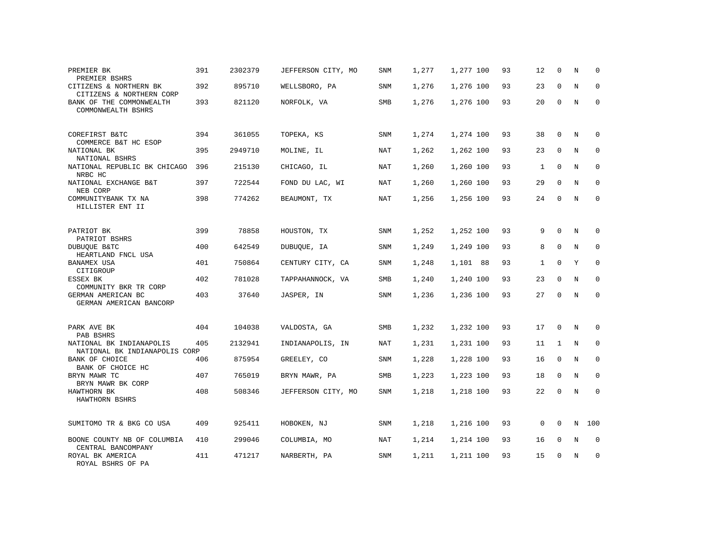| PREMIER BK<br>PREMIER BSHRS                               | 391 | 2302379 | JEFFERSON CITY, MO | SNM        | 1,277 | 1,277 100 | 93 | 12           | $\mathbf 0$  | N           | $\Omega$    |
|-----------------------------------------------------------|-----|---------|--------------------|------------|-------|-----------|----|--------------|--------------|-------------|-------------|
| CITIZENS & NORTHERN BK<br>CITIZENS & NORTHERN CORP        | 392 | 895710  | WELLSBORO, PA      | SNM        | 1,276 | 1,276 100 | 93 | 23           | $\Omega$     | N           | $\Omega$    |
| BANK OF THE COMMONWEALTH<br>COMMONWEALTH BSHRS            | 393 | 821120  | NORFOLK, VA        | SMB        | 1,276 | 1,276 100 | 93 | 20           | $\mathbf 0$  | N           | $\mathbf 0$ |
| COREFIRST B&TC<br>COMMERCE B&T HC ESOP                    | 394 | 361055  | TOPEKA, KS         | <b>SNM</b> | 1,274 | 1,274 100 | 93 | 38           | $\Omega$     | N           | $\Omega$    |
| NATIONAL BK<br>NATIONAL BSHRS                             | 395 | 2949710 | MOLINE, IL         | NAT        | 1,262 | 1,262 100 | 93 | 23           | $\mathbf 0$  | N           | $\mathbf 0$ |
| NATIONAL REPUBLIC BK CHICAGO<br>NRBC HC                   | 396 | 215130  | CHICAGO, IL        | <b>NAT</b> | 1,260 | 1,260 100 | 93 | $\mathbf{1}$ | $\Omega$     | N           | $\Omega$    |
| NATIONAL EXCHANGE B&T<br>NEB CORP                         | 397 | 722544  | FOND DU LAC, WI    | NAT        | 1,260 | 1,260 100 | 93 | 29           | $\Omega$     | N           | $\mathbf 0$ |
| COMMUNITYBANK TX NA<br>HILLISTER ENT II                   | 398 | 774262  | BEAUMONT, TX       | <b>NAT</b> | 1,256 | 1,256 100 | 93 | 24           | $\Omega$     | N           | $\Omega$    |
| PATRIOT BK<br>PATRIOT BSHRS                               | 399 | 78858   | HOUSTON, TX        | SNM        | 1,252 | 1,252 100 | 93 | 9            | $\Omega$     | N           | $\Omega$    |
| <b>DUBUQUE B&amp;TC</b><br>HEARTLAND FNCL USA             | 400 | 642549  | DUBUQUE, IA        | SNM        | 1,249 | 1,249 100 | 93 | 8            | $\mathbf 0$  | $\rm N$     | $\mathbf 0$ |
| <b>BANAMEX USA</b><br>CITIGROUP                           | 401 | 750864  | CENTURY CITY, CA   | <b>SNM</b> | 1,248 | 1,101 88  | 93 | $\mathbf{1}$ | $\Omega$     | Y           | $\mathbf 0$ |
| ESSEX BK<br>COMMUNITY BKR TR CORP                         | 402 | 781028  | TAPPAHANNOCK, VA   | SMB        | 1,240 | 1,240 100 | 93 | 23           | $\Omega$     | $_{\rm N}$  | $\Omega$    |
| GERMAN AMERICAN BC<br>GERMAN AMERICAN BANCORP             | 403 | 37640   | JASPER, IN         | <b>SNM</b> | 1,236 | 1,236 100 | 93 | 27           | $\Omega$     | N           | $\mathbf 0$ |
| PARK AVE BK<br>PAB BSHRS                                  | 404 | 104038  | VALDOSTA, GA       | SMB        | 1,232 | 1,232 100 | 93 | 17           | $\mathbf{0}$ | N           | 0           |
| NATIONAL BK INDIANAPOLIS<br>NATIONAL BK INDIANAPOLIS CORP | 405 | 2132941 | INDIANAPOLIS, IN   | <b>NAT</b> | 1,231 | 1,231 100 | 93 | 11           | $\mathbf{1}$ | N           | $\mathbf 0$ |
| BANK OF CHOICE<br>BANK OF CHOICE HC                       | 406 | 875954  | GREELEY, CO        | SNM        | 1,228 | 1,228 100 | 93 | 16           | $\mathbf 0$  | $\mathbf N$ | $\mathbf 0$ |
| BRYN MAWR TC<br>BRYN MAWR BK CORP                         | 407 | 765019  | BRYN MAWR, PA      | SMB        | 1,223 | 1,223 100 | 93 | 18           | $\mathbf 0$  | N           | $\mathbf 0$ |
| HAWTHORN BK<br>HAWTHORN BSHRS                             | 408 | 508346  | JEFFERSON CITY, MO | <b>SNM</b> | 1,218 | 1,218 100 | 93 | 22           | $\Omega$     | $_{\rm N}$  | $\Omega$    |
| SUMITOMO TR & BKG CO USA                                  | 409 | 925411  | HOBOKEN, NJ        | SNM        | 1,218 | 1,216 100 | 93 | $\mathbf 0$  | $\Omega$     | $\mathbf N$ | 100         |
| BOONE COUNTY NB OF COLUMBIA<br>CENTRAL BANCOMPANY         | 410 | 299046  | COLUMBIA, MO       | <b>NAT</b> | 1,214 | 1,214 100 | 93 | 16           | 0            | N           | 0           |
| ROYAL BK AMERICA<br>ROYAL BSHRS OF PA                     | 411 | 471217  | NARBERTH, PA       | SNM        | 1,211 | 1,211 100 | 93 | 15           | $\Omega$     | N           | $\mathbf 0$ |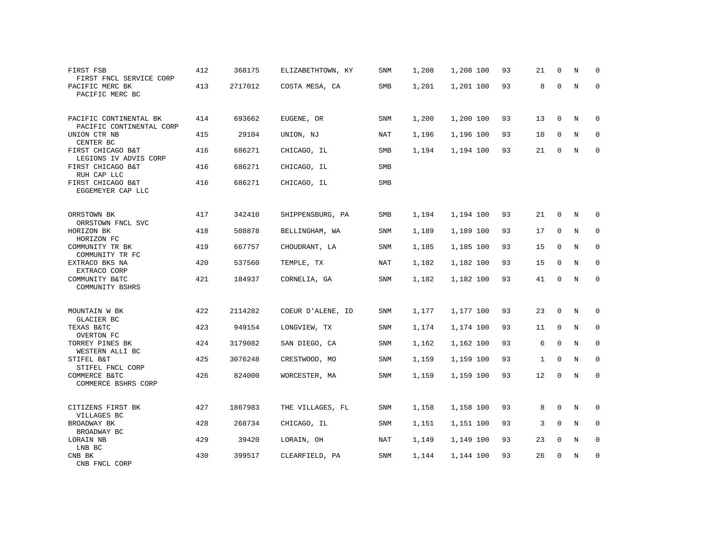| FIRST FSB<br>FIRST FNCL SERVICE CORP               | 412 | 368175  | ELIZABETHTOWN, KY | SNM         | 1,208 | 1,208 100 | 93 | 21           | $\mathbf 0$ | N           | $\Omega$    |
|----------------------------------------------------|-----|---------|-------------------|-------------|-------|-----------|----|--------------|-------------|-------------|-------------|
| PACIFIC MERC BK<br>PACIFIC MERC BC                 | 413 | 2717012 | COSTA MESA, CA    | SMB         | 1,201 | 1,201 100 | 93 | 8            | $\Omega$    | N           | $\mathbf 0$ |
| PACIFIC CONTINENTAL BK<br>PACIFIC CONTINENTAL CORP | 414 | 693662  | EUGENE, OR        | SNM         | 1,200 | 1,200 100 | 93 | 13           | $\mathbf 0$ | N           | 0           |
| UNION CTR NB<br>CENTER BC                          | 415 | 29104   | UNION, NJ         | <b>NAT</b>  | 1,196 | 1,196 100 | 93 | 10           | $\mathbf 0$ | N           | $\mathbf 0$ |
| FIRST CHICAGO B&T<br>LEGIONS IV ADVIS CORP         | 416 | 686271  | CHICAGO, IL       | SMB         | 1,194 | 1,194 100 | 93 | 21           | $\Omega$    | N           | $\mathbf 0$ |
| FIRST CHICAGO B&T<br>RUH CAP LLC                   | 416 | 686271  | CHICAGO, IL       | SMB         |       |           |    |              |             |             |             |
| FIRST CHICAGO B&T<br>EGGEMEYER CAP LLC             | 416 | 686271  | CHICAGO, IL       | SMB         |       |           |    |              |             |             |             |
| ORRSTOWN BK<br>ORRSTOWN FNCL SVC                   | 417 | 342410  | SHIPPENSBURG, PA  | SMB         | 1,194 | 1,194 100 | 93 | 21           | 0           | N           | 0           |
| HORIZON BK<br>HORIZON FC                           | 418 | 508878  | BELLINGHAM, WA    | SNM         | 1,189 | 1,189 100 | 93 | 17           | $\mathbf 0$ | $\mathbf N$ | 0           |
| COMMUNITY TR BK<br>COMMUNITY TR FC                 | 419 | 667757  | CHOUDRANT, LA     | SNM         | 1,185 | 1,185 100 | 93 | 15           | 0           | N           | $\mathbf 0$ |
| EXTRACO BKS NA<br>EXTRACO CORP                     | 420 | 537560  | TEMPLE, TX        | NAT         | 1,182 | 1,182 100 | 93 | 15           | $\mathbf 0$ | N           | 0           |
| COMMUNITY B&TC<br>COMMUNITY BSHRS                  | 421 | 184937  | CORNELIA, GA      | SNM         | 1,182 | 1,182 100 | 93 | 41           | $\mathbf 0$ | N           | $\mathsf 0$ |
| MOUNTAIN W BK<br>GLACIER BC                        | 422 | 2114282 | COEUR D'ALENE, ID | SNM         | 1,177 | 1,177 100 | 93 | 23           | 0           | N           | 0           |
| TEXAS B&TC<br>OVERTON FC                           | 423 | 949154  | LONGVIEW, TX      | SNM         | 1,174 | 1,174 100 | 93 | 11           | $\mathbf 0$ | N           | 0           |
| TORREY PINES BK<br>WESTERN ALLI BC                 | 424 | 3179082 | SAN DIEGO, CA     | SNM         | 1,162 | 1,162 100 | 93 | 6            | $\mathbf 0$ | $\mathbf N$ | $\mathbf 0$ |
| STIFEL B&T<br>STIFEL FNCL CORP                     | 425 | 3076248 | CRESTWOOD, MO     | <b>SNM</b>  | 1,159 | 1,159 100 | 93 | $\mathbf{1}$ | $\mathbf 0$ | N           | 0           |
| COMMERCE B&TC<br>COMMERCE BSHRS CORP               | 426 | 824000  | WORCESTER, MA     | ${\tt SNM}$ | 1,159 | 1,159 100 | 93 | 12           | $\mathbf 0$ | $\rm N$     | $\mathsf 0$ |
| CITIZENS FIRST BK<br>VILLAGES BC                   | 427 | 1867983 | THE VILLAGES, FL  | SNM         | 1,158 | 1,158 100 | 93 | 8            | 0           | N           | 0           |
| BROADWAY BK<br>BROADWAY BC                         | 428 | 268734  | CHICAGO, IL       | SNM         | 1,151 | 1,151 100 | 93 | 3            | $\mathbf 0$ | N           | 0           |
| LORAIN NB<br>LNB BC                                | 429 | 39420   | LORAIN, OH        | <b>NAT</b>  | 1,149 | 1,149 100 | 93 | 23           | $\mathbf 0$ | N           | $\mathbf 0$ |
| CNB BK<br>CNB FNCL CORP                            | 430 | 399517  | CLEARFIELD, PA    | <b>SNM</b>  | 1,144 | 1,144 100 | 93 | 26           | $\Omega$    | N           | $\mathbf 0$ |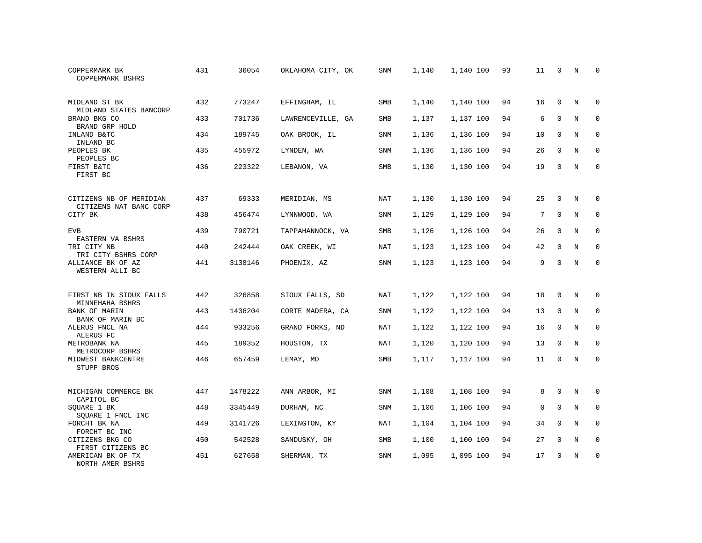| COPPERMARK BK<br>COPPERMARK BSHRS                 | 431 | 36054   | OKLAHOMA CITY, OK | SNM        | 1,140 | 1,140 100 | 93 | 11          | $\Omega$    | N           | $\Omega$    |
|---------------------------------------------------|-----|---------|-------------------|------------|-------|-----------|----|-------------|-------------|-------------|-------------|
| MIDLAND ST BK<br>MIDLAND STATES BANCORP           | 432 | 773247  | EFFINGHAM, IL     | SMB        | 1,140 | 1,140 100 | 94 | 16          | $\mathbf 0$ | N           | $\mathbf 0$ |
| BRAND BKG CO<br>BRAND GRP HOLD                    | 433 | 701736  | LAWRENCEVILLE, GA | SMB        | 1,137 | 1,137 100 | 94 | 6           | $\mathbf 0$ | N           | $\mathbf 0$ |
| INLAND B&TC<br>INLAND BC                          | 434 | 189745  | OAK BROOK, IL     | SNM        | 1,136 | 1,136 100 | 94 | 10          | $\Omega$    | N           | $\Omega$    |
| PEOPLES BK<br>PEOPLES BC                          | 435 | 455972  | LYNDEN, WA        | SNM        | 1,136 | 1,136 100 | 94 | 26          | $\Omega$    | N           | $\mathbf 0$ |
| FIRST B&TC<br>FIRST BC                            | 436 | 223322  | LEBANON, VA       | <b>SMB</b> | 1,130 | 1,130 100 | 94 | 19          | $\Omega$    | $_{\rm N}$  | $\Omega$    |
| CITIZENS NB OF MERIDIAN<br>CITIZENS NAT BANC CORP | 437 | 69333   | MERIDIAN, MS      | <b>NAT</b> | 1,130 | 1,130 100 | 94 | 25          | $\Omega$    | N           | $\Omega$    |
| CITY BK                                           | 438 | 456474  | LYNNWOOD, WA      | SNM        | 1,129 | 1,129 100 | 94 | 7           | $\mathbf 0$ | N           | $\mathbf 0$ |
| <b>EVB</b><br>EASTERN VA BSHRS                    | 439 | 790721  | TAPPAHANNOCK, VA  | <b>SMB</b> | 1,126 | 1,126 100 | 94 | 26          | $\Omega$    | N           | $\Omega$    |
| TRI CITY NB<br>TRI CITY BSHRS CORP                | 440 | 242444  | OAK CREEK, WI     | <b>NAT</b> | 1,123 | 1,123 100 | 94 | 42          | $\mathbf 0$ | $\rm N$     | $\mathbf 0$ |
| ALLIANCE BK OF AZ<br>WESTERN ALLI BC              | 441 | 3138146 | PHOENIX, AZ       | <b>SNM</b> | 1,123 | 1,123 100 | 94 | 9           | $\Omega$    | $\mathbf N$ | $\mathbf 0$ |
| FIRST NB IN SIOUX FALLS<br>MINNEHAHA BSHRS        | 442 | 326858  | SIOUX FALLS, SD   | NAT        | 1,122 | 1,122 100 | 94 | 18          | $\mathbf 0$ | N           | 0           |
| <b>BANK OF MARIN</b><br>BANK OF MARIN BC          | 443 | 1436204 | CORTE MADERA, CA  | SNM        | 1,122 | 1,122 100 | 94 | 13          | $\mathbf 0$ | $\mathbf N$ | $\mathbf 0$ |
| ALERUS FNCL NA<br>ALERUS FC                       | 444 | 933256  | GRAND FORKS, ND   | NAT        | 1,122 | 1,122 100 | 94 | 16          | $\mathbf 0$ | N           | 0           |
| METROBANK NA<br>METROCORP BSHRS                   | 445 | 189352  | HOUSTON, TX       | <b>NAT</b> | 1,120 | 1,120 100 | 94 | 13          | $\Omega$    | $\mathbf N$ | $\mathbf 0$ |
| MIDWEST BANKCENTRE<br>STUPP BROS                  | 446 | 657459  | LEMAY, MO         | SMB        | 1,117 | 1,117 100 | 94 | 11          | $\mathbf 0$ | $\mathbf N$ | $\mathbf 0$ |
| MICHIGAN COMMERCE BK<br>CAPITOL BC                | 447 | 1478222 | ANN ARBOR, MI     | <b>SNM</b> | 1,108 | 1,108 100 | 94 | 8           | $\Omega$    | $\rm N$     | $\Omega$    |
| SQUARE 1 BK<br>SQUARE 1 FNCL INC                  | 448 | 3345449 | DURHAM, NC        | SNM        | 1,106 | 1,106 100 | 94 | $\mathbf 0$ | $\mathbf 0$ | N           | 0           |
| FORCHT BK NA<br>FORCHT BC INC                     | 449 | 3141726 | LEXINGTON, KY     | <b>NAT</b> | 1,104 | 1,104 100 | 94 | 34          | $\Omega$    | N           | $\mathbf 0$ |
| CITIZENS BKG CO<br>FIRST CITIZENS BC              | 450 | 542528  | SANDUSKY, OH      | SMB        | 1,100 | 1,100 100 | 94 | 27          | $\mathbf 0$ | N           | $\mathbf 0$ |
| AMERICAN BK OF TX<br>NORTH AMER BSHRS             | 451 | 627658  | SHERMAN, TX       | SNM        | 1,095 | 1,095 100 | 94 | 17          | $\Omega$    | N           | $\mathbf 0$ |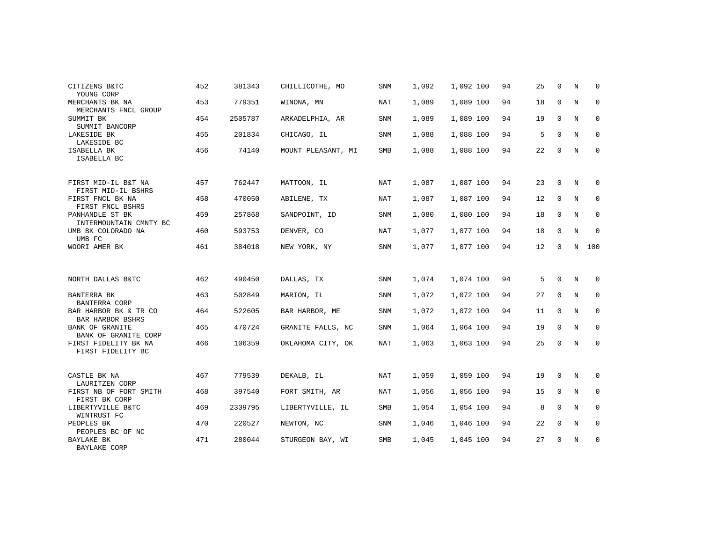| CITIZENS B&TC<br>YOUNG CORP                    | 452 | 381343  | CHILLICOTHE, MO    | <b>SNM</b> | 1,092 | 1,092 100 | 94 | 25 | $\Omega$    | N       | $\Omega$    |
|------------------------------------------------|-----|---------|--------------------|------------|-------|-----------|----|----|-------------|---------|-------------|
| MERCHANTS BK NA<br>MERCHANTS FNCL GROUP        | 453 | 779351  | WINONA, MN         | NAT        | 1,089 | 1,089 100 | 94 | 18 | $\mathbf 0$ | N       | $\mathbf 0$ |
| SUMMIT BK<br>SUMMIT BANCORP                    | 454 | 2505787 | ARKADELPHIA, AR    | <b>SNM</b> | 1,089 | 1,089 100 | 94 | 19 | $\mathbf 0$ | N       | 0           |
| LAKESIDE BK<br>LAKESIDE BC                     | 455 | 201834  | CHICAGO, IL        | SNM        | 1,088 | 1,088 100 | 94 | 5  | $\Omega$    | N       | 0           |
| ISABELLA BK<br>ISABELLA BC                     | 456 | 74140   | MOUNT PLEASANT, MI | <b>SMB</b> | 1,088 | 1,088 100 | 94 | 22 | $\mathbf 0$ | N       | $\mathbf 0$ |
| FIRST MID-IL B&T NA<br>FIRST MID-IL BSHRS      | 457 | 762447  | MATTOON, IL        | <b>NAT</b> | 1,087 | 1,087 100 | 94 | 23 | $\Omega$    | N       | 0           |
| FIRST FNCL BK NA<br>FIRST FNCL BSHRS           | 458 | 470050  | ABILENE, TX        | NAT        | 1,087 | 1,087 100 | 94 | 12 | $\mathbf 0$ | N       | 0           |
| PANHANDLE ST BK<br>INTERMOUNTAIN CMNTY BC      | 459 | 257868  | SANDPOINT, ID      | SNM        | 1,080 | 1,080 100 | 94 | 18 | $\mathbf 0$ | N       | 0           |
| UMB BK COLORADO NA<br>UMB FC                   | 460 | 593753  | DENVER, CO         | NAT        | 1,077 | 1,077 100 | 94 | 18 | $\mathbf 0$ | $\rm N$ | $\mathbf 0$ |
| WOORI AMER BK                                  | 461 | 384018  | NEW YORK, NY       | SNM        | 1,077 | 1,077 100 | 94 | 12 | 0           | N       | 100         |
| NORTH DALLAS B&TC                              | 462 | 490450  | DALLAS, TX         | <b>SNM</b> | 1,074 | 1,074 100 | 94 | 5  | $\Omega$    | N       | 0           |
| BANTERRA BK<br>BANTERRA CORP                   | 463 | 502849  | MARION, IL         | SNM        | 1,072 | 1,072 100 | 94 | 27 | $\mathbf 0$ | N       | $\mathbf 0$ |
| BAR HARBOR BK & TR CO<br>BAR HARBOR BSHRS      | 464 | 522605  | BAR HARBOR, ME     | <b>SNM</b> | 1,072 | 1,072 100 | 94 | 11 | $\mathbf 0$ | N       | 0           |
| <b>BANK OF GRANITE</b><br>BANK OF GRANITE CORP | 465 | 470724  | GRANITE FALLS, NC  | SNM        | 1,064 | 1,064 100 | 94 | 19 | $\mathbf 0$ | N       | $\mathbf 0$ |
| FIRST FIDELITY BK NA<br>FIRST FIDELITY BC      | 466 | 106359  | OKLAHOMA CITY, OK  | NAT        | 1,063 | 1,063 100 | 94 | 25 | $\mathbf 0$ | N       | 0           |
| CASTLE BK NA<br>LAURITZEN CORP                 | 467 | 779539  | DEKALB, IL         | NAT        | 1,059 | 1,059 100 | 94 | 19 | $\mathbf 0$ | N       | 0           |
| FIRST NB OF FORT SMITH<br>FIRST BK CORP        | 468 | 397540  | FORT SMITH, AR     | NAT        | 1,056 | 1,056 100 | 94 | 15 | $\mathbf 0$ | N       | $\mathbf 0$ |
| LIBERTYVILLE B&TC<br>WINTRUST FC               | 469 | 2339795 | LIBERTYVILLE, IL   | <b>SMB</b> | 1,054 | 1,054 100 | 94 | 8  | $\mathbf 0$ | N       | 0           |
| PEOPLES BK<br>PEOPLES BC OF NC                 | 470 | 220527  | NEWTON, NC         | <b>SNM</b> | 1,046 | 1,046 100 | 94 | 22 | $\mathbf 0$ | N       | $\mathbf 0$ |
| BAYLAKE BK<br>BAYLAKE CORP                     | 471 | 280044  | STURGEON BAY, WI   | <b>SMB</b> | 1,045 | 1,045 100 | 94 | 27 | $\mathbf 0$ | N       | 0           |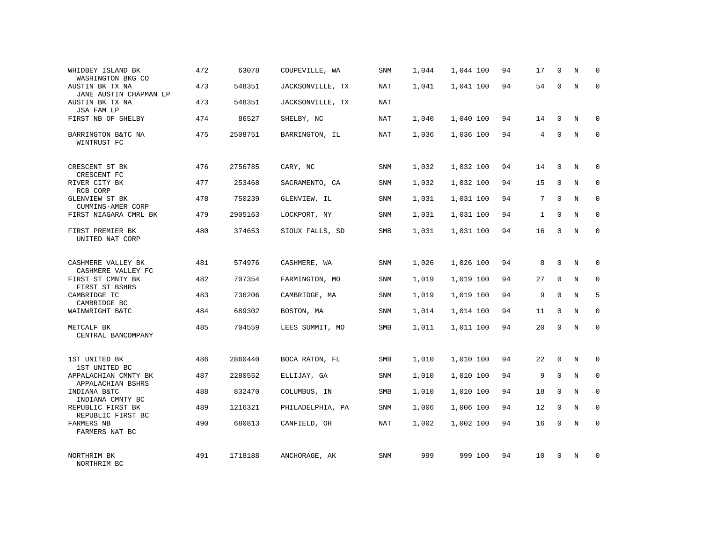| WHIDBEY ISLAND BK<br>WASHINGTON BKG CO    | 472 | 63078   | COUPEVILLE, WA   | SNM        | 1,044 | 1,044 100 | 94 | 17           | $\mathbf 0$  | N          | $\Omega$    |
|-------------------------------------------|-----|---------|------------------|------------|-------|-----------|----|--------------|--------------|------------|-------------|
| AUSTIN BK TX NA<br>JANE AUSTIN CHAPMAN LP | 473 | 548351  | JACKSONVILLE, TX | NAT        | 1,041 | 1,041 100 | 94 | 54           | $\Omega$     | N          | $\Omega$    |
| AUSTIN BK TX NA<br>JSA FAM LP             | 473 | 548351  | JACKSONVILLE, TX | NAT        |       |           |    |              |              |            |             |
| FIRST NB OF SHELBY                        | 474 | 86527   | SHELBY, NC       | <b>NAT</b> | 1,040 | 1,040 100 | 94 | 14           | $\Omega$     | N          | $\Omega$    |
| BARRINGTON B&TC NA<br>WINTRUST FC         | 475 | 2508751 | BARRINGTON, IL   | NAT        | 1,036 | 1,036 100 | 94 | 4            | $\mathbf 0$  | N          | $\mathbf 0$ |
| CRESCENT ST BK<br>CRESCENT FC             | 476 | 2756785 | CARY, NC         | <b>SNM</b> | 1,032 | 1,032 100 | 94 | 14           | $\mathbf{0}$ | N          | $\Omega$    |
| RIVER CITY BK<br>RCB CORP                 | 477 | 253468  | SACRAMENTO, CA   | <b>SNM</b> | 1,032 | 1,032 100 | 94 | 15           | $\mathbf 0$  | N          | $\mathbf 0$ |
| GLENVIEW ST BK<br>CUMMINS-AMER CORP       | 478 | 750239  | GLENVIEW, IL     | <b>SNM</b> | 1,031 | 1,031 100 | 94 | 7            | $\Omega$     | N          | $\mathbf 0$ |
| FIRST NIAGARA CMRL BK                     | 479 | 2905163 | LOCKPORT, NY     | SNM        | 1,031 | 1,031 100 | 94 | $\mathbf{1}$ | $\Omega$     | N          | $\Omega$    |
| FIRST PREMIER BK<br>UNITED NAT CORP       | 480 | 374653  | SIOUX FALLS, SD  | SMB        | 1,031 | 1,031 100 | 94 | 16           | $\mathbf 0$  | N          | $\mathbf 0$ |
| CASHMERE VALLEY BK<br>CASHMERE VALLEY FC  | 481 | 574976  | CASHMERE, WA     | <b>SNM</b> | 1,026 | 1,026 100 | 94 | 8            | $\Omega$     | N          | $\Omega$    |
| FIRST ST CMNTY BK<br>FIRST ST BSHRS       | 482 | 707354  | FARMINGTON, MO   | SNM        | 1,019 | 1,019 100 | 94 | 27           | $\mathbf 0$  | N          | $\mathbf 0$ |
| CAMBRIDGE TC<br>CAMBRIDGE BC              | 483 | 736206  | CAMBRIDGE, MA    | <b>SNM</b> | 1,019 | 1,019 100 | 94 | 9            | $\Omega$     | $_{\rm N}$ | 5           |
| WAINWRIGHT B&TC                           | 484 | 689302  | BOSTON, MA       | <b>SNM</b> | 1,014 | 1,014 100 | 94 | 11           | $\mathbf 0$  | N          | $\mathbf 0$ |
| METCALF BK<br>CENTRAL BANCOMPANY          | 485 | 704559  | LEES SUMMIT, MO  | <b>SMB</b> | 1,011 | 1,011 100 | 94 | 20           | $\Omega$     | $_{\rm N}$ | $\Omega$    |
| 1ST UNITED BK<br>1ST UNITED BC            | 486 | 2860440 | BOCA RATON, FL   | <b>SMB</b> | 1,010 | 1,010 100 | 94 | 22           | $\Omega$     | N          | $\Omega$    |
| APPALACHIAN CMNTY BK<br>APPALACHIAN BSHRS | 487 | 2280552 | ELLIJAY, GA      | SNM        | 1,010 | 1,010 100 | 94 | 9            | 0            | N          | $\mathbf 0$ |
| INDIANA B&TC<br>INDIANA CMNTY BC          | 488 | 832470  | COLUMBUS, IN     | SMB        | 1,010 | 1,010 100 | 94 | 18           | $\Omega$     | $_{\rm N}$ | $\mathbf 0$ |
| REPUBLIC FIRST BK<br>REPUBLIC FIRST BC    | 489 | 1216321 | PHILADELPHIA, PA | SNM        | 1,006 | 1,006 100 | 94 | 12           | 0            | N          | $\mathbf 0$ |
| FARMERS NB<br>FARMERS NAT BC              | 490 | 680813  | CANFIELD, OH     | NAT        | 1,002 | 1,002 100 | 94 | 16           | $\mathbf 0$  | N          | $\Omega$    |
| NORTHRIM BK<br>NORTHRIM BC                | 491 | 1718188 | ANCHORAGE, AK    | <b>SNM</b> | 999   | 999 100   | 94 | 10           | $\Omega$     | N          | $\Omega$    |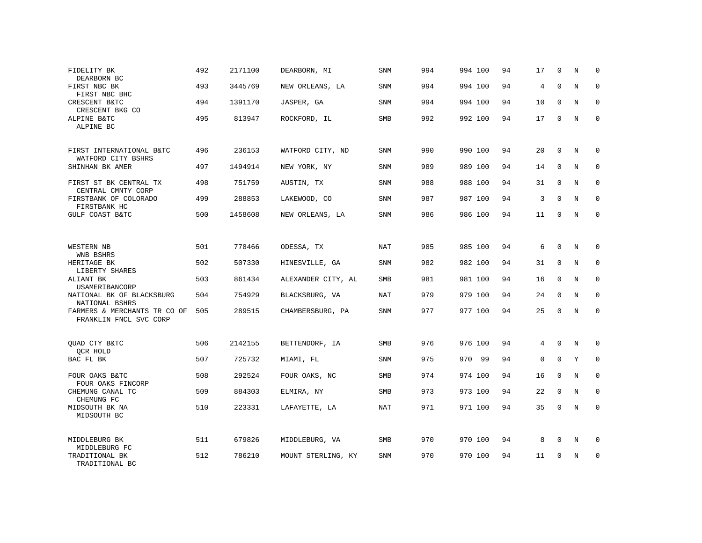| FIDELITY BK<br>DEARBORN BC                             | 492 | 2171100 | DEARBORN, MI       | SNM        | 994 | 994 100 | 94 | 17             | $\mathbf 0$ | N | $\Omega$    |
|--------------------------------------------------------|-----|---------|--------------------|------------|-----|---------|----|----------------|-------------|---|-------------|
| FIRST NBC BK<br>FIRST NBC BHC                          | 493 | 3445769 | NEW ORLEANS, LA    | SNM        | 994 | 994 100 | 94 | $\overline{4}$ | $\Omega$    | N | $\mathbf 0$ |
| CRESCENT B&TC<br>CRESCENT BKG CO                       | 494 | 1391170 | JASPER, GA         | SNM        | 994 | 994 100 | 94 | 10             | $\mathbf 0$ | N | 0           |
| ALPINE B&TC<br>ALPINE BC                               | 495 | 813947  | ROCKFORD, IL       | SMB        | 992 | 992 100 | 94 | 17             | $\Omega$    | N | $\mathbf 0$ |
| FIRST INTERNATIONAL B&TC<br>WATFORD CITY BSHRS         | 496 | 236153  | WATFORD CITY, ND   | SNM        | 990 | 990 100 | 94 | 20             | $\mathbf 0$ | N | 0           |
| SHINHAN BK AMER                                        | 497 | 1494914 | NEW YORK, NY       | SNM        | 989 | 989 100 | 94 | 14             | $\mathbf 0$ | N | $\mathbf 0$ |
| FIRST ST BK CENTRAL TX<br>CENTRAL CMNTY CORP           | 498 | 751759  | AUSTIN, TX         | SNM        | 988 | 988 100 | 94 | 31             | $\Omega$    | N | $\mathbf 0$ |
| FIRSTBANK OF COLORADO<br>FIRSTBANK HC                  | 499 | 288853  | LAKEWOOD, CO       | SNM        | 987 | 987 100 | 94 | 3              | $\mathbf 0$ | N | $\mathbf 0$ |
| GULF COAST B&TC                                        | 500 | 1458608 | NEW ORLEANS, LA    | SNM        | 986 | 986 100 | 94 | 11             | $\mathbf 0$ | N | $\mathbf 0$ |
|                                                        |     |         |                    |            |     |         |    |                |             |   |             |
| WESTERN NB<br>WNB BSHRS                                | 501 | 778466  | ODESSA, TX         | NAT        | 985 | 985 100 | 94 | 6              | $\mathbf 0$ | N | $\mathbf 0$ |
| HERITAGE BK<br>LIBERTY SHARES                          | 502 | 507330  | HINESVILLE, GA     | <b>SNM</b> | 982 | 982 100 | 94 | 31             | $\Omega$    | N | $\Omega$    |
| ALIANT BK<br>USAMERIBANCORP                            | 503 | 861434  | ALEXANDER CITY, AL | <b>SMB</b> | 981 | 981 100 | 94 | 16             | $\mathbf 0$ | N | $\mathbf 0$ |
| NATIONAL BK OF BLACKSBURG<br>NATIONAL BSHRS            | 504 | 754929  | BLACKSBURG, VA     | <b>NAT</b> | 979 | 979 100 | 94 | 24             | $\Omega$    | N | $\Omega$    |
| FARMERS & MERCHANTS TR CO OF<br>FRANKLIN FNCL SVC CORP | 505 | 289515  | CHAMBERSBURG, PA   | SNM        | 977 | 977 100 | 94 | 25             | $\mathbf 0$ | N | $\mathbf 0$ |
| QUAD CTY B&TC                                          | 506 | 2142155 | BETTENDORF, IA     | <b>SMB</b> | 976 | 976 100 | 94 | 4              | $\mathbf 0$ | N | 0           |
| QCR HOLD<br>BAC FL BK                                  | 507 | 725732  | MIAMI, FL          | <b>SNM</b> | 975 | 970 99  | 94 | $\mathbf 0$    | $\Omega$    | Y | $\mathbf 0$ |
|                                                        |     |         |                    |            |     |         |    |                |             |   |             |
| FOUR OAKS B&TC<br>FOUR OAKS FINCORP                    | 508 | 292524  | FOUR OAKS, NC      | SMB        | 974 | 974 100 | 94 | 16             | $\mathbf 0$ | N | 0           |
| CHEMUNG CANAL TC<br>CHEMUNG FC                         | 509 | 884303  | ELMIRA, NY         | <b>SMB</b> | 973 | 973 100 | 94 | 22             | $\mathbf 0$ | N | $\mathbf 0$ |
| MIDSOUTH BK NA<br>MIDSOUTH BC                          | 510 | 223331  | LAFAYETTE, LA      | <b>NAT</b> | 971 | 971 100 | 94 | 35             | 0           | N | $\mathbf 0$ |
| MIDDLEBURG BK                                          | 511 | 679826  | MIDDLEBURG, VA     | SMB        | 970 | 970 100 | 94 | 8              | 0           | N | 0           |
| MIDDLEBURG FC<br>TRADITIONAL BK<br>TRADITIONAL BC      | 512 | 786210  | MOUNT STERLING, KY | SNM        | 970 | 970 100 | 94 | 11             | $\Omega$    | N | $\mathbf 0$ |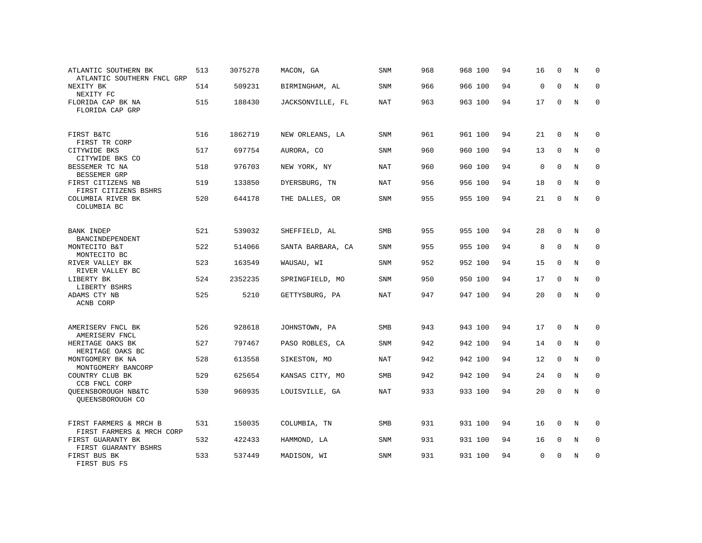| ATLANTIC SOUTHERN BK<br>ATLANTIC SOUTHERN FNCL GRP     | 513 | 3075278 | MACON, GA         | SNM        | 968 | 968 100 | 94 | 16          | $\mathbf 0$ | N           | $\Omega$    |
|--------------------------------------------------------|-----|---------|-------------------|------------|-----|---------|----|-------------|-------------|-------------|-------------|
| NEXITY BK<br>NEXITY FC                                 | 514 | 509231  | BIRMINGHAM, AL    | SNM        | 966 | 966 100 | 94 | $\mathbf 0$ | $\Omega$    | $\mathbf N$ | $\mathbf 0$ |
| FLORIDA CAP BK NA<br>FLORIDA CAP GRP                   | 515 | 188430  | JACKSONVILLE, FL  | <b>NAT</b> | 963 | 963 100 | 94 | 17          | $\Omega$    | N           | $\Omega$    |
| FIRST B&TC<br>FIRST TR CORP                            | 516 | 1862719 | NEW ORLEANS, LA   | SNM        | 961 | 961 100 | 94 | 21          | 0           | N           | 0           |
| CITYWIDE BKS<br>CITYWIDE BKS CO                        | 517 | 697754  | AURORA, CO        | <b>SNM</b> | 960 | 960 100 | 94 | 13          | $\Omega$    | N           | $\mathbf 0$ |
| BESSEMER TC NA<br>BESSEMER GRP                         | 518 | 976703  | NEW YORK, NY      | <b>NAT</b> | 960 | 960 100 | 94 | $\mathbf 0$ | $\Omega$    | N           | $\mathbf 0$ |
| FIRST CITIZENS NB<br>FIRST CITIZENS BSHRS              | 519 | 133850  | DYERSBURG, TN     | <b>NAT</b> | 956 | 956 100 | 94 | 18          | $\mathbf 0$ | N           | $\mathbf 0$ |
| COLUMBIA RIVER BK<br>COLUMBIA BC                       | 520 | 644178  | THE DALLES, OR    | SNM        | 955 | 955 100 | 94 | 21          | $\mathbf 0$ | $\mathbf N$ | $\mathbf 0$ |
| <b>BANK INDEP</b><br>BANCINDEPENDENT                   | 521 | 539032  | SHEFFIELD, AL     | SMB        | 955 | 955 100 | 94 | 28          | 0           | N           | 0           |
| MONTECITO B&T<br>MONTECITO BC                          | 522 | 514066  | SANTA BARBARA, CA | SNM        | 955 | 955 100 | 94 | 8           | 0           | N           | 0           |
| RIVER VALLEY BK<br>RIVER VALLEY BC                     | 523 | 163549  | WAUSAU, WI        | SNM        | 952 | 952 100 | 94 | 15          | $\Omega$    | N           | $\mathbf 0$ |
| LIBERTY BK<br>LIBERTY BSHRS                            | 524 | 2352235 | SPRINGFIELD, MO   | <b>SNM</b> | 950 | 950 100 | 94 | 17          | $\mathbf 0$ | N           | $\mathbf 0$ |
| ADAMS CTY NB<br>ACNB CORP                              | 525 | 5210    | GETTYSBURG, PA    | NAT        | 947 | 947 100 | 94 | 20          | 0           | N           | $\mathbf 0$ |
| AMERISERV FNCL BK                                      | 526 | 928618  | JOHNSTOWN, PA     | <b>SMB</b> | 943 | 943 100 | 94 | 17          | $\mathbf 0$ | $\mathbf N$ | 0           |
| AMERISERV FNCL<br>HERITAGE OAKS BK<br>HERITAGE OAKS BC | 527 | 797467  | PASO ROBLES, CA   | <b>SNM</b> | 942 | 942 100 | 94 | 14          | $\mathbf 0$ | $\mathbf N$ | 0           |
| MONTGOMERY BK NA<br>MONTGOMERY BANCORP                 | 528 | 613558  | SIKESTON, MO      | <b>NAT</b> | 942 | 942 100 | 94 | 12          | 0           | N           | 0           |
| COUNTRY CLUB BK<br>CCB FNCL CORP                       | 529 | 625654  | KANSAS CITY, MO   | <b>SMB</b> | 942 | 942 100 | 94 | 24          | $\mathbf 0$ | N           | $\mathbf 0$ |
| OUEENSBOROUGH NB&TC<br>QUEENSBOROUGH CO                | 530 | 960935  | LOUISVILLE, GA    | <b>NAT</b> | 933 | 933 100 | 94 | 20          | $\mathbf 0$ | N           | $\mathbf 0$ |
| FIRST FARMERS & MRCH B<br>FIRST FARMERS & MRCH CORP    | 531 | 150035  | COLUMBIA, TN      | SMB        | 931 | 931 100 | 94 | 16          | $\mathbf 0$ | N           | 0           |
| FIRST GUARANTY BK<br>FIRST GUARANTY BSHRS              | 532 | 422433  | HAMMOND, LA       | SNM        | 931 | 931 100 | 94 | 16          | $\Omega$    | N           | $\mathbf 0$ |
| FIRST BUS BK<br>FIRST BUS FS                           | 533 | 537449  | MADISON, WI       | <b>SNM</b> | 931 | 931 100 | 94 | $\Omega$    | U           | N           | $\mathbf 0$ |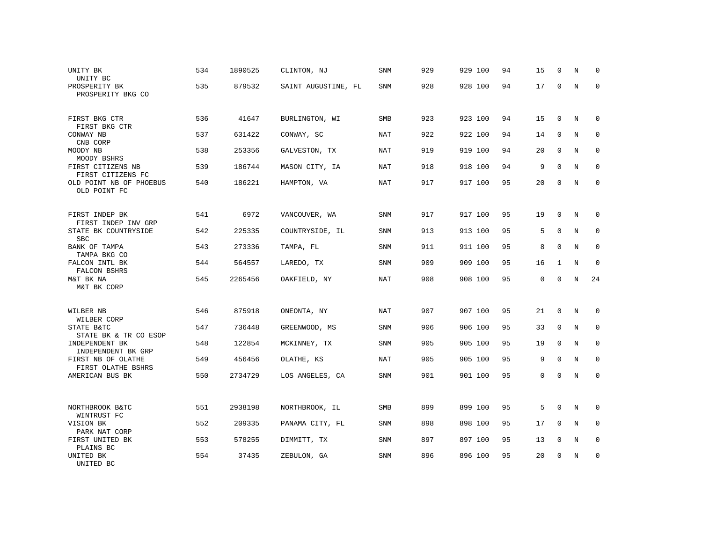| UNITY BC<br>535<br>879532<br>PROSPERITY BK<br>SAINT AUGUSTINE, FL<br>PROSPERITY BKG CO | SNM<br>SMB | 928<br>923 | 928 100 | 94 | 17           | 0            | N | $\mathbf 0$         |
|----------------------------------------------------------------------------------------|------------|------------|---------|----|--------------|--------------|---|---------------------|
|                                                                                        |            |            |         |    |              |              |   |                     |
| FIRST BKG CTR<br>536<br>41647<br>BURLINGTON, WI<br>FIRST BKG CTR                       |            |            | 923 100 | 94 | 15           | $\mathbf 0$  | N | $\mathbf 0$         |
| 631422<br>CONWAY NB<br>537<br>CONWAY, SC<br>CNB CORP                                   | <b>NAT</b> | 922        | 922 100 | 94 | 14           | $\mathbf 0$  | N | $\mathbf 0$         |
| MOODY NB<br>538<br>253356<br>GALVESTON, TX<br>MOODY BSHRS                              | NAT        | 919        | 919 100 | 94 | 20           | $\mathbf 0$  | N | $\mathbf 0$         |
| FIRST CITIZENS NB<br>539<br>186744<br>MASON CITY, IA<br>FIRST CITIZENS FC              | NAT        | 918        | 918 100 | 94 | 9            | $\mathbf 0$  | N | $\mathbf 0$         |
| OLD POINT NB OF PHOEBUS<br>540<br>186221<br>HAMPTON, VA<br>OLD POINT FC                | NAT        | 917        | 917 100 | 95 | 20           | $\mathbf 0$  | N | $\mathsf{O}\xspace$ |
| 541<br>6972<br>FIRST INDEP BK<br>VANCOUVER, WA<br>FIRST INDEP INV GRP                  | SNM        | 917        | 917 100 | 95 | 19           | $\mathbf 0$  | N | $\mathbf 0$         |
| 225335<br>542<br>STATE BK COUNTRYSIDE<br>COUNTRYSIDE, IL<br><b>SBC</b>                 | SNM        | 913        | 913 100 | 95 | 5            | $\mathbf 0$  | N | 0                   |
| 543<br>273336<br>BANK OF TAMPA<br>TAMPA, FL<br>TAMPA BKG CO                            | SNM        | 911        | 911 100 | 95 | 8            | $\mathbf 0$  | N | $\mathbf 0$         |
| 544<br>564557<br>FALCON INTL BK<br>LAREDO, TX<br>FALCON BSHRS                          | SNM        | 909        | 909 100 | 95 | 16           | $\mathbf{1}$ | N | $\mathbf 0$         |
| 545<br>2265456<br>M&T BK NA<br>OAKFIELD, NY<br>M&T BK CORP                             | NAT        | 908        | 908 100 | 95 | $\mathbf{0}$ | 0            | N | 24                  |
| 875918<br>546<br>ONEONTA, NY<br>WILBER NB<br>WILBER CORP                               | <b>NAT</b> | 907        | 907 100 | 95 | 21           | $\mathbf 0$  | N | $\mathbf 0$         |
| 547<br>736448<br>STATE B&TC<br>GREENWOOD, MS<br>STATE BK & TR CO ESOP                  | SNM        | 906        | 906 100 | 95 | 33           | 0            | N | $\mathbf 0$         |
| 548<br>122854<br>INDEPENDENT BK<br>MCKINNEY, TX<br>INDEPENDENT BK GRP                  | SNM        | 905        | 905 100 | 95 | 19           | $\mathbf 0$  | N | $\mathbf 0$         |
| 549<br>456456<br>OLATHE, KS<br>FIRST NB OF OLATHE<br>FIRST OLATHE BSHRS                | <b>NAT</b> | 905        | 905 100 | 95 | 9            | 0            | N | $\mathbf 0$         |
| AMERICAN BUS BK<br>550<br>2734729<br>LOS ANGELES, CA                                   | SNM        | 901        | 901 100 | 95 | 0            | 0            | N | $\mathbf 0$         |
| 551<br>2938198<br>NORTHBROOK B&TC<br>NORTHBROOK, IL<br>WINTRUST FC                     | SMB        | 899        | 899 100 | 95 | 5            | $\Omega$     | N | 0                   |
| 552<br>209335<br>VISION BK<br>PANAMA CITY, FL<br>PARK NAT CORP                         | SNM        | 898        | 898 100 | 95 | 17           | 0            | N | 0                   |
| 553<br>578255<br>FIRST UNITED BK<br>DIMMITT, TX<br>PLAINS BC                           | SNM        | 897        | 897 100 | 95 | 13           | 0            | N | 0                   |
| 554<br>37435<br>UNITED BK<br>ZEBULON, GA<br>UNITED BC                                  | SNM        | 896        | 896 100 | 95 | 20           | O            | N | $\mathbf 0$         |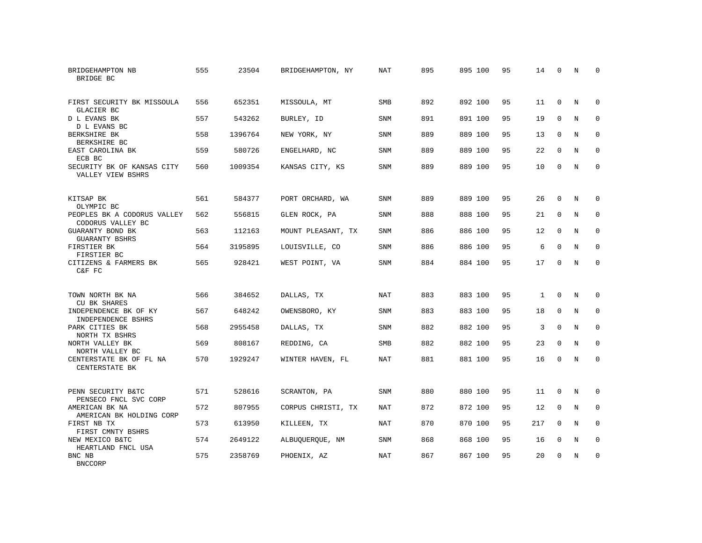| BRIDGEHAMPTON NB<br>BRIDGE BC                    | 555 | 23504   | BRIDGEHAMPTON, NY  | NAT        | 895 | 895 100 | 95 | 14           | $\Omega$    | N           | $\Omega$    |
|--------------------------------------------------|-----|---------|--------------------|------------|-----|---------|----|--------------|-------------|-------------|-------------|
| FIRST SECURITY BK MISSOULA<br>GLACIER BC         | 556 | 652351  | MISSOULA, MT       | SMB        | 892 | 892 100 | 95 | 11           | $\mathbf 0$ | N           | $\mathbf 0$ |
| D L EVANS BK<br>D L EVANS BC                     | 557 | 543262  | BURLEY, ID         | <b>SNM</b> | 891 | 891 100 | 95 | 19           | $\Omega$    | $_{\rm N}$  | $\mathbf 0$ |
| BERKSHIRE BK<br>BERKSHIRE BC                     | 558 | 1396764 | NEW YORK, NY       | <b>SNM</b> | 889 | 889 100 | 95 | 13           | $\Omega$    | N           | $\Omega$    |
| EAST CAROLINA BK<br>ECB BC                       | 559 | 580726  | ENGELHARD, NC      | <b>SNM</b> | 889 | 889 100 | 95 | 22           | $\Omega$    | N           | $\Omega$    |
| SECURITY BK OF KANSAS CITY<br>VALLEY VIEW BSHRS  | 560 | 1009354 | KANSAS CITY, KS    | <b>SNM</b> | 889 | 889 100 | 95 | 10           | $\Omega$    | N           | $\Omega$    |
| KITSAP BK<br>OLYMPIC BC                          | 561 | 584377  | PORT ORCHARD, WA   | <b>SNM</b> | 889 | 889 100 | 95 | 26           | $\Omega$    | N           | $\Omega$    |
| PEOPLES BK A CODORUS VALLEY<br>CODORUS VALLEY BC | 562 | 556815  | GLEN ROCK, PA      | SNM        | 888 | 888 100 | 95 | 21           | $\mathbf 0$ | N           | $\mathbf 0$ |
| GUARANTY BOND BK<br><b>GUARANTY BSHRS</b>        | 563 | 112163  | MOUNT PLEASANT, TX | <b>SNM</b> | 886 | 886 100 | 95 | 12           | $\Omega$    | N           | $\Omega$    |
| FIRSTIER BK<br>FIRSTIER BC                       | 564 | 3195895 | LOUISVILLE, CO     | SNM        | 886 | 886 100 | 95 | 6            | $\mathbf 0$ | $\mathbf N$ | $\mathbf 0$ |
| CITIZENS & FARMERS BK<br>C&F FC                  | 565 | 928421  | WEST POINT, VA     | <b>SNM</b> | 884 | 884 100 | 95 | 17           | $\Omega$    | $_{\rm N}$  | $\mathbf 0$ |
| TOWN NORTH BK NA<br><b>CU BK SHARES</b>          | 566 | 384652  | DALLAS, TX         | <b>NAT</b> | 883 | 883 100 | 95 | $\mathbf{1}$ | $\Omega$    | N           | 0           |
| INDEPENDENCE BK OF KY<br>INDEPENDENCE BSHRS      | 567 | 648242  | OWENSBORO, KY      | SNM        | 883 | 883 100 | 95 | 18           | $\mathbf 0$ | N           | $\mathbf 0$ |
| PARK CITIES BK<br>NORTH TX BSHRS                 | 568 | 2955458 | DALLAS, TX         | SNM        | 882 | 882 100 | 95 | 3            | $\mathbf 0$ | N           | 0           |
| NORTH VALLEY BK<br>NORTH VALLEY BC               | 569 | 808167  | REDDING, CA        | <b>SMB</b> | 882 | 882 100 | 95 | 23           | $\Omega$    | $_{\rm N}$  | $\mathbf 0$ |
| CENTERSTATE BK OF FL NA<br>CENTERSTATE BK        | 570 | 1929247 | WINTER HAVEN, FL   | <b>NAT</b> | 881 | 881 100 | 95 | 16           | $\mathbf 0$ | $\mathbf N$ | $\mathbf 0$ |
| PENN SECURITY B&TC<br>PENSECO FNCL SVC CORP      | 571 | 528616  | SCRANTON, PA       | SNM        | 880 | 880 100 | 95 | 11           | $\Omega$    | N           | $\Omega$    |
| AMERICAN BK NA<br>AMERICAN BK HOLDING CORP       | 572 | 807955  | CORPUS CHRISTI, TX | <b>NAT</b> | 872 | 872 100 | 95 | 12           | 0           | N           | $\mathbf 0$ |
| FIRST NB TX<br>FIRST CMNTY BSHRS                 | 573 | 613950  | KILLEEN, TX        | <b>NAT</b> | 870 | 870 100 | 95 | 217          | $\Omega$    | N           | $\mathbf 0$ |
| NEW MEXICO B&TC<br>HEARTLAND FNCL USA            | 574 | 2649122 | ALBUQUERQUE, NM    | SNM        | 868 | 868 100 | 95 | 16           | $\mathbf 0$ | N           | $\mathbf 0$ |
| BNC NB<br><b>BNCCORP</b>                         | 575 | 2358769 | PHOENIX, AZ        | <b>NAT</b> | 867 | 867 100 | 95 | 20           | $\Omega$    | N           | $\mathbf 0$ |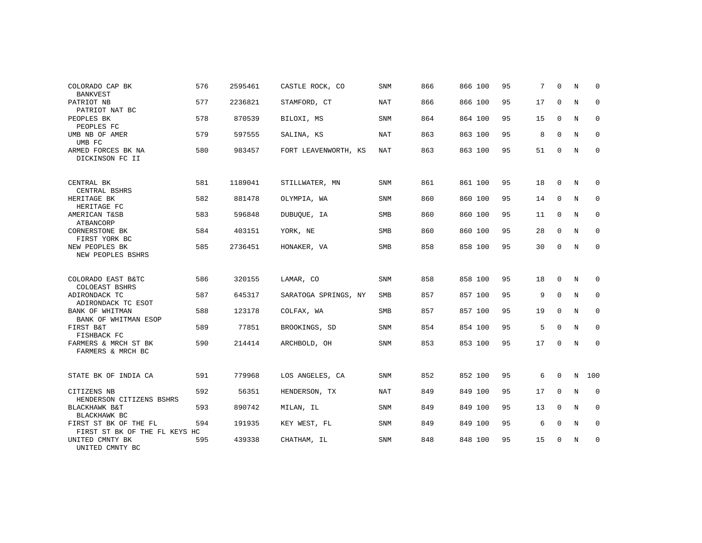| COLORADO CAP BK                                        | 576 | 2595461 | CASTLE ROCK, CO      | SNM        | 866 | 866 100 | 95 | 7  | $\Omega$    | N | $\Omega$    |
|--------------------------------------------------------|-----|---------|----------------------|------------|-----|---------|----|----|-------------|---|-------------|
| <b>BANKVEST</b><br>PATRIOT NB<br>PATRIOT NAT BC        | 577 | 2236821 | STAMFORD, CT         | <b>NAT</b> | 866 | 866 100 | 95 | 17 | 0           | N | $\mathbf 0$ |
| PEOPLES BK<br>PEOPLES FC                               | 578 | 870539  | BILOXI, MS           | <b>SNM</b> | 864 | 864 100 | 95 | 15 | $\mathbf 0$ | N | 0           |
| UMB NB OF AMER<br>UMB FC                               | 579 | 597555  | SALINA, KS           | NAT        | 863 | 863 100 | 95 | 8  | $\Omega$    | N | 0           |
| ARMED FORCES BK NA<br>DICKINSON FC II                  | 580 | 983457  | FORT LEAVENWORTH, KS | <b>NAT</b> | 863 | 863 100 | 95 | 51 | 0           | N | $\mathbf 0$ |
| CENTRAL BK<br>CENTRAL BSHRS                            | 581 | 1189041 | STILLWATER, MN       | <b>SNM</b> | 861 | 861 100 | 95 | 18 | $\Omega$    | N | 0           |
| HERITAGE BK<br>HERITAGE FC                             | 582 | 881478  | OLYMPIA, WA          | SNM        | 860 | 860 100 | 95 | 14 | $\mathbf 0$ | N | 0           |
| AMERICAN T&SB<br>ATBANCORP                             | 583 | 596848  | DUBUOUE, IA          | <b>SMB</b> | 860 | 860 100 | 95 | 11 | $\mathbf 0$ | N | 0           |
| CORNERSTONE BK<br>FIRST YORK BC                        | 584 | 403151  | YORK, NE             | SMB        | 860 | 860 100 | 95 | 28 | 0           | N | $\mathbf 0$ |
| NEW PEOPLES BK<br>NEW PEOPLES BSHRS                    | 585 | 2736451 | HONAKER, VA          | SMB        | 858 | 858 100 | 95 | 30 | 0           | N | $\mathbf 0$ |
| COLORADO EAST B&TC<br>COLOEAST BSHRS                   | 586 | 320155  | LAMAR, CO            | <b>SNM</b> | 858 | 858 100 | 95 | 18 | $\Omega$    | N | 0           |
| ADIRONDACK TC<br>ADIRONDACK TC ESOT                    | 587 | 645317  | SARATOGA SPRINGS, NY | SMB        | 857 | 857 100 | 95 | 9  | $\mathbf 0$ | N | $\mathbf 0$ |
| <b>BANK OF WHITMAN</b><br>BANK OF WHITMAN ESOP         | 588 | 123178  | COLFAX, WA           | <b>SMB</b> | 857 | 857 100 | 95 | 19 | $\mathbf 0$ | N | 0           |
| FIRST B&T<br>FISHBACK FC                               | 589 | 77851   | BROOKINGS, SD        | <b>SNM</b> | 854 | 854 100 | 95 | 5  | $\Omega$    | N | $\mathbf 0$ |
| FARMERS & MRCH ST BK<br>FARMERS & MRCH BC              | 590 | 214414  | ARCHBOLD, OH         | <b>SNM</b> | 853 | 853 100 | 95 | 17 | 0           | N | 0           |
| STATE BK OF INDIA CA                                   | 591 | 779968  | LOS ANGELES, CA      | <b>SNM</b> | 852 | 852 100 | 95 | 6  | 0           | N | 100         |
| CITIZENS NB<br>HENDERSON CITIZENS BSHRS                | 592 | 56351   | HENDERSON, TX        | <b>NAT</b> | 849 | 849 100 | 95 | 17 | $\Omega$    | N | $\mathbf 0$ |
| <b>BLACKHAWK B&amp;T</b><br>BLACKHAWK BC               | 593 | 890742  | MILAN, IL            | <b>SNM</b> | 849 | 849 100 | 95 | 13 | $\mathbf 0$ | N | 0           |
| FIRST ST BK OF THE FL<br>FIRST ST BK OF THE FL KEYS HC | 594 | 191935  | KEY WEST, FL         | <b>SNM</b> | 849 | 849 100 | 95 | 6  | $\mathbf 0$ | N | $\mathbf 0$ |
| UNITED CMNTY BK<br>UNITED CMNTY BC                     | 595 | 439338  | CHATHAM, IL          | <b>SNM</b> | 848 | 848 100 | 95 | 15 | 0           | N | 0           |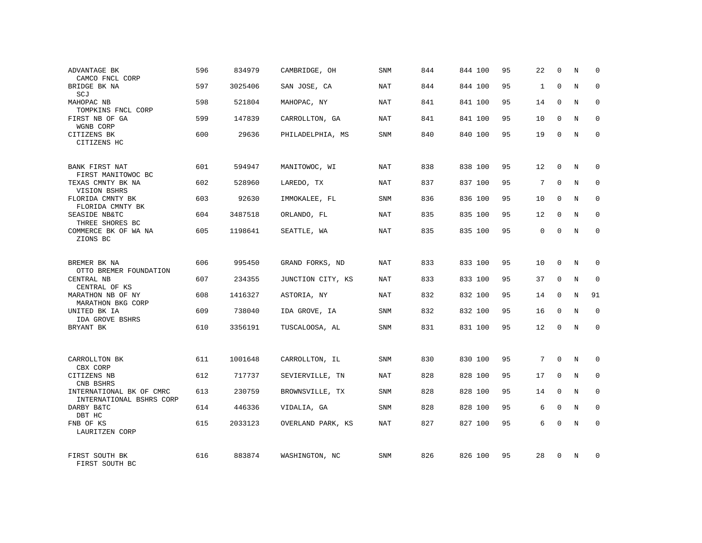| ADVANTAGE BK<br>CAMCO FNCL CORP                         | 596 | 834979  | CAMBRIDGE, OH     | <b>SNM</b> | 844 | 844 100 | 95 | 22           | 0           | N           | $\mathbf 0$  |
|---------------------------------------------------------|-----|---------|-------------------|------------|-----|---------|----|--------------|-------------|-------------|--------------|
| BRIDGE BK NA<br>SCJ                                     | 597 | 3025406 | SAN JOSE, CA      | <b>NAT</b> | 844 | 844 100 | 95 | $\mathbf{1}$ | $\mathbf 0$ | N           | $\Omega$     |
| MAHOPAC NB<br>TOMPKINS FNCL CORP                        | 598 | 521804  | MAHOPAC, NY       | NAT        | 841 | 841 100 | 95 | 14           | 0           | N           | 0            |
| FIRST NB OF GA<br>WGNB CORP                             | 599 | 147839  | CARROLLTON, GA    | <b>NAT</b> | 841 | 841 100 | 95 | 10           | $\Omega$    | N           | $\mathbf{0}$ |
| CITIZENS BK<br>CITIZENS HC                              | 600 | 29636   | PHILADELPHIA, MS  | SNM        | 840 | 840 100 | 95 | 19           | 0           | N           | 0            |
| BANK FIRST NAT                                          | 601 | 594947  | MANITOWOC, WI     | NAT        | 838 | 838 100 | 95 | 12           | 0           | N           | $\mathbf 0$  |
| FIRST MANITOWOC BC<br>TEXAS CMNTY BK NA<br>VISION BSHRS | 602 | 528960  | LAREDO, TX        | <b>NAT</b> | 837 | 837 100 | 95 | 7            | $\Omega$    | N           | $\mathbf 0$  |
| FLORIDA CMNTY BK<br>FLORIDA CMNTY BK                    | 603 | 92630   | IMMOKALEE, FL     | SNM        | 836 | 836 100 | 95 | 10           | $\Omega$    | N           | 0            |
| SEASIDE NB&TC<br>THREE SHORES BC                        | 604 | 3487518 | ORLANDO, FL       | <b>NAT</b> | 835 | 835 100 | 95 | 12           | $\Omega$    | N           | $\Omega$     |
| COMMERCE BK OF WA NA<br>ZIONS BC                        | 605 | 1198641 | SEATTLE, WA       | NAT        | 835 | 835 100 | 95 | $\mathbf 0$  | $\Omega$    | N           | $\mathbf 0$  |
| BREMER BK NA<br>OTTO BREMER FOUNDATION                  | 606 | 995450  | GRAND FORKS, ND   | NAT        | 833 | 833 100 | 95 | 10           | $\Omega$    | N           | $\mathbf 0$  |
| CENTRAL NB<br>CENTRAL OF KS                             | 607 | 234355  | JUNCTION CITY, KS | NAT        | 833 | 833 100 | 95 | 37           | $\mathbf 0$ | N           | $\mathbf 0$  |
| MARATHON NB OF NY<br>MARATHON BKG CORP                  | 608 | 1416327 | ASTORIA, NY       | NAT        | 832 | 832 100 | 95 | 14           | $\Omega$    | N           | 91           |
| UNITED BK IA<br>IDA GROVE BSHRS                         | 609 | 738040  | IDA GROVE, IA     | SNM        | 832 | 832 100 | 95 | 16           | $\mathbf 0$ | N           | $\mathbf 0$  |
| BRYANT BK                                               | 610 | 3356191 | TUSCALOOSA, AL    | <b>SNM</b> | 831 | 831 100 | 95 | 12           | $\mathbf 0$ | N           | $\mathbf{0}$ |
| CARROLLTON BK                                           | 611 | 1001648 | CARROLLTON, IL    | <b>SNM</b> | 830 | 830 100 | 95 | 7            | $\Omega$    | N           | $\mathbf 0$  |
| CBX CORP<br>CITIZENS NB                                 | 612 | 717737  | SEVIERVILLE, TN   | NAT        | 828 | 828 100 | 95 | 17           | $\mathbf 0$ | $\mathbf N$ | $\mathbf 0$  |
| CNB BSHRS<br>INTERNATIONAL BK OF CMRC                   | 613 | 230759  | BROWNSVILLE, TX   | <b>SNM</b> | 828 | 828 100 | 95 | 14           | $\mathbf 0$ | N           | $\mathbf 0$  |
| INTERNATIONAL BSHRS CORP<br>DARBY B&TC<br>DBT HC        | 614 | 446336  | VIDALIA, GA       | SNM        | 828 | 828 100 | 95 | 6            | $\mathbf 0$ | N           | $\mathbf{0}$ |
| FNB OF KS<br>LAURITZEN CORP                             | 615 | 2033123 | OVERLAND PARK, KS | NAT        | 827 | 827 100 | 95 | 6            | $\mathbf 0$ | N           | $\mathbf{0}$ |
| FIRST SOUTH BK<br>FIRST SOUTH BC                        | 616 | 883874  | WASHINGTON, NC    | <b>SNM</b> | 826 | 826 100 | 95 | 28           | $\Omega$    | N           | $\Omega$     |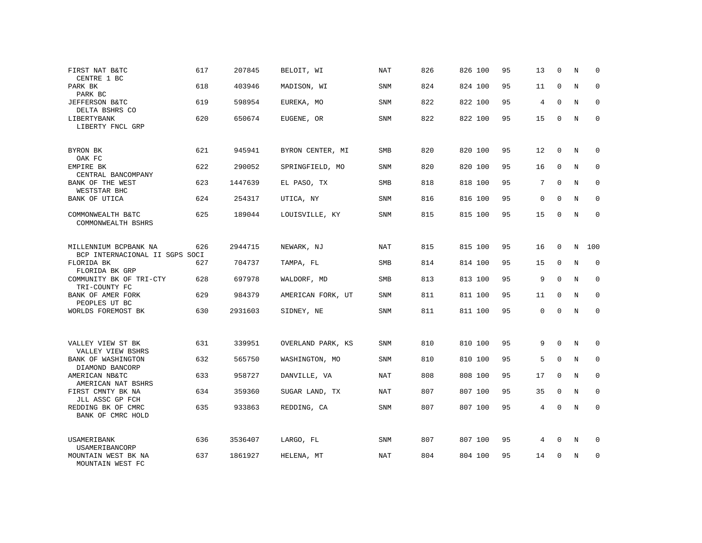| FIRST NAT B&TC<br>CENTRE 1 BC                           | 617 | 207845  | BELOIT, WI        | NAT        | 826 | 826 100 | 95 | 13          | $\mathbf 0$ | N | 0           |
|---------------------------------------------------------|-----|---------|-------------------|------------|-----|---------|----|-------------|-------------|---|-------------|
| PARK BK<br>PARK BC                                      | 618 | 403946  | MADISON, WI       | SNM        | 824 | 824 100 | 95 | 11          | $\Omega$    | N | $\mathbf 0$ |
| JEFFERSON B&TC<br>DELTA BSHRS CO                        | 619 | 598954  | EUREKA, MO        | SNM        | 822 | 822 100 | 95 | 4           | $\mathbf 0$ | N | 0           |
| LIBERTYBANK<br>LIBERTY FNCL GRP                         | 620 | 650674  | EUGENE, OR        | SNM        | 822 | 822 100 | 95 | 15          | $\Omega$    | N | $\mathbf 0$ |
| BYRON BK                                                | 621 | 945941  | BYRON CENTER, MI  | SMB        | 820 | 820 100 | 95 | 12          | $\mathbf 0$ | N | 0           |
| OAK FC<br>EMPIRE BK<br>CENTRAL BANCOMPANY               | 622 | 290052  | SPRINGFIELD, MO   | <b>SNM</b> | 820 | 820 100 | 95 | 16          | $\mathbf 0$ | N | $\mathbf 0$ |
| BANK OF THE WEST<br>WESTSTAR BHC                        | 623 | 1447639 | EL PASO, TX       | SMB        | 818 | 818 100 | 95 | 7           | $\Omega$    | N | $\mathbf 0$ |
| BANK OF UTICA                                           | 624 | 254317  | UTICA, NY         | <b>SNM</b> | 816 | 816 100 | 95 | $\mathbf 0$ | $\mathbf 0$ | N | $\mathbf 0$ |
| COMMONWEALTH B&TC<br>COMMONWEALTH BSHRS                 | 625 | 189044  | LOUISVILLE, KY    | SNM        | 815 | 815 100 | 95 | 15          | $\Omega$    | N | $\mathbf 0$ |
| MILLENNIUM BCPBANK NA<br>BCP INTERNACIONAL II SGPS SOCI | 626 | 2944715 | NEWARK, NJ        | NAT        | 815 | 815 100 | 95 | 16          | $\mathbf 0$ | N | 100         |
| FLORIDA BK<br>FLORIDA BK GRP                            | 627 | 704737  | TAMPA, FL         | <b>SMB</b> | 814 | 814 100 | 95 | 15          | $\Omega$    | N | $\Omega$    |
| COMMUNITY BK OF TRI-CTY<br>TRI-COUNTY FC                | 628 | 697978  | WALDORF, MD       | SMB        | 813 | 813 100 | 95 | 9           | $\Omega$    | N | $\mathbf 0$ |
| BANK OF AMER FORK<br>PEOPLES UT BC                      | 629 | 984379  | AMERICAN FORK, UT | <b>SNM</b> | 811 | 811 100 | 95 | 11          | $\Omega$    | N | $\Omega$    |
| WORLDS FOREMOST BK                                      | 630 | 2931603 | SIDNEY, NE        | SNM        | 811 | 811 100 | 95 | $\mathbf 0$ | $\Omega$    | N | $\mathbf 0$ |
| VALLEY VIEW ST BK                                       | 631 | 339951  | OVERLAND PARK, KS | <b>SNM</b> | 810 | 810 100 | 95 | 9           | $\mathbf 0$ | N | 0           |
| VALLEY VIEW BSHRS<br>BANK OF WASHINGTON                 | 632 | 565750  | WASHINGTON, MO    | <b>SNM</b> | 810 | 810 100 | 95 | 5           | $\Omega$    | N | $\mathbf 0$ |
| DIAMOND BANCORP<br>AMERICAN NB&TC<br>AMERICAN NAT BSHRS | 633 | 958727  | DANVILLE, VA      | <b>NAT</b> | 808 | 808 100 | 95 | 17          | $\mathbf 0$ | N | 0           |
| FIRST CMNTY BK NA<br>JLL ASSC GP FCH                    | 634 | 359360  | SUGAR LAND, TX    | <b>NAT</b> | 807 | 807 100 | 95 | 35          | $\mathbf 0$ | N | $\mathbf 0$ |
| REDDING BK OF CMRC<br>BANK OF CMRC HOLD                 | 635 | 933863  | REDDING, CA       | SNM        | 807 | 807 100 | 95 | 4           | 0           | N | $\mathbf 0$ |
| USAMERIBANK<br>USAMERIBANCORP                           | 636 | 3536407 | LARGO, FL         | SNM        | 807 | 807 100 | 95 | 4           | $\mathbf 0$ | N | 0           |
| MOUNTAIN WEST BK NA<br>MOUNTAIN WEST FC                 | 637 | 1861927 | HELENA, MT        | <b>NAT</b> | 804 | 804 100 | 95 | 14          | $\Omega$    | N | $\mathbf 0$ |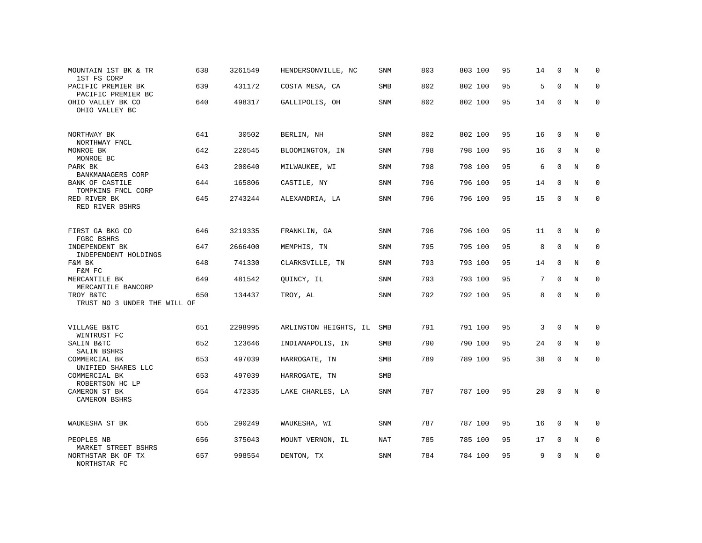| MOUNTAIN 1ST BK & TR<br>1ST FS CORP          | 638 | 3261549 | HENDERSONVILLE, NC        | SNM | 803 | 803 100 | 95 | 14              | 0           | N           | 0            |
|----------------------------------------------|-----|---------|---------------------------|-----|-----|---------|----|-----------------|-------------|-------------|--------------|
| PACIFIC PREMIER BK<br>PACIFIC PREMIER BC     | 639 | 431172  | COSTA MESA, CA            | SMB | 802 | 802 100 | 95 | 5               | $\Omega$    | N           | $\mathbf 0$  |
| OHIO VALLEY BK CO<br>OHIO VALLEY BC          | 640 | 498317  | GALLIPOLIS, OH            | SNM | 802 | 802 100 | 95 | 14              | $\mathbf 0$ | N           | $\mathbf 0$  |
| NORTHWAY BK                                  | 641 | 30502   | BERLIN, NH                | SNM | 802 | 802 100 | 95 | 16              | $\Omega$    | N           | $\Omega$     |
| NORTHWAY FNCL<br>MONROE BK<br>MONROE BC      | 642 | 220545  | BLOOMINGTON, IN           | SNM | 798 | 798 100 | 95 | 16              | $\mathbf 0$ | $\mathbf N$ | $\mathbf{0}$ |
| PARK BK<br>BANKMANAGERS CORP                 | 643 | 200640  | MILWAUKEE, WI             | SNM | 798 | 798 100 | 95 | 6               | $\mathbf 0$ | N           | $\mathbf 0$  |
| <b>BANK OF CASTILE</b><br>TOMPKINS FNCL CORP | 644 | 165806  | CASTILE, NY               | SNM | 796 | 796 100 | 95 | 14              | $\mathbf 0$ | N           | $\mathbf 0$  |
| RED RIVER BK<br>RED RIVER BSHRS              | 645 | 2743244 | ALEXANDRIA, LA            | SNM | 796 | 796 100 | 95 | 15              | 0           | N           | 0            |
| FIRST GA BKG CO<br>FGBC BSHRS                | 646 | 3219335 | FRANKLIN, GA              | SNM | 796 | 796 100 | 95 | 11              | $\mathbf 0$ | N           | 0            |
| INDEPENDENT BK<br>INDEPENDENT HOLDINGS       | 647 | 2666400 | MEMPHIS, TN               | SNM | 795 | 795 100 | 95 | 8               | $\mathbf 0$ | $\rm N$     | $\mathbf 0$  |
| F&M BK<br>F&M FC                             | 648 | 741330  | CLARKSVILLE, TN           | SNM | 793 | 793 100 | 95 | 14              | $\Omega$    | $\mathbf N$ | $\mathbf 0$  |
| MERCANTILE BK<br>MERCANTILE BANCORP          | 649 | 481542  | OUINCY, IL                | SNM | 793 | 793 100 | 95 | $7\overline{ }$ | $\mathbf 0$ | $\mathbf N$ | $\mathbf 0$  |
| TROY B&TC<br>TRUST NO 3 UNDER THE WILL OF    | 650 | 134437  | TROY, AL                  | SNM | 792 | 792 100 | 95 | 8               | $\Omega$    | N           | $\mathbf 0$  |
| VILLAGE B&TC<br>WINTRUST FC                  | 651 | 2298995 | ARLINGTON HEIGHTS, IL SMB |     | 791 | 791 100 | 95 | 3               | $\Omega$    | N           | 0            |
| SALIN B&TC<br>SALIN BSHRS                    | 652 | 123646  | INDIANAPOLIS, IN          | SMB | 790 | 790 100 | 95 | 24              | $\mathbf 0$ | N           | 0            |
| COMMERCIAL BK<br>UNIFIED SHARES LLC          | 653 | 497039  | HARROGATE, TN             | SMB | 789 | 789 100 | 95 | 38              | $\mathbf 0$ | N           | $\mathbf 0$  |
| COMMERCIAL BK<br>ROBERTSON HC LP             | 653 | 497039  | HARROGATE, TN             | SMB |     |         |    |                 |             |             |              |
| CAMERON ST BK<br><b>CAMERON BSHRS</b>        | 654 | 472335  | LAKE CHARLES, LA          | SNM | 787 | 787 100 | 95 | 20              | $\Omega$    | $\mathbf N$ | $\Omega$     |
| WAUKESHA ST BK                               | 655 | 290249  | WAUKESHA, WI              | SNM | 787 | 787 100 | 95 | 16              | 0           | N           | 0            |
| PEOPLES NB<br>MARKET STREET BSHRS            | 656 | 375043  | MOUNT VERNON, IL          | NAT | 785 | 785 100 | 95 | 17              | $\mathbf 0$ | N           | $\mathbf 0$  |
| NORTHSTAR BK OF TX<br>NORTHSTAR FC           | 657 | 998554  | DENTON, TX                | SNM | 784 | 784 100 | 95 | 9               |             | N           | 0            |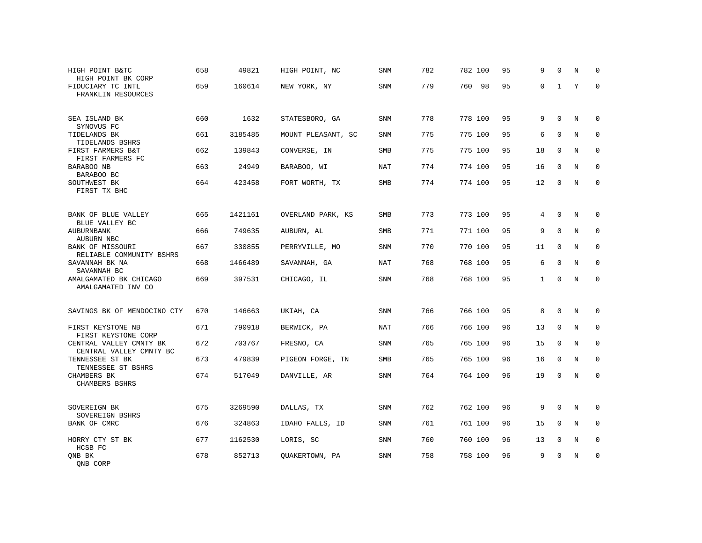| HIGH POINT B&TC<br>HIGH POINT BK CORP              | 658 | 49821   | HIGH POINT, NC     | <b>SNM</b> | 782 | 782 100 | 95 | 9               | $\Omega$     | N           | $\Omega$    |
|----------------------------------------------------|-----|---------|--------------------|------------|-----|---------|----|-----------------|--------------|-------------|-------------|
| FIDUCIARY TC INTL<br>FRANKLIN RESOURCES            | 659 | 160614  | NEW YORK, NY       | <b>SNM</b> | 779 | 760 98  | 95 | $\mathbf 0$     | $\mathbf{1}$ | Y           | $\Omega$    |
| SEA ISLAND BK<br>SYNOVUS FC                        | 660 | 1632    | STATESBORO, GA     | SNM        | 778 | 778 100 | 95 | 9               | $\mathbf 0$  | N           | $\mathbf 0$ |
| TIDELANDS BK<br>TIDELANDS BSHRS                    | 661 | 3185485 | MOUNT PLEASANT, SC | SNM        | 775 | 775 100 | 95 | 6               | 0            | N           | $\mathbf 0$ |
| FIRST FARMERS B&T<br>FIRST FARMERS FC              | 662 | 139843  | CONVERSE, IN       | <b>SMB</b> | 775 | 775 100 | 95 | 18              | $\mathbf 0$  | N           | $\mathbf 0$ |
| BARABOO NB<br>BARABOO BC                           | 663 | 24949   | BARABOO, WI        | NAT        | 774 | 774 100 | 95 | 16              | $\mathbf 0$  | $\mathbf N$ | $\mathbf 0$ |
| SOUTHWEST BK<br>FIRST TX BHC                       | 664 | 423458  | FORT WORTH, TX     | SMB        | 774 | 774 100 | 95 | 12              | 0            | $\mathbf N$ | $\mathsf 0$ |
| BANK OF BLUE VALLEY<br>BLUE VALLEY BC              | 665 | 1421161 | OVERLAND PARK, KS  | <b>SMB</b> | 773 | 773 100 | 95 | $4\overline{ }$ | 0            | N           | $\mathsf 0$ |
| <b>AUBURNBANK</b><br>AUBURN NBC                    | 666 | 749635  | AUBURN, AL         | SMB        | 771 | 771 100 | 95 | 9               | $\Omega$     | N           | $\mathbf 0$ |
| BANK OF MISSOURI<br>RELIABLE COMMUNITY BSHRS       | 667 | 330855  | PERRYVILLE, MO     | SNM        | 770 | 770 100 | 95 | 11              | $\mathbf 0$  | N           | $\mathbf 0$ |
| SAVANNAH BK NA<br>SAVANNAH BC                      | 668 | 1466489 | SAVANNAH, GA       | NAT        | 768 | 768 100 | 95 | 6               | $\mathbf 0$  | $\mathbf N$ | $\mathbf 0$ |
| AMALGAMATED BK CHICAGO<br>AMALGAMATED INV CO       | 669 | 397531  | CHICAGO, IL        | SNM        | 768 | 768 100 | 95 | $\mathbf{1}$    | $\mathbf 0$  | $\mathbf N$ | $\mathbf 0$ |
| SAVINGS BK OF MENDOCINO CTY                        | 670 | 146663  | UKIAH, CA          | SNM        | 766 | 766 100 | 95 | 8               | $\mathbf 0$  | N           | 0           |
| FIRST KEYSTONE NB<br>FIRST KEYSTONE CORP           | 671 | 790918  | BERWICK, PA        | <b>NAT</b> | 766 | 766 100 | 96 | 13              | $\mathbf 0$  | $\mathbf N$ | $\mathbf 0$ |
| CENTRAL VALLEY CMNTY BK<br>CENTRAL VALLEY CMNTY BC | 672 | 703767  | FRESNO, CA         | SNM        | 765 | 765 100 | 96 | 15              | $\mathbf 0$  | $\mathbf N$ | $\mathbf 0$ |
| TENNESSEE ST BK<br>TENNESSEE ST BSHRS              | 673 | 479839  | PIGEON FORGE, TN   | SMB        | 765 | 765 100 | 96 | 16              | $\mathbf 0$  | N           | $\mathbf 0$ |
| CHAMBERS BK<br>CHAMBERS BSHRS                      | 674 | 517049  | DANVILLE, AR       | SNM        | 764 | 764 100 | 96 | 19              | 0            | N           | $\mathbf 0$ |
| SOVEREIGN BK<br>SOVEREIGN BSHRS                    | 675 | 3269590 | DALLAS, TX         | SNM        | 762 | 762 100 | 96 | 9               | $\Omega$     | N           | $\Omega$    |
| BANK OF CMRC                                       | 676 | 324863  | IDAHO FALLS, ID    | SNM        | 761 | 761 100 | 96 | 15              | $\mathbf 0$  | $\mathbf N$ | $\mathbf 0$ |
| HORRY CTY ST BK<br>HCSB FC                         | 677 | 1162530 | LORIS, SC          | SNM        | 760 | 760 100 | 96 | 13              | 0            | N           | $\mathbf 0$ |
| QNB BK<br>QNB CORP                                 | 678 | 852713  | QUAKERTOWN, PA     | <b>SNM</b> | 758 | 758 100 | 96 | 9               | U            | N           | $\mathbf 0$ |
|                                                    |     |         |                    |            |     |         |    |                 |              |             |             |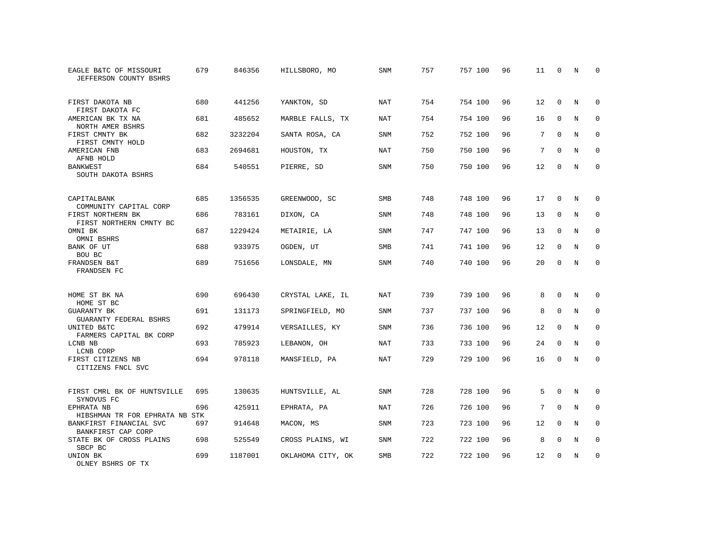| EAGLE B&TC OF MISSOURI<br>JEFFERSON COUNTY BSHRS | 679 | 846356  | HILLSBORO, MO     | SNM        | 757 | 757 100 | 96 | 11 | 0           | N          | $\Omega$    |
|--------------------------------------------------|-----|---------|-------------------|------------|-----|---------|----|----|-------------|------------|-------------|
| FIRST DAKOTA NB<br>FIRST DAKOTA FC               | 680 | 441256  | YANKTON, SD       | NAT        | 754 | 754 100 | 96 | 12 | $\Omega$    | N          | $\Omega$    |
| AMERICAN BK TX NA<br>NORTH AMER BSHRS            | 681 | 485652  | MARBLE FALLS, TX  | NAT        | 754 | 754 100 | 96 | 16 | $\mathbf 0$ | N          | $\mathbf 0$ |
| FIRST CMNTY BK<br>FIRST CMNTY HOLD               | 682 | 3232204 | SANTA ROSA, CA    | SNM        | 752 | 752 100 | 96 | 7  | $\Omega$    | N          | $\Omega$    |
| AMERICAN FNB<br>AFNB HOLD                        | 683 | 2694681 | HOUSTON, TX       | NAT        | 750 | 750 100 | 96 | 7  | $\Omega$    | N          | $\mathbf 0$ |
| <b>BANKWEST</b><br>SOUTH DAKOTA BSHRS            | 684 | 540551  | PIERRE, SD        | SNM        | 750 | 750 100 | 96 | 12 | $\Omega$    | N          | $\mathbf 0$ |
| CAPITALBANK<br>COMMUNITY CAPITAL CORP            | 685 | 1356535 | GREENWOOD, SC     | <b>SMB</b> | 748 | 748 100 | 96 | 17 | 0           | N          | 0           |
| FIRST NORTHERN BK<br>FIRST NORTHERN CMNTY BC     | 686 | 783161  | DIXON, CA         | SNM        | 748 | 748 100 | 96 | 13 | $\mathbf 0$ | N          | $\mathbf 0$ |
| OMNI BK<br>OMNI BSHRS                            | 687 | 1229424 | METAIRIE, LA      | SNM        | 747 | 747 100 | 96 | 13 | $\mathbf 0$ | N          | $\mathbf 0$ |
| BANK OF UT<br>BOU BC                             | 688 | 933975  | OGDEN, UT         | SMB        | 741 | 741 100 | 96 | 12 | $\mathbf 0$ | N          | $\mathbf 0$ |
| FRANDSEN B&T<br>FRANDSEN FC                      | 689 | 751656  | LONSDALE, MN      | SNM        | 740 | 740 100 | 96 | 20 | $\Omega$    | $_{\rm N}$ | $\Omega$    |
| HOME ST BK NA<br>HOME ST BC                      | 690 | 696430  | CRYSTAL LAKE, IL  | <b>NAT</b> | 739 | 739 100 | 96 | 8  | $\Omega$    | N          | $\Omega$    |
| GUARANTY BK<br>GUARANTY FEDERAL BSHRS            | 691 | 131173  | SPRINGFIELD, MO   | SNM        | 737 | 737 100 | 96 | 8  | $\mathbf 0$ | N          | 0           |
| UNITED B&TC<br>FARMERS CAPITAL BK CORP           | 692 | 479914  | VERSAILLES, KY    | SNM        | 736 | 736 100 | 96 | 12 | $\mathbf 0$ | N          | $\mathbf 0$ |
| LCNB NB<br>LCNB CORP                             | 693 | 785923  | LEBANON, OH       | <b>NAT</b> | 733 | 733 100 | 96 | 24 | $\Omega$    | $_{\rm N}$ | $\mathbf 0$ |
| FIRST CITIZENS NB<br>CITIZENS FNCL SVC           | 694 | 978118  | MANSFIELD, PA     | <b>NAT</b> | 729 | 729 100 | 96 | 16 | 0           | N          | $\mathbf 0$ |
| FIRST CMRL BK OF HUNTSVILLE<br>SYNOVUS FC        | 695 | 130635  | HUNTSVILLE, AL    | SNM        | 728 | 728 100 | 96 | 5  | 0           | N          | 0           |
| EPHRATA NB<br>HIBSHMAN TR FOR EPHRATA NB STK     | 696 | 425911  | EPHRATA, PA       | <b>NAT</b> | 726 | 726 100 | 96 | 7  | $\Omega$    | N          | $\mathbf 0$ |
| BANKFIRST FINANCIAL SVC<br>BANKFIRST CAP CORP    | 697 | 914648  | MACON, MS         | SNM        | 723 | 723 100 | 96 | 12 | $\Omega$    | N          | $\mathbf 0$ |
| STATE BK OF CROSS PLAINS<br>SBCP BC              | 698 | 525549  | CROSS PLAINS, WI  | SNM        | 722 | 722 100 | 96 | 8  | 0           | N          | 0           |
| UNION BK<br>OLNEY BSHRS OF TX                    | 699 | 1187001 | OKLAHOMA CITY, OK | <b>SMB</b> | 722 | 722 100 | 96 | 12 | $\Omega$    | N          | $\mathbf 0$ |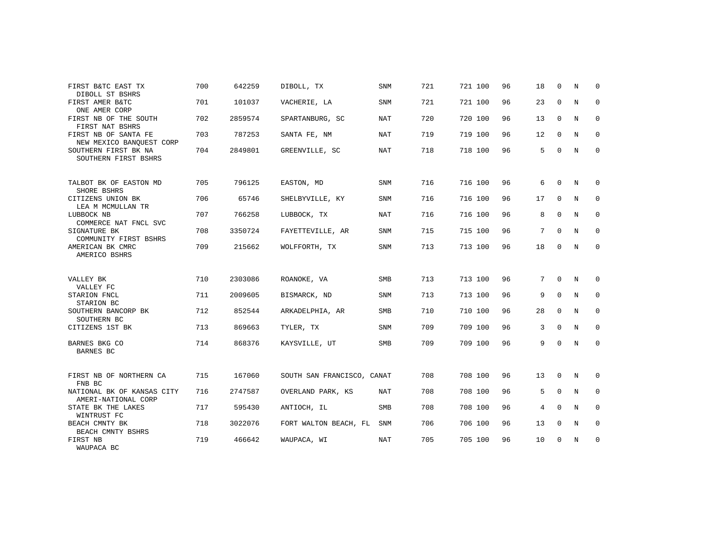| FIRST B&TC EAST TX                                                  | 700 | 642259  | DIBOLL, TX                 | <b>SNM</b> | 721 | 721 100 | 96 | 18 | $\Omega$    | N | $\Omega$    |
|---------------------------------------------------------------------|-----|---------|----------------------------|------------|-----|---------|----|----|-------------|---|-------------|
| DIBOLL ST BSHRS<br>FIRST AMER B&TC                                  | 701 | 101037  | VACHERIE, LA               | <b>SNM</b> | 721 | 721 100 | 96 | 23 | $\mathbf 0$ | N | $\mathbf 0$ |
| ONE AMER CORP<br>FIRST NB OF THE SOUTH                              | 702 | 2859574 | SPARTANBURG, SC            | <b>NAT</b> | 720 | 720 100 | 96 | 13 | $\mathbf 0$ | N | 0           |
| FIRST NAT BSHRS<br>FIRST NB OF SANTA FE<br>NEW MEXICO BANQUEST CORP | 703 | 787253  | SANTA FE, NM               | NAT        | 719 | 719 100 | 96 | 12 | $\mathbf 0$ | N | 0           |
| SOUTHERN FIRST BK NA<br>SOUTHERN FIRST BSHRS                        | 704 | 2849801 | GREENVILLE, SC             | <b>NAT</b> | 718 | 718 100 | 96 | 5  | $\Omega$    | N | 0           |
| TALBOT BK OF EASTON MD<br>SHORE BSHRS                               | 705 | 796125  | EASTON, MD                 | <b>SNM</b> | 716 | 716 100 | 96 | 6  | $\Omega$    | N | $\Omega$    |
| CITIZENS UNION BK<br>LEA M MCMULLAN TR                              | 706 | 65746   | SHELBYVILLE, KY            | SNM        | 716 | 716 100 | 96 | 17 | $\mathbf 0$ | N | 0           |
| LUBBOCK NB<br>COMMERCE NAT FNCL SVC                                 | 707 | 766258  | LUBBOCK, TX                | NAT        | 716 | 716 100 | 96 | 8  | $\mathbf 0$ | N | 0           |
| SIGNATURE BK<br>COMMUNITY FIRST BSHRS                               | 708 | 3350724 | FAYETTEVILLE, AR           | SNM        | 715 | 715 100 | 96 | 7  | $\Omega$    | N | $\mathbf 0$ |
| AMERICAN BK CMRC<br>AMERICO BSHRS                                   | 709 | 215662  | WOLFFORTH, TX              | SNM        | 713 | 713 100 | 96 | 18 | $\mathbf 0$ | N | 0           |
|                                                                     |     |         |                            |            |     |         |    |    |             |   |             |
| VALLEY BK<br>VALLEY FC                                              | 710 | 2303086 | ROANOKE, VA                | SMB        | 713 | 713 100 | 96 | 7  | $\Omega$    | N | $\Omega$    |
| STARION FNCL<br>STARION BC                                          | 711 | 2009605 | BISMARCK, ND               | SNM        | 713 | 713 100 | 96 | 9  | $\mathbf 0$ | N | $\mathbf 0$ |
| SOUTHERN BANCORP BK<br>SOUTHERN BC                                  | 712 | 852544  | ARKADELPHIA, AR            | <b>SMB</b> | 710 | 710 100 | 96 | 28 | 0           | N | 0           |
| CITIZENS 1ST BK                                                     | 713 | 869663  | TYLER, TX                  | <b>SNM</b> | 709 | 709 100 | 96 | 3  | $\Omega$    | N | $\mathbf 0$ |
| BARNES BKG CO<br>BARNES BC                                          | 714 | 868376  | KAYSVILLE, UT              | <b>SMB</b> | 709 | 709 100 | 96 | 9  | $\mathbf 0$ | N | 0           |
| FIRST NB OF NORTHERN CA                                             | 715 | 167060  | SOUTH SAN FRANCISCO, CANAT |            | 708 | 708 100 | 96 | 13 | 0           | N | 0           |
| FNB BC                                                              |     |         |                            |            |     |         |    |    |             |   |             |
| NATIONAL BK OF KANSAS CITY<br>AMERI-NATIONAL CORP                   | 716 | 2747587 | OVERLAND PARK, KS          | NAT        | 708 | 708 100 | 96 | 5  | $\Omega$    | N | $\mathbf 0$ |
| STATE BK THE LAKES<br>WINTRUST FC                                   | 717 | 595430  | ANTIOCH, IL                | <b>SMB</b> | 708 | 708 100 | 96 | 4  | $\mathbf 0$ | N | 0           |
| BEACH CMNTY BK<br>BEACH CMNTY BSHRS                                 | 718 | 3022076 | FORT WALTON BEACH, FL      | <b>SNM</b> | 706 | 706 100 | 96 | 13 | $\Omega$    | N | $\mathbf 0$ |
| FIRST NB<br>WAUPACA BC                                              | 719 | 466642  | WAUPACA, WI                | <b>NAT</b> | 705 | 705 100 | 96 | 10 | $\mathbf 0$ | N | 0           |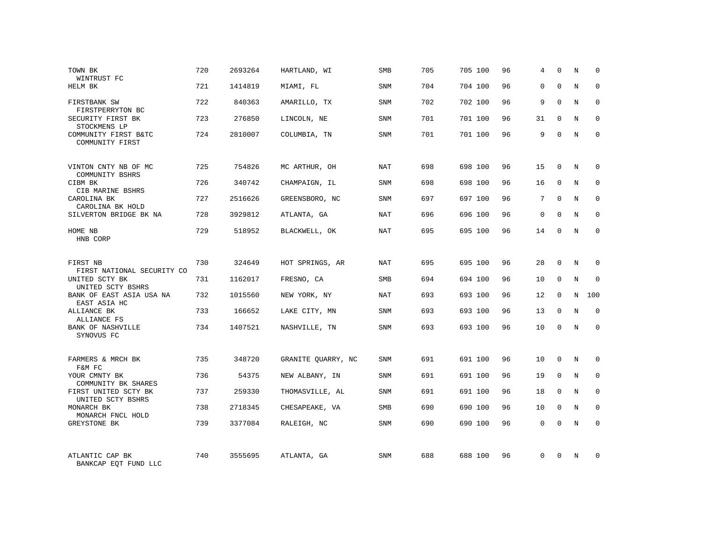| TOWN BK<br>WINTRUST FC                    | 720 | 2693264 | HARTLAND, WI       | <b>SMB</b> | 705 | 705 100 | 96 | 4           | $\Omega$    | N          | $\Omega$    |
|-------------------------------------------|-----|---------|--------------------|------------|-----|---------|----|-------------|-------------|------------|-------------|
| HELM BK                                   | 721 | 1414819 | MIAMI, FL          | SNM        | 704 | 704 100 | 96 | $\Omega$    | $\Omega$    | $_{\rm N}$ | $\Omega$    |
| FIRSTBANK SW<br>FIRSTPERRYTON BC          | 722 | 840363  | AMARILLO, TX       | SNM        | 702 | 702 100 | 96 | 9           | $\Omega$    | N          | 0           |
| SECURITY FIRST BK<br>STOCKMENS LP         | 723 | 276850  | LINCOLN, NE        | SNM        | 701 | 701 100 | 96 | 31          | 0           | N          | 0           |
| COMMUNITY FIRST B&TC<br>COMMUNITY FIRST   | 724 | 2810007 | COLUMBIA, TN       | <b>SNM</b> | 701 | 701 100 | 96 | 9           | $\Omega$    | $_{\rm N}$ | $\Omega$    |
| VINTON CNTY NB OF MC<br>COMMUNITY BSHRS   | 725 | 754826  | MC ARTHUR, OH      | <b>NAT</b> | 698 | 698 100 | 96 | 15          | $\mathbf 0$ | N          | $\Omega$    |
| CIBM BK<br>CIB MARINE BSHRS               | 726 | 340742  | CHAMPAIGN, IL      | SNM        | 698 | 698 100 | 96 | 16          | $\Omega$    | N          | $\Omega$    |
| CAROLINA BK<br>CAROLINA BK HOLD           | 727 | 2516626 | GREENSBORO, NC     | SNM        | 697 | 697 100 | 96 | 7           | $\Omega$    | N          | 0           |
| SILVERTON BRIDGE BK NA                    | 728 | 3929812 | ATLANTA, GA        | <b>NAT</b> | 696 | 696 100 | 96 | $\mathbf 0$ | $\Omega$    | N          | $\mathbf 0$ |
| HOME NB<br>HNB CORP                       | 729 | 518952  | BLACKWELL, OK      | <b>NAT</b> | 695 | 695 100 | 96 | 14          | $\Omega$    | N          | $\Omega$    |
| FIRST NB<br>FIRST NATIONAL SECURITY CO    | 730 | 324649  | HOT SPRINGS, AR    | <b>NAT</b> | 695 | 695 100 | 96 | 28          | $\Omega$    | N          | $\Omega$    |
| UNITED SCTY BK<br>UNITED SCTY BSHRS       | 731 | 1162017 | FRESNO, CA         | <b>SMB</b> | 694 | 694 100 | 96 | 10          | $\mathbf 0$ | N          | $\mathbf 0$ |
| BANK OF EAST ASIA USA NA<br>EAST ASIA HC  | 732 | 1015560 | NEW YORK, NY       | NAT        | 693 | 693 100 | 96 | 12          | $\mathbf 0$ | N          | 100         |
| ALLIANCE BK<br>ALLIANCE FS                | 733 | 166652  | LAKE CITY, MN      | <b>SNM</b> | 693 | 693 100 | 96 | 13          | $\Omega$    | $\rm N$    | $\mathbf 0$ |
| BANK OF NASHVILLE<br>SYNOVUS FC           | 734 | 1407521 | NASHVILLE, TN      | SNM        | 693 | 693 100 | 96 | 10          | $\Omega$    | N          | $\mathbf 0$ |
| FARMERS & MRCH BK<br>F&M FC               | 735 | 348720  | GRANITE OUARRY, NC | SNM        | 691 | 691 100 | 96 | 10          | $\Omega$    | N          | 0           |
| YOUR CMNTY BK<br>COMMUNITY BK SHARES      | 736 | 54375   | NEW ALBANY, IN     | SNM        | 691 | 691 100 | 96 | 19          | 0           | N          | 0           |
| FIRST UNITED SCTY BK<br>UNITED SCTY BSHRS | 737 | 259330  | THOMASVILLE, AL    | SNM        | 691 | 691 100 | 96 | 18          | $\mathbf 0$ | N          | $\mathbf 0$ |
| MONARCH BK<br>MONARCH FNCL HOLD           | 738 | 2718345 | CHESAPEAKE, VA     | <b>SMB</b> | 690 | 690 100 | 96 | 10          | $\Omega$    | N          | $\mathbf 0$ |
| GREYSTONE BK                              | 739 | 3377084 | RALEIGH, NC        | SNM        | 690 | 690 100 | 96 | $\mathbf 0$ | $\mathbf 0$ | N          | $\mathbf 0$ |
| ATLANTIC CAP BK<br>BANKCAP EOT FUND LLC   | 740 | 3555695 | ATLANTA, GA        | SNM        | 688 | 688 100 | 96 | $\Omega$    | $\Omega$    | N          | 0           |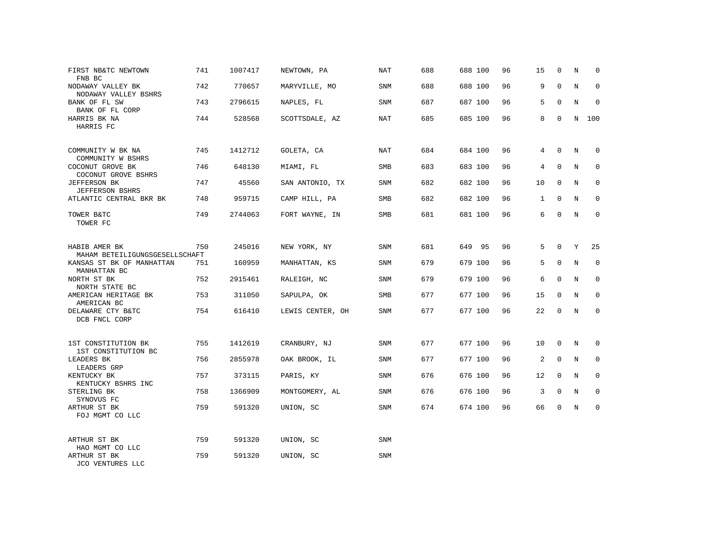| FIRST NB&TC NEWTOWN<br>FNB BC                                | 741 | 1007417 | NEWTOWN, PA      | NAT        | 688 | 688 100 | 96 | 15           | 0           | N           | $\Omega$    |
|--------------------------------------------------------------|-----|---------|------------------|------------|-----|---------|----|--------------|-------------|-------------|-------------|
| NODAWAY VALLEY BK<br>NODAWAY VALLEY BSHRS                    | 742 | 770657  | MARYVILLE, MO    | SNM        | 688 | 688 100 | 96 | 9            | $\Omega$    | N           | 0           |
| BANK OF FL SW<br>BANK OF FL CORP                             | 743 | 2796615 | NAPLES, FL       | SNM        | 687 | 687 100 | 96 | 5            | 0           | N           | $\mathbf 0$ |
| HARRIS BK NA<br>HARRIS FC                                    | 744 | 528568  | SCOTTSDALE, AZ   | NAT        | 685 | 685 100 | 96 | 8            | $\Omega$    | N           | 100         |
| COMMUNITY W BK NA                                            | 745 | 1412712 | GOLETA, CA       | NAT        | 684 | 684 100 | 96 | 4            | $\mathbf 0$ | N           | 0           |
| COMMUNITY W BSHRS<br>COCONUT GROVE BK<br>COCONUT GROVE BSHRS | 746 | 648130  | MIAMI, FL        | <b>SMB</b> | 683 | 683 100 | 96 | 4            | $\mathbf 0$ | N           | $\mathbf 0$ |
| <b>JEFFERSON BK</b><br><b>JEFFERSON BSHRS</b>                | 747 | 45560   | SAN ANTONIO, TX  | SNM        | 682 | 682 100 | 96 | 10           | $\Omega$    | N           | $\mathbf 0$ |
| ATLANTIC CENTRAL BKR BK                                      | 748 | 959715  | CAMP HILL, PA    | <b>SMB</b> | 682 | 682 100 | 96 | $\mathbf{1}$ | $\mathbf 0$ | N           | $\mathbf 0$ |
| TOWER B&TC<br>TOWER FC                                       | 749 | 2744063 | FORT WAYNE, IN   | SMB        | 681 | 681 100 | 96 | 6            | $\Omega$    | N           | $\mathbf 0$ |
| HABIB AMER BK<br>MAHAM BETEILIGUNGSGESELLSCHAFT              | 750 | 245016  | NEW YORK, NY     | SNM        | 681 | 649 95  | 96 | 5            | $\mathbf 0$ | Y           | 25          |
| KANSAS ST BK OF MANHATTAN<br>MANHATTAN BC                    | 751 | 160959  | MANHATTAN, KS    | SNM        | 679 | 679 100 | 96 | 5            | $\Omega$    | N           | $\Omega$    |
| NORTH ST BK<br>NORTH STATE BC                                | 752 | 2915461 | RALEIGH, NC      | SNM        | 679 | 679 100 | 96 | 6            | $\Omega$    | N           | $\mathbf 0$ |
| AMERICAN HERITAGE BK<br>AMERICAN BC                          | 753 | 311050  | SAPULPA, OK      | <b>SMB</b> | 677 | 677 100 | 96 | 15           | $\Omega$    | N           | $\Omega$    |
| DELAWARE CTY B&TC<br>DCB FNCL CORP                           | 754 | 616410  | LEWIS CENTER, OH | SNM        | 677 | 677 100 | 96 | 22           | 0           | N           | 0           |
| 1ST CONSTITUTION BK<br>1ST CONSTITUTION BC                   | 755 | 1412619 | CRANBURY, NJ     | SNM        | 677 | 677 100 | 96 | 10           | $\mathbf 0$ | N           | 0           |
| LEADERS BK<br>LEADERS GRP                                    | 756 | 2855978 | OAK BROOK, IL    | SNM        | 677 | 677 100 | 96 | 2            | $\mathbf 0$ | N           | $\mathbf 0$ |
| KENTUCKY BK<br>KENTUCKY BSHRS INC                            | 757 | 373115  | PARIS, KY        | SNM        | 676 | 676 100 | 96 | 12           | 0           | N           | 0           |
| STERLING BK<br>SYNOVUS FC                                    | 758 | 1366909 | MONTGOMERY, AL   | SNM        | 676 | 676 100 | 96 | 3            | $\mathbf 0$ | $\mathbf N$ | $\mathbf 0$ |
| ARTHUR ST BK<br>FOJ MGMT CO LLC                              | 759 | 591320  | UNION, SC        | SNM        | 674 | 674 100 | 96 | 66           | 0           | N           | $\mathbf 0$ |
| ARTHUR ST BK<br>HAO MGMT CO LLC                              | 759 | 591320  | UNION, SC        | SNM        |     |         |    |              |             |             |             |
| ARTHUR ST BK<br>JCO VENTURES LLC                             | 759 | 591320  | UNION, SC        | SNM        |     |         |    |              |             |             |             |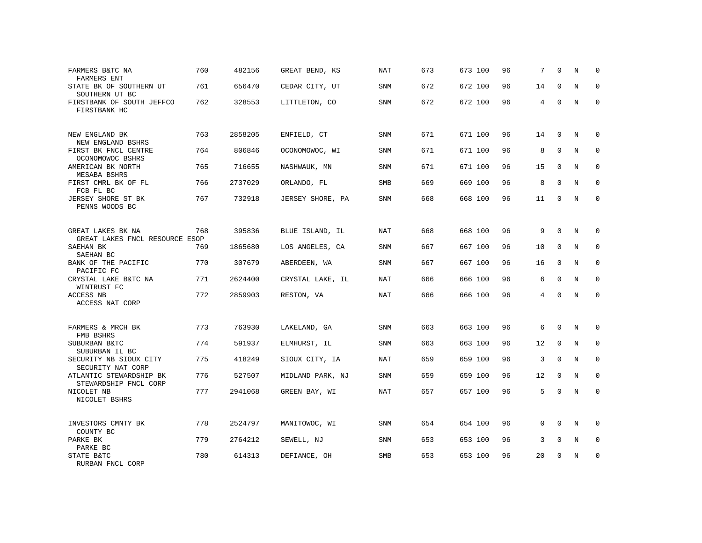| FARMERS B&TC NA<br>FARMERS ENT                                | 760 | 482156  | GREAT BEND, KS   | NAT        | 673 | 673 100 | 96 | 7           | $\mathbf 0$ | N           | $\Omega$    |
|---------------------------------------------------------------|-----|---------|------------------|------------|-----|---------|----|-------------|-------------|-------------|-------------|
| STATE BK OF SOUTHERN UT<br>SOUTHERN UT BC                     | 761 | 656470  | CEDAR CITY, UT   | SNM        | 672 | 672 100 | 96 | 14          | $\mathbf 0$ | N           | $\mathbf 0$ |
| FIRSTBANK OF SOUTH JEFFCO<br>FIRSTBANK HC                     | 762 | 328553  | LITTLETON, CO    | SNM        | 672 | 672 100 | 96 | 4           | $\mathbf 0$ | $\mathbf N$ | $\mathbf 0$ |
| NEW ENGLAND BK                                                | 763 | 2858205 | ENFIELD, CT      | <b>SNM</b> | 671 | 671 100 | 96 | 14          | $\Omega$    | N           | $\Omega$    |
| NEW ENGLAND BSHRS<br>FIRST BK FNCL CENTRE<br>OCONOMOWOC BSHRS | 764 | 806846  | OCONOMOWOC, WI   | <b>SNM</b> | 671 | 671 100 | 96 | 8           | $\mathbf 0$ | $\mathbf N$ | $\mathbf 0$ |
| AMERICAN BK NORTH<br>MESABA BSHRS                             | 765 | 716655  | NASHWAUK, MN     | <b>SNM</b> | 671 | 671 100 | 96 | 15          | $\mathbf 0$ | N           | $\mathbf 0$ |
| FIRST CMRL BK OF FL<br>FCB FL BC                              | 766 | 2737029 | ORLANDO, FL      | <b>SMB</b> | 669 | 669 100 | 96 | 8           | $\mathbf 0$ | N           | $\mathbf 0$ |
| JERSEY SHORE ST BK<br>PENNS WOODS BC                          | 767 | 732918  | JERSEY SHORE, PA | SNM        | 668 | 668 100 | 96 | 11          | 0           | N           | $\mathbf 0$ |
| GREAT LAKES BK NA<br>GREAT LAKES FNCL RESOURCE ESOP           | 768 | 395836  | BLUE ISLAND, IL  | <b>NAT</b> | 668 | 668 100 | 96 | 9           | $\mathbf 0$ | N           | $\mathbf 0$ |
| SAEHAN BK<br>SAEHAN BC                                        | 769 | 1865680 | LOS ANGELES, CA  | SNM        | 667 | 667 100 | 96 | 10          | 0           | $\mathbf N$ | $\mathbf 0$ |
| BANK OF THE PACIFIC<br>PACIFIC FC                             | 770 | 307679  | ABERDEEN, WA     | <b>SNM</b> | 667 | 667 100 | 96 | 16          | $\Omega$    | $\mathbf N$ | $\mathbf 0$ |
| CRYSTAL LAKE B&TC NA<br>WINTRUST FC                           | 771 | 2624400 | CRYSTAL LAKE, IL | NAT        | 666 | 666 100 | 96 | 6           | $\mathbf 0$ | $\mathbf N$ | $\mathbf 0$ |
| ACCESS NB<br>ACCESS NAT CORP                                  | 772 | 2859903 | RESTON, VA       | <b>NAT</b> | 666 | 666 100 | 96 | 4           | $\mathbf 0$ | N           | $\mathbf 0$ |
| FARMERS & MRCH BK<br>FMB BSHRS                                | 773 | 763930  | LAKELAND, GA     | SNM        | 663 | 663 100 | 96 | 6           | $\Omega$    | N           | $\mathbf 0$ |
| SUBURBAN B&TC<br>SUBURBAN IL BC                               | 774 | 591937  | ELMHURST, IL     | <b>SNM</b> | 663 | 663 100 | 96 | 12          | $\mathbf 0$ | N           | $\mathbf 0$ |
| SECURITY NB SIOUX CITY<br>SECURITY NAT CORP                   | 775 | 418249  | SIOUX CITY, IA   | <b>NAT</b> | 659 | 659 100 | 96 | 3           | $\mathbf 0$ | $\mathbf N$ | $\mathbf 0$ |
| ATLANTIC STEWARDSHIP BK<br>STEWARDSHIP FNCL CORP              | 776 | 527507  | MIDLAND PARK, NJ | <b>SNM</b> | 659 | 659 100 | 96 | 12          | $\mathbf 0$ | $_{\rm N}$  | $\Omega$    |
| NICOLET NB<br>NICOLET BSHRS                                   | 777 | 2941068 | GREEN BAY, WI    | <b>NAT</b> | 657 | 657 100 | 96 | 5           | $\mathbf 0$ | $\mathbf N$ | $\mathbf 0$ |
| INVESTORS CMNTY BK<br>COUNTY BC                               | 778 | 2524797 | MANITOWOC, WI    | SNM        | 654 | 654 100 | 96 | $\mathbf 0$ | $\Omega$    | N           | $\Omega$    |
| PARKE BK<br>PARKE BC                                          | 779 | 2764212 | SEWELL, NJ       | SNM        | 653 | 653 100 | 96 | 3           | 0           | N           | $\mathbf 0$ |
| STATE B&TC<br>RURBAN FNCL CORP                                | 780 | 614313  | DEFIANCE, OH     | <b>SMB</b> | 653 | 653 100 | 96 | 20          | $\Omega$    | N           | $\mathbf 0$ |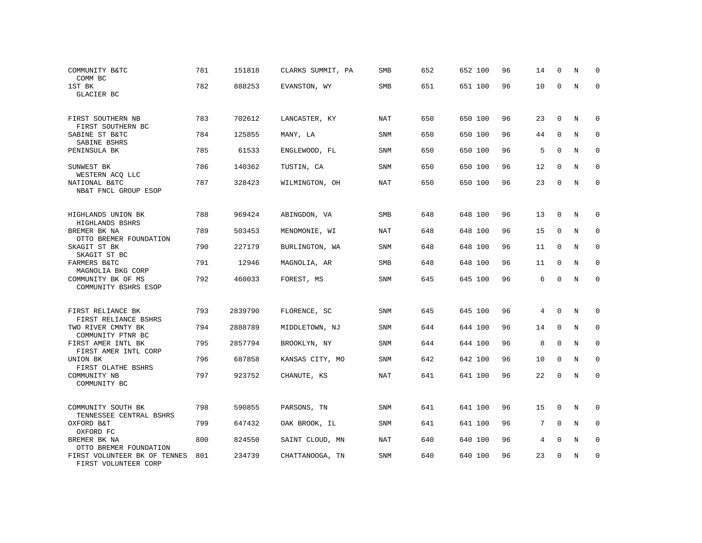| COMMUNITY B&TC<br>COMM BC                            | 781 | 151818  | CLARKS SUMMIT, PA | SMB        | 652 | 652 100 | 96 | 14 | $\Omega$     | N           | $\Omega$            |
|------------------------------------------------------|-----|---------|-------------------|------------|-----|---------|----|----|--------------|-------------|---------------------|
| 1ST BK<br>GLACIER BC                                 | 782 | 888253  | EVANSTON, WY      | SMB        | 651 | 651 100 | 96 | 10 | $\Omega$     | $\mathbf N$ | $\mathbf 0$         |
| FIRST SOUTHERN NB<br>FIRST SOUTHERN BC               | 783 | 702612  | LANCASTER, KY     | NAT        | 650 | 650 100 | 96 | 23 | $\mathbf 0$  | N           | $\mathbf 0$         |
| SABINE ST B&TC<br>SABINE BSHRS                       | 784 | 125855  | MANY, LA          | <b>SNM</b> | 650 | 650 100 | 96 | 44 | $\mathbf 0$  | N           | $\mathbf 0$         |
| PENINSULA BK                                         | 785 | 61533   | ENGLEWOOD, FL     | SNM        | 650 | 650 100 | 96 | 5  | $\mathbf 0$  | N           | $\mathbf 0$         |
| SUNWEST BK<br>WESTERN ACQ LLC                        | 786 | 140362  | TUSTIN, CA        | SNM        | 650 | 650 100 | 96 | 12 | $\mathbf 0$  | $\mathbf N$ | $\mathsf{O}\xspace$ |
| NATIONAL B&TC<br>NB&T FNCL GROUP ESOP                | 787 | 328423  | WILMINGTON, OH    | <b>NAT</b> | 650 | 650 100 | 96 | 23 | $\Omega$     | $\mathbf N$ | $\mathbf 0$         |
| HIGHLANDS UNION BK<br>HIGHLANDS BSHRS                | 788 | 969424  | ABINGDON, VA      | SMB        | 648 | 648 100 | 96 | 13 | $\mathbf{0}$ | N           | 0                   |
| BREMER BK NA<br>OTTO BREMER FOUNDATION               | 789 | 503453  | MENOMONIE, WI     | NAT        | 648 | 648 100 | 96 | 15 | $\mathbf 0$  | N           | 0                   |
| SKAGIT ST BK<br>SKAGIT ST BC                         | 790 | 227179  | BURLINGTON, WA    | SNM        | 648 | 648 100 | 96 | 11 | $\mathbf 0$  | $\mathbf N$ | 0                   |
| FARMERS B&TC<br>MAGNOLIA BKG CORP                    | 791 | 12946   | MAGNOLIA, AR      | <b>SMB</b> | 648 | 648 100 | 96 | 11 | $\mathbf 0$  | N           | $\mathbf 0$         |
| COMMUNITY BK OF MS<br>COMMUNITY BSHRS ESOP           | 792 | 460033  | FOREST, MS        | SNM        | 645 | 645 100 | 96 | 6  | $\Omega$     | $\mathbf N$ | 0                   |
| FIRST RELIANCE BK<br>FIRST RELIANCE BSHRS            | 793 | 2839790 | FLORENCE, SC      | SNM        | 645 | 645 100 | 96 | 4  | $\mathbf 0$  | N           | 0                   |
| TWO RIVER CMNTY BK<br>COMMUNITY PTNR BC              | 794 | 2888789 | MIDDLETOWN, NJ    | SNM        | 644 | 644 100 | 96 | 14 | $\mathbf 0$  | N           | 0                   |
| FIRST AMER INTL BK<br>FIRST AMER INTL CORP           | 795 | 2857794 | BROOKLYN, NY      | <b>SNM</b> | 644 | 644 100 | 96 | 8  | $\Omega$     | N           | $\mathbf 0$         |
| UNION BK<br>FIRST OLATHE BSHRS                       | 796 | 687858  | KANSAS CITY, MO   | SNM        | 642 | 642 100 | 96 | 10 | $\mathbf 0$  | N           | $\mathbf 0$         |
| COMMUNITY NB<br>COMMUNITY BC                         | 797 | 923752  | CHANUTE, KS       | <b>NAT</b> | 641 | 641 100 | 96 | 22 | $\Omega$     | N           | $\mathsf 0$         |
| COMMUNITY SOUTH BK<br>TENNESSEE CENTRAL BSHRS        | 798 | 590855  | PARSONS, TN       | SNM        | 641 | 641 100 | 96 | 15 | $\mathbf 0$  | N           | $\mathbf 0$         |
| OXFORD B&T<br>OXFORD FC                              | 799 | 647432  | OAK BROOK, IL     | <b>SNM</b> | 641 | 641 100 | 96 | 7  | $\Omega$     | N           | $\mathbf 0$         |
| BREMER BK NA<br>OTTO BREMER FOUNDATION               | 800 | 824550  | SAINT CLOUD, MN   | <b>NAT</b> | 640 | 640 100 | 96 | 4  | $\mathbf 0$  | N           | $\mathbf 0$         |
| FIRST VOLUNTEER BK OF TENNES<br>FIRST VOLUNTEER CORP | 801 | 234739  | CHATTANOOGA, TN   | SNM        | 640 | 640 100 | 96 | 23 | U            | N           | $\mathbf 0$         |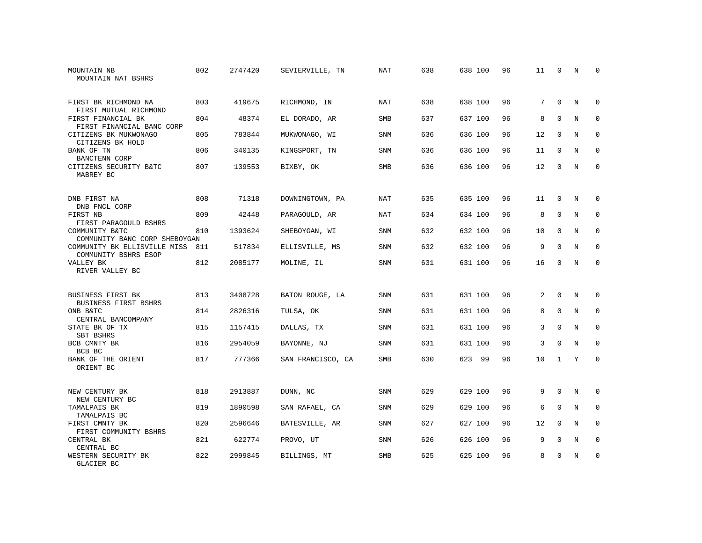| MOUNTAIN NB<br>MOUNTAIN NAT BSHRS                    | 802 | 2747420 | SEVIERVILLE, TN   | NAT        | 638 | 638 100 | 96 | 11 | $\Omega$     | N           | $\Omega$    |
|------------------------------------------------------|-----|---------|-------------------|------------|-----|---------|----|----|--------------|-------------|-------------|
| FIRST BK RICHMOND NA<br>FIRST MUTUAL RICHMOND        | 803 | 419675  | RICHMOND, IN      | <b>NAT</b> | 638 | 638 100 | 96 | 7  | $\mathbf 0$  | N           | $\mathbf 0$ |
| FIRST FINANCIAL BK<br>FIRST FINANCIAL BANC CORP      | 804 | 48374   | EL DORADO, AR     | <b>SMB</b> | 637 | 637 100 | 96 | 8  | $\Omega$     | N           | $\mathbf 0$ |
| CITIZENS BK MUKWONAGO<br>CITIZENS BK HOLD            | 805 | 783844  | MUKWONAGO, WI     | <b>SNM</b> | 636 | 636 100 | 96 | 12 | $\Omega$     | N           | $\Omega$    |
| BANK OF TN<br>BANCTENN CORP                          | 806 | 340135  | KINGSPORT, TN     | <b>SNM</b> | 636 | 636 100 | 96 | 11 | $\Omega$     | N           | $\mathbf 0$ |
| CITIZENS SECURITY B&TC<br>MABREY BC                  | 807 | 139553  | BIXBY, OK         | <b>SMB</b> | 636 | 636 100 | 96 | 12 | $\Omega$     | N           | $\Omega$    |
| DNB FIRST NA<br>DNB FNCL CORP                        | 808 | 71318   | DOWNINGTOWN, PA   | NAT        | 635 | 635 100 | 96 | 11 | $\Omega$     | N           | $\Omega$    |
| FIRST NB<br>FIRST PARAGOULD BSHRS                    | 809 | 42448   | PARAGOULD, AR     | NAT        | 634 | 634 100 | 96 | 8  | $\mathbf 0$  | N           | $\mathbf 0$ |
| COMMUNITY B&TC<br>COMMUNITY BANC CORP SHEBOYGAN      | 810 | 1393624 | SHEBOYGAN, WI     | <b>SNM</b> | 632 | 632 100 | 96 | 10 | $\Omega$     | N           | $\Omega$    |
| COMMUNITY BK ELLISVILLE MISS<br>COMMUNITY BSHRS ESOP | 811 | 517834  | ELLISVILLE, MS    | SNM        | 632 | 632 100 | 96 | 9  | $\mathbf 0$  | $\rm N$     | $\mathbf 0$ |
| VALLEY BK<br>RIVER VALLEY BC                         | 812 | 2085177 | MOLINE, IL        | <b>SNM</b> | 631 | 631 100 | 96 | 16 | $\mathbf 0$  | N           | $\mathbf 0$ |
| BUSINESS FIRST BK<br><b>BUSINESS FIRST BSHRS</b>     | 813 | 3408728 | BATON ROUGE, LA   | <b>SNM</b> | 631 | 631 100 | 96 | 2  | $\Omega$     | N           | 0           |
| ONB B&TC<br>CENTRAL BANCOMPANY                       | 814 | 2826316 | TULSA, OK         | <b>SNM</b> | 631 | 631 100 | 96 | 8  | $\mathbf 0$  | $\mathbf N$ | $\mathbf 0$ |
| STATE BK OF TX<br>SBT BSHRS                          | 815 | 1157415 | DALLAS, TX        | SNM        | 631 | 631 100 | 96 | 3  | $\mathbf 0$  | N           | 0           |
| BCB CMNTY BK<br>BCB BC                               | 816 | 2954059 | BAYONNE, NJ       | <b>SNM</b> | 631 | 631 100 | 96 | 3  | $\Omega$     | $_{\rm N}$  | $\mathbf 0$ |
| BANK OF THE ORIENT<br>ORIENT BC                      | 817 | 777366  | SAN FRANCISCO, CA | SMB        | 630 | 623 99  | 96 | 10 | $\mathbf{1}$ | Y           | $\mathbf 0$ |
| NEW CENTURY BK<br>NEW CENTURY BC                     | 818 | 2913887 | DUNN, NC          | SNM        | 629 | 629 100 | 96 | 9  | $\Omega$     | $_{\rm N}$  | $\Omega$    |
| TAMALPAIS BK<br>TAMALPAIS BC                         | 819 | 1890598 | SAN RAFAEL, CA    | SNM        | 629 | 629 100 | 96 | 6  | $\mathbf 0$  | N           | $\mathbf 0$ |
| FIRST CMNTY BK<br>FIRST COMMUNITY BSHRS              | 820 | 2596646 | BATESVILLE, AR    | <b>SNM</b> | 627 | 627 100 | 96 | 12 | $\mathbf 0$  | N           | $\mathbf 0$ |
| CENTRAL BK<br>CENTRAL BC                             | 821 | 622774  | PROVO, UT         | SNM        | 626 | 626 100 | 96 | 9  | 0            | N           | 0           |
| WESTERN SECURITY BK<br>GLACIER BC                    | 822 | 2999845 | BILLINGS, MT      | <b>SMB</b> | 625 | 625 100 | 96 | 8  | $\Omega$     | N           | $\mathbf 0$ |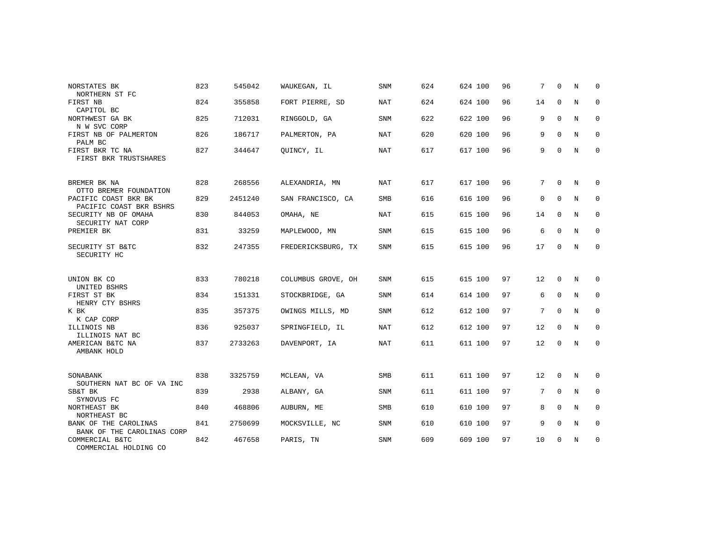| NORSTATES BK<br>NORTHERN ST FC                      | 823 | 545042  | WAUKEGAN, IL       | <b>SNM</b> | 624 | 624 100 | 96 | 7           | $\Omega$    | N | $\Omega$    |
|-----------------------------------------------------|-----|---------|--------------------|------------|-----|---------|----|-------------|-------------|---|-------------|
| FIRST NB<br>CAPITOL BC                              | 824 | 355858  | FORT PIERRE, SD    | <b>NAT</b> | 624 | 624 100 | 96 | 14          | $\mathbf 0$ | N | $\mathbf 0$ |
| NORTHWEST GA BK<br>N W SVC CORP                     | 825 | 712031  | RINGGOLD, GA       | <b>SNM</b> | 622 | 622 100 | 96 | 9           | $\mathbf 0$ | N | 0           |
| FIRST NB OF PALMERTON<br>PALM BC                    | 826 | 186717  | PALMERTON, PA      | NAT        | 620 | 620 100 | 96 | 9           | $\Omega$    | N | 0           |
| FIRST BKR TC NA<br>FIRST BKR TRUSTSHARES            | 827 | 344647  | OUINCY, IL         | <b>NAT</b> | 617 | 617 100 | 96 | 9           | $\mathbf 0$ | N | 0           |
| BREMER BK NA<br>OTTO BREMER FOUNDATION              | 828 | 268556  | ALEXANDRIA, MN     | <b>NAT</b> | 617 | 617 100 | 96 | 7           | $\Omega$    | N | $\Omega$    |
| PACIFIC COAST BKR BK<br>PACIFIC COAST BKR BSHRS     | 829 | 2451240 | SAN FRANCISCO, CA  | SMB        | 616 | 616 100 | 96 | $\mathbf 0$ | $\mathbf 0$ | N | 0           |
| SECURITY NB OF OMAHA<br>SECURITY NAT CORP           | 830 | 844053  | OMAHA, NE          | NAT        | 615 | 615 100 | 96 | 14          | 0           | N | 0           |
| PREMIER BK                                          | 831 | 33259   | MAPLEWOOD, MN      | SNM        | 615 | 615 100 | 96 | 6           | $\mathbf 0$ | N | $\mathbf 0$ |
| SECURITY ST B&TC<br>SECURITY HC                     | 832 | 247355  | FREDERICKSBURG, TX | SNM        | 615 | 615 100 | 96 | 17          | 0           | N | 0           |
| UNION BK CO<br>UNITED BSHRS                         | 833 | 780218  | COLUMBUS GROVE, OH | <b>SNM</b> | 615 | 615 100 | 97 | 12          | $\Omega$    | N | $\Omega$    |
| FIRST ST BK<br>HENRY CTY BSHRS                      | 834 | 151331  | STOCKBRIDGE, GA    | SNM        | 614 | 614 100 | 97 | 6           | $\mathbf 0$ | N | $\mathbf 0$ |
| K BK<br>K CAP CORP                                  | 835 | 357375  | OWINGS MILLS, MD   | <b>SNM</b> | 612 | 612 100 | 97 | 7           | $\mathbf 0$ | N | 0           |
| ILLINOIS NB<br>ILLINOIS NAT BC                      | 836 | 925037  | SPRINGFIELD, IL    | NAT        | 612 | 612 100 | 97 | 12          | $\mathbf 0$ | N | $\mathbf 0$ |
| AMERICAN B&TC NA<br>AMBANK HOLD                     | 837 | 2733263 | DAVENPORT, IA      | <b>NAT</b> | 611 | 611 100 | 97 | 12          | 0           | N | 0           |
| SONABANK<br>SOUTHERN NAT BC OF VA INC               | 838 | 3325759 | MCLEAN, VA         | <b>SMB</b> | 611 | 611 100 | 97 | 12          | 0           | N | 0           |
| SB&T BK<br>SYNOVUS FC                               | 839 | 2938    | ALBANY, GA         | SNM        | 611 | 611 100 | 97 | 7           | $\Omega$    | N | $\mathbf 0$ |
| NORTHEAST BK<br>NORTHEAST BC                        | 840 | 468806  | AUBURN, ME         | <b>SMB</b> | 610 | 610 100 | 97 | 8           | $\mathbf 0$ | N | 0           |
| BANK OF THE CAROLINAS<br>BANK OF THE CAROLINAS CORP | 841 | 2750699 | MOCKSVILLE, NC     | <b>SNM</b> | 610 | 610 100 | 97 | 9           | $\Omega$    | N | $\mathbf 0$ |
| COMMERCIAL B&TC<br>COMMERCIAL HOLDING CO            | 842 | 467658  | PARIS, TN          | <b>SNM</b> | 609 | 609 100 | 97 | 10          | $\mathbf 0$ | N | 0           |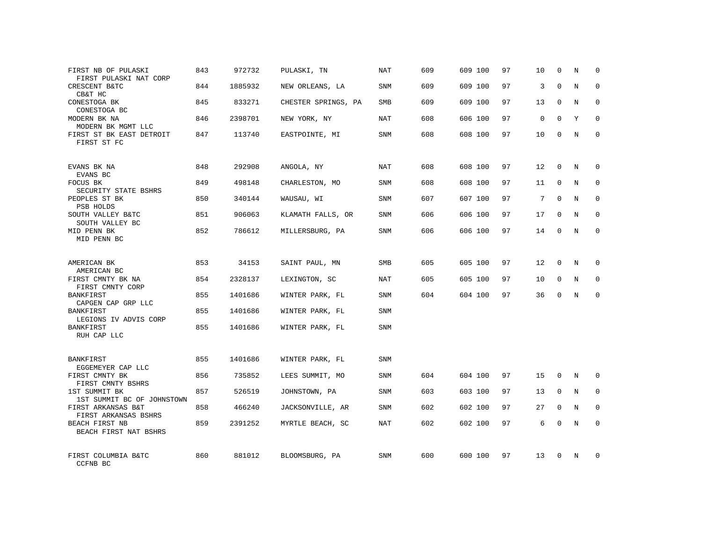| FIRST NB OF PULASKI<br>FIRST PULASKI NAT CORP | 843 | 972732  | PULASKI, TN         | <b>NAT</b> | 609 | 609 100 | 97 | 10          | $\mathbf 0$ | N           | 0           |
|-----------------------------------------------|-----|---------|---------------------|------------|-----|---------|----|-------------|-------------|-------------|-------------|
| CRESCENT B&TC<br>CB&T HC                      | 844 | 1885932 | NEW ORLEANS, LA     | SNM        | 609 | 609 100 | 97 | 3           | $\Omega$    | N           | $\Omega$    |
| CONESTOGA BK<br>CONESTOGA BC                  | 845 | 833271  | CHESTER SPRINGS, PA | <b>SMB</b> | 609 | 609 100 | 97 | 13          | $\Omega$    | N           | $\Omega$    |
| MODERN BK NA<br>MODERN BK MGMT LLC            | 846 | 2398701 | NEW YORK, NY        | NAT        | 608 | 606 100 | 97 | $\mathbf 0$ | $\mathbf 0$ | Y           | $\mathbf 0$ |
| FIRST ST BK EAST DETROIT<br>FIRST ST FC       | 847 | 113740  | EASTPOINTE, MI      | <b>SNM</b> | 608 | 608 100 | 97 | 10          | $\Omega$    | N           | $\Omega$    |
| EVANS BK NA<br>EVANS BC                       | 848 | 292908  | ANGOLA, NY          | NAT        | 608 | 608 100 | 97 | 12          | $\mathbf 0$ | N           | $\Omega$    |
| FOCUS BK<br>SECURITY STATE BSHRS              | 849 | 498148  | CHARLESTON, MO      | <b>SNM</b> | 608 | 608 100 | 97 | 11          | $\Omega$    | N           | $\Omega$    |
| PEOPLES ST BK<br>PSB HOLDS                    | 850 | 340144  | WAUSAU, WI          | <b>SNM</b> | 607 | 607 100 | 97 | 7           | $\Omega$    | N           | $\mathbf 0$ |
| SOUTH VALLEY B&TC<br>SOUTH VALLEY BC          | 851 | 906063  | KLAMATH FALLS, OR   | <b>SNM</b> | 606 | 606 100 | 97 | 17          | $\Omega$    | N           | $\mathbf 0$ |
| MID PENN BK<br>MID PENN BC                    | 852 | 786612  | MILLERSBURG, PA     | SNM        | 606 | 606 100 | 97 | 14          | 0           | N           | $\mathbf 0$ |
| AMERICAN BK<br>AMERICAN BC                    | 853 | 34153   | SAINT PAUL, MN      | <b>SMB</b> | 605 | 605 100 | 97 | 12          | $\Omega$    | N           | $\Omega$    |
| FIRST CMNTY BK NA<br>FIRST CMNTY CORP         | 854 | 2328137 | LEXINGTON, SC       | NAT        | 605 | 605 100 | 97 | 10          | 0           | N           | $\mathbf 0$ |
| <b>BANKFIRST</b><br>CAPGEN CAP GRP LLC        | 855 | 1401686 | WINTER PARK, FL     | SNM        | 604 | 604 100 | 97 | 36          | $\Omega$    | $\mathbf N$ | $\Omega$    |
| BANKFIRST<br>LEGIONS IV ADVIS CORP            | 855 | 1401686 | WINTER PARK, FL     | SNM        |     |         |    |             |             |             |             |
| BANKFIRST<br>RUH CAP LLC                      | 855 | 1401686 | WINTER PARK, FL     | SNM        |     |         |    |             |             |             |             |
| BANKFIRST<br>EGGEMEYER CAP LLC                | 855 | 1401686 | WINTER PARK, FL     | SNM        |     |         |    |             |             |             |             |
| FIRST CMNTY BK<br>FIRST CMNTY BSHRS           | 856 | 735852  | LEES SUMMIT, MO     | SNM        | 604 | 604 100 | 97 | 15          | $\mathbf 0$ | N           | 0           |
| 1ST SUMMIT BK<br>1ST SUMMIT BC OF JOHNSTOWN   | 857 | 526519  | JOHNSTOWN, PA       | SNM        | 603 | 603 100 | 97 | 13          | $\mathbf 0$ | N           | 0           |
| FIRST ARKANSAS B&T<br>FIRST ARKANSAS BSHRS    | 858 | 466240  | JACKSONVILLE, AR    | SNM        | 602 | 602 100 | 97 | 27          | $\mathbf 0$ | N           | $\mathbf 0$ |
| BEACH FIRST NB<br>BEACH FIRST NAT BSHRS       | 859 | 2391252 | MYRTLE BEACH, SC    | <b>NAT</b> | 602 | 602 100 | 97 | 6           | $\Omega$    | N           | $\Omega$    |
| FIRST COLUMBIA B&TC<br>CCFNB BC               | 860 | 881012  | BLOOMSBURG, PA      | SNM        | 600 | 600 100 | 97 | 13          | $\Omega$    | N           | $\Omega$    |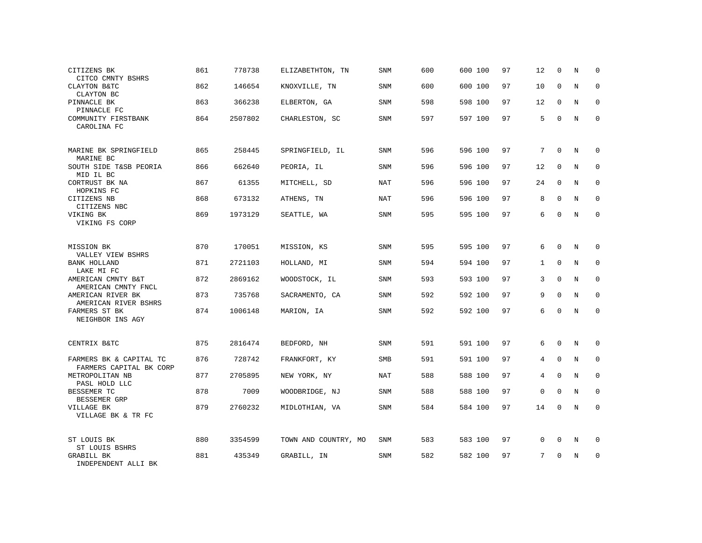| CITIZENS BK<br>CITCO CMNTY BSHRS                   | 861 | 778738  | ELIZABETHTON, TN     | SNM        | 600 | 600 100 | 97 | 12           | $\mathbf 0$ | N | 0           |
|----------------------------------------------------|-----|---------|----------------------|------------|-----|---------|----|--------------|-------------|---|-------------|
| CLAYTON B&TC<br>CLAYTON BC                         | 862 | 146654  | KNOXVILLE, TN        | SNM        | 600 | 600 100 | 97 | 10           | $\Omega$    | N | $\mathbf 0$ |
| PINNACLE BK<br>PINNACLE FC                         | 863 | 366238  | ELBERTON, GA         | SNM        | 598 | 598 100 | 97 | 12           | $\mathbf 0$ | N | 0           |
| COMMUNITY FIRSTBANK<br>CAROLINA FC                 | 864 | 2507802 | CHARLESTON, SC       | SNM        | 597 | 597 100 | 97 | 5            | $\Omega$    | N | $\mathbf 0$ |
| MARINE BK SPRINGFIELD<br>MARINE BC                 | 865 | 258445  | SPRINGFIELD, IL      | SNM        | 596 | 596 100 | 97 | 7            | $\Omega$    | N | $\Omega$    |
| SOUTH SIDE T&SB PEORIA<br>MID IL BC                | 866 | 662640  | PEORIA, IL           | SNM        | 596 | 596 100 | 97 | 12           | $\mathbf 0$ | N | $\mathbf 0$ |
| CORTRUST BK NA<br>HOPKINS FC                       | 867 | 61355   | MITCHELL, SD         | NAT        | 596 | 596 100 | 97 | 24           | $\mathbf 0$ | N | $\mathbf 0$ |
| CITIZENS NB<br>CITIZENS NBC                        | 868 | 673132  | ATHENS, TN           | <b>NAT</b> | 596 | 596 100 | 97 | 8            | $\mathbf 0$ | N | $\mathbf 0$ |
| VIKING BK<br>VIKING FS CORP                        | 869 | 1973129 | SEATTLE, WA          | SNM        | 595 | 595 100 | 97 | 6            | $\Omega$    | N | $\mathbf 0$ |
| MISSION BK<br>VALLEY VIEW BSHRS                    | 870 | 170051  | MISSION, KS          | SNM        | 595 | 595 100 | 97 | 6            | $\Omega$    | N | $\mathbf 0$ |
| BANK HOLLAND<br>LAKE MI FC                         | 871 | 2721103 | HOLLAND, MI          | <b>SNM</b> | 594 | 594 100 | 97 | $\mathbf{1}$ | $\Omega$    | N | $\Omega$    |
| AMERICAN CMNTY B&T<br>AMERICAN CMNTY FNCL          | 872 | 2869162 | WOODSTOCK, IL        | SNM        | 593 | 593 100 | 97 | 3            | $\mathbf 0$ | N | $\mathbf 0$ |
| AMERICAN RIVER BK<br>AMERICAN RIVER BSHRS          | 873 | 735768  | SACRAMENTO, CA       | <b>SNM</b> | 592 | 592 100 | 97 | 9            | $\Omega$    | N | $\Omega$    |
| FARMERS ST BK<br>NEIGHBOR INS AGY                  | 874 | 1006148 | MARION, IA           | SNM        | 592 | 592 100 | 97 | 6            | $\Omega$    | N | $\mathbf 0$ |
| CENTRIX B&TC                                       | 875 | 2816474 | BEDFORD, NH          | <b>SNM</b> | 591 | 591 100 | 97 | 6            | $\mathbf 0$ | N | 0           |
| FARMERS BK & CAPITAL TC<br>FARMERS CAPITAL BK CORP | 876 | 728742  | FRANKFORT, KY        | <b>SMB</b> | 591 | 591 100 | 97 | 4            | $\Omega$    | N | $\mathbf 0$ |
| METROPOLITAN NB<br>PASL HOLD LLC                   | 877 | 2705895 | NEW YORK, NY         | <b>NAT</b> | 588 | 588 100 | 97 | 4            | $\mathbf 0$ | N | 0           |
| BESSEMER TC<br>BESSEMER GRP                        | 878 | 7009    | WOODBRIDGE, NJ       | <b>SNM</b> | 588 | 588 100 | 97 | $\mathbf 0$  | $\Omega$    | N | $\mathbf 0$ |
| VILLAGE BK<br>VILLAGE BK & TR FC                   | 879 | 2760232 | MIDLOTHIAN, VA       | SNM        | 584 | 584 100 | 97 | 14           | 0           | N | $\mathbf 0$ |
| ST LOUIS BK<br>ST LOUIS BSHRS                      | 880 | 3354599 | TOWN AND COUNTRY, MO | SNM        | 583 | 583 100 | 97 | 0            | 0           | N | 0           |
| GRABILL BK<br>INDEPENDENT ALLI BK                  | 881 | 435349  | GRABILL, IN          | SNM        | 582 | 582 100 | 97 | 7            | $\Omega$    | N | $\mathbf 0$ |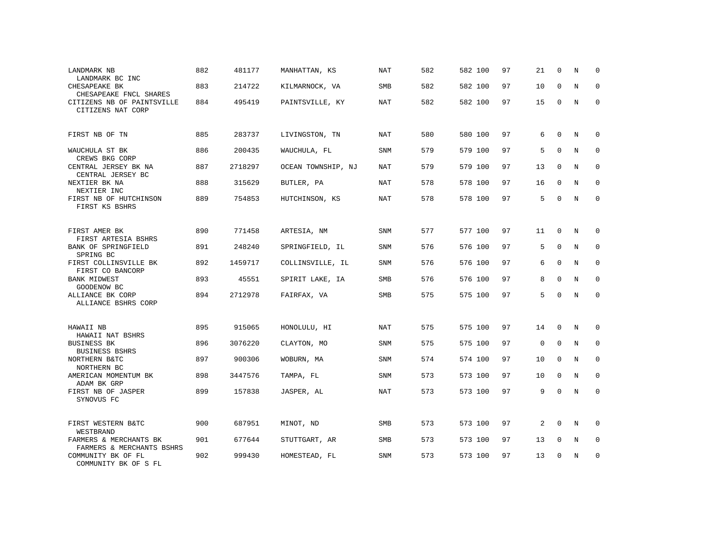| LANDMARK NB<br>LANDMARK BC INC                      | 882 | 481177  | MANHATTAN, KS      | NAT        | 582 | 582 100 | 97 | 21          | $\mathbf 0$ | N           | $\Omega$    |
|-----------------------------------------------------|-----|---------|--------------------|------------|-----|---------|----|-------------|-------------|-------------|-------------|
| CHESAPEAKE BK<br>CHESAPEAKE FNCL SHARES             | 883 | 214722  | KILMARNOCK, VA     | <b>SMB</b> | 582 | 582 100 | 97 | 10          | $\Omega$    | N           | $\mathbf 0$ |
| CITIZENS NB OF PAINTSVILLE<br>CITIZENS NAT CORP     | 884 | 495419  | PAINTSVILLE, KY    | NAT        | 582 | 582 100 | 97 | 15          | $\Omega$    | N           | $\Omega$    |
| FIRST NB OF TN                                      | 885 | 283737  | LIVINGSTON, TN     | NAT        | 580 | 580 100 | 97 | 6           | $\Omega$    | N           | $\Omega$    |
| WAUCHULA ST BK<br>CREWS BKG CORP                    | 886 | 200435  | WAUCHULA, FL       | <b>SNM</b> | 579 | 579 100 | 97 | 5           | $\mathbf 0$ | N           | $\mathbf 0$ |
| CENTRAL JERSEY BK NA<br>CENTRAL JERSEY BC           | 887 | 2718297 | OCEAN TOWNSHIP, NJ | <b>NAT</b> | 579 | 579 100 | 97 | 13          | $\mathbf 0$ | $\mathbf N$ | $\mathbf 0$ |
| NEXTIER BK NA<br>NEXTIER INC                        | 888 | 315629  | BUTLER, PA         | <b>NAT</b> | 578 | 578 100 | 97 | 16          | $\Omega$    | $_{\rm N}$  | $\mathbf 0$ |
| FIRST NB OF HUTCHINSON<br>FIRST KS BSHRS            | 889 | 754853  | HUTCHINSON, KS     | <b>NAT</b> | 578 | 578 100 | 97 | 5           | $\Omega$    | N           | $\Omega$    |
| FIRST AMER BK<br>FIRST ARTESIA BSHRS                | 890 | 771458  | ARTESIA, NM        | SNM        | 577 | 577 100 | 97 | 11          | 0           | N           | 0           |
| BANK OF SPRINGFIELD<br>SPRING BC                    | 891 | 248240  | SPRINGFIELD, IL    | SNM        | 576 | 576 100 | 97 | 5           | $\mathbf 0$ | $\mathbf N$ | 0           |
| FIRST COLLINSVILLE BK<br>FIRST CO BANCORP           | 892 | 1459717 | COLLINSVILLE, IL   | SNM        | 576 | 576 100 | 97 | 6           | $\Omega$    | N           | $\mathbf 0$ |
| <b>BANK MIDWEST</b><br>GOODENOW BC                  | 893 | 45551   | SPIRIT LAKE, IA    | <b>SMB</b> | 576 | 576 100 | 97 | 8           | $\Omega$    | N           | $\mathbf 0$ |
| ALLIANCE BK CORP<br>ALLIANCE BSHRS CORP             | 894 | 2712978 | FAIRFAX, VA        | <b>SMB</b> | 575 | 575 100 | 97 | 5           | $\mathbf 0$ | $\mathbf N$ | $\mathbf 0$ |
| HAWAII NB                                           | 895 | 915065  | HONOLULU, HI       | <b>NAT</b> | 575 | 575 100 | 97 | 14          | $\mathbf 0$ | N           | 0           |
| HAWAII NAT BSHRS<br><b>BUSINESS BK</b>              | 896 | 3076220 | CLAYTON, MO        | <b>SNM</b> | 575 | 575 100 | 97 | $\mathbf 0$ | $\Omega$    | N           | $\mathbf 0$ |
| BUSINESS BSHRS<br>NORTHERN B&TC<br>NORTHERN BC      | 897 | 900306  | WOBURN, MA         | SNM        | 574 | 574 100 | 97 | 10          | $\Omega$    | N           | $\Omega$    |
| AMERICAN MOMENTUM BK<br>ADAM BK GRP                 | 898 | 3447576 | TAMPA, FL          | <b>SNM</b> | 573 | 573 100 | 97 | 10          | 0           | N           | $\mathbf 0$ |
| FIRST NB OF JASPER<br>SYNOVUS FC                    | 899 | 157838  | JASPER, AL         | NAT        | 573 | 573 100 | 97 | 9           | $\Omega$    | N           | $\mathbf 0$ |
| FIRST WESTERN B&TC<br>WESTBRAND                     | 900 | 687951  | MINOT, ND          | SMB        | 573 | 573 100 | 97 | 2           | $\Omega$    | N           | $\Omega$    |
| FARMERS & MERCHANTS BK<br>FARMERS & MERCHANTS BSHRS | 901 | 677644  | STUTTGART, AR      | SMB        | 573 | 573 100 | 97 | 13          | 0           | N           | $\mathbf 0$ |
| COMMUNITY BK OF FL<br>COMMUNITY BK OF S FL          | 902 | 999430  | HOMESTEAD, FL      | SNM        | 573 | 573 100 | 97 | 13          | 0           | N           | $\mathbf 0$ |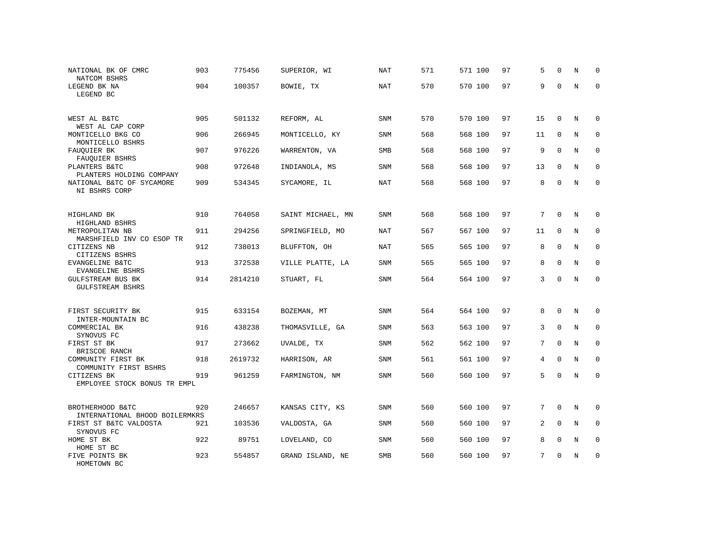| NATIONAL BK OF CMRC<br>NATCOM BSHRS                | 903 | 775456  | SUPERIOR, WI      | NAT        | 571 | 571 100 | 97 | 5              | $\Omega$    | N           | $\Omega$            |
|----------------------------------------------------|-----|---------|-------------------|------------|-----|---------|----|----------------|-------------|-------------|---------------------|
| LEGEND BK NA<br>LEGEND BC                          | 904 | 100357  | BOWIE, TX         | NAT        | 570 | 570 100 | 97 | 9              | $\Omega$    | $_{\rm N}$  | $\mathbf 0$         |
| WEST AL B&TC<br>WEST AL CAP CORP                   | 905 | 501132  | REFORM, AL        | SNM        | 570 | 570 100 | 97 | 15             | $\mathbf 0$ | $\mathbf N$ | $\mathbf 0$         |
| MONTICELLO BKG CO<br>MONTICELLO BSHRS              | 906 | 266945  | MONTICELLO, KY    | <b>SNM</b> | 568 | 568 100 | 97 | 11             | $\mathbf 0$ | N           | $\mathbf 0$         |
| FAUQUIER BK<br>FAUQUIER BSHRS                      | 907 | 976226  | WARRENTON, VA     | SMB        | 568 | 568 100 | 97 | 9              | $\mathbf 0$ | N           | $\mathbf 0$         |
| PLANTERS B&TC<br>PLANTERS HOLDING COMPANY          | 908 | 972648  | INDIANOLA, MS     | SNM        | 568 | 568 100 | 97 | 13             | $\mathbf 0$ | N           | $\mathbf 0$         |
| NATIONAL B&TC OF SYCAMORE<br>NI BSHRS CORP         | 909 | 534345  | SYCAMORE, IL      | NAT        | 568 | 568 100 | 97 | 8              | $\mathbf 0$ | $\mathbf N$ | $\mathbf 0$         |
| HIGHLAND BK<br>HIGHLAND BSHRS                      | 910 | 764058  | SAINT MICHAEL, MN | <b>SNM</b> | 568 | 568 100 | 97 | 7              | $\mathbf 0$ | N           | $\mathbf 0$         |
| METROPOLITAN NB<br>MARSHFIELD INV CO ESOP TR       | 911 | 294256  | SPRINGFIELD, MO   | NAT        | 567 | 567 100 | 97 | 11             | $\Omega$    | $_{\rm N}$  | $\mathbf 0$         |
| CITIZENS NB<br>CITIZENS BSHRS                      | 912 | 738013  | BLUFFTON, OH      | NAT        | 565 | 565 100 | 97 | 8              | $\mathbf 0$ | $\mathbf N$ | $\mathbf 0$         |
| EVANGELINE B&TC<br>EVANGELINE BSHRS                | 913 | 372538  | VILLE PLATTE, LA  | SNM        | 565 | 565 100 | 97 | 8              | $\mathbf 0$ | N           | $\mathbf 0$         |
| GULFSTREAM BUS BK<br>GULFSTREAM BSHRS              | 914 | 2814210 | STUART, FL        | SNM        | 564 | 564 100 | 97 | 3              | $\mathbf 0$ | $\mathbf N$ | $\mathsf{O}\xspace$ |
| FIRST SECURITY BK<br>INTER-MOUNTAIN BC             | 915 | 633154  | BOZEMAN, MT       | <b>SNM</b> | 564 | 564 100 | 97 | 8              | $\Omega$    | N           | $\mathbf 0$         |
| COMMERCIAL BK<br>SYNOVUS FC                        | 916 | 438238  | THOMASVILLE, GA   | <b>SNM</b> | 563 | 563 100 | 97 | 3              | $\Omega$    | $_{\rm N}$  | $\mathbf 0$         |
| FIRST ST BK<br>BRISCOE RANCH                       | 917 | 273662  | UVALDE, TX        | <b>SNM</b> | 562 | 562 100 | 97 | 7              | $\Omega$    | N           | $\mathbf 0$         |
| COMMUNITY FIRST BK<br>COMMUNITY FIRST BSHRS        | 918 | 2619732 | HARRISON, AR      | <b>SNM</b> | 561 | 561 100 | 97 | 4              | $\mathbf 0$ | N           | $\mathbf 0$         |
| CITIZENS BK<br>EMPLOYEE STOCK BONUS TR EMPL        | 919 | 961259  | FARMINGTON, NM    | SNM        | 560 | 560 100 | 97 | 5              | $\mathbf 0$ | $\mathbf N$ | $\mathbf 0$         |
| BROTHERHOOD B&TC<br>INTERNATIONAL BHOOD BOILERMKRS | 920 | 246657  | KANSAS CITY, KS   | <b>SNM</b> | 560 | 560 100 | 97 | 7              | $\Omega$    | N           | $\Omega$            |
| FIRST ST B&TC VALDOSTA<br>SYNOVUS FC               | 921 | 103536  | VALDOSTA, GA      | <b>SNM</b> | 560 | 560 100 | 97 | $\overline{2}$ | $\Omega$    | N           | $\mathbf 0$         |
| HOME ST BK<br>HOME ST BC                           | 922 | 89751   | LOVELAND, CO      | SNM        | 560 | 560 100 | 97 | 8              | $\Omega$    | N           | $\mathbf 0$         |
| FIVE POINTS BK<br>HOMETOWN BC                      | 923 | 554857  | GRAND ISLAND, NE  | <b>SMB</b> | 560 | 560 100 | 97 | 7              | $\Omega$    | N           | $\mathbf 0$         |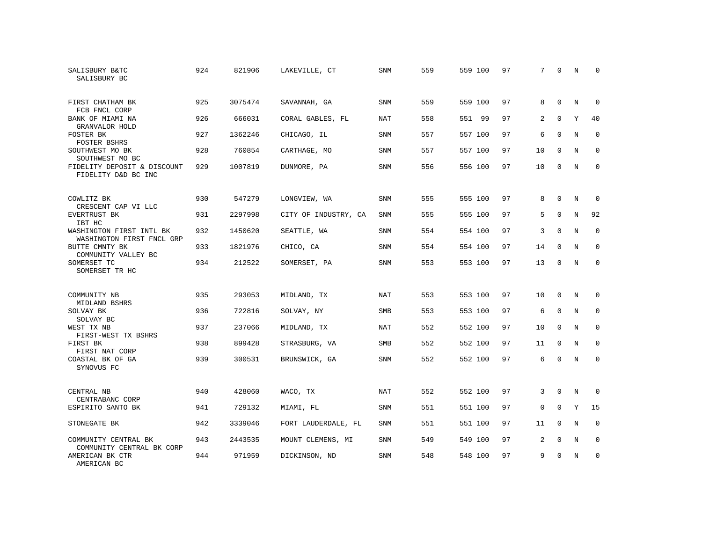| SALISBURY B&TC<br>SALISBURY BC                        | 924 | 821906  | LAKEVILLE, CT        | <b>SNM</b> | 559 | 559 100 | 97 | 7           | 0           | N           | $\Omega$    |
|-------------------------------------------------------|-----|---------|----------------------|------------|-----|---------|----|-------------|-------------|-------------|-------------|
| FIRST CHATHAM BK<br>FCB FNCL CORP                     | 925 | 3075474 | SAVANNAH, GA         | <b>SNM</b> | 559 | 559 100 | 97 | 8           | $\Omega$    | N           | $\Omega$    |
| BANK OF MIAMI NA<br>GRANVALOR HOLD                    | 926 | 666031  | CORAL GABLES, FL     | NAT        | 558 | 551 99  | 97 | 2           | $\mathbf 0$ | Y           | 40          |
| FOSTER BK<br>FOSTER BSHRS                             | 927 | 1362246 | CHICAGO, IL          | <b>SNM</b> | 557 | 557 100 | 97 | 6           | $\Omega$    | N           | $\Omega$    |
| SOUTHWEST MO BK<br>SOUTHWEST MO BC                    | 928 | 760854  | CARTHAGE, MO         | SNM        | 557 | 557 100 | 97 | 10          | $\mathbf 0$ | N           | $\mathbf 0$ |
| FIDELITY DEPOSIT & DISCOUNT<br>FIDELITY D&D BC INC    | 929 | 1007819 | DUNMORE, PA          | <b>SNM</b> | 556 | 556 100 | 97 | 10          | $\Omega$    | N           | $\mathbf 0$ |
| COWLITZ BK<br>CRESCENT CAP VI LLC                     | 930 | 547279  | LONGVIEW, WA         | <b>SNM</b> | 555 | 555 100 | 97 | 8           | $\Omega$    | N           | $\mathbf 0$ |
| EVERTRUST BK<br>IBT HC                                | 931 | 2297998 | CITY OF INDUSTRY, CA | <b>SNM</b> | 555 | 555 100 | 97 | 5           | $\Omega$    | $\mathbf N$ | 92          |
| WASHINGTON FIRST INTL BK<br>WASHINGTON FIRST FNCL GRP | 932 | 1450620 | SEATTLE, WA          | <b>SNM</b> | 554 | 554 100 | 97 | 3           | $\Omega$    | N           | $\mathbf 0$ |
| BUTTE CMNTY BK<br>COMMUNITY VALLEY BC                 | 933 | 1821976 | CHICO, CA            | <b>SNM</b> | 554 | 554 100 | 97 | 14          | $\Omega$    | $_{\rm N}$  | $\mathbf 0$ |
| SOMERSET TC<br>SOMERSET TR HC                         | 934 | 212522  | SOMERSET, PA         | SNM        | 553 | 553 100 | 97 | 13          | $\Omega$    | N           | $\Omega$    |
| COMMUNITY NB<br>MIDLAND BSHRS                         | 935 | 293053  | MIDLAND, TX          | <b>NAT</b> | 553 | 553 100 | 97 | 10          | $\Omega$    | N           | $\Omega$    |
| SOLVAY BK<br>SOLVAY BC                                | 936 | 722816  | SOLVAY, NY           | SMB        | 553 | 553 100 | 97 | 6           | $\mathbf 0$ | N           | 0           |
| WEST TX NB<br>FIRST-WEST TX BSHRS                     | 937 | 237066  | MIDLAND, TX          | <b>NAT</b> | 552 | 552 100 | 97 | 10          | $\mathbf 0$ | N           | $\mathbf 0$ |
| FIRST BK<br>FIRST NAT CORP                            | 938 | 899428  | STRASBURG, VA        | <b>SMB</b> | 552 | 552 100 | 97 | 11          | $\Omega$    | $_{\rm N}$  | $\Omega$    |
| COASTAL BK OF GA<br>SYNOVUS FC                        | 939 | 300531  | BRUNSWICK, GA        | <b>SNM</b> | 552 | 552 100 | 97 | 6           | $\mathbf 0$ | N           | $\mathbf 0$ |
| CENTRAL NB<br>CENTRABANC CORP                         | 940 | 428060  | WACO, TX             | <b>NAT</b> | 552 | 552 100 | 97 | 3           | 0           | N           | $\mathbf 0$ |
| ESPIRITO SANTO BK                                     | 941 | 729132  | MIAMI, FL            | SNM        | 551 | 551 100 | 97 | $\mathbf 0$ | $\mathbf 0$ | Y           | 15          |
| STONEGATE BK                                          | 942 | 3339046 | FORT LAUDERDALE, FL  | <b>SNM</b> | 551 | 551 100 | 97 | 11          | $\Omega$    | N           | $\mathbf 0$ |
| COMMUNITY CENTRAL BK<br>COMMUNITY CENTRAL BK CORP     | 943 | 2443535 | MOUNT CLEMENS, MI    | <b>SNM</b> | 549 | 549 100 | 97 | 2           | $\mathbf 0$ | N           | $\mathbf 0$ |
| AMERICAN BK CTR<br>AMERICAN BC                        | 944 | 971959  | DICKINSON, ND        | <b>SNM</b> | 548 | 548 100 | 97 | 9           | $\Omega$    | N           | $\mathbf 0$ |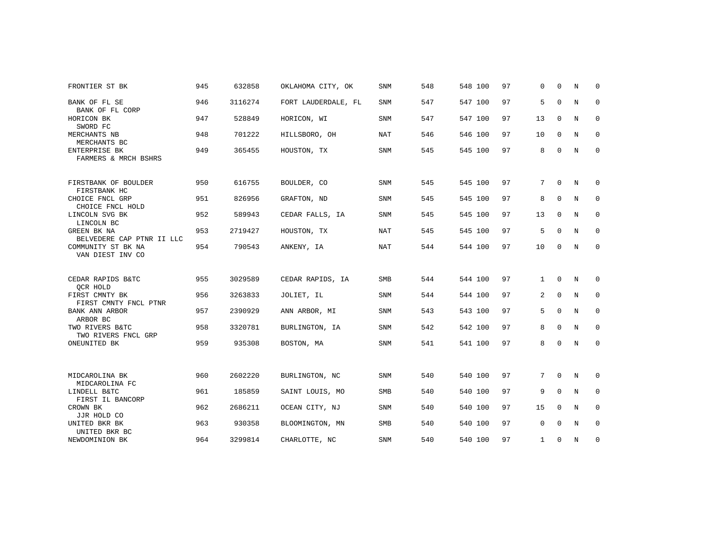| FRONTIER ST BK                                                      | 945 | 632858  | OKLAHOMA CITY, OK   | <b>SNM</b> | 548 | 548 100 | 97 | $\Omega$     | $\Omega$    | N           | 0           |
|---------------------------------------------------------------------|-----|---------|---------------------|------------|-----|---------|----|--------------|-------------|-------------|-------------|
| BANK OF FL SE<br>BANK OF FL CORP                                    | 946 | 3116274 | FORT LAUDERDALE, FL | <b>SNM</b> | 547 | 547 100 | 97 | 5            | $\mathbf 0$ | N           | 0           |
| HORICON BK<br>SWORD FC                                              | 947 | 528849  | HORICON, WI         | <b>SNM</b> | 547 | 547 100 | 97 | 13           | $\Omega$    | N           | $\mathbf 0$ |
| MERCHANTS NB<br>MERCHANTS BC                                        | 948 | 701222  | HILLSBORO, OH       | <b>NAT</b> | 546 | 546 100 | 97 | 10           | $\mathbf 0$ | N           | $\mathbf 0$ |
| ENTERPRISE BK<br>FARMERS & MRCH BSHRS                               | 949 | 365455  | HOUSTON, TX         | <b>SNM</b> | 545 | 545 100 | 97 | 8            | $\mathbf 0$ | N           | $\mathbf 0$ |
| FIRSTBANK OF BOULDER<br>FIRSTBANK HC                                | 950 | 616755  | BOULDER, CO         | <b>SNM</b> | 545 | 545 100 | 97 | 7            | $\mathbf 0$ | N           | 0           |
| CHOICE FNCL GRP<br>CHOICE FNCL HOLD                                 | 951 | 826956  | GRAFTON, ND         | <b>SNM</b> | 545 | 545 100 | 97 | 8            | $\mathbf 0$ | N           | 0           |
| LINCOLN SVG BK<br>LINCOLN BC                                        | 952 | 589943  | CEDAR FALLS, IA     | SNM        | 545 | 545 100 | 97 | 13           | 0           | N           | 0           |
| GREEN BK NA                                                         | 953 | 2719427 | HOUSTON, TX         | NAT        | 545 | 545 100 | 97 | 5            | $\Omega$    | N           | 0           |
| BELVEDERE CAP PTNR II LLC<br>COMMUNITY ST BK NA<br>VAN DIEST INV CO | 954 | 790543  | ANKENY, IA          | <b>NAT</b> | 544 | 544 100 | 97 | 10           | 0           | $\mathbf N$ | $\mathbf 0$ |
| CEDAR RAPIDS B&TC                                                   | 955 | 3029589 | CEDAR RAPIDS, IA    | SMB        | 544 | 544 100 | 97 | 1            | $\Omega$    | N           | 0           |
| OCR HOLD<br>FIRST CMNTY BK                                          | 956 | 3263833 | JOLIET, IL          | SNM        | 544 | 544 100 | 97 | 2            | 0           | N           | 0           |
| FIRST CMNTY FNCL PTNR<br>BANK ANN ARBOR<br>ARBOR BC                 | 957 | 2390929 | ANN ARBOR, MI       | <b>SNM</b> | 543 | 543 100 | 97 | 5            | 0           | N           | 0           |
| TWO RIVERS B&TC<br>TWO RIVERS FNCL GRP                              | 958 | 3320781 | BURLINGTON, IA      | <b>SNM</b> | 542 | 542 100 | 97 | 8            | $\Omega$    | N           | $\mathbf 0$ |
| ONEUNITED BK                                                        | 959 | 935308  | BOSTON, MA          | SNM        | 541 | 541 100 | 97 | 8            | 0           | N           | $\mathbf 0$ |
|                                                                     |     |         |                     |            |     |         |    |              |             |             |             |
| MIDCAROLINA BK<br>MIDCAROLINA FC                                    | 960 | 2602220 | BURLINGTON, NC      | SNM        | 540 | 540 100 | 97 | 7            | $\mathbf 0$ | N           | 0           |
| LINDELL B&TC<br>FIRST IL BANCORP                                    | 961 | 185859  | SAINT LOUIS, MO     | <b>SMB</b> | 540 | 540 100 | 97 | 9            | $\Omega$    | N           | 0           |
| CROWN BK<br>JJR HOLD CO                                             | 962 | 2686211 | OCEAN CITY, NJ      | <b>SNM</b> | 540 | 540 100 | 97 | 15           | $\mathbf 0$ | N           | $\mathbf 0$ |
| UNITED BKR BK<br>UNITED BKR BC                                      | 963 | 930358  | BLOOMINGTON, MN     | SMB        | 540 | 540 100 | 97 | $\mathbf 0$  | $\mathbf 0$ | N           | 0           |
| NEWDOMINION BK                                                      | 964 | 3299814 | CHARLOTTE, NC       | <b>SNM</b> | 540 | 540 100 | 97 | $\mathbf{1}$ | $\Omega$    | N           | 0           |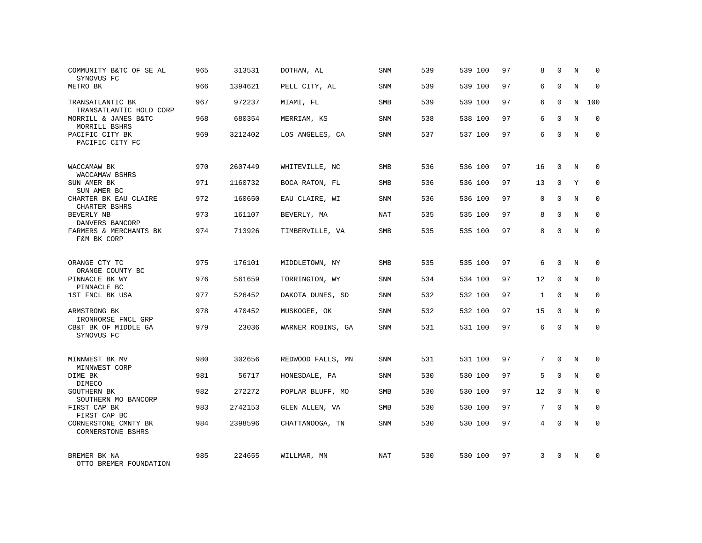| COMMUNITY B&TC OF SE AL<br>SYNOVUS FC            | 965 | 313531  | DOTHAN, AL        | SNM        | 539 | 539 100 | 97 | 8              | $\Omega$    | N           | $\Omega$    |
|--------------------------------------------------|-----|---------|-------------------|------------|-----|---------|----|----------------|-------------|-------------|-------------|
| METRO BK                                         | 966 | 1394621 | PELL CITY, AL     | SNM        | 539 | 539 100 | 97 | 6              | $\Omega$    | $\mathbf N$ | $\Omega$    |
| TRANSATLANTIC BK<br>TRANSATLANTIC HOLD CORP      | 967 | 972237  | MIAMI, FL         | SMB        | 539 | 539 100 | 97 | 6              | $\Omega$    | N           | 100         |
| MORRILL & JANES B&TC<br>MORRILL BSHRS            | 968 | 680354  | MERRIAM, KS       | SNM        | 538 | 538 100 | 97 | 6              | $\Omega$    | N           | $\Omega$    |
| PACIFIC CITY BK<br>PACIFIC CITY FC               | 969 | 3212402 | LOS ANGELES, CA   | SNM        | 537 | 537 100 | 97 | 6              | $\Omega$    | N           | 0           |
| WACCAMAW BK<br>WACCAMAW BSHRS                    | 970 | 2607449 | WHITEVILLE, NC    | SMB        | 536 | 536 100 | 97 | 16             | $\Omega$    | N           | $\Omega$    |
| SUN AMER BK<br>SUN AMER BC                       | 971 | 1160732 | BOCA RATON, FL    | <b>SMB</b> | 536 | 536 100 | 97 | 13             | $\Omega$    | Y           | $\Omega$    |
| CHARTER BK EAU CLAIRE<br>CHARTER BSHRS           | 972 | 160650  | EAU CLAIRE, WI    | SNM        | 536 | 536 100 | 97 | $\Omega$       | $\Omega$    | N           | $\mathbf 0$ |
| BEVERLY NB<br>DANVERS BANCORP                    | 973 | 161107  | BEVERLY, MA       | <b>NAT</b> | 535 | 535 100 | 97 | 8              | $\Omega$    | N           | $\mathbf 0$ |
| FARMERS & MERCHANTS BK<br>F&M BK CORP            | 974 | 713926  | TIMBERVILLE, VA   | SMB        | 535 | 535 100 | 97 | 8              | $\Omega$    | N           | $\mathbf 0$ |
| ORANGE CTY TC<br>ORANGE COUNTY BC                | 975 | 176101  | MIDDLETOWN, NY    | <b>SMB</b> | 535 | 535 100 | 97 | 6              | $\Omega$    | N           | $\Omega$    |
| PINNACLE BK WY<br>PINNACLE BC                    | 976 | 561659  | TORRINGTON, WY    | SNM        | 534 | 534 100 | 97 | 12             | $\Omega$    | N           | $\mathbf 0$ |
| 1ST FNCL BK USA                                  | 977 | 526452  | DAKOTA DUNES, SD  | <b>SNM</b> | 532 | 532 100 | 97 | $\mathbf{1}$   | $\Omega$    | N           | $\Omega$    |
| ARMSTRONG BK<br>IRONHORSE FNCL GRP               | 978 | 470452  | MUSKOGEE, OK      | <b>SNM</b> | 532 | 532 100 | 97 | 15             | $\mathbf 0$ | N           | $\mathbf 0$ |
| CB&T BK OF MIDDLE GA<br>SYNOVUS FC               | 979 | 23036   | WARNER ROBINS, GA | <b>SNM</b> | 531 | 531 100 | 97 | 6              | $\Omega$    | $_{\rm N}$  | $\Omega$    |
| MINNWEST BK MV<br>MINNWEST CORP                  | 980 | 302656  | REDWOOD FALLS, MN | <b>SNM</b> | 531 | 531 100 | 97 | 7              | $\Omega$    | N           | $\Omega$    |
| DIME BK<br>DIMECO                                | 981 | 56717   | HONESDALE, PA     | SNM        | 530 | 530 100 | 97 | 5              | $\mathbf 0$ | N           | $\mathbf 0$ |
| SOUTHERN BK<br>SOUTHERN MO BANCORP               | 982 | 272272  | POPLAR BLUFF, MO  | <b>SMB</b> | 530 | 530 100 | 97 | 12             | $\Omega$    | N           | $\Omega$    |
| FIRST CAP BK<br>FIRST CAP BC                     | 983 | 2742153 | GLEN ALLEN, VA    | SMB        | 530 | 530 100 | 97 | 7              | $\mathbf 0$ | N           | $\mathbf 0$ |
| CORNERSTONE CMNTY BK<br><b>CORNERSTONE BSHRS</b> | 984 | 2398596 | CHATTANOOGA, TN   | <b>SNM</b> | 530 | 530 100 | 97 | $\overline{4}$ | $\Omega$    | N           | $\Omega$    |
| BREMER BK NA<br>OTTO BREMER FOUNDATION           | 985 | 224655  | WILLMAR, MN       | <b>NAT</b> | 530 | 530 100 | 97 | 3              | $\Omega$    | N           | $\Omega$    |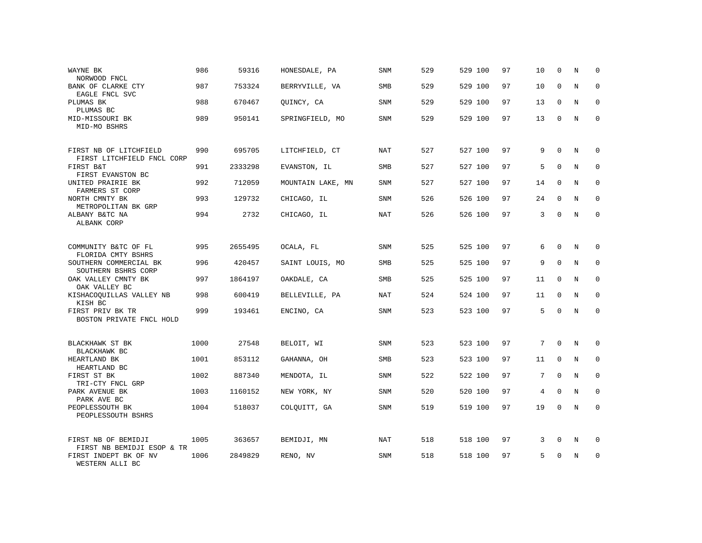| WAYNE BK<br>NORWOOD FNCL                             | 986  | 59316   | HONESDALE, PA     | SNM | 529 | 529 100 | 97 | 10              | $\Omega$     | N           | $\Omega$    |
|------------------------------------------------------|------|---------|-------------------|-----|-----|---------|----|-----------------|--------------|-------------|-------------|
| BANK OF CLARKE CTY<br>EAGLE FNCL SVC                 | 987  | 753324  | BERRYVILLE, VA    | SMB | 529 | 529 100 | 97 | 10              | $\Omega$     | N           | 0           |
| PLUMAS BK<br>PLUMAS BC                               | 988  | 670467  | QUINCY, CA        | SNM | 529 | 529 100 | 97 | 13              | $\Omega$     | N           | $\mathbf 0$ |
| MID-MISSOURI BK<br>MID-MO BSHRS                      | 989  | 950141  | SPRINGFIELD, MO   | SNM | 529 | 529 100 | 97 | 13              | $\mathbf 0$  | N           | $\mathbf 0$ |
| FIRST NB OF LITCHFIELD<br>FIRST LITCHFIELD FNCL CORP | 990  | 695705  | LITCHFIELD, CT    | NAT | 527 | 527 100 | 97 | 9               | $\mathbf 0$  | N           | $\mathbf 0$ |
| FIRST B&T<br>FIRST EVANSTON BC                       | 991  | 2333298 | EVANSTON, IL      | SMB | 527 | 527 100 | 97 | 5               | $\mathbf 0$  | N           | $\mathbf 0$ |
| UNITED PRAIRIE BK<br>FARMERS ST CORP                 | 992  | 712059  | MOUNTAIN LAKE, MN | SNM | 527 | 527 100 | 97 | 14              | $\mathbf 0$  | N           | $\mathbf 0$ |
| NORTH CMNTY BK<br>METROPOLITAN BK GRP                | 993  | 129732  | CHICAGO, IL       | SNM | 526 | 526 100 | 97 | 24              | $\mathsf 0$  | N           | $\mathbf 0$ |
| ALBANY B&TC NA<br>ALBANK CORP                        | 994  | 2732    | CHICAGO, IL       | NAT | 526 | 526 100 | 97 | $\overline{3}$  | $\mathsf{O}$ | N           | $\mathsf 0$ |
| COMMUNITY B&TC OF FL<br>FLORIDA CMTY BSHRS           | 995  | 2655495 | OCALA, FL         | SNM | 525 | 525 100 | 97 | 6               | $\mathbf 0$  | N           | $\mathbf 0$ |
| SOUTHERN COMMERCIAL BK<br>SOUTHERN BSHRS CORP        | 996  | 420457  | SAINT LOUIS, MO   | SMB | 525 | 525 100 | 97 | 9               | $\Omega$     | N           | $\mathbf 0$ |
| OAK VALLEY CMNTY BK<br>OAK VALLEY BC                 | 997  | 1864197 | OAKDALE, CA       | SMB | 525 | 525 100 | 97 | 11              | $\mathbf 0$  | N           | $\mathbf 0$ |
| KISHACOQUILLAS VALLEY NB<br>KISH BC                  | 998  | 600419  | BELLEVILLE, PA    | NAT | 524 | 524 100 | 97 | 11              | $\Omega$     | N           | $\Omega$    |
| FIRST PRIV BK TR<br>BOSTON PRIVATE FNCL HOLD         | 999  | 193461  | ENCINO, CA        | SNM | 523 | 523 100 | 97 | 5               | $\Omega$     | N           | $\mathbf 0$ |
| BLACKHAWK ST BK<br>BLACKHAWK BC                      | 1000 | 27548   | BELOIT, WI        | SNM | 523 | 523 100 | 97 | $7\overline{ }$ | $\Omega$     | N           | $\mathbf 0$ |
| HEARTLAND BK<br>HEARTLAND BC                         | 1001 | 853112  | GAHANNA, OH       | SMB | 523 | 523 100 | 97 | 11              | $\mathbf 0$  | N           | $\mathbf 0$ |
| FIRST ST BK<br>TRI-CTY FNCL GRP                      | 1002 | 887340  | MENDOTA, IL       | SNM | 522 | 522 100 | 97 | 7               | $\Omega$     | N           | $\mathbf 0$ |
| PARK AVENUE BK<br>PARK AVE BC                        | 1003 | 1160152 | NEW YORK, NY      | SNM | 520 | 520 100 | 97 | 4               | $\mathbf 0$  | N           | $\mathbf 0$ |
| PEOPLESSOUTH BK<br>PEOPLESSOUTH BSHRS                | 1004 | 518037  | COLQUITT, GA      | SNM | 519 | 519 100 | 97 | 19              | $\mathbf 0$  | N           | $\mathbf 0$ |
| FIRST NB OF BEMIDJI<br>FIRST NB BEMIDJI ESOP & TR    | 1005 | 363657  | BEMIDJI, MN       | NAT | 518 | 518 100 | 97 | 3               | $\Omega$     | N           | $\Omega$    |
| FIRST INDEPT BK OF NV<br>WESTERN ALLI BC             | 1006 | 2849829 | RENO, NV          | SNM | 518 | 518 100 | 97 | 5               | $\Omega$     | $\mathbf N$ | $\mathbf 0$ |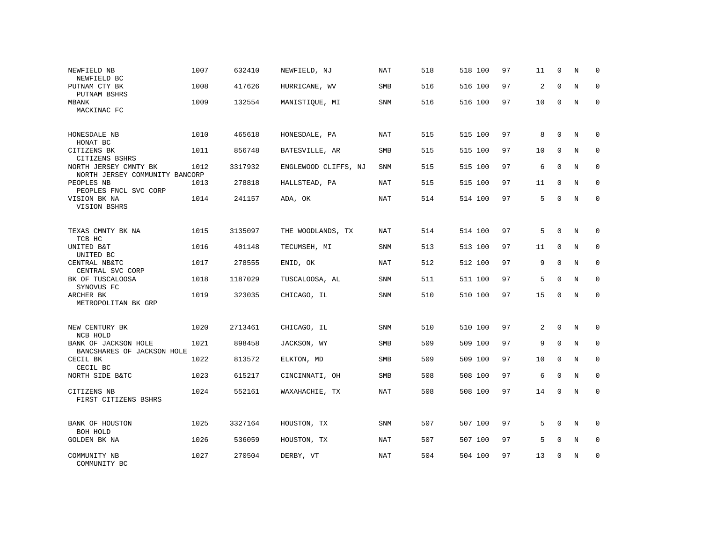| NEWFIELD NB<br>NEWFIELD BC                              | 1007 | 632410  | NEWFIELD, NJ         | NAT        | 518 | 518 100 | 97 | 11 | 0            | N           | 0           |
|---------------------------------------------------------|------|---------|----------------------|------------|-----|---------|----|----|--------------|-------------|-------------|
| PUTNAM CTY BK<br>PUTNAM BSHRS                           | 1008 | 417626  | HURRICANE, WV        | SMB        | 516 | 516 100 | 97 | 2  | $\Omega$     | N           | 0           |
| MBANK<br>MACKINAC FC                                    | 1009 | 132554  | MANISTIQUE, MI       | SNM        | 516 | 516 100 | 97 | 10 | $\mathbf 0$  | N           | $\mathbf 0$ |
| HONESDALE NB<br>HONAT BC                                | 1010 | 465618  | HONESDALE, PA        | <b>NAT</b> | 515 | 515 100 | 97 | 8  | $\Omega$     | N           | $\Omega$    |
| CITIZENS BK<br>CITIZENS BSHRS                           | 1011 | 856748  | BATESVILLE, AR       | <b>SMB</b> | 515 | 515 100 | 97 | 10 | $\mathbf 0$  | N           | $\mathbf 0$ |
| NORTH JERSEY CMNTY BK<br>NORTH JERSEY COMMUNITY BANCORP | 1012 | 3317932 | ENGLEWOOD CLIFFS, NJ | <b>SNM</b> | 515 | 515 100 | 97 | 6  | $\mathbf 0$  | N           | $\mathbf 0$ |
| PEOPLES NB<br>PEOPLES FNCL SVC CORP                     | 1013 | 278818  | HALLSTEAD, PA        | <b>NAT</b> | 515 | 515 100 | 97 | 11 | $\mathbf 0$  | N           | $\mathbf 0$ |
| VISION BK NA<br>VISION BSHRS                            | 1014 | 241157  | ADA, OK              | NAT        | 514 | 514 100 | 97 | 5  | $\mathbf 0$  | N           | $\mathbf 0$ |
| TEXAS CMNTY BK NA<br>TCB HC                             | 1015 | 3135097 | THE WOODLANDS, TX    | <b>NAT</b> | 514 | 514 100 | 97 | 5  | $\mathbf{0}$ | N           | 0           |
| UNITED B&T<br>UNITED BC                                 | 1016 | 401148  | TECUMSEH, MI         | SNM        | 513 | 513 100 | 97 | 11 | $\mathbf 0$  | N           | $\mathbf 0$ |
| CENTRAL NB&TC<br>CENTRAL SVC CORP                       | 1017 | 278555  | ENID, OK             | <b>NAT</b> | 512 | 512 100 | 97 | 9  | $\Omega$     | N           | $\mathbf 0$ |
| BK OF TUSCALOOSA<br>SYNOVUS FC                          | 1018 | 1187029 | TUSCALOOSA, AL       | <b>SNM</b> | 511 | 511 100 | 97 | 5  | $\mathbf 0$  | N           | $\mathbf 0$ |
| ARCHER BK<br>METROPOLITAN BK GRP                        | 1019 | 323035  | CHICAGO, IL          | <b>SNM</b> | 510 | 510 100 | 97 | 15 | 0            | N           | $\mathbf 0$ |
| NEW CENTURY BK<br>NCB HOLD                              | 1020 | 2713461 | CHICAGO, IL          | SNM        | 510 | 510 100 | 97 | 2  | $\mathbf 0$  | N           | 0           |
| BANK OF JACKSON HOLE<br>BANCSHARES OF JACKSON HOLE      | 1021 | 898458  | JACKSON, WY          | SMB        | 509 | 509 100 | 97 | 9  | $\mathbf 0$  | N           | 0           |
| CECIL BK<br>CECIL BC                                    | 1022 | 813572  | ELKTON, MD           | <b>SMB</b> | 509 | 509 100 | 97 | 10 | $\mathbf 0$  | $\mathbf N$ | 0           |
| NORTH SIDE B&TC                                         | 1023 | 615217  | CINCINNATI, OH       | <b>SMB</b> | 508 | 508 100 | 97 | 6  | $\Omega$     | N           | $\Omega$    |
| CITIZENS NB<br>FIRST CITIZENS BSHRS                     | 1024 | 552161  | WAXAHACHIE, TX       | <b>NAT</b> | 508 | 508 100 | 97 | 14 | $\Omega$     | N           | $\Omega$    |
| BANK OF HOUSTON<br>BOH HOLD                             | 1025 | 3327164 | HOUSTON, TX          | SNM        | 507 | 507 100 | 97 | 5  | $\Omega$     | N           | 0           |
| GOLDEN BK NA                                            | 1026 | 536059  | HOUSTON, TX          | NAT        | 507 | 507 100 | 97 | 5  | $\mathbf 0$  | N           | 0           |
| COMMUNITY NB<br>COMMUNITY BC                            | 1027 | 270504  | DERBY, VT            | NAT        | 504 | 504 100 | 97 | 13 | 0            | N           | $\mathbf 0$ |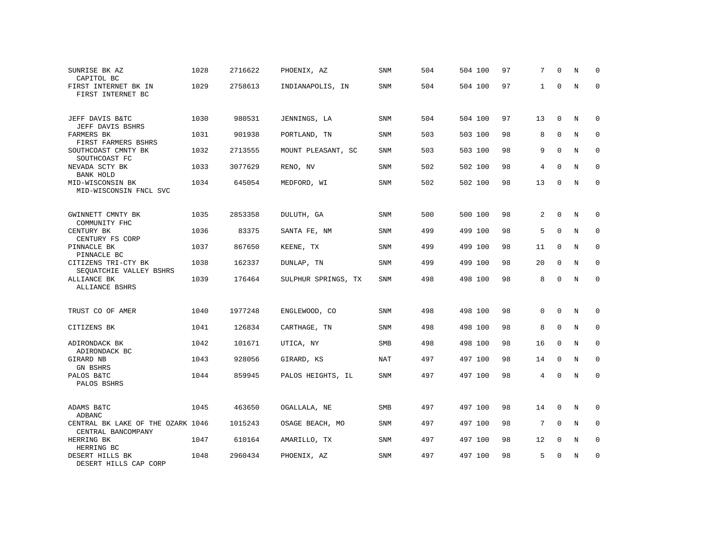| SUNRISE BK AZ<br>CAPITOL BC                             | 1028 | 2716622 | PHOENIX, AZ         | SNM        | 504 | 504 100 | 97 | 7              | $\Omega$     | N           | U            |
|---------------------------------------------------------|------|---------|---------------------|------------|-----|---------|----|----------------|--------------|-------------|--------------|
| FIRST INTERNET BK IN<br>FIRST INTERNET BC               | 1029 | 2758613 | INDIANAPOLIS, IN    | SNM        | 504 | 504 100 | 97 | $\mathbf{1}$   | $\Omega$     | $\mathbf N$ | 0            |
| JEFF DAVIS B&TC<br>JEFF DAVIS BSHRS                     | 1030 | 980531  | JENNINGS, LA        | <b>SNM</b> | 504 | 504 100 | 97 | 13             | $\Omega$     | N           | $\Omega$     |
| <b>FARMERS BK</b><br>FIRST FARMERS BSHRS                | 1031 | 901938  | PORTLAND, TN        | <b>SNM</b> | 503 | 503 100 | 98 | 8              | $\Omega$     | N           | $\mathbf{0}$ |
| SOUTHCOAST CMNTY BK<br>SOUTHCOAST FC                    | 1032 | 2713555 | MOUNT PLEASANT, SC  | <b>SNM</b> | 503 | 503 100 | 98 | 9              | $\mathbf 0$  | N           | $\mathbf{0}$ |
| NEVADA SCTY BK<br>BANK HOLD                             | 1033 | 3077629 | RENO, NV            | SNM        | 502 | 502 100 | 98 | $\overline{4}$ | $\mathbf 0$  | $\mathbf N$ | $\mathbf{0}$ |
| MID-WISCONSIN BK<br>MID-WISCONSIN FNCL SVC              | 1034 | 645054  | MEDFORD, WI         | SNM        | 502 | 502 100 | 98 | 13             | $\Omega$     | N           | $\Omega$     |
| GWINNETT CMNTY BK<br>COMMUNITY FHC                      | 1035 | 2853358 | DULUTH, GA          | SNM        | 500 | 500 100 | 98 | 2              | $\mathbf{0}$ | N           | $\mathbf 0$  |
| CENTURY BK<br>CENTURY FS CORP                           | 1036 | 83375   | SANTA FE, NM        | SNM        | 499 | 499 100 | 98 | 5              | $\Omega$     | N           | $\mathbf 0$  |
| PINNACLE BK<br>PINNACLE BC                              | 1037 | 867650  | KEENE, TX           | SNM        | 499 | 499 100 | 98 | 11             | $\mathbf 0$  | N           | $\mathbf 0$  |
| CITIZENS TRI-CTY BK<br>SEQUATCHIE VALLEY BSHRS          | 1038 | 162337  | DUNLAP, TN          | SNM        | 499 | 499 100 | 98 | 20             | $\Omega$     | N           | $\mathbf 0$  |
| ALLIANCE BK<br>ALLIANCE BSHRS                           | 1039 | 176464  | SULPHUR SPRINGS, TX | SNM        | 498 | 498 100 | 98 | 8              | $\Omega$     | $\mathbf N$ | $\mathbf 0$  |
| TRUST CO OF AMER                                        | 1040 | 1977248 | ENGLEWOOD, CO       | SNM        | 498 | 498 100 | 98 | 0              | $\mathbf 0$  | N           | 0            |
| CITIZENS BK                                             | 1041 | 126834  | CARTHAGE, TN        | <b>SNM</b> | 498 | 498 100 | 98 | 8              | $\mathbf 0$  | N           | $\mathbf 0$  |
| ADIRONDACK BK<br>ADIRONDACK BC                          | 1042 | 101671  | UTICA, NY           | SMB        | 498 | 498 100 | 98 | 16             | $\mathbf 0$  | N           | 0            |
| GIRARD NB                                               | 1043 | 928056  | GIRARD, KS          | <b>NAT</b> | 497 | 497 100 | 98 | 14             | $\mathbf 0$  | N           | $\Omega$     |
| GN BSHRS<br>PALOS B&TC<br>PALOS BSHRS                   | 1044 | 859945  | PALOS HEIGHTS, IL   | SNM        | 497 | 497 100 | 98 | 4              | $\Omega$     | N           | $\mathbf{0}$ |
| ADAMS B&TC<br><b>ADBANC</b>                             | 1045 | 463650  | OGALLALA, NE        | SMB        | 497 | 497 100 | 98 | 14             | $\mathbf 0$  | N           | 0            |
| CENTRAL BK LAKE OF THE OZARK 1046<br>CENTRAL BANCOMPANY |      | 1015243 | OSAGE BEACH, MO     | <b>SNM</b> | 497 | 497 100 | 98 | 7              | $\Omega$     | N           | $\Omega$     |
| HERRING BK<br>HERRING BC                                | 1047 | 610164  | AMARILLO, TX        | <b>SNM</b> | 497 | 497 100 | 98 | 12             | $\mathbf 0$  | N           | $\Omega$     |
| DESERT HILLS BK<br>DESERT HILLS CAP CORP                | 1048 | 2960434 | PHOENIX, AZ         | <b>SNM</b> | 497 | 497 100 | 98 | 5              | $\Omega$     | N           | 0            |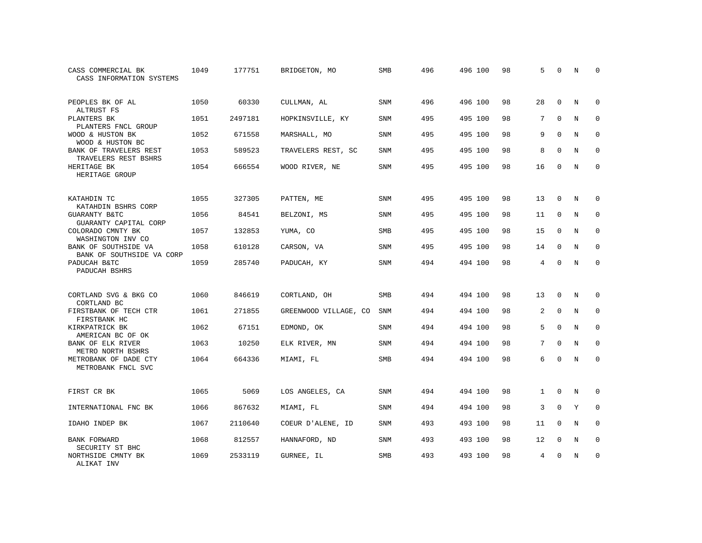| CASS COMMERCIAL BK<br>CASS INFORMATION SYSTEMS    | 1049 | 177751  | BRIDGETON, MO         | <b>SMB</b> | 496 | 496 100 | 98 | 5            | $\Omega$    | N           | $\Omega$    |
|---------------------------------------------------|------|---------|-----------------------|------------|-----|---------|----|--------------|-------------|-------------|-------------|
| PEOPLES BK OF AL<br>ALTRUST FS                    | 1050 | 60330   | CULLMAN, AL           | <b>SNM</b> | 496 | 496 100 | 98 | 28           | $\Omega$    | N           | $\mathbf 0$ |
| PLANTERS BK<br>PLANTERS FNCL GROUP                | 1051 | 2497181 | HOPKINSVILLE, KY      | <b>SNM</b> | 495 | 495 100 | 98 | 7            | $\Omega$    | $_{\rm N}$  | $\mathbf 0$ |
| WOOD & HUSTON BK<br>WOOD & HUSTON BC              | 1052 | 671558  | MARSHALL, MO          | <b>SNM</b> | 495 | 495 100 | 98 | 9            | $\Omega$    | N           | $\Omega$    |
| BANK OF TRAVELERS REST<br>TRAVELERS REST BSHRS    | 1053 | 589523  | TRAVELERS REST, SC    | <b>SNM</b> | 495 | 495 100 | 98 | 8            | $\Omega$    | N           | $\mathbf 0$ |
| HERITAGE BK<br>HERITAGE GROUP                     | 1054 | 666554  | WOOD RIVER, NE        | <b>SNM</b> | 495 | 495 100 | 98 | 16           | $\Omega$    | $_{\rm N}$  | $\Omega$    |
| KATAHDIN TC<br>KATAHDIN BSHRS CORP                | 1055 | 327305  | PATTEN, ME            | <b>SNM</b> | 495 | 495 100 | 98 | 13           | $\Omega$    | N           | $\Omega$    |
| GUARANTY B&TC<br>GUARANTY CAPITAL CORP            | 1056 | 84541   | BELZONI, MS           | <b>SNM</b> | 495 | 495 100 | 98 | 11           | $\mathbf 0$ | N           | $\mathbf 0$ |
| COLORADO CMNTY BK<br>WASHINGTON INV CO            | 1057 | 132853  | YUMA, CO              | <b>SMB</b> | 495 | 495 100 | 98 | 15           | $\Omega$    | N           | $\Omega$    |
| BANK OF SOUTHSIDE VA<br>BANK OF SOUTHSIDE VA CORP | 1058 | 610128  | CARSON, VA            | SNM        | 495 | 495 100 | 98 | 14           | $\mathbf 0$ | $\rm N$     | $\mathbf 0$ |
| PADUCAH B&TC<br>PADUCAH BSHRS                     | 1059 | 285740  | PADUCAH, KY           | <b>SNM</b> | 494 | 494 100 | 98 | 4            | $\Omega$    | $_{\rm N}$  | $\mathbf 0$ |
| CORTLAND SVG & BKG CO<br>CORTLAND BC              | 1060 | 846619  | CORTLAND, OH          | <b>SMB</b> | 494 | 494 100 | 98 | 13           | $\mathbf 0$ | N           | 0           |
| FIRSTBANK OF TECH CTR<br>FIRSTBANK HC             | 1061 | 271855  | GREENWOOD VILLAGE, CO | <b>SNM</b> | 494 | 494 100 | 98 | 2            | $\mathbf 0$ | N           | $\mathbf 0$ |
| KIRKPATRICK BK<br>AMERICAN BC OF OK               | 1062 | 67151   | EDMOND, OK            | SNM        | 494 | 494 100 | 98 | 5            | $\mathbf 0$ | N           | 0           |
| <b>BANK OF ELK RIVER</b><br>METRO NORTH BSHRS     | 1063 | 10250   | ELK RIVER, MN         | <b>SNM</b> | 494 | 494 100 | 98 | 7            | $\Omega$    | $_{\rm N}$  | $\mathbf 0$ |
| METROBANK OF DADE CTY<br>METROBANK FNCL SVC       | 1064 | 664336  | MIAMI, FL             | SMB        | 494 | 494 100 | 98 | 6            | $\mathbf 0$ | $\mathbf N$ | $\mathbf 0$ |
| FIRST CR BK                                       | 1065 | 5069    | LOS ANGELES, CA       | SNM        | 494 | 494 100 | 98 | $\mathbf{1}$ | $\Omega$    | N           | $\Omega$    |
| INTERNATIONAL FNC BK                              | 1066 | 867632  | MIAMI, FL             | SNM        | 494 | 494 100 | 98 | 3            | $\mathbf 0$ | Y           | $\mathbf 0$ |
| IDAHO INDEP BK                                    | 1067 | 2110640 | COEUR D'ALENE, ID     | <b>SNM</b> | 493 | 493 100 | 98 | 11           | $\Omega$    | N           | $\mathbf 0$ |
| <b>BANK FORWARD</b><br>SECURITY ST BHC            | 1068 | 812557  | HANNAFORD, ND         | SNM        | 493 | 493 100 | 98 | 12           | 0           | N           | $\mathbf 0$ |
| NORTHSIDE CMNTY BK<br>ALIKAT INV                  | 1069 | 2533119 | GURNEE, IL            | <b>SMB</b> | 493 | 493 100 | 98 | 4            | $\Omega$    | N           | $\mathbf 0$ |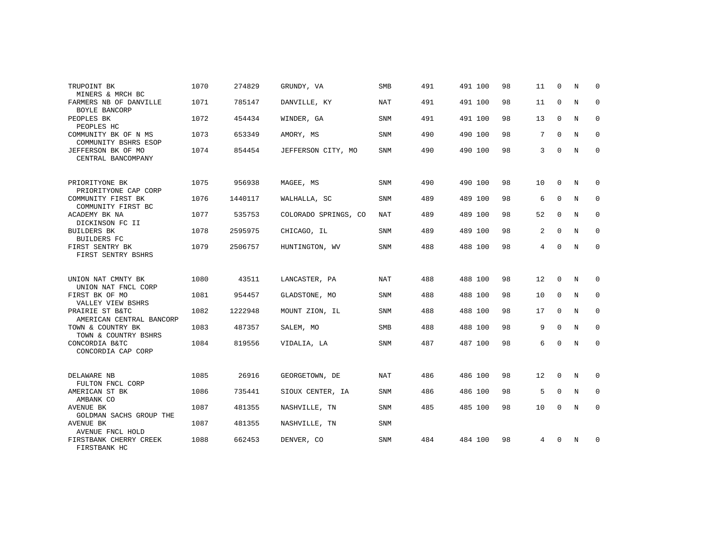| TRUPOINT BK                                                  | 1070 | 274829  | GRUNDY, VA           | <b>SMB</b> | 491 | 491 100 | 98 | 11                | $\Omega$    | N           | $\Omega$    |
|--------------------------------------------------------------|------|---------|----------------------|------------|-----|---------|----|-------------------|-------------|-------------|-------------|
| MINERS & MRCH BC<br>FARMERS NB OF DANVILLE                   | 1071 | 785147  | DANVILLE, KY         | NAT        | 491 | 491 100 | 98 | 11                | $\mathbf 0$ | N           | 0           |
| BOYLE BANCORP<br>PEOPLES BK                                  | 1072 | 454434  | WINDER, GA           | <b>SNM</b> | 491 | 491 100 | 98 | 13                | $\mathbf 0$ | N           | 0           |
| PEOPLES HC<br>COMMUNITY BK OF N MS<br>COMMUNITY BSHRS ESOP   | 1073 | 653349  | AMORY, MS            | <b>SNM</b> | 490 | 490 100 | 98 | 7                 | $\Omega$    | N           | $\mathbf 0$ |
| JEFFERSON BK OF MO<br>CENTRAL BANCOMPANY                     | 1074 | 854454  | JEFFERSON CITY, MO   | <b>SNM</b> | 490 | 490 100 | 98 | 3                 | $\mathbf 0$ | N           | $\mathbf 0$ |
|                                                              |      |         |                      |            |     |         |    |                   |             |             |             |
| PRIORITYONE BK<br>PRIORITYONE CAP CORP                       | 1075 | 956938  | MAGEE, MS            | <b>SNM</b> | 490 | 490 100 | 98 | 10                | $\mathbf 0$ | N           | 0           |
| COMMUNITY FIRST BK<br>COMMUNITY FIRST BC                     | 1076 | 1440117 | WALHALLA, SC         | <b>SNM</b> | 489 | 489 100 | 98 | 6                 | $\Omega$    | N           | $\mathbf 0$ |
| ACADEMY BK NA<br>DICKINSON FC II                             | 1077 | 535753  | COLORADO SPRINGS, CO | NAT        | 489 | 489 100 | 98 | 52                | $\mathbf 0$ | N           | 0           |
| <b>BUILDERS BK</b><br><b>BUILDERS FC</b>                     | 1078 | 2595975 | CHICAGO, IL          | <b>SNM</b> | 489 | 489 100 | 98 | $\overline{a}$    | $\mathbf 0$ | N           | $\mathbf 0$ |
| FIRST SENTRY BK<br>FIRST SENTRY BSHRS                        | 1079 | 2506757 | HUNTINGTON, WV       | <b>SNM</b> | 488 | 488 100 | 98 | 4                 | $\Omega$    | N           | $\mathbf 0$ |
|                                                              |      |         |                      |            |     |         |    |                   |             |             |             |
| UNION NAT CMNTY BK<br>UNION NAT FNCL CORP                    | 1080 | 43511   | LANCASTER, PA        | NAT        | 488 | 488 100 | 98 | 12                | $\mathbf 0$ | N           | 0           |
| FIRST BK OF MO<br>VALLEY VIEW BSHRS                          | 1081 | 954457  | GLADSTONE, MO        | SNM        | 488 | 488 100 | 98 | 10                | 0           | N           | 0           |
| PRAIRIE ST B&TC<br>AMERICAN CENTRAL BANCORP                  | 1082 | 1222948 | MOUNT ZION, IL       | SNM        | 488 | 488 100 | 98 | 17                | $\mathbf 0$ | N           | $\mathbf 0$ |
| TOWN & COUNTRY BK                                            | 1083 | 487357  | SALEM, MO            | SMB        | 488 | 488 100 | 98 | 9                 | $\Omega$    | N           | $\mathbf 0$ |
| TOWN & COUNTRY BSHRS<br>CONCORDIA B&TC<br>CONCORDIA CAP CORP | 1084 | 819556  | VIDALIA, LA          | SNM        | 487 | 487 100 | 98 | 6                 | $\Omega$    | N           | $\mathbf 0$ |
|                                                              |      |         |                      |            |     |         |    |                   |             |             |             |
| DELAWARE NB<br>FULTON FNCL CORP                              | 1085 | 26916   | GEORGETOWN, DE       | NAT        | 486 | 486 100 | 98 | $12 \overline{ }$ | $\mathbf 0$ | N           | 0           |
| AMERICAN ST BK<br>AMBANK CO                                  | 1086 | 735441  | SIOUX CENTER, IA     | SNM        | 486 | 486 100 | 98 | 5                 | $\Omega$    | N           | $\mathbf 0$ |
| <b>AVENUE BK</b><br>GOLDMAN SACHS GROUP THE                  | 1087 | 481355  | NASHVILLE, TN        | <b>SNM</b> | 485 | 485 100 | 98 | 10                | $\Omega$    | $\mathbf N$ | $\Omega$    |
| AVENUE BK<br>AVENUE FNCL HOLD                                | 1087 | 481355  | NASHVILLE, TN        | <b>SNM</b> |     |         |    |                   |             |             |             |
| FIRSTBANK CHERRY CREEK<br>FIRSTBANK HC                       | 1088 | 662453  | DENVER, CO           | <b>SNM</b> | 484 | 484 100 | 98 | 4                 | $\Omega$    | N           | 0           |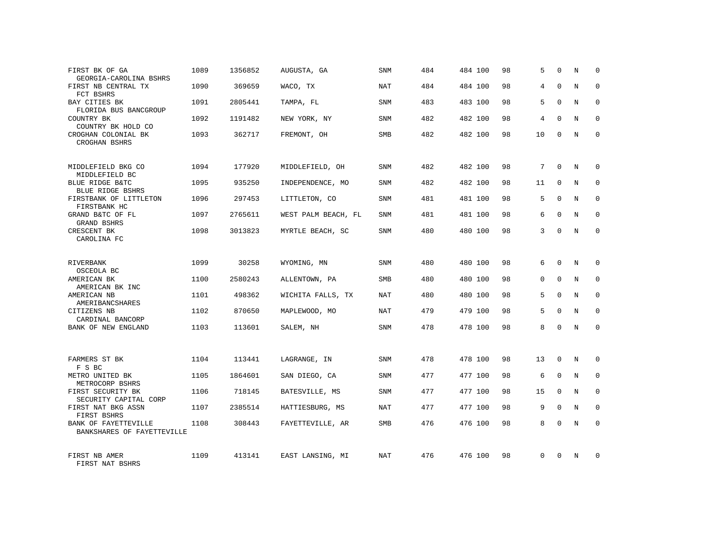| FIRST BK OF GA<br>GEORGIA-CAROLINA BSHRS                      | 1089 | 1356852 | AUGUSTA, GA         | <b>SNM</b> | 484 | 484 100 | 98 | 5               | $\Omega$    | N           | $\mathbf 0$  |
|---------------------------------------------------------------|------|---------|---------------------|------------|-----|---------|----|-----------------|-------------|-------------|--------------|
| FIRST NB CENTRAL TX<br>FCT BSHRS                              | 1090 | 369659  | WACO, TX            | <b>NAT</b> | 484 | 484 100 | 98 | 4               | $\Omega$    | N           | $\mathbf{0}$ |
| BAY CITIES BK<br>FLORIDA BUS BANCGROUP                        | 1091 | 2805441 | TAMPA, FL           | SNM        | 483 | 483 100 | 98 | 5               | $\Omega$    | N           | $\mathbf 0$  |
| COUNTRY BK<br>COUNTRY BK HOLD CO                              | 1092 | 1191482 | NEW YORK, NY        | SNM        | 482 | 482 100 | 98 | 4               | $\Omega$    | N           | $\mathbf 0$  |
| CROGHAN COLONIAL BK<br>CROGHAN BSHRS                          | 1093 | 362717  | FREMONT, OH         | SMB        | 482 | 482 100 | 98 | 10              | $\Omega$    | N           | $\Omega$     |
| MIDDLEFIELD BKG CO<br>MIDDLEFIELD BC                          | 1094 | 177920  | MIDDLEFIELD, OH     | <b>SNM</b> | 482 | 482 100 | 98 | $7\overline{ }$ | $\Omega$    | N           | $\Omega$     |
| BLUE RIDGE B&TC<br><b>BLUE RIDGE BSHRS</b>                    | 1095 | 935250  | INDEPENDENCE, MO    | <b>SNM</b> | 482 | 482 100 | 98 | 11              | $\mathbf 0$ | N           | $\mathbf{0}$ |
| FIRSTBANK OF LITTLETON<br>FIRSTBANK HC                        | 1096 | 297453  | LITTLETON, CO       | SNM        | 481 | 481 100 | 98 | .5              | $\Omega$    | N           | $\Omega$     |
| GRAND B&TC OF FL<br><b>GRAND BSHRS</b>                        | 1097 | 2765611 | WEST PALM BEACH, FL | <b>SNM</b> | 481 | 481 100 | 98 | 6               | $\mathbf 0$ | N           | $\mathbf 0$  |
| CRESCENT BK<br>CAROLINA FC                                    | 1098 | 3013823 | MYRTLE BEACH, SC    | <b>SNM</b> | 480 | 480 100 | 98 | 3               | $\Omega$    | N           | $\mathbf{0}$ |
| RIVERBANK<br>OSCEOLA BC                                       | 1099 | 30258   | WYOMING, MN         | <b>SNM</b> | 480 | 480 100 | 98 | 6               | $\Omega$    | N           | $\mathbf 0$  |
| AMERICAN BK<br>AMERICAN BK INC                                | 1100 | 2580243 | ALLENTOWN, PA       | SMB        | 480 | 480 100 | 98 | $\Omega$        | $\Omega$    | $_{\rm N}$  | $\mathbf{0}$ |
| AMERICAN NB<br>AMERIBANCSHARES                                | 1101 | 498362  | WICHITA FALLS, TX   | NAT        | 480 | 480 100 | 98 | 5               | $\Omega$    | N           | $\mathbf 0$  |
| CITIZENS NB<br>CARDINAL BANCORP                               | 1102 | 870650  | MAPLEWOOD, MO       | <b>NAT</b> | 479 | 479 100 | 98 | 5               | $\Omega$    | $_{\rm N}$  | $\mathbf 0$  |
| BANK OF NEW ENGLAND                                           | 1103 | 113601  | SALEM, NH           | SNM        | 478 | 478 100 | 98 | 8               | $\mathbf 0$ | N           | $\mathbf 0$  |
| FARMERS ST BK                                                 | 1104 | 113441  | LAGRANGE, IN        | SNM        | 478 | 478 100 | 98 | 13              | $\mathbf 0$ | $\mathbf N$ | $\mathbf 0$  |
| F S BC<br>METRO UNITED BK                                     | 1105 | 1864601 | SAN DIEGO, CA       | SNM        | 477 | 477 100 | 98 | 6               | $\mathbf 0$ | N           | $\mathbf 0$  |
| METROCORP BSHRS<br>FIRST SECURITY BK<br>SECURITY CAPITAL CORP | 1106 | 718145  | BATESVILLE, MS      | SNM        | 477 | 477 100 | 98 | 15              | $\Omega$    | $_{\rm N}$  | $\Omega$     |
| FIRST NAT BKG ASSN<br>FIRST BSHRS                             | 1107 | 2385514 | HATTIESBURG, MS     | <b>NAT</b> | 477 | 477 100 | 98 | 9               | $\mathbf 0$ | N           | $\mathbf 0$  |
| BANK OF FAYETTEVILLE<br>BANKSHARES OF FAYETTEVILLE            | 1108 | 308443  | FAYETTEVILLE, AR    | <b>SMB</b> | 476 | 476 100 | 98 | 8               | $\Omega$    | N           | $\mathbf{0}$ |
| FIRST NB AMER<br>FIRST NAT BSHRS                              | 1109 | 413141  | EAST LANSING, MI    | NAT        | 476 | 476 100 | 98 | $\Omega$        | $\Omega$    | N           | $\Omega$     |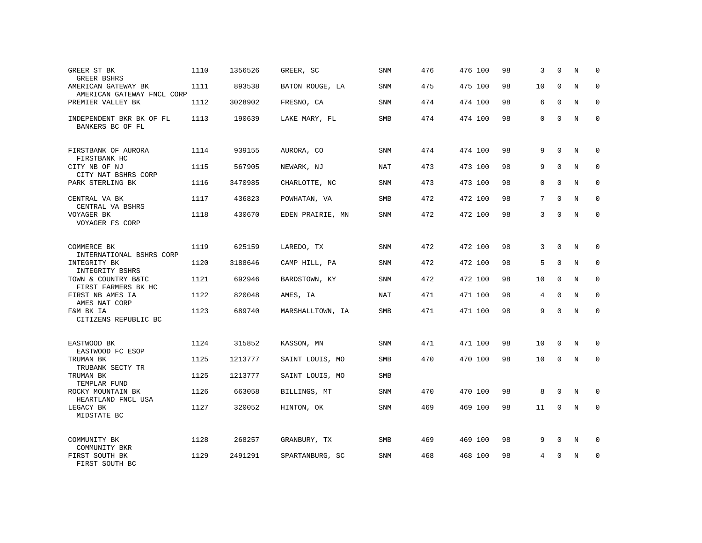| GREER ST BK<br><b>GREER BSHRS</b>                 | 1110 | 1356526 | GREER, SC        | SNM        | 476 | 476 100 | 98 | 3        | $\Omega$    | N           | $\Omega$    |
|---------------------------------------------------|------|---------|------------------|------------|-----|---------|----|----------|-------------|-------------|-------------|
| AMERICAN GATEWAY BK<br>AMERICAN GATEWAY FNCL CORP | 1111 | 893538  | BATON ROUGE, LA  | SNM        | 475 | 475 100 | 98 | 10       | $\Omega$    | $\mathbf N$ | $\mathbf 0$ |
| PREMIER VALLEY BK                                 | 1112 | 3028902 | FRESNO, CA       | SNM        | 474 | 474 100 | 98 | 6        | $\Omega$    | N           | $\Omega$    |
| INDEPENDENT BKR BK OF FL<br>BANKERS BC OF FL      | 1113 | 190639  | LAKE MARY, FL    | SMB        | 474 | 474 100 | 98 | $\Omega$ | $\Omega$    | N           | $\Omega$    |
| FIRSTBANK OF AURORA<br>FIRSTBANK HC               | 1114 | 939155  | AURORA, CO       | <b>SNM</b> | 474 | 474 100 | 98 | 9        | $\mathbf 0$ | N           | 0           |
| CITY NB OF NJ<br>CITY NAT BSHRS CORP              | 1115 | 567905  | NEWARK, NJ       | <b>NAT</b> | 473 | 473 100 | 98 | 9        | $\mathbf 0$ | $\mathbf N$ | $\mathbf 0$ |
| PARK STERLING BK                                  | 1116 | 3470985 | CHARLOTTE, NC    | <b>SNM</b> | 473 | 473 100 | 98 | $\Omega$ | $\Omega$    | N           | $\mathbf 0$ |
| CENTRAL VA BK<br>CENTRAL VA BSHRS                 | 1117 | 436823  | POWHATAN, VA     | <b>SMB</b> | 472 | 472 100 | 98 | 7        | $\Omega$    | N           | $\mathbf 0$ |
| VOYAGER BK<br>VOYAGER FS CORP                     | 1118 | 430670  | EDEN PRAIRIE, MN | SNM        | 472 | 472 100 | 98 | 3        | $\Omega$    | N           | $\mathbf 0$ |
| COMMERCE BK<br>INTERNATIONAL BSHRS CORP           | 1119 | 625159  | LAREDO, TX       | SNM        | 472 | 472 100 | 98 | 3        | $\mathbf 0$ | N           | 0           |
| INTEGRITY BK<br>INTEGRITY BSHRS                   | 1120 | 3188646 | CAMP HILL, PA    | <b>SNM</b> | 472 | 472 100 | 98 | 5        | $\Omega$    | N           | $\mathbf 0$ |
| TOWN & COUNTRY B&TC<br>FIRST FARMERS BK HC        | 1121 | 692946  | BARDSTOWN, KY    | <b>SNM</b> | 472 | 472 100 | 98 | 10       | $\mathbf 0$ | N           | $\mathbf 0$ |
| FIRST NB AMES IA<br>AMES NAT CORP                 | 1122 | 820048  | AMES, IA         | NAT        | 471 | 471 100 | 98 | 4        | $\mathbf 0$ | N           | 0           |
| F&M BK IA<br>CITIZENS REPUBLIC BC                 | 1123 | 689740  | MARSHALLTOWN, IA | SMB        | 471 | 471 100 | 98 | 9        | $\Omega$    | N           | $\mathbf 0$ |
| EASTWOOD BK                                       | 1124 | 315852  | KASSON, MN       | <b>SNM</b> | 471 | 471 100 | 98 | 10       | $\Omega$    | N           | 0           |
| EASTWOOD FC ESOP<br>TRUMAN BK                     | 1125 | 1213777 | SAINT LOUIS, MO  | SMB        | 470 | 470 100 | 98 | 10       | $\Omega$    | N           | $\mathbf 0$ |
| TRUBANK SECTY TR<br>TRUMAN BK<br>TEMPLAR FUND     | 1125 | 1213777 | SAINT LOUIS, MO  | <b>SMB</b> |     |         |    |          |             |             |             |
| ROCKY MOUNTAIN BK<br>HEARTLAND FNCL USA           | 1126 | 663058  | BILLINGS, MT     | SNM        | 470 | 470 100 | 98 | 8        | 0           | N           | 0           |
| LEGACY BK<br>MIDSTATE BC                          | 1127 | 320052  | HINTON, OK       | SNM        | 469 | 469 100 | 98 | 11       | $\mathbf 0$ | $\mathbb N$ | $\mathsf 0$ |
| COMMUNITY BK<br>COMMUNITY BKR                     | 1128 | 268257  | GRANBURY, TX     | <b>SMB</b> | 469 | 469 100 | 98 | 9        | $\Omega$    | N           | 0           |
| FIRST SOUTH BK<br>FIRST SOUTH BC                  | 1129 | 2491291 | SPARTANBURG, SC  | SNM        | 468 | 468 100 | 98 | 4        | U           | N           | $\mathbf 0$ |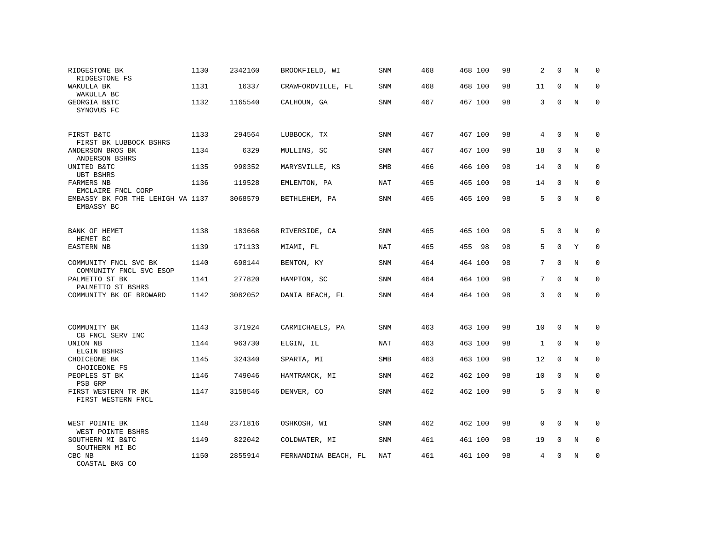| RIDGESTONE BK<br>RIDGESTONE FS                   | 1130 | 2342160 | BROOKFIELD, WI       | SNM        | 468 | 468 100 | 98 | 2            | $\mathbf 0$ | N           | 0           |
|--------------------------------------------------|------|---------|----------------------|------------|-----|---------|----|--------------|-------------|-------------|-------------|
| WAKULLA BK<br>WAKULLA BC                         | 1131 | 16337   | CRAWFORDVILLE, FL    | <b>SNM</b> | 468 | 468 100 | 98 | 11           | $\mathbf 0$ | N           | $\mathbf 0$ |
| GEORGIA B&TC<br>SYNOVUS FC                       | 1132 | 1165540 | CALHOUN, GA          | SNM        | 467 | 467 100 | 98 | 3            | $\Omega$    | N           | $\Omega$    |
| FIRST B&TC<br>FIRST BK LUBBOCK BSHRS             | 1133 | 294564  | LUBBOCK, TX          | <b>SNM</b> | 467 | 467 100 | 98 | 4            | $\Omega$    | N           | $\Omega$    |
| ANDERSON BROS BK<br>ANDERSON BSHRS               | 1134 | 6329    | MULLINS, SC          | <b>SNM</b> | 467 | 467 100 | 98 | 18           | $\mathbf 0$ | N           | 0           |
| UNITED B&TC<br><b>UBT BSHRS</b>                  | 1135 | 990352  | MARYSVILLE, KS       | SMB        | 466 | 466 100 | 98 | 14           | $\mathbf 0$ | $\mathbb N$ | 0           |
| FARMERS NB<br>EMCLAIRE FNCL CORP                 | 1136 | 119528  | EMLENTON, PA         | <b>NAT</b> | 465 | 465 100 | 98 | 14           | $\Omega$    | $_{\rm N}$  | $\mathbf 0$ |
| EMBASSY BK FOR THE LEHIGH VA 1137<br>EMBASSY BC  |      | 3068579 | BETHLEHEM, PA        | <b>SNM</b> | 465 | 465 100 | 98 | 5            | $\Omega$    | N           | $\mathbf 0$ |
| BANK OF HEMET<br>HEMET BC                        | 1138 | 183668  | RIVERSIDE, CA        | SNM        | 465 | 465 100 | 98 | 5            | $\mathbf 0$ | N           | 0           |
| EASTERN NB                                       | 1139 | 171133  | MIAMI, FL            | <b>NAT</b> | 465 | 455 98  | 98 | 5            | $\mathsf 0$ | Y           | $\mathsf 0$ |
| COMMUNITY FNCL SVC BK<br>COMMUNITY FNCL SVC ESOP | 1140 | 698144  | BENTON, KY           | <b>SNM</b> | 464 | 464 100 | 98 | 7            | $\Omega$    | $_{\rm N}$  | $\mathbf 0$ |
| PALMETTO ST BK<br>PALMETTO ST BSHRS              | 1141 | 277820  | HAMPTON, SC          | <b>SNM</b> | 464 | 464 100 | 98 | 7            | $\mathbf 0$ | N           | $\mathbf 0$ |
| COMMUNITY BK OF BROWARD                          | 1142 | 3082052 | DANIA BEACH, FL      | <b>SNM</b> | 464 | 464 100 | 98 | 3            | $\mathbf 0$ | $\mathbb N$ | $\mathbf 0$ |
| COMMUNITY BK<br>CB FNCL SERV INC                 | 1143 | 371924  | CARMICHAELS, PA      | <b>SNM</b> | 463 | 463 100 | 98 | 10           | $\mathbf 0$ | N           | 0           |
| UNION NB<br>ELGIN BSHRS                          | 1144 | 963730  | ELGIN, IL            | <b>NAT</b> | 463 | 463 100 | 98 | $\mathbf{1}$ | $\mathbf 0$ | N           | $\mathbf 0$ |
| CHOICEONE BK<br>CHOICEONE FS                     | 1145 | 324340  | SPARTA, MI           | SMB        | 463 | 463 100 | 98 | 12           | $\mathbf 0$ | N           | $\mathbf 0$ |
| PEOPLES ST BK<br>PSB GRP                         | 1146 | 749046  | HAMTRAMCK, MI        | <b>SNM</b> | 462 | 462 100 | 98 | 10           | $\mathbf 0$ | N           | $\mathbf 0$ |
| FIRST WESTERN TR BK<br>FIRST WESTERN FNCL        | 1147 | 3158546 | DENVER, CO           | SNM        | 462 | 462 100 | 98 | 5            | $\mathbf 0$ | N           | $\mathbf 0$ |
| WEST POINTE BK<br>WEST POINTE BSHRS              | 1148 | 2371816 | OSHKOSH, WI          | <b>SNM</b> | 462 | 462 100 | 98 | $\mathbf 0$  | $\mathbf 0$ | N           | 0           |
| SOUTHERN MI B&TC<br>SOUTHERN MI BC               | 1149 | 822042  | COLDWATER, MI        | <b>SNM</b> | 461 | 461 100 | 98 | 19           | $\mathbf 0$ | N           | $\mathbf 0$ |
| CBC NB<br>COASTAL BKG CO                         | 1150 | 2855914 | FERNANDINA BEACH, FL | <b>NAT</b> | 461 | 461 100 | 98 | 4            | $\Omega$    | N           | $\mathbf 0$ |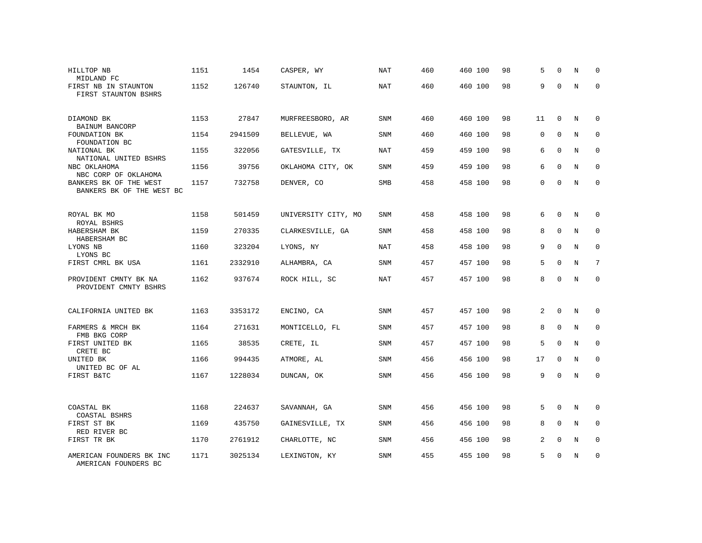| HILLTOP NB<br>MIDLAND FC                            | 1151 | 1454    | CASPER, WY          | NAT        | 460 | 460 100 | 98 | 5           | $\Omega$    | N           | $\Omega$    |
|-----------------------------------------------------|------|---------|---------------------|------------|-----|---------|----|-------------|-------------|-------------|-------------|
| FIRST NB IN STAUNTON<br>FIRST STAUNTON BSHRS        | 1152 | 126740  | STAUNTON, IL        | <b>NAT</b> | 460 | 460 100 | 98 | 9           | $\Omega$    | $\mathbf N$ | $\mathbf 0$ |
| DIAMOND BK<br>BAINUM BANCORP                        | 1153 | 27847   | MURFREESBORO, AR    | <b>SNM</b> | 460 | 460 100 | 98 | 11          | $\mathbf 0$ | N           | 0           |
| FOUNDATION BK<br>FOUNDATION BC                      | 1154 | 2941509 | BELLEVUE, WA        | <b>SNM</b> | 460 | 460 100 | 98 | $\mathbf 0$ | $\mathbf 0$ | N           | $\mathbf 0$ |
| NATIONAL BK<br>NATIONAL UNITED BSHRS                | 1155 | 322056  | GATESVILLE, TX      | <b>NAT</b> | 459 | 459 100 | 98 | 6           | $\mathbf 0$ | $\mathbf N$ | 0           |
| NBC OKLAHOMA<br>NBC CORP OF OKLAHOMA                | 1156 | 39756   | OKLAHOMA CITY, OK   | <b>SNM</b> | 459 | 459 100 | 98 | 6           | $\Omega$    | N           | $\mathbf 0$ |
| BANKERS BK OF THE WEST<br>BANKERS BK OF THE WEST BC | 1157 | 732758  | DENVER, CO          | SMB        | 458 | 458 100 | 98 | $\mathbf 0$ | $\Omega$    | N           | $\mathbf 0$ |
| ROYAL BK MO<br>ROYAL BSHRS                          | 1158 | 501459  | UNIVERSITY CITY, MO | SNM        | 458 | 458 100 | 98 | 6           | $\mathbf 0$ | N           | $\mathbf 0$ |
| HABERSHAM BK<br>HABERSHAM BC                        | 1159 | 270335  | CLARKESVILLE, GA    | SNM        | 458 | 458 100 | 98 | 8           | $\Omega$    | N           | $\mathbf 0$ |
| LYONS NB<br>LYONS BC                                | 1160 | 323204  | LYONS, NY           | NAT        | 458 | 458 100 | 98 | 9           | $\mathbf 0$ | N           | $\mathbf 0$ |
| FIRST CMRL BK USA                                   | 1161 | 2332910 | ALHAMBRA, CA        | <b>SNM</b> | 457 | 457 100 | 98 | 5           | $\mathbf 0$ | N           | 7           |
| PROVIDENT CMNTY BK NA<br>PROVIDENT CMNTY BSHRS      | 1162 | 937674  | ROCK HILL, SC       | <b>NAT</b> | 457 | 457 100 | 98 | 8           | $\mathbf 0$ | $\rm N$     | 0           |
| CALIFORNIA UNITED BK                                | 1163 | 3353172 | ENCINO, CA          | SNM        | 457 | 457 100 | 98 | 2           | $\mathbf 0$ | N           | 0           |
| FARMERS & MRCH BK<br>FMB BKG CORP                   | 1164 | 271631  | MONTICELLO, FL      | SNM        | 457 | 457 100 | 98 | 8           | 0           | N           | 0           |
| FIRST UNITED BK<br>CRETE BC                         | 1165 | 38535   | CRETE, IL           | SNM        | 457 | 457 100 | 98 | 5           | $\mathbf 0$ | $\mathbf N$ | $\mathbf 0$ |
| UNITED BK<br>UNITED BC OF AL                        | 1166 | 994435  | ATMORE, AL          | <b>SNM</b> | 456 | 456 100 | 98 | 17          | $\Omega$    | N           | $\Omega$    |
| FIRST B&TC                                          | 1167 | 1228034 | DUNCAN, OK          | SNM        | 456 | 456 100 | 98 | 9           | $\Omega$    | $\mathbf N$ | $\mathbf 0$ |
| COASTAL BK<br>COASTAL BSHRS                         | 1168 | 224637  | SAVANNAH, GA        | <b>SNM</b> | 456 | 456 100 | 98 | 5           | $\mathbf 0$ | $\mathbf N$ | $\mathbf 0$ |
| FIRST ST BK                                         | 1169 | 435750  | GAINESVILLE, TX     | <b>SNM</b> | 456 | 456 100 | 98 | 8           | $\Omega$    | $_{\rm N}$  | $\mathbf 0$ |
| RED RIVER BC<br>FIRST TR BK                         | 1170 | 2761912 | CHARLOTTE, NC       | <b>SNM</b> | 456 | 456 100 | 98 | 2           | $\Omega$    | N           | $\mathbf 0$ |
| AMERICAN FOUNDERS BK INC<br>AMERICAN FOUNDERS BC    | 1171 | 3025134 | LEXINGTON, KY       | SNM        | 455 | 455 100 | 98 | 5           | U           | N           | $\mathbf 0$ |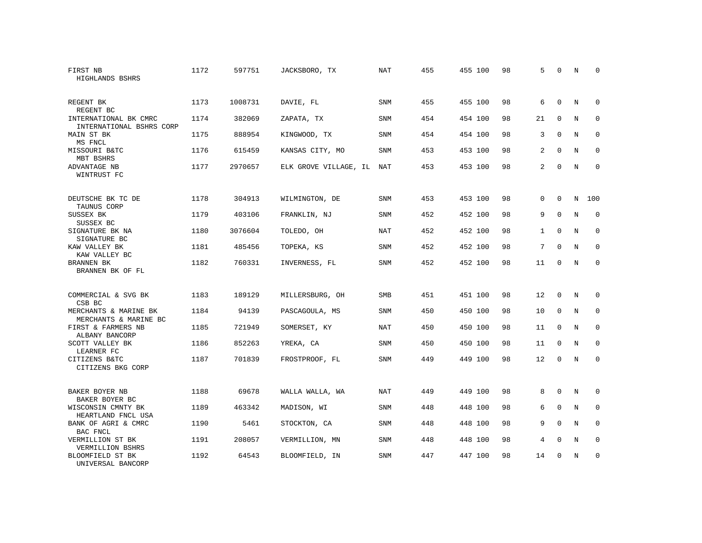| FIRST NB<br>HIGHLANDS BSHRS                       | 1172 | 597751  | JACKSBORO, TX         | NAT        | 455 | 455 100 | 98 | 5                 | $\Omega$    | N          | $\Omega$    |
|---------------------------------------------------|------|---------|-----------------------|------------|-----|---------|----|-------------------|-------------|------------|-------------|
| REGENT BK<br>REGENT BC                            | 1173 | 1008731 | DAVIE, FL             | SNM        | 455 | 455 100 | 98 | 6                 | $\Omega$    | N          | 0           |
| INTERNATIONAL BK CMRC<br>INTERNATIONAL BSHRS CORP | 1174 | 382069  | ZAPATA, TX            | <b>SNM</b> | 454 | 454 100 | 98 | 21                | $\Omega$    | N          | $\mathbf 0$ |
| MAIN ST BK<br>MS FNCL                             | 1175 | 888954  | KINGWOOD, TX          | SNM        | 454 | 454 100 | 98 | 3                 | $\Omega$    | N          | 0           |
| MISSOURI B&TC<br>MBT BSHRS                        | 1176 | 615459  | KANSAS CITY, MO       | SNM        | 453 | 453 100 | 98 | 2                 | $\Omega$    | N          | $\Omega$    |
| ADVANTAGE NB<br>WINTRUST FC                       | 1177 | 2970657 | ELK GROVE VILLAGE, IL | NAT        | 453 | 453 100 | 98 | 2                 | $\Omega$    | N          | $\mathbf 0$ |
| DEUTSCHE BK TC DE                                 | 1178 | 304913  | WILMINGTON, DE        | <b>SNM</b> | 453 | 453 100 | 98 | 0                 | $\mathbf 0$ | N          | 100         |
| TAUNUS CORP<br>SUSSEX BK<br>SUSSEX BC             | 1179 | 403106  | FRANKLIN, NJ          | <b>SNM</b> | 452 | 452 100 | 98 | 9                 | $\Omega$    | N          | $\mathbf 0$ |
| SIGNATURE BK NA<br>SIGNATURE BC                   | 1180 | 3076604 | TOLEDO, OH            | <b>NAT</b> | 452 | 452 100 | 98 | $\mathbf{1}$      | $\Omega$    | N          | $\mathbf 0$ |
| KAW VALLEY BK<br>KAW VALLEY BC                    | 1181 | 485456  | TOPEKA, KS            | <b>SNM</b> | 452 | 452 100 | 98 | 7                 | $\Omega$    | N          | $\Omega$    |
| BRANNEN BK<br>BRANNEN BK OF FL                    | 1182 | 760331  | INVERNESS, FL         | <b>SNM</b> | 452 | 452 100 | 98 | 11                | $\Omega$    | N          | $\Omega$    |
| COMMERCIAL & SVG BK<br>CSB BC                     | 1183 | 189129  | MILLERSBURG, OH       | <b>SMB</b> | 451 | 451 100 | 98 | $12 \overline{ }$ | $\Omega$    | N          | $\Omega$    |
| MERCHANTS & MARINE BK<br>MERCHANTS & MARINE BC    | 1184 | 94139   | PASCAGOULA, MS        | <b>SNM</b> | 450 | 450 100 | 98 | 10                | $\mathbf 0$ | N          | $\mathbf 0$ |
| FIRST & FARMERS NB<br>ALBANY BANCORP              | 1185 | 721949  | SOMERSET, KY          | <b>NAT</b> | 450 | 450 100 | 98 | 11                | $\Omega$    | $_{\rm N}$ | $\mathbf 0$ |
| SCOTT VALLEY BK<br>LEARNER FC                     | 1186 | 852263  | YREKA, CA             | <b>SNM</b> | 450 | 450 100 | 98 | 11                | $\mathbf 0$ | N          | $\mathbf 0$ |
| CITIZENS B&TC<br>CITIZENS BKG CORP                | 1187 | 701839  | FROSTPROOF, FL        | <b>SNM</b> | 449 | 449 100 | 98 | 12                | $\Omega$    | $_{\rm N}$ | $\Omega$    |
| BAKER BOYER NB<br>BAKER BOYER BC                  | 1188 | 69678   | WALLA WALLA, WA       | <b>NAT</b> | 449 | 449 100 | 98 | 8                 | $\Omega$    | N          | $\Omega$    |
| WISCONSIN CMNTY BK<br>HEARTLAND FNCL USA          | 1189 | 463342  | MADISON, WI           | <b>SNM</b> | 448 | 448 100 | 98 | 6                 | $\mathbf 0$ | N          | 0           |
| BANK OF AGRI & CMRC<br>BAC FNCL                   | 1190 | 5461    | STOCKTON, CA          | <b>SNM</b> | 448 | 448 100 | 98 | 9                 | $\Omega$    | N          | $\mathbf 0$ |
| VERMILLION ST BK<br>VERMILLION BSHRS              | 1191 | 208057  | VERMILLION, MN        | <b>SNM</b> | 448 | 448 100 | 98 | 4                 | $\mathbf 0$ | N          | 0           |
| BLOOMFIELD ST BK<br>UNIVERSAL BANCORP             | 1192 | 64543   | BLOOMFIELD, IN        | <b>SNM</b> | 447 | 447 100 | 98 | 14                | $\Omega$    | N          | $\mathbf 0$ |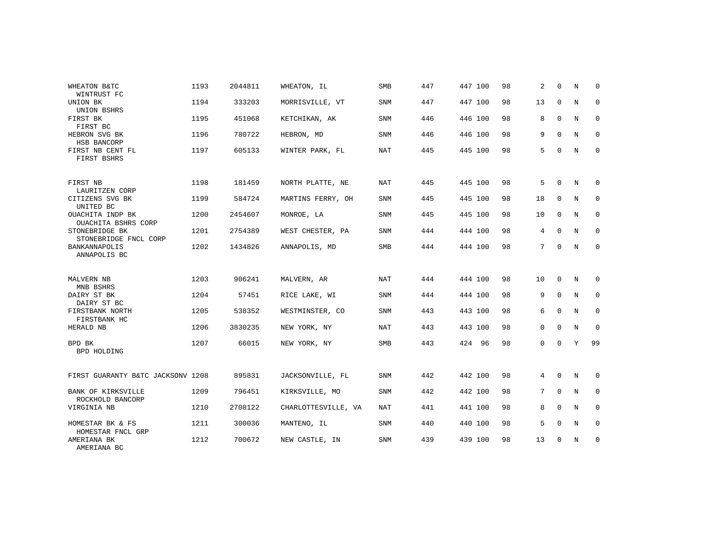| WHEATON B&TC<br>WINTRUST FC             | 1193 | 2044811 | WHEATON, IL         | SMB        | 447 | 447 100 | 98 | $\overline{a}$  | $\Omega$    | N           | $\Omega$    |
|-----------------------------------------|------|---------|---------------------|------------|-----|---------|----|-----------------|-------------|-------------|-------------|
| UNION BK<br>UNION BSHRS                 | 1194 | 333203  | MORRISVILLE, VT     | <b>SNM</b> | 447 | 447 100 | 98 | 13              | $\mathbf 0$ | $\mathbb N$ | $\mathbf 0$ |
| FIRST BK<br>FIRST BC                    | 1195 | 451068  | KETCHIKAN, AK       | <b>SNM</b> | 446 | 446 100 | 98 | 8               | $\mathbf 0$ | N           | 0           |
| HEBRON SVG BK<br>HSB BANCORP            | 1196 | 780722  | HEBRON, MD          | <b>SNM</b> | 446 | 446 100 | 98 | 9               | $\Omega$    | N           | $\mathbf 0$ |
| FIRST NB CENT FL<br>FIRST BSHRS         | 1197 | 605133  | WINTER PARK, FL     | <b>NAT</b> | 445 | 445 100 | 98 | 5               | $\mathbf 0$ | N           | $\mathbf 0$ |
| FIRST NB<br>LAURITZEN CORP              | 1198 | 181459  | NORTH PLATTE, NE    | <b>NAT</b> | 445 | 445 100 | 98 | 5               | $\Omega$    | N           | 0           |
| CITIZENS SVG BK<br>UNITED BC            | 1199 | 584724  | MARTINS FERRY, OH   | <b>SNM</b> | 445 | 445 100 | 98 | 18              | $\mathbf 0$ | N           | 0           |
| OUACHITA INDP BK<br>OUACHITA BSHRS CORP | 1200 | 2454607 | MONROE, LA          | <b>SNM</b> | 445 | 445 100 | 98 | 10              | $\mathbf 0$ | N           | 0           |
| STONEBRIDGE BK<br>STONEBRIDGE FNCL CORP | 1201 | 2754389 | WEST CHESTER, PA    | SNM        | 444 | 444 100 | 98 | 4               | $\mathbf 0$ | N           | $\mathbf 0$ |
| <b>BANKANNAPOLIS</b><br>ANNAPOLIS BC    | 1202 | 1434826 | ANNAPOLIS, MD       | <b>SMB</b> | 444 | 444 100 | 98 | 7               | $\mathbf 0$ | N           | $\mathbf 0$ |
| <b>MALVERN NB</b><br>MNB BSHRS          | 1203 | 906241  | MALVERN, AR         | <b>NAT</b> | 444 | 444 100 | 98 | 10              | $\Omega$    | N           | 0           |
| DAIRY ST BK<br>DAIRY ST BC              | 1204 | 57451   | RICE LAKE, WI       | SNM        | 444 | 444 100 | 98 | 9               | $\mathbf 0$ | N           | $\mathbf 0$ |
| FIRSTBANK NORTH<br>FIRSTBANK HC         | 1205 | 538352  | WESTMINSTER, CO     | <b>SNM</b> | 443 | 443 100 | 98 | 6               | $\mathbf 0$ | N           | 0           |
| HERALD NB                               | 1206 | 3830235 | NEW YORK, NY        | NAT        | 443 | 443 100 | 98 | $\mathbf{0}$    | $\Omega$    | N           | $\mathbf 0$ |
| BPD BK<br>BPD HOLDING                   | 1207 | 66015   | NEW YORK, NY        | <b>SMB</b> | 443 | 424 96  | 98 | 0               | $\Omega$    | Y           | 99          |
| FIRST GUARANTY B&TC JACKSONV 1208       |      | 895831  | JACKSONVILLE, FL    | <b>SNM</b> | 442 | 442 100 | 98 | 4               | $\mathbf 0$ | N           | 0           |
| BANK OF KIRKSVILLE<br>ROCKHOLD BANCORP  | 1209 | 796451  | KIRKSVILLE, MO      | <b>SNM</b> | 442 | 442 100 | 98 | $7\overline{ }$ | $\Omega$    | N           | $\mathbf 0$ |
| VIRGINIA NB                             | 1210 | 2708122 | CHARLOTTESVILLE, VA | <b>NAT</b> | 441 | 441 100 | 98 | 8               | 0           | N           | 0           |
| HOMESTAR BK & FS<br>HOMESTAR FNCL GRP   | 1211 | 300036  | MANTENO, IL         | <b>SNM</b> | 440 | 440 100 | 98 | 5               | $\Omega$    | N           | $\mathbf 0$ |
| AMERIANA BK<br>AMERIANA BC              | 1212 | 700672  | NEW CASTLE, IN      | <b>SNM</b> | 439 | 439 100 | 98 | 13              | 0           | N           | $\mathbf 0$ |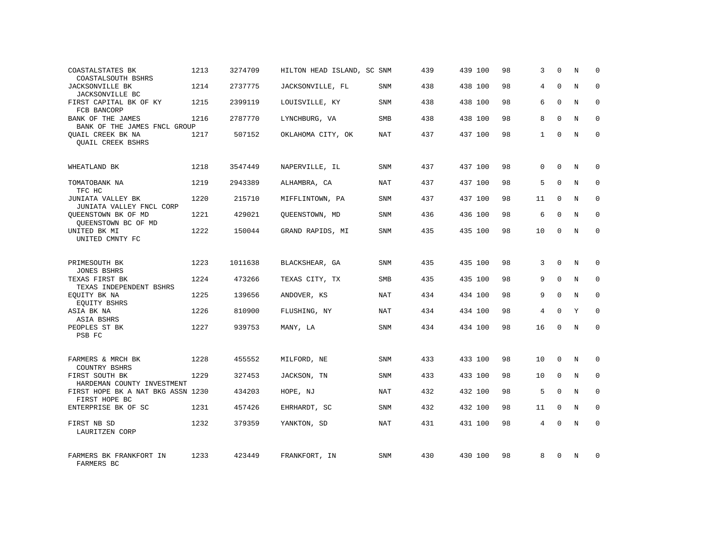| COASTALSTATES BK<br>COASTALSOUTH BSHRS             | 1213 | 3274709 | HILTON HEAD ISLAND, SC SNM |            | 439 | 439 100 | 98 | 3              | $\Omega$    | N          | 0           |
|----------------------------------------------------|------|---------|----------------------------|------------|-----|---------|----|----------------|-------------|------------|-------------|
| <b>JACKSONVILLE BK</b><br>JACKSONVILLE BC          | 1214 | 2737775 | JACKSONVILLE, FL           | SNM        | 438 | 438 100 | 98 | 4              | $\Omega$    | N          | $\Omega$    |
| FIRST CAPITAL BK OF KY<br>FCB BANCORP              | 1215 | 2399119 | LOUISVILLE, KY             | SNM        | 438 | 438 100 | 98 | 6              | $\Omega$    | N          | 0           |
| BANK OF THE JAMES<br>BANK OF THE JAMES FNCL GROUP  | 1216 | 2787770 | LYNCHBURG, VA              | <b>SMB</b> | 438 | 438 100 | 98 | 8              | $\Omega$    | N          | $\Omega$    |
| QUAIL CREEK BK NA<br><b>QUAIL CREEK BSHRS</b>      | 1217 | 507152  | OKLAHOMA CITY, OK          | NAT        | 437 | 437 100 | 98 | $\mathbf{1}$   | $\Omega$    | N          | $\mathbf 0$ |
| WHEATLAND BK                                       | 1218 | 3547449 | NAPERVILLE, IL             | <b>SNM</b> | 437 | 437 100 | 98 | $\Omega$       | $\Omega$    | N          | $\mathbf 0$ |
| TOMATOBANK NA<br>TFC HC                            | 1219 | 2943389 | ALHAMBRA, CA               | <b>NAT</b> | 437 | 437 100 | 98 | 5              | $\Omega$    | N          | $\mathbf 0$ |
| JUNIATA VALLEY BK<br>JUNIATA VALLEY FNCL CORP      | 1220 | 215710  | MIFFLINTOWN, PA            | <b>SNM</b> | 437 | 437 100 | 98 | 11             | $\Omega$    | N          | $\mathbf 0$ |
| QUEENSTOWN BK OF MD<br>QUEENSTOWN BC OF MD         | 1221 | 429021  | QUEENSTOWN, MD             | <b>SNM</b> | 436 | 436 100 | 98 | 6              | $\Omega$    | N          | $\Omega$    |
| UNITED BK MI<br>UNITED CMNTY FC                    | 1222 | 150044  | GRAND RAPIDS, MI           | SNM        | 435 | 435 100 | 98 | 10             | $\Omega$    | N          | $\mathbf 0$ |
| PRIMESOUTH BK<br><b>JONES BSHRS</b>                | 1223 | 1011638 | BLACKSHEAR, GA             | <b>SNM</b> | 435 | 435 100 | 98 | 3              | $\Omega$    | N          | $\Omega$    |
| TEXAS FIRST BK<br>TEXAS INDEPENDENT BSHRS          | 1224 | 473266  | TEXAS CITY, TX             | <b>SMB</b> | 435 | 435 100 | 98 | 9              | $\Omega$    | $_{\rm N}$ | $\mathbf 0$ |
| EOUITY BK NA<br>EQUITY BSHRS                       | 1225 | 139656  | ANDOVER, KS                | <b>NAT</b> | 434 | 434 100 | 98 | 9              | $\Omega$    | $_{\rm N}$ | $\Omega$    |
| ASIA BK NA<br>ASIA BSHRS                           | 1226 | 810900  | FLUSHING, NY               | <b>NAT</b> | 434 | 434 100 | 98 | $\overline{4}$ | $\Omega$    | Y          | $\mathbf 0$ |
| PEOPLES ST BK<br>PSB FC                            | 1227 | 939753  | MANY, LA                   | <b>SNM</b> | 434 | 434 100 | 98 | 16             | $\Omega$    | $_{\rm N}$ | $\Omega$    |
| FARMERS & MRCH BK<br>COUNTRY BSHRS                 | 1228 | 455552  | MILFORD, NE                | <b>SNM</b> | 433 | 433 100 | 98 | 10             | $\Omega$    | N          | $\Omega$    |
| FIRST SOUTH BK<br>HARDEMAN COUNTY INVESTMENT       | 1229 | 327453  | JACKSON, TN                | SNM        | 433 | 433 100 | 98 | 10             | $\mathbf 0$ | N          | $\mathsf 0$ |
| FIRST HOPE BK A NAT BKG ASSN 1230<br>FIRST HOPE BC |      | 434203  | HOPE, NJ                   | <b>NAT</b> | 432 | 432 100 | 98 | 5              | $\Omega$    | N          | $\Omega$    |
| ENTERPRISE BK OF SC                                | 1231 | 457426  | EHRHARDT, SC               | <b>SNM</b> | 432 | 432 100 | 98 | 11             | $\mathbf 0$ | N          | $\mathbf 0$ |
| FIRST NB SD<br>LAURITZEN CORP                      | 1232 | 379359  | YANKTON, SD                | <b>NAT</b> | 431 | 431 100 | 98 | $\overline{4}$ | $\Omega$    | N          | $\Omega$    |
| FARMERS BK FRANKFORT IN<br>FARMERS BC              | 1233 | 423449  | FRANKFORT, IN              | <b>SNM</b> | 430 | 430 100 | 98 | 8              | $\Omega$    | N          | $\Omega$    |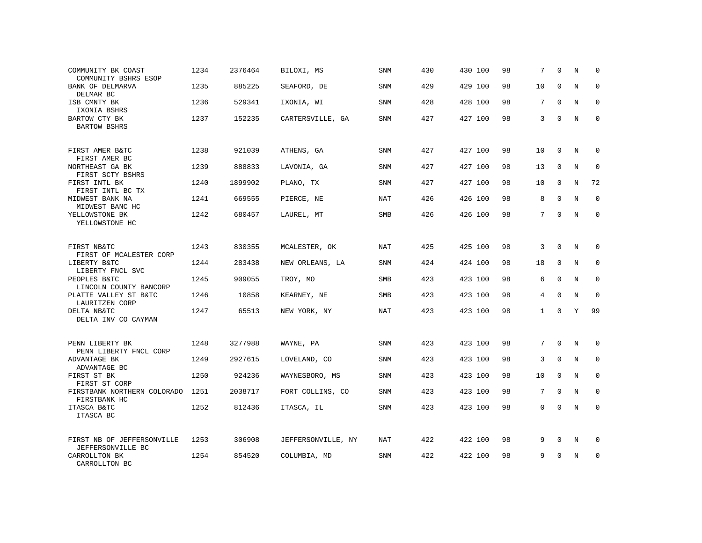| COMMUNITY BK COAST<br>COMMUNITY BSHRS ESOP      | 1234 | 2376464 | BILOXI, MS         | SNM        | 430 | 430 100 | 98 | 7            | $\Omega$    | N           | 0           |
|-------------------------------------------------|------|---------|--------------------|------------|-----|---------|----|--------------|-------------|-------------|-------------|
| BANK OF DELMARVA<br>DELMAR BC                   | 1235 | 885225  | SEAFORD, DE        | SNM        | 429 | 429 100 | 98 | 10           | $\Omega$    | N           | $\Omega$    |
| ISB CMNTY BK<br>IXONIA BSHRS                    | 1236 | 529341  | IXONIA, WI         | <b>SNM</b> | 428 | 428 100 | 98 | 7            | $\mathbf 0$ | N           | $\mathbf 0$ |
| BARTOW CTY BK<br><b>BARTOW BSHRS</b>            | 1237 | 152235  | CARTERSVILLE, GA   | SNM        | 427 | 427 100 | 98 | 3            | $\Omega$    | $_{\rm N}$  | $\mathbf 0$ |
| FIRST AMER B&TC<br>FIRST AMER BC                | 1238 | 921039  | ATHENS, GA         | SNM        | 427 | 427 100 | 98 | 10           | $\mathbf 0$ | N           | 0           |
| NORTHEAST GA BK<br>FIRST SCTY BSHRS             | 1239 | 888833  | LAVONIA, GA        | <b>SNM</b> | 427 | 427 100 | 98 | 13           | $\Omega$    | N           | $\Omega$    |
| FIRST INTL BK<br>FIRST INTL BC TX               | 1240 | 1899902 | PLANO, TX          | SNM        | 427 | 427 100 | 98 | 10           | $\mathbf 0$ | N           | 72          |
| MIDWEST BANK NA<br>MIDWEST BANC HC              | 1241 | 669555  | PIERCE, NE         | <b>NAT</b> | 426 | 426 100 | 98 | 8            | $\Omega$    | N           | $\Omega$    |
| YELLOWSTONE BK<br>YELLOWSTONE HC                | 1242 | 680457  | LAUREL, MT         | SMB        | 426 | 426 100 | 98 | 7            | $\mathbf 0$ | N           | $\mathbf 0$ |
| FIRST NB&TC<br>FIRST OF MCALESTER CORP          | 1243 | 830355  | MCALESTER, OK      | <b>NAT</b> | 425 | 425 100 | 98 | 3            | $\mathbf 0$ | N           | $\mathbf 0$ |
| LIBERTY B&TC<br>LIBERTY FNCL SVC                | 1244 | 283438  | NEW ORLEANS, LA    | <b>SNM</b> | 424 | 424 100 | 98 | 18           | $\mathbf 0$ | N           | $\mathbf 0$ |
| PEOPLES B&TC<br>LINCOLN COUNTY BANCORP          | 1245 | 909055  | TROY, MO           | <b>SMB</b> | 423 | 423 100 | 98 | 6            | $\Omega$    | N           | $\mathbf 0$ |
| PLATTE VALLEY ST B&TC<br>LAURITZEN CORP         | 1246 | 10858   | KEARNEY, NE        | <b>SMB</b> | 423 | 423 100 | 98 | 4            | $\mathbf 0$ | N           | $\mathbf 0$ |
| DELTA NB&TC<br>DELTA INV CO CAYMAN              | 1247 | 65513   | NEW YORK, NY       | <b>NAT</b> | 423 | 423 100 | 98 | $\mathbf{1}$ | $\Omega$    | Y           | 99          |
| PENN LIBERTY BK<br>PENN LIBERTY FNCL CORP       | 1248 | 3277988 | WAYNE, PA          | <b>SNM</b> | 423 | 423 100 | 98 | 7            | $\mathbf 0$ | N           | $\mathbf 0$ |
| ADVANTAGE BK<br>ADVANTAGE BC                    | 1249 | 2927615 | LOVELAND, CO       | SNM        | 423 | 423 100 | 98 | 3            | $\mathbf 0$ | $\mathbf N$ | $\mathbf 0$ |
| FIRST ST BK<br>FIRST ST CORP                    | 1250 | 924236  | WAYNESBORO, MS     | SNM        | 423 | 423 100 | 98 | 10           | $\mathbf 0$ | N           | $\mathbf 0$ |
| FIRSTBANK NORTHERN COLORADO<br>FIRSTBANK HC     | 1251 | 2038717 | FORT COLLINS, CO   | SNM        | 423 | 423 100 | 98 | 7            | $\Omega$    | N           | $\Omega$    |
| ITASCA B&TC<br>ITASCA BC                        | 1252 | 812436  | ITASCA, IL         | SNM        | 423 | 423 100 | 98 | $\mathbf 0$  | $\Omega$    | N           | $\mathbf 0$ |
| FIRST NB OF JEFFERSONVILLE<br>JEFFERSONVILLE BC | 1253 | 306908  | JEFFERSONVILLE, NY | NAT        | 422 | 422 100 | 98 | 9            | $\mathbf 0$ | N           | 0           |
| CARROLLTON BK<br>CARROLLTON BC                  | 1254 | 854520  | COLUMBIA, MD       | SNM        | 422 | 422 100 | 98 | 9            | $\Omega$    | N           | $\mathbf 0$ |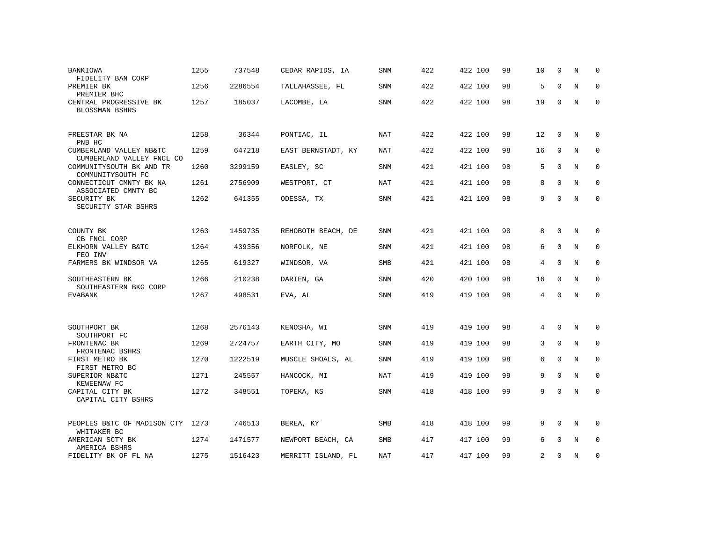| BANKIOWA<br>FIDELITY BAN CORP                                  | 1255 | 737548  | CEDAR RAPIDS, IA   | <b>SNM</b> | 422 | 422 100 | 98 | 10             | $\Omega$     | N           | $\Omega$     |
|----------------------------------------------------------------|------|---------|--------------------|------------|-----|---------|----|----------------|--------------|-------------|--------------|
| PREMIER BK<br>PREMIER BHC                                      | 1256 | 2286554 | TALLAHASSEE, FL    | SNM        | 422 | 422 100 | 98 | 5              | $\Omega$     | N           | $\mathbf{0}$ |
| CENTRAL PROGRESSIVE BK<br>BLOSSMAN BSHRS                       | 1257 | 185037  | LACOMBE, LA        | SNM        | 422 | 422 100 | 98 | 19             | $\mathbf 0$  | N           | $\mathbf 0$  |
| FREESTAR BK NA                                                 | 1258 | 36344   | PONTIAC, IL        | NAT        | 422 | 422 100 | 98 | 12             | $\mathbf 0$  | N           | 0            |
| PNB HC<br>CUMBERLAND VALLEY NB&TC<br>CUMBERLAND VALLEY FNCL CO | 1259 | 647218  | EAST BERNSTADT, KY | <b>NAT</b> | 422 | 422 100 | 98 | 16             | $\Omega$     | $\mathbf N$ | $\mathbf{0}$ |
| COMMUNITYSOUTH BK AND TR<br>COMMUNITYSOUTH FC                  | 1260 | 3299159 | EASLEY, SC         | SNM        | 421 | 421 100 | 98 | 5              | $\Omega$     | N           | $\mathbf 0$  |
| CONNECTICUT CMNTY BK NA<br>ASSOCIATED CMNTY BC                 | 1261 | 2756909 | WESTPORT, CT       | <b>NAT</b> | 421 | 421 100 | 98 | 8              | 0            | $\mathbf N$ | $\mathbf{0}$ |
| SECURITY BK<br>SECURITY STAR BSHRS                             | 1262 | 641355  | ODESSA, TX         | SNM        | 421 | 421 100 | 98 | 9              | $\mathbf 0$  | N           | $\mathbf{0}$ |
|                                                                |      |         |                    |            |     |         |    |                |              |             |              |
| COUNTY BK<br>CB FNCL CORP                                      | 1263 | 1459735 | REHOBOTH BEACH, DE | SNM        | 421 | 421 100 | 98 | 8              | $\mathbf 0$  | N           | $\mathbf 0$  |
| ELKHORN VALLEY B&TC<br>FEO INV                                 | 1264 | 439356  | NORFOLK, NE        | SNM        | 421 | 421 100 | 98 | 6              | $\mathbf 0$  | N           | $\mathbf 0$  |
| FARMERS BK WINDSOR VA                                          | 1265 | 619327  | WINDSOR, VA        | <b>SMB</b> | 421 | 421 100 | 98 | 4              | $\mathbf 0$  | N           | $\mathbf 0$  |
| SOUTHEASTERN BK<br>SOUTHEASTERN BKG CORP                       | 1266 | 210238  | DARIEN, GA         | SNM        | 420 | 420 100 | 98 | 16             | $\mathbf 0$  | N           | $\mathbf 0$  |
| <b>EVABANK</b>                                                 | 1267 | 498531  | EVA, AL            | SNM        | 419 | 419 100 | 98 | 4              | $\mathbf 0$  | N           | $\mathbf 0$  |
|                                                                |      |         |                    |            |     |         |    |                |              |             |              |
| SOUTHPORT BK<br>SOUTHPORT FC                                   | 1268 | 2576143 | KENOSHA, WI        | SNM        | 419 | 419 100 | 98 | $\overline{4}$ | $\mathbf{0}$ | N           | 0            |
| FRONTENAC BK<br>FRONTENAC BSHRS                                | 1269 | 2724757 | EARTH CITY, MO     | SNM        | 419 | 419 100 | 98 | 3              | $\mathbf{0}$ | N           | 0            |
| FIRST METRO BK<br>FIRST METRO BC                               | 1270 | 1222519 | MUSCLE SHOALS, AL  | SNM        | 419 | 419 100 | 98 | 6              | $\mathbf 0$  | N           | $\mathbf 0$  |
| SUPERIOR NB&TC<br>KEWEENAW FC                                  | 1271 | 245557  | HANCOCK, MI        | NAT        | 419 | 419 100 | 99 | 9              | $\mathbf 0$  | N           | 0            |
| CAPITAL CITY BK<br>CAPITAL CITY BSHRS                          | 1272 | 348551  | TOPEKA, KS         | SNM        | 418 | 418 100 | 99 | 9              | $\Omega$     | $\mathbf N$ | $\mathbf{0}$ |
| PEOPLES B&TC OF MADISON CTY 1273<br>WHITAKER BC                |      | 746513  | BEREA, KY          | SMB        | 418 | 418 100 | 99 | 9              | $\mathbf 0$  | N           | 0            |
| AMERICAN SCTY BK<br>AMERICA BSHRS                              | 1274 | 1471577 | NEWPORT BEACH, CA  | <b>SMB</b> | 417 | 417 100 | 99 | 6              | $\Omega$     | N           | $\mathbf 0$  |
| FIDELITY BK OF FL NA                                           | 1275 | 1516423 | MERRITT ISLAND, FL | NAT        | 417 | 417 100 | 99 | 2              | 0            | N           | $\mathbf{0}$ |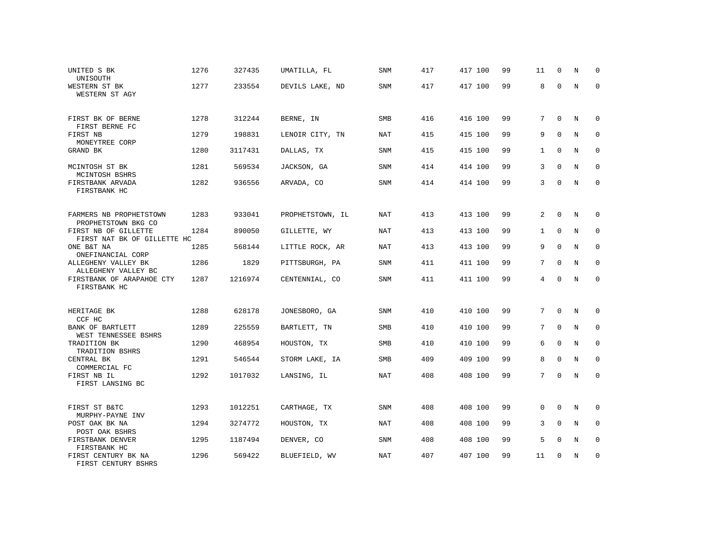| UNITED S BK<br>UNISOUTH                             | 1276 | 327435  | UMATILLA, FL     | SNM        | 417 | 417 100 | 99 | 11             | $\mathbf 0$ | N           | $\Omega$    |
|-----------------------------------------------------|------|---------|------------------|------------|-----|---------|----|----------------|-------------|-------------|-------------|
| WESTERN ST BK<br>WESTERN ST AGY                     | 1277 | 233554  | DEVILS LAKE, ND  | SNM        | 417 | 417 100 | 99 | 8              | $\Omega$    | $\mathbf N$ | $\mathbf 0$ |
| FIRST BK OF BERNE<br>FIRST BERNE FC                 | 1278 | 312244  | BERNE, IN        | <b>SMB</b> | 416 | 416 100 | 99 | 7              | $\mathbf 0$ | N           | $\Omega$    |
| FIRST NB<br>MONEYTREE CORP                          | 1279 | 198831  | LENOIR CITY, TN  | NAT        | 415 | 415 100 | 99 | 9              | $\Omega$    | N           | $\mathbf 0$ |
| GRAND BK                                            | 1280 | 3117431 | DALLAS, TX       | <b>SNM</b> | 415 | 415 100 | 99 | $\mathbf{1}$   | $\mathbf 0$ | N           | $\mathbf 0$ |
| MCINTOSH ST BK<br>MCINTOSH BSHRS                    | 1281 | 569534  | JACKSON, GA      | SNM        | 414 | 414 100 | 99 | 3              | $\mathbf 0$ | $\mathbf N$ | $\mathsf 0$ |
| FIRSTBANK ARVADA<br>FIRSTBANK HC                    | 1282 | 936556  | ARVADA, CO       | <b>SNM</b> | 414 | 414 100 | 99 | 3              | $\Omega$    | $\mathbf N$ | $\mathbf 0$ |
| FARMERS NB PROPHETSTOWN<br>PROPHETSTOWN BKG CO      | 1283 | 933041  | PROPHETSTOWN, IL | NAT        | 413 | 413 100 | 99 | 2              | 0           | N           | 0           |
| FIRST NB OF GILLETTE<br>FIRST NAT BK OF GILLETTE HC | 1284 | 890050  | GILLETTE, WY     | NAT        | 413 | 413 100 | 99 | $\mathbf{1}$   | 0           | N           | 0           |
| ONE B&T NA<br>ONEFINANCIAL CORP                     | 1285 | 568144  | LITTLE ROCK, AR  | <b>NAT</b> | 413 | 413 100 | 99 | 9              | $\mathbf 0$ | $\mathbf N$ | 0           |
| ALLEGHENY VALLEY BK<br>ALLEGHENY VALLEY BC          | 1286 | 1829    | PITTSBURGH, PA   | <b>SNM</b> | 411 | 411 100 | 99 | 7              | $\Omega$    | N           | $\mathbf 0$ |
| FIRSTBANK OF ARAPAHOE CTY<br>FIRSTBANK HC           | 1287 | 1216974 | CENTENNIAL, CO   | <b>SNM</b> | 411 | 411 100 | 99 | $\overline{4}$ | $\Omega$    | $\mathbf N$ | $\mathbf 0$ |
| HERITAGE BK<br>CCF HC                               | 1288 | 628178  | JONESBORO, GA    | SNM        | 410 | 410 100 | 99 | 7              | 0           | N           | 0           |
| BANK OF BARTLETT<br>WEST TENNESSEE BSHRS            | 1289 | 225559  | BARTLETT, TN     | SMB        | 410 | 410 100 | 99 | 7              | $\mathbf 0$ | N           | 0           |
| TRADITION BK<br>TRADITION BSHRS                     | 1290 | 468954  | HOUSTON, TX      | <b>SMB</b> | 410 | 410 100 | 99 | 6              | $\Omega$    | N           | $\mathbf 0$ |
| CENTRAL BK<br>COMMERCIAL FC                         | 1291 | 546544  | STORM LAKE, IA   | <b>SMB</b> | 409 | 409 100 | 99 | 8              | $\Omega$    | N           | $\Omega$    |
| FIRST NB IL<br>FIRST LANSING BC                     | 1292 | 1017032 | LANSING, IL      | <b>NAT</b> | 408 | 408 100 | 99 | 7              | $\Omega$    | N           | $\mathbf 0$ |
| FIRST ST B&TC<br>MURPHY-PAYNE INV                   | 1293 | 1012251 | CARTHAGE, TX     | SNM        | 408 | 408 100 | 99 | $\mathbf 0$    | $\mathbf 0$ | N           | $\mathbf 0$ |
| POST OAK BK NA<br>POST OAK BSHRS                    | 1294 | 3274772 | HOUSTON, TX      | <b>NAT</b> | 408 | 408 100 | 99 | 3              | $\Omega$    | $\rm N$     | $\mathbf 0$ |
| FIRSTBANK DENVER<br>FIRSTBANK HC                    | 1295 | 1187494 | DENVER, CO       | SNM        | 408 | 408 100 | 99 | 5              | $\Omega$    | N           | $\mathbf 0$ |
| FIRST CENTURY BK NA<br>FIRST CENTURY BSHRS          | 1296 | 569422  | BLUEFIELD, WV    | <b>NAT</b> | 407 | 407 100 | 99 | 11             | U           | N           | $\mathbf 0$ |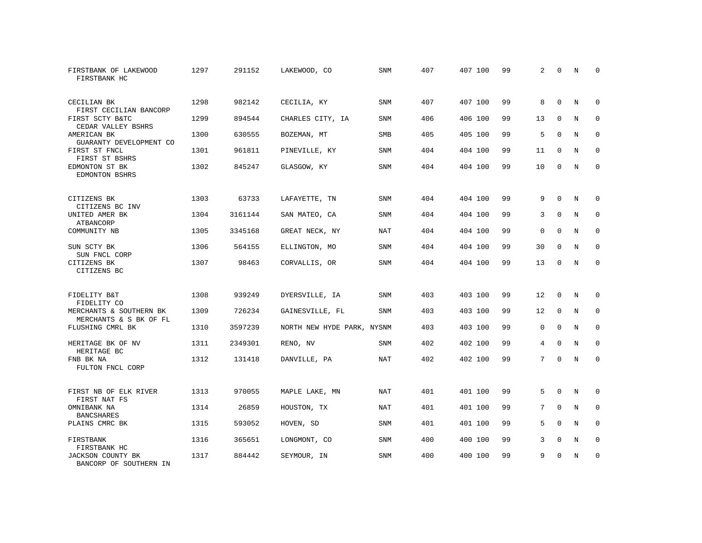| FIRSTBANK OF LAKEWOOD<br>FIRSTBANK HC             | 1297 | 291152  | LAKEWOOD, CO               | SNM        | 407 | 407 100 | 99 | 2              | $\mathbf 0$ | N | $\Omega$    |
|---------------------------------------------------|------|---------|----------------------------|------------|-----|---------|----|----------------|-------------|---|-------------|
| CECILIAN BK<br>FIRST CECILIAN BANCORP             | 1298 | 982142  | CECILIA, KY                | <b>SNM</b> | 407 | 407 100 | 99 | 8              | $\Omega$    | N | $\Omega$    |
| FIRST SCTY B&TC<br>CEDAR VALLEY BSHRS             | 1299 | 894544  | CHARLES CITY, IA           | <b>SNM</b> | 406 | 406 100 | 99 | 13             | $\mathbf 0$ | N | $\mathbf 0$ |
| AMERICAN BK<br>GUARANTY DEVELOPMENT CO            | 1300 | 630555  | BOZEMAN, MT                | <b>SMB</b> | 405 | 405 100 | 99 | 5              | $\Omega$    | N | $\Omega$    |
| FIRST ST FNCL<br>FIRST ST BSHRS                   | 1301 | 961811  | PINEVILLE, KY              | SNM        | 404 | 404 100 | 99 | 11             | $\mathbf 0$ | N | $\mathbf 0$ |
| EDMONTON ST BK<br>EDMONTON BSHRS                  | 1302 | 845247  | GLASGOW, KY                | <b>SNM</b> | 404 | 404 100 | 99 | 10             | $\Omega$    | N | $\mathbf 0$ |
| CITIZENS BK<br>CITIZENS BC INV                    | 1303 | 63733   | LAFAYETTE, TN              | <b>SNM</b> | 404 | 404 100 | 99 | 9              | $\Omega$    | N | 0           |
| UNITED AMER BK<br>ATBANCORP                       | 1304 | 3161144 | SAN MATEO, CA              | SNM        | 404 | 404 100 | 99 | 3              | $\Omega$    | N | $\mathbf 0$ |
| COMMUNITY NB                                      | 1305 | 3345168 | GREAT NECK, NY             | NAT        | 404 | 404 100 | 99 | $\mathbf 0$    | $\Omega$    | N | $\mathbf 0$ |
| SUN SCTY BK<br>SUN FNCL CORP                      | 1306 | 564155  | ELLINGTON, MO              | <b>SNM</b> | 404 | 404 100 | 99 | 30             | $\Omega$    | N | $\mathbf 0$ |
| CITIZENS BK<br>CITIZENS BC                        | 1307 | 98463   | CORVALLIS, OR              | SNM        | 404 | 404 100 | 99 | 13             | $\Omega$    | N | $\Omega$    |
| FIDELITY B&T<br>FIDELITY CO                       | 1308 | 939249  | DYERSVILLE, IA             | <b>SNM</b> | 403 | 403 100 | 99 | 12             | $\Omega$    | N | 0           |
| MERCHANTS & SOUTHERN BK<br>MERCHANTS & S BK OF FL | 1309 | 726234  | GAINESVILLE, FL            | <b>SNM</b> | 403 | 403 100 | 99 | 12             | $\mathbf 0$ | N | 0           |
| FLUSHING CMRL BK                                  | 1310 | 3597239 | NORTH NEW HYDE PARK, NYSNM |            | 403 | 403 100 | 99 | $\mathbf{0}$   | $\Omega$    | N | $\mathbf 0$ |
| HERITAGE BK OF NV<br>HERITAGE BC                  | 1311 | 2349301 | RENO, NV                   | <b>SNM</b> | 402 | 402 100 | 99 | $\overline{4}$ | $\Omega$    | N | $\Omega$    |
| FNB BK NA<br>FULTON FNCL CORP                     | 1312 | 131418  | DANVILLE, PA               | <b>NAT</b> | 402 | 402 100 | 99 | 7              | $\Omega$    | N | $\mathbf 0$ |
| FIRST NB OF ELK RIVER<br>FIRST NAT FS             | 1313 | 970055  | MAPLE LAKE, MN             | <b>NAT</b> | 401 | 401 100 | 99 | 5              | 0           | N | 0           |
| OMNIBANK NA<br><b>BANCSHARES</b>                  | 1314 | 26859   | HOUSTON, TX                | NAT        | 401 | 401 100 | 99 | 7              | $\Omega$    | N | $\mathbf 0$ |
| PLAINS CMRC BK                                    | 1315 | 593052  | HOVEN, SD                  | <b>SNM</b> | 401 | 401 100 | 99 | 5              | $\Omega$    | N | $\Omega$    |
| FIRSTBANK<br>FIRSTBANK HC                         | 1316 | 365651  | LONGMONT, CO               | <b>SNM</b> | 400 | 400 100 | 99 | 3              | 0           | N | $\mathbf 0$ |
| JACKSON COUNTY BK<br>BANCORP OF SOUTHERN IN       | 1317 | 884442  | SEYMOUR, IN                | <b>SNM</b> | 400 | 400 100 | 99 | 9              | $\Omega$    | N | $\mathbf 0$ |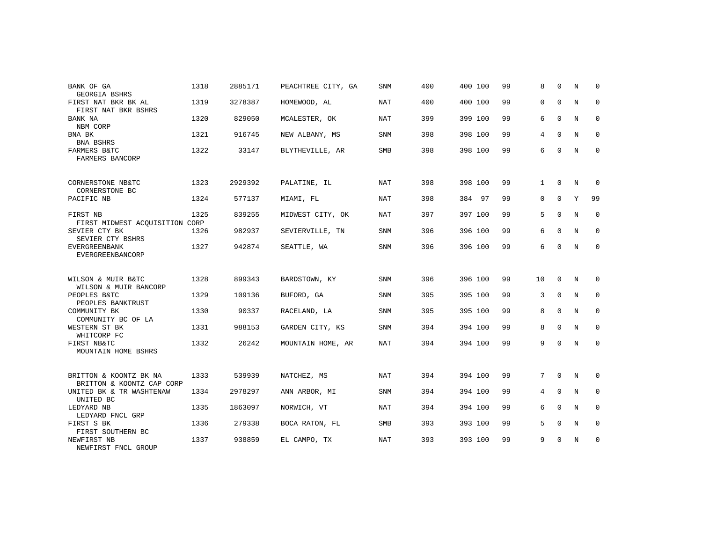| BANK OF GA<br>GEORGIA BSHRS                           | 1318 | 2885171 | PEACHTREE CITY, GA | <b>SNM</b> | 400 | 400 100 | 99 | 8            | $\Omega$    | N           | $\Omega$    |
|-------------------------------------------------------|------|---------|--------------------|------------|-----|---------|----|--------------|-------------|-------------|-------------|
| FIRST NAT BKR BK AL<br>FIRST NAT BKR BSHRS            | 1319 | 3278387 | HOMEWOOD, AL       | NAT        | 400 | 400 100 | 99 | 0            | $\mathbf 0$ | N           | 0           |
| BANK NA<br>NBM CORP                                   | 1320 | 829050  | MCALESTER, OK      | NAT        | 399 | 399 100 | 99 | 6            | $\mathbf 0$ | N           | $\mathbf 0$ |
| BNA BK<br><b>BNA BSHRS</b>                            | 1321 | 916745  | NEW ALBANY, MS     | <b>SNM</b> | 398 | 398 100 | 99 | 4            | $\Omega$    | N           | $\mathbf 0$ |
| FARMERS B&TC<br>FARMERS BANCORP                       | 1322 | 33147   | BLYTHEVILLE, AR    | SMB        | 398 | 398 100 | 99 | 6            | 0           | $\mathbb N$ | $\mathbf 0$ |
| CORNERSTONE NB&TC<br>CORNERSTONE BC                   | 1323 | 2929392 | PALATINE, IL       | NAT        | 398 | 398 100 | 99 | $\mathbf{1}$ | $\Omega$    | N           | $\Omega$    |
| PACIFIC NB                                            | 1324 | 577137  | MIAMI, FL          | <b>NAT</b> | 398 | 384 97  | 99 | 0            | $\mathbf 0$ | Y           | 99          |
| FIRST NB<br>FIRST MIDWEST ACQUISITION CORP            | 1325 | 839255  | MIDWEST CITY, OK   | <b>NAT</b> | 397 | 397 100 | 99 | 5            | $\Omega$    | N           | $\mathbf 0$ |
| SEVIER CTY BK<br>SEVIER CTY BSHRS                     | 1326 | 982937  | SEVIERVILLE, TN    | <b>SNM</b> | 396 | 396 100 | 99 | 6            | $\mathbf 0$ | N           | 0           |
| <b>EVERGREENBANK</b><br>EVERGREENBANCORP              | 1327 | 942874  | SEATTLE, WA        | <b>SNM</b> | 396 | 396 100 | 99 | 6            | $\Omega$    | $\mathbb N$ | $\mathbf 0$ |
| WILSON & MUIR B&TC<br>WILSON & MUIR BANCORP           | 1328 | 899343  | BARDSTOWN, KY      | <b>SNM</b> | 396 | 396 100 | 99 | 10           | 0           | N           | 0           |
| PEOPLES B&TC<br>PEOPLES BANKTRUST                     | 1329 | 109136  | BUFORD, GA         | <b>SNM</b> | 395 | 395 100 | 99 | 3            | $\mathbf 0$ | N           | $\mathbf 0$ |
| COMMUNITY BK<br>COMMUNITY BC OF LA                    | 1330 | 90337   | RACELAND, LA       | SNM        | 395 | 395 100 | 99 | 8            | $\mathbf 0$ | N           | 0           |
| WESTERN ST BK<br>WHITCORP FC                          | 1331 | 988153  | GARDEN CITY, KS    | <b>SNM</b> | 394 | 394 100 | 99 | 8            | $\Omega$    | $\mathbf N$ | $\mathbf 0$ |
| FIRST NB&TC<br>MOUNTAIN HOME BSHRS                    | 1332 | 26242   | MOUNTAIN HOME, AR  | NAT        | 394 | 394 100 | 99 | 9            | $\Omega$    | N           | $\mathbf 0$ |
| BRITTON & KOONTZ BK NA                                | 1333 | 539939  | NATCHEZ, MS        | NAT        | 394 | 394 100 | 99 | 7            | $\mathbf 0$ | N           | 0           |
| BRITTON & KOONTZ CAP CORP<br>UNITED BK & TR WASHTENAW | 1334 | 2978297 | ANN ARBOR, MI      | SNM        | 394 | 394 100 | 99 | 4            | $\Omega$    | N           | 0           |
| UNITED BC                                             |      |         |                    |            |     |         |    |              |             |             |             |
| LEDYARD NB<br>LEDYARD FNCL GRP                        | 1335 | 1863097 | NORWICH, VT        | <b>NAT</b> | 394 | 394 100 | 99 | 6            | $\Omega$    | $\mathbf N$ | $\mathbf 0$ |
| FIRST S BK<br>FIRST SOUTHERN BC                       | 1336 | 279338  | BOCA RATON, FL     | SMB        | 393 | 393 100 | 99 | 5            | $\Omega$    | N           | $\mathbf 0$ |
| NEWFIRST NB<br>NEWFIRST FNCL GROUP                    | 1337 | 938859  | EL CAMPO, TX       | <b>NAT</b> | 393 | 393 100 | 99 | 9            | $\Omega$    | $\mathbf N$ | $\mathbf 0$ |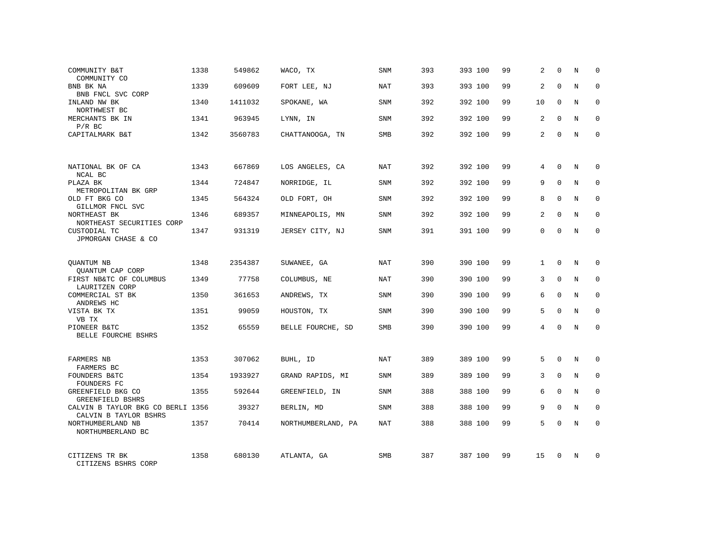| COMMUNITY B&T<br>COMMUNITY CO                               | 1338 | 549862  | WACO, TX           | SNM        | 393 | 393 100 | 99 | 2              | $\Omega$    | N          | $\Omega$    |
|-------------------------------------------------------------|------|---------|--------------------|------------|-----|---------|----|----------------|-------------|------------|-------------|
| BNB BK NA<br>BNB FNCL SVC CORP                              | 1339 | 609609  | FORT LEE, NJ       | NAT        | 393 | 393 100 | 99 | 2              | $\Omega$    | N          | $\Omega$    |
| INLAND NW BK<br>NORTHWEST BC                                | 1340 | 1411032 | SPOKANE, WA        | SNM        | 392 | 392 100 | 99 | 10             | $\Omega$    | N          | 0           |
| MERCHANTS BK IN<br>$P/R$ BC                                 | 1341 | 963945  | LYNN, IN           | <b>SNM</b> | 392 | 392 100 | 99 | 2              | $\Omega$    | N          | $\Omega$    |
| CAPITALMARK B&T                                             | 1342 | 3560783 | CHATTANOOGA, TN    | SMB        | 392 | 392 100 | 99 | 2              | $\Omega$    | N          | $\mathbf 0$ |
| NATIONAL BK OF CA                                           | 1343 | 667869  | LOS ANGELES, CA    | <b>NAT</b> | 392 | 392 100 | 99 | 4              | $\Omega$    | N          | $\Omega$    |
| NCAL BC<br>PLAZA BK                                         | 1344 | 724847  | NORRIDGE, IL       | <b>SNM</b> | 392 | 392 100 | 99 | 9              | $\Omega$    | N          | $\mathbf 0$ |
| METROPOLITAN BK GRP<br>OLD FT BKG CO<br>GILLMOR FNCL SVC    | 1345 | 564324  | OLD FORT, OH       | <b>SNM</b> | 392 | 392 100 | 99 | 8              | $\Omega$    | N          | $\mathbf 0$ |
| NORTHEAST BK<br>NORTHEAST SECURITIES CORP                   | 1346 | 689357  | MINNEAPOLIS, MN    | <b>SNM</b> | 392 | 392 100 | 99 | 2              | $\Omega$    | N          | $\Omega$    |
| CUSTODIAL TC<br>JPMORGAN CHASE & CO                         | 1347 | 931319  | JERSEY CITY, NJ    | <b>SNM</b> | 391 | 391 100 | 99 | $\Omega$       | $\Omega$    | N          | $\mathbf 0$ |
| QUANTUM NB<br>QUANTUM CAP CORP                              | 1348 | 2354387 | SUWANEE, GA        | <b>NAT</b> | 390 | 390 100 | 99 | $\mathbf{1}$   | $\Omega$    | N          | $\Omega$    |
| FIRST NB&TC OF COLUMBUS<br>LAURITZEN CORP                   | 1349 | 77758   | COLUMBUS, NE       | NAT        | 390 | 390 100 | 99 | 3              | $\mathbf 0$ | N          | $\mathbf 0$ |
| COMMERCIAL ST BK<br>ANDREWS HC                              | 1350 | 361653  | ANDREWS, TX        | <b>SNM</b> | 390 | 390 100 | 99 | 6              | $\Omega$    | $_{\rm N}$ | $\Omega$    |
| VISTA BK TX<br>VB TX                                        | 1351 | 99059   | HOUSTON, TX        | <b>SNM</b> | 390 | 390 100 | 99 | 5              | $\Omega$    | $_{\rm N}$ | $\mathbf 0$ |
| PIONEER B&TC<br>BELLE FOURCHE BSHRS                         | 1352 | 65559   | BELLE FOURCHE, SD  | <b>SMB</b> | 390 | 390 100 | 99 | $\overline{4}$ | $\Omega$    | $_{\rm N}$ | $\Omega$    |
| FARMERS NB                                                  | 1353 | 307062  | BUHL, ID           | <b>NAT</b> | 389 | 389 100 | 99 | 5              | $\Omega$    | $_{\rm N}$ | $\Omega$    |
| FARMERS BC<br>FOUNDERS B&TC                                 | 1354 | 1933927 | GRAND RAPIDS, MI   | <b>SNM</b> | 389 | 389 100 | 99 | 3              | $\mathbf 0$ | N          | $\mathbf 0$ |
| FOUNDERS FC<br>GREENFIELD BKG CO<br><b>GREENFIELD BSHRS</b> | 1355 | 592644  | GREENFIELD, IN     | <b>SNM</b> | 388 | 388 100 | 99 | 6              | $\Omega$    | N          | $\Omega$    |
| CALVIN B TAYLOR BKG CO BERLI 1356<br>CALVIN B TAYLOR BSHRS  |      | 39327   | BERLIN, MD         | SNM        | 388 | 388 100 | 99 | 9              | $\Omega$    | N          | $\mathbf 0$ |
| NORTHUMBERLAND NB<br>NORTHUMBERLAND BC                      | 1357 | 70414   | NORTHUMBERLAND, PA | <b>NAT</b> | 388 | 388 100 | 99 | 5              | $\Omega$    | N          | $\Omega$    |
| CITIZENS TR BK<br>CITIZENS BSHRS CORP                       | 1358 | 680130  | ATLANTA, GA        | <b>SMB</b> | 387 | 387 100 | 99 | 15             | $\Omega$    | N          | $\Omega$    |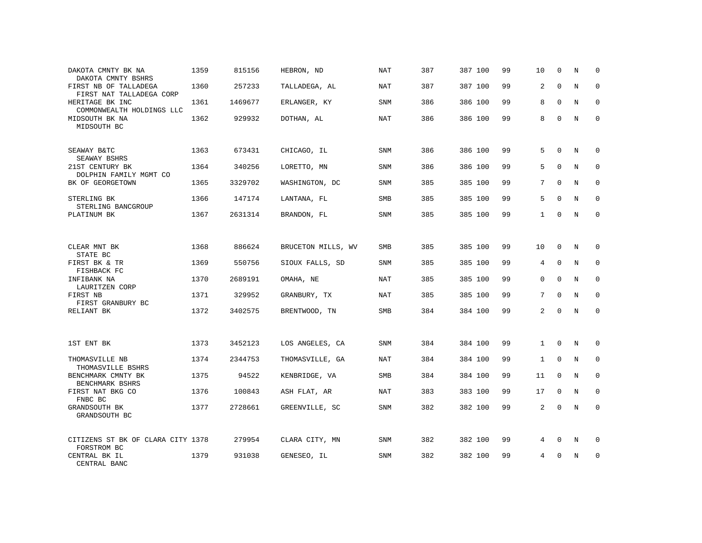| DAKOTA CMNTY BK NA<br>DAKOTA CMNTY BSHRS          | 1359 | 815156  | HEBRON, ND         | NAT        | 387 | 387 100 | 99 | 10           | $\mathbf 0$ | N | $\mathbf 0$  |
|---------------------------------------------------|------|---------|--------------------|------------|-----|---------|----|--------------|-------------|---|--------------|
| FIRST NB OF TALLADEGA<br>FIRST NAT TALLADEGA CORP | 1360 | 257233  | TALLADEGA, AL      | NAT        | 387 | 387 100 | 99 | 2            | $\Omega$    | N | $\mathbf{0}$ |
| HERITAGE BK INC<br>COMMONWEALTH HOLDINGS LLC      | 1361 | 1469677 | ERLANGER, KY       | SNM        | 386 | 386 100 | 99 | 8            | 0           | N | $\mathbf 0$  |
| MIDSOUTH BK NA<br>MIDSOUTH BC                     | 1362 | 929932  | DOTHAN, AL         | <b>NAT</b> | 386 | 386 100 | 99 | 8            | $\Omega$    | N | $\mathbf 0$  |
| SEAWAY B&TC<br>SEAWAY BSHRS                       | 1363 | 673431  | CHICAGO, IL        | SNM        | 386 | 386 100 | 99 | 5            | $\Omega$    | N | $\mathbf 0$  |
| 21ST CENTURY BK<br>DOLPHIN FAMILY MGMT CO         | 1364 | 340256  | LORETTO, MN        | SNM        | 386 | 386 100 | 99 | 5            | $\mathbf 0$ | N | $\mathbf 0$  |
| BK OF GEORGETOWN                                  | 1365 | 3329702 | WASHINGTON, DC     | SNM        | 385 | 385 100 | 99 | 7            | $\Omega$    | N | $\mathbf 0$  |
| STERLING BK<br>STERLING BANCGROUP                 | 1366 | 147174  | LANTANA, FL        | SMB        | 385 | 385 100 | 99 | 5            | $\Omega$    | N | $\mathbf 0$  |
| PLATINUM BK                                       | 1367 | 2631314 | BRANDON, FL        | SNM        | 385 | 385 100 | 99 | 1            | $\Omega$    | N | $\mathbf{0}$ |
|                                                   |      |         |                    |            |     |         |    |              |             |   |              |
| CLEAR MNT BK<br>STATE BC                          | 1368 | 886624  | BRUCETON MILLS, WV | SMB        | 385 | 385 100 | 99 | 10           | $\mathbf 0$ | N | $\mathbf 0$  |
| FIRST BK & TR<br>FISHBACK FC                      | 1369 | 550756  | SIOUX FALLS, SD    | SNM        | 385 | 385 100 | 99 | 4            | $\Omega$    | N | $\Omega$     |
| INFIBANK NA<br>LAURITZEN CORP                     | 1370 | 2689191 | OMAHA, NE          | NAT        | 385 | 385 100 | 99 | $\mathbf 0$  | $\mathbf 0$ | N | $\mathbf 0$  |
| FIRST NB<br>FIRST GRANBURY BC                     | 1371 | 329952  | GRANBURY, TX       | <b>NAT</b> | 385 | 385 100 | 99 | 7            | $\Omega$    | N | $\Omega$     |
| RELIANT BK                                        | 1372 | 3402575 | BRENTWOOD, TN      | SMB        | 384 | 384 100 | 99 | 2            | $\mathbf 0$ | N | $\mathbf{0}$ |
|                                                   |      |         |                    |            |     |         |    |              |             |   |              |
| 1ST ENT BK                                        | 1373 | 3452123 | LOS ANGELES, CA    | <b>SNM</b> | 384 | 384 100 | 99 | $\mathbf{1}$ | $\mathbf 0$ | N | $\mathbf 0$  |
| THOMASVILLE NB<br>THOMASVILLE BSHRS               | 1374 | 2344753 | THOMASVILLE, GA    | <b>NAT</b> | 384 | 384 100 | 99 | $\mathbf{1}$ | $\Omega$    | N | $\mathbf 0$  |
| BENCHMARK CMNTY BK<br>BENCHMARK BSHRS             | 1375 | 94522   | KENBRIDGE, VA      | SMB        | 384 | 384 100 | 99 | 11           | 0           | N | 0            |
| FIRST NAT BKG CO<br>FNBC BC                       | 1376 | 100843  | ASH FLAT, AR       | <b>NAT</b> | 383 | 383 100 | 99 | 17           | $\mathbf 0$ | N | $\mathbf 0$  |
| GRANDSOUTH BK<br>GRANDSOUTH BC                    | 1377 | 2728661 | GREENVILLE, SC     | SNM        | 382 | 382 100 | 99 | 2            | $\mathbf 0$ | N | $\mathbf{0}$ |
|                                                   |      |         |                    |            |     |         |    |              |             |   |              |
| CITIZENS ST BK OF CLARA CITY 1378<br>FORSTROM BC  |      | 279954  | CLARA CITY, MN     | SNM        | 382 | 382 100 | 99 | 4            | $\mathbf 0$ | N | 0            |
| CENTRAL BK IL<br>CENTRAL BANC                     | 1379 | 931038  | GENESEO, IL        | <b>SNM</b> | 382 | 382 100 | 99 | 4            | $\Omega$    | N | $\mathbf{0}$ |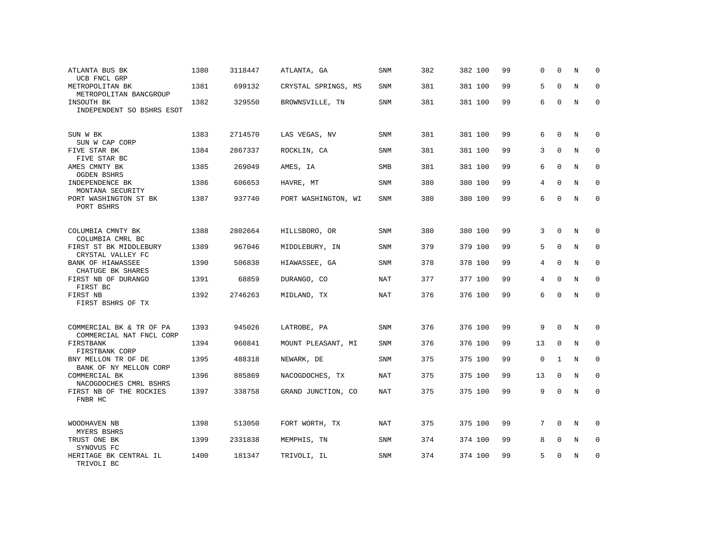| ATLANTA BUS BK<br>UCB FNCL GRP                       | 1380 | 3118447 | ATLANTA, GA         | SNM        | 382 | 382 100 | 99 | $\Omega$       | $\mathbf 0$  | N           | 0            |
|------------------------------------------------------|------|---------|---------------------|------------|-----|---------|----|----------------|--------------|-------------|--------------|
| METROPOLITAN BK<br>METROPOLITAN BANCGROUP            | 1381 | 699132  | CRYSTAL SPRINGS, MS | SNM        | 381 | 381 100 | 99 | 5              | $\Omega$     | N           | 0            |
| INSOUTH BK<br>INDEPENDENT SO BSHRS ESOT              | 1382 | 329550  | BROWNSVILLE, TN     | SNM        | 381 | 381 100 | 99 | 6              | $\Omega$     | N           | $\Omega$     |
| SUN W BK<br>SUN W CAP CORP                           | 1383 | 2714570 | LAS VEGAS, NV       | SNM        | 381 | 381 100 | 99 | 6              | $\Omega$     | N           | 0            |
| FIVE STAR BK<br>FIVE STAR BC                         | 1384 | 2867337 | ROCKLIN, CA         | <b>SNM</b> | 381 | 381 100 | 99 | 3              | $\Omega$     | N           | $\mathbf{0}$ |
| AMES CMNTY BK<br><b>OGDEN BSHRS</b>                  | 1385 | 269049  | AMES, IA            | SMB        | 381 | 381 100 | 99 | 6              | $\Omega$     | N           | $\mathbf{0}$ |
| INDEPENDENCE BK<br>MONTANA SECURITY                  | 1386 | 606653  | HAVRE, MT           | SNM        | 380 | 380 100 | 99 | $\overline{4}$ | $\mathbf 0$  | $\mathbf N$ | $\mathbf 0$  |
| PORT WASHINGTON ST BK<br>PORT BSHRS                  | 1387 | 937740  | PORT WASHINGTON, WI | <b>SNM</b> | 380 | 380 100 | 99 | 6              | $\Omega$     | N           | $\mathbf{0}$ |
| COLUMBIA CMNTY BK<br>COLUMBIA CMRL BC                | 1388 | 2802664 | HILLSBORO, OR       | SNM        | 380 | 380 100 | 99 | 3              | $\mathbf{0}$ | $\mathbf N$ | $\mathbf 0$  |
| FIRST ST BK MIDDLEBURY<br>CRYSTAL VALLEY FC          | 1389 | 967046  | MIDDLEBURY, IN      | SNM        | 379 | 379 100 | 99 | 5              | $\mathbf 0$  | N           | $\mathbf{0}$ |
| BANK OF HIAWASSEE<br>CHATUGE BK SHARES               | 1390 | 506838  | HIAWASSEE, GA       | SNM        | 378 | 378 100 | 99 | 4              | $\Omega$     | N           | $\mathbf 0$  |
| FIRST NB OF DURANGO<br>FIRST BC                      | 1391 | 68859   | DURANGO, CO         | <b>NAT</b> | 377 | 377 100 | 99 | 4              | $\mathbf 0$  | $\mathbf N$ | $\mathbf 0$  |
| FIRST NB<br>FIRST BSHRS OF TX                        | 1392 | 2746263 | MIDLAND, TX         | <b>NAT</b> | 376 | 376 100 | 99 | 6              | $\Omega$     | N           | $\mathbf 0$  |
| COMMERCIAL BK & TR OF PA<br>COMMERCIAL NAT FNCL CORP | 1393 | 945026  | LATROBE, PA         | SNM        | 376 | 376 100 | 99 | 9              | $\mathbf{0}$ | $\mathbf N$ | 0            |
| FIRSTBANK<br>FIRSTBANK CORP                          | 1394 | 960841  | MOUNT PLEASANT, MI  | SNM        | 376 | 376 100 | 99 | 13             | $\mathbf{0}$ | N           | $\mathbf 0$  |
| BNY MELLON TR OF DE<br>BANK OF NY MELLON CORP        | 1395 | 488318  | NEWARK, DE          | <b>SNM</b> | 375 | 375 100 | 99 | $\mathbf 0$    | $\mathbf{1}$ | N           | $\mathbf 0$  |
| COMMERCIAL BK<br>NACOGDOCHES CMRL BSHRS              | 1396 | 885869  | NACOGDOCHES, TX     | NAT        | 375 | 375 100 | 99 | 13             | $\mathbf 0$  | $\mathbf N$ | $\mathbf 0$  |
| FIRST NB OF THE ROCKIES<br>FNBR HC                   | 1397 | 338758  | GRAND JUNCTION, CO  | <b>NAT</b> | 375 | 375 100 | 99 | 9              | $\Omega$     | $\mathbf N$ | $\mathbf 0$  |
| WOODHAVEN NB<br>MYERS BSHRS                          | 1398 | 513050  | FORT WORTH, TX      | NAT        | 375 | 375 100 | 99 | 7              | $\mathbf 0$  | N           | 0            |
| TRUST ONE BK<br>SYNOVUS FC                           | 1399 | 2331838 | MEMPHIS, TN         | <b>SNM</b> | 374 | 374 100 | 99 | 8              | 0            | N           | 0            |
| HERITAGE BK CENTRAL IL<br>TRIVOLI BC                 | 1400 | 181347  | TRIVOLI, IL         | SNM        | 374 | 374 100 | 99 | 5              | 0            | N           | $\mathbf 0$  |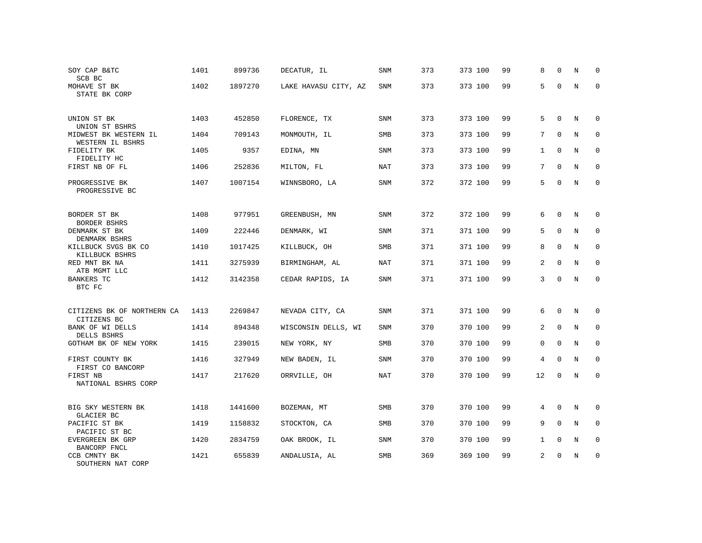| SOY CAP B&TC<br>SCB BC                    | 1401 | 899736  | DECATUR, IL          | SNM        | 373 | 373 100 | 99 | 8              | $\mathbf 0$ | Ν | 0            |
|-------------------------------------------|------|---------|----------------------|------------|-----|---------|----|----------------|-------------|---|--------------|
| MOHAVE ST BK<br>STATE BK CORP             | 1402 | 1897270 | LAKE HAVASU CITY, AZ | SNM        | 373 | 373 100 | 99 | 5              | $\Omega$    | N | $\Omega$     |
| UNION ST BK<br>UNION ST BSHRS             | 1403 | 452850  | FLORENCE, TX         | SNM        | 373 | 373 100 | 99 | 5              | $\Omega$    | N | $\Omega$     |
| MIDWEST BK WESTERN IL<br>WESTERN IL BSHRS | 1404 | 709143  | MONMOUTH, IL         | SMB        | 373 | 373 100 | 99 | 7              | $\Omega$    | N | $\mathbf 0$  |
| FIDELITY BK<br>FIDELITY HC                | 1405 | 9357    | EDINA, MN            | SNM        | 373 | 373 100 | 99 | $\mathbf{1}$   | $\Omega$    | N | $\mathbf 0$  |
| FIRST NB OF FL                            | 1406 | 252836  | MILTON, FL           | <b>NAT</b> | 373 | 373 100 | 99 | 7              | $\Omega$    | N | $\mathbf{0}$ |
| PROGRESSIVE BK<br>PROGRESSIVE BC          | 1407 | 1007154 | WINNSBORO, LA        | SNM        | 372 | 372 100 | 99 | 5              | $\Omega$    | N | $\Omega$     |
| BORDER ST BK<br>BORDER BSHRS              | 1408 | 977951  | GREENBUSH, MN        | <b>SNM</b> | 372 | 372 100 | 99 | 6              | $\mathbf 0$ | N | $\Omega$     |
| DENMARK ST BK<br>DENMARK BSHRS            | 1409 | 222446  | DENMARK, WI          | SNM        | 371 | 371 100 | 99 | 5              | $\mathbf 0$ | N | $\mathbf{0}$ |
| KILLBUCK SVGS BK CO<br>KILLBUCK BSHRS     | 1410 | 1017425 | KILLBUCK, OH         | <b>SMB</b> | 371 | 371 100 | 99 | 8              | $\Omega$    | N | 0            |
| RED MNT BK NA<br>ATB MGMT LLC             | 1411 | 3275939 | BIRMINGHAM, AL       | <b>NAT</b> | 371 | 371 100 | 99 | $\overline{2}$ | $\Omega$    | N | $\Omega$     |
| <b>BANKERS TC</b><br>BTC FC               | 1412 | 3142358 | CEDAR RAPIDS, IA     | SNM        | 371 | 371 100 | 99 | 3              | $\Omega$    | N | $\mathbf{0}$ |
| CITIZENS BK OF NORTHERN CA<br>CITIZENS BC | 1413 | 2269847 | NEVADA CITY, CA      | SNM        | 371 | 371 100 | 99 | 6              | $\mathbf 0$ | N | $\mathbf 0$  |
| BANK OF WI DELLS<br>DELLS BSHRS           | 1414 | 894348  | WISCONSIN DELLS, WI  | SNM        | 370 | 370 100 | 99 | 2              | $\Omega$    | N | $\Omega$     |
| GOTHAM BK OF NEW YORK                     | 1415 | 239015  | NEW YORK, NY         | SMB        | 370 | 370 100 | 99 | 0              | $\mathbf 0$ | N | $\mathbf 0$  |
| FIRST COUNTY BK<br>FIRST CO BANCORP       | 1416 | 327949  | NEW BADEN, IL        | <b>SNM</b> | 370 | 370 100 | 99 | $\overline{4}$ | $\Omega$    | N | $\Omega$     |
| FIRST NB<br>NATIONAL BSHRS CORP           | 1417 | 217620  | ORRVILLE, OH         | NAT        | 370 | 370 100 | 99 | 12             | $\mathbf 0$ | N | $\mathbf{0}$ |
| BIG SKY WESTERN BK<br>GLACIER BC          | 1418 | 1441600 | BOZEMAN, MT          | SMB        | 370 | 370 100 | 99 | 4              | 0           | N | 0            |
| PACIFIC ST BK<br>PACIFIC ST BC            | 1419 | 1158832 | STOCKTON, CA         | SMB        | 370 | 370 100 | 99 | 9              | $\Omega$    | N | $\mathbf 0$  |
| EVERGREEN BK GRP<br>BANCORP FNCL          | 1420 | 2834759 | OAK BROOK, IL        | SNM        | 370 | 370 100 | 99 | 1              | $\mathbf 0$ | N | 0            |
| CCB CMNTY BK<br>SOUTHERN NAT CORP         | 1421 | 655839  | ANDALUSIA, AL        | SMB        | 369 | 369 100 | 99 | 2              | $\Omega$    | N | $\mathbf 0$  |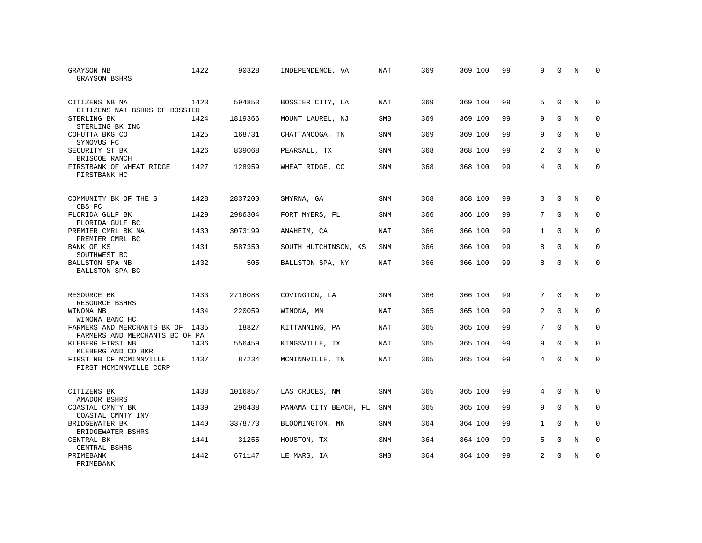| GRAYSON NB<br><b>GRAYSON BSHRS</b>                            | 1422 | 90328   | INDEPENDENCE, VA      | NAT        | 369 | 369 100 | 99 | 9              | $\mathbf 0$ | N | $\mathbf 0$ |
|---------------------------------------------------------------|------|---------|-----------------------|------------|-----|---------|----|----------------|-------------|---|-------------|
| CITIZENS NB NA<br>CITIZENS NAT BSHRS OF BOSSIER               | 1423 | 594853  | BOSSIER CITY, LA      | <b>NAT</b> | 369 | 369 100 | 99 | 5              | $\Omega$    | N | $\Omega$    |
| STERLING BK<br>STERLING BK INC                                | 1424 | 1819366 | MOUNT LAUREL, NJ      | <b>SMB</b> | 369 | 369 100 | 99 | 9              | $\mathbf 0$ | N | $\mathbf 0$ |
| COHUTTA BKG CO<br>SYNOVUS FC                                  | 1425 | 168731  | CHATTANOOGA, TN       | <b>SNM</b> | 369 | 369 100 | 99 | 9              | $\Omega$    | N | $\Omega$    |
| SECURITY ST BK<br>BRISCOE RANCH                               | 1426 | 839068  | PEARSALL, TX          | SNM        | 368 | 368 100 | 99 | 2              | $\Omega$    | N | $\mathbf 0$ |
| FIRSTBANK OF WHEAT RIDGE<br>FIRSTBANK HC                      | 1427 | 128959  | WHEAT RIDGE, CO       | <b>SNM</b> | 368 | 368 100 | 99 | $\overline{4}$ | $\Omega$    | N | $\Omega$    |
| COMMUNITY BK OF THE S<br>CBS FC                               | 1428 | 2837200 | SMYRNA, GA            | <b>SNM</b> | 368 | 368 100 | 99 | 3              | $\Omega$    | N | $\mathbf 0$ |
| FLORIDA GULF BK<br>FLORIDA GULF BC                            | 1429 | 2986304 | FORT MYERS, FL        | SNM        | 366 | 366 100 | 99 | 7              | $\Omega$    | N | 0           |
| PREMIER CMRL BK NA<br>PREMIER CMRL BC                         | 1430 | 3073199 | ANAHEIM, CA           | <b>NAT</b> | 366 | 366 100 | 99 | $\mathbf 1$    | $\Omega$    | N | $\mathbf 0$ |
| BANK OF KS<br>SOUTHWEST BC                                    | 1431 | 587350  | SOUTH HUTCHINSON, KS  | <b>SNM</b> | 366 | 366 100 | 99 | 8              | $\Omega$    | N | $\mathbf 0$ |
| <b>BALLSTON SPA NB</b><br>BALLSTON SPA BC                     | 1432 | 505     | BALLSTON SPA, NY      | <b>NAT</b> | 366 | 366 100 | 99 | 8              | $\Omega$    | N | $\Omega$    |
| RESOURCE BK<br>RESOURCE BSHRS                                 | 1433 | 2716088 | COVINGTON, LA         | <b>SNM</b> | 366 | 366 100 | 99 | 7              | $\Omega$    | N | $\Omega$    |
| WINONA NB<br>WINONA BANC HC                                   | 1434 | 220059  | WINONA, MN            | NAT        | 365 | 365 100 | 99 | 2              | $\mathbf 0$ | N | 0           |
| FARMERS AND MERCHANTS BK OF<br>FARMERS AND MERCHANTS BC OF PA | 1435 | 18827   | KITTANNING, PA        | NAT        | 365 | 365 100 | 99 | 7              | $\Omega$    | N | $\mathbf 0$ |
| KLEBERG FIRST NB<br>KLEBERG AND CO BKR                        | 1436 | 556459  | KINGSVILLE, TX        | <b>NAT</b> | 365 | 365 100 | 99 | 9              | $\Omega$    | N | $\Omega$    |
| FIRST NB OF MCMINNVILLE<br>FIRST MCMINNVILLE CORP             | 1437 | 87234   | MCMINNVILLE, TN       | NAT        | 365 | 365 100 | 99 | 4              | $\Omega$    | N | $\mathbf 0$ |
| CITIZENS BK<br>AMADOR BSHRS                                   | 1438 | 1016857 | LAS CRUCES, NM        | SNM        | 365 | 365 100 | 99 | 4              | $\mathbf 0$ | N | $\mathbf 0$ |
| COASTAL CMNTY BK<br>COASTAL CMNTY INV                         | 1439 | 296438  | PANAMA CITY BEACH, FL | SNM        | 365 | 365 100 | 99 | 9              | $\mathbf 0$ | N | $\mathbf 0$ |
| BRIDGEWATER BK<br>BRIDGEWATER BSHRS                           | 1440 | 3378773 | BLOOMINGTON, MN       | SNM        | 364 | 364 100 | 99 | $\mathbf{1}$   | $\Omega$    | N | $\mathbf 0$ |
| CENTRAL BK<br>CENTRAL BSHRS                                   | 1441 | 31255   | HOUSTON, TX           | SNM        | 364 | 364 100 | 99 | 5              | $\mathbf 0$ | N | 0           |
| PRIMEBANK<br>PRIMEBANK                                        | 1442 | 671147  | LE MARS, IA           | SMB        | 364 | 364 100 | 99 | $\overline{2}$ | $\Omega$    | N | $\mathbf 0$ |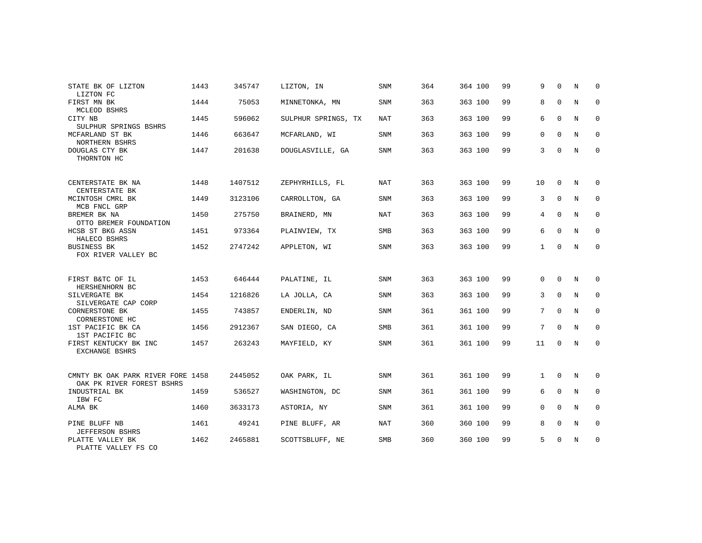| STATE BK OF LIZTON                                             | 1443 | 345747  | LIZTON, IN          | <b>SNM</b> | 364 | 364 100 | 99 | 9               | $\Omega$    | N | $\Omega$    |
|----------------------------------------------------------------|------|---------|---------------------|------------|-----|---------|----|-----------------|-------------|---|-------------|
| LIZTON FC<br>FIRST MN BK                                       | 1444 | 75053   | MINNETONKA, MN      | <b>SNM</b> | 363 | 363 100 | 99 | 8               | $\mathbf 0$ | N | $\mathbf 0$ |
| MCLEOD BSHRS<br>CITY NB                                        | 1445 | 596062  | SULPHUR SPRINGS, TX | <b>NAT</b> | 363 | 363 100 | 99 | 6               | $\mathbf 0$ | N | 0           |
| SULPHUR SPRINGS BSHRS<br>MCFARLAND ST BK                       | 1446 | 663647  | MCFARLAND, WI       | <b>SNM</b> | 363 | 363 100 | 99 | $\mathbf 0$     | $\Omega$    | N | 0           |
| NORTHERN BSHRS<br>DOUGLAS CTY BK                               | 1447 | 201638  | DOUGLASVILLE, GA    | <b>SNM</b> | 363 | 363 100 | 99 | 3               | $\Omega$    | N | $\mathbf 0$ |
| THORNTON HC                                                    |      |         |                     |            |     |         |    |                 |             |   |             |
| CENTERSTATE BK NA                                              | 1448 | 1407512 | ZEPHYRHILLS, FL     | <b>NAT</b> | 363 | 363 100 | 99 | 10              | $\Omega$    | N | 0           |
| CENTERSTATE BK                                                 |      |         |                     |            |     |         |    |                 |             |   |             |
| MCINTOSH CMRL BK<br>MCB FNCL GRP                               | 1449 | 3123106 | CARROLLTON, GA      | SNM        | 363 | 363 100 | 99 | 3               | $\mathbf 0$ | N | 0           |
| BREMER BK NA<br>OTTO BREMER FOUNDATION                         | 1450 | 275750  | BRAINERD, MN        | <b>NAT</b> | 363 | 363 100 | 99 | 4               | $\mathbf 0$ | N | 0           |
| HCSB ST BKG ASSN<br>HALECO BSHRS                               | 1451 | 973364  | PLAINVIEW, TX       | <b>SMB</b> | 363 | 363 100 | 99 | 6               | $\mathbf 0$ | N | 0           |
| <b>BUSINESS BK</b><br>FOX RIVER VALLEY BC                      | 1452 | 2747242 | APPLETON, WI        | SNM        | 363 | 363 100 | 99 | $\mathbf{1}$    | 0           | N | 0           |
|                                                                |      |         |                     |            |     |         |    |                 |             |   |             |
| FIRST B&TC OF IL<br>HERSHENHORN BC                             | 1453 | 646444  | PALATINE, IL        | <b>SNM</b> | 363 | 363 100 | 99 | $\Omega$        | $\Omega$    | N | 0           |
| SILVERGATE BK<br>SILVERGATE CAP CORP                           | 1454 | 1216826 | LA JOLLA, CA        | SNM        | 363 | 363 100 | 99 | 3               | $\mathbf 0$ | N | $\mathbf 0$ |
| <b>CORNERSTONE BK</b><br>CORNERSTONE HC                        | 1455 | 743857  | ENDERLIN, ND        | <b>SNM</b> | 361 | 361 100 | 99 | 7               | $\mathbf 0$ | N | 0           |
| 1ST PACIFIC BK CA<br>1ST PACIFIC BC                            | 1456 | 2912367 | SAN DIEGO, CA       | <b>SMB</b> | 361 | 361 100 | 99 | $7\overline{ }$ | $\Omega$    | N | $\mathbf 0$ |
| FIRST KENTUCKY BK INC<br>EXCHANGE BSHRS                        | 1457 | 263243  | MAYFIELD, KY        | <b>SNM</b> | 361 | 361 100 | 99 | 11              | $\mathbf 0$ | N | 0           |
|                                                                |      |         |                     |            |     |         |    |                 |             |   |             |
| CMNTY BK OAK PARK RIVER FORE 1458<br>OAK PK RIVER FOREST BSHRS |      | 2445052 | OAK PARK, IL        | SNM        | 361 | 361 100 | 99 | $\mathbf{1}$    | $\mathbf 0$ | N | 0           |
| INDUSTRIAL BK<br>IBW FC                                        | 1459 | 536527  | WASHINGTON, DC      | <b>SNM</b> | 361 | 361 100 | 99 | 6               | $\Omega$    | N | $\mathbf 0$ |
| ALMA BK                                                        | 1460 | 3633173 | ASTORIA, NY         | <b>SNM</b> | 361 | 361 100 | 99 | 0               | $\mathbf 0$ | N | 0           |
| PINE BLUFF NB<br><b>JEFFERSON BSHRS</b>                        | 1461 | 49241   | PINE BLUFF, AR      | <b>NAT</b> | 360 | 360 100 | 99 | 8               | $\Omega$    | N | $\mathbf 0$ |
| PLATTE VALLEY BK<br>PLATTE VALLEY FS CO                        | 1462 | 2465881 | SCOTTSBLUFF, NE     | <b>SMB</b> | 360 | 360 100 | 99 | 5               | $\mathbf 0$ | N | 0           |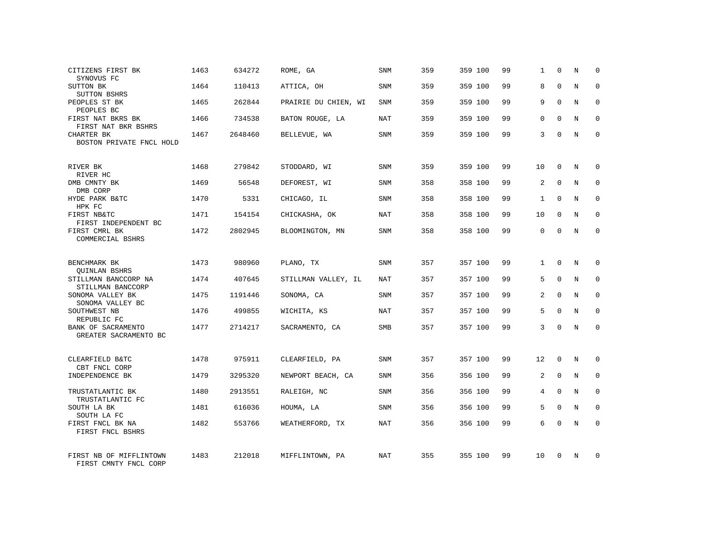| CITIZENS FIRST BK<br>SYNOVUS FC                  | 1463 | 634272  | ROME, GA             | SNM        | 359 | 359 100 | 99 | 1              | $\Omega$    | N           | $\Omega$    |
|--------------------------------------------------|------|---------|----------------------|------------|-----|---------|----|----------------|-------------|-------------|-------------|
| SUTTON BK<br>SUTTON BSHRS                        | 1464 | 110413  | ATTICA, OH           | <b>SNM</b> | 359 | 359 100 | 99 | 8              | $\Omega$    | N           | $\Omega$    |
| PEOPLES ST BK<br>PEOPLES BC                      | 1465 | 262844  | PRAIRIE DU CHIEN, WI | SNM        | 359 | 359 100 | 99 | 9              | $\Omega$    | N           | $\mathbf 0$ |
| FIRST NAT BKRS BK<br>FIRST NAT BKR BSHRS         | 1466 | 734538  | BATON ROUGE, LA      | NAT        | 359 | 359 100 | 99 | $\Omega$       | $\Omega$    | N           | $\Omega$    |
| CHARTER BK<br>BOSTON PRIVATE FNCL HOLD           | 1467 | 2648460 | BELLEVUE, WA         | <b>SNM</b> | 359 | 359 100 | 99 | 3              | $\Omega$    | N           | $\Omega$    |
| RIVER BK<br>RIVER HC                             | 1468 | 279842  | STODDARD, WI         | <b>SNM</b> | 359 | 359 100 | 99 | 10             | $\Omega$    | N           | $\Omega$    |
| DMB CMNTY BK<br>DMB CORP                         | 1469 | 56548   | DEFOREST, WI         | SNM        | 358 | 358 100 | 99 | 2              | $\mathbf 0$ | N           | $\mathbf 0$ |
| HYDE PARK B&TC<br>HPK FC                         | 1470 | 5331    | CHICAGO, IL          | <b>SNM</b> | 358 | 358 100 | 99 | $\mathbf{1}$   | $\Omega$    | N           | $\Omega$    |
| FIRST NB&TC<br>FIRST INDEPENDENT BC              | 1471 | 154154  | CHICKASHA, OK        | <b>NAT</b> | 358 | 358 100 | 99 | 10             | $\mathbf 0$ | N           | $\mathbf 0$ |
| FIRST CMRL BK<br>COMMERCIAL BSHRS                | 1472 | 2802945 | BLOOMINGTON, MN      | <b>SNM</b> | 358 | 358 100 | 99 | $\Omega$       | $\Omega$    | N           | $\Omega$    |
| BENCHMARK BK<br><b>OUINLAN BSHRS</b>             | 1473 | 980960  | PLANO, TX            | <b>SNM</b> | 357 | 357 100 | 99 | $\mathbf{1}$   | $\Omega$    | N           | 0           |
| STILLMAN BANCCORP NA<br>STILLMAN BANCCORP        | 1474 | 407645  | STILLMAN VALLEY, IL  | <b>NAT</b> | 357 | 357 100 | 99 | 5              | $\Omega$    | N           | $\Omega$    |
| SONOMA VALLEY BK<br>SONOMA VALLEY BC             | 1475 | 1191446 | SONOMA, CA           | <b>SNM</b> | 357 | 357 100 | 99 | 2              | $\Omega$    | N           | $\mathbf 0$ |
| SOUTHWEST NB<br>REPUBLIC FC                      | 1476 | 499855  | WICHITA, KS          | <b>NAT</b> | 357 | 357 100 | 99 | 5              | $\Omega$    | N           | $\mathbf 0$ |
| BANK OF SACRAMENTO<br>GREATER SACRAMENTO BC      | 1477 | 2714217 | SACRAMENTO, CA       | SMB        | 357 | 357 100 | 99 | 3              | $\Omega$    | N           | $\mathbf 0$ |
| CLEARFIELD B&TC<br>CBT FNCL CORP                 | 1478 | 975911  | CLEARFIELD, PA       | SNM        | 357 | 357 100 | 99 | 12             | $\mathbf 0$ | N           | $\mathbf 0$ |
| INDEPENDENCE BK                                  | 1479 | 3295320 | NEWPORT BEACH, CA    | SNM        | 356 | 356 100 | 99 | 2              | $\mathbf 0$ | $\mathbf N$ | 0           |
| TRUSTATLANTIC BK<br>TRUSTATLANTIC FC             | 1480 | 2913551 | RALEIGH, NC          | SNM        | 356 | 356 100 | 99 | $\overline{4}$ | $\Omega$    | N           | $\Omega$    |
| SOUTH LA BK<br>SOUTH LA FC                       | 1481 | 616036  | HOUMA, LA            | SNM        | 356 | 356 100 | 99 | 5              | $\Omega$    | N           | $\mathbf 0$ |
| FIRST FNCL BK NA<br>FIRST FNCL BSHRS             | 1482 | 553766  | WEATHERFORD, TX      | <b>NAT</b> | 356 | 356 100 | 99 | 6              | $\Omega$    | N           | $\Omega$    |
| FIRST NB OF MIFFLINTOWN<br>FIRST CMNTY FNCL CORP | 1483 | 212018  | MIFFLINTOWN, PA      | <b>NAT</b> | 355 | 355 100 | 99 | 10             | $\Omega$    | N           | $\Omega$    |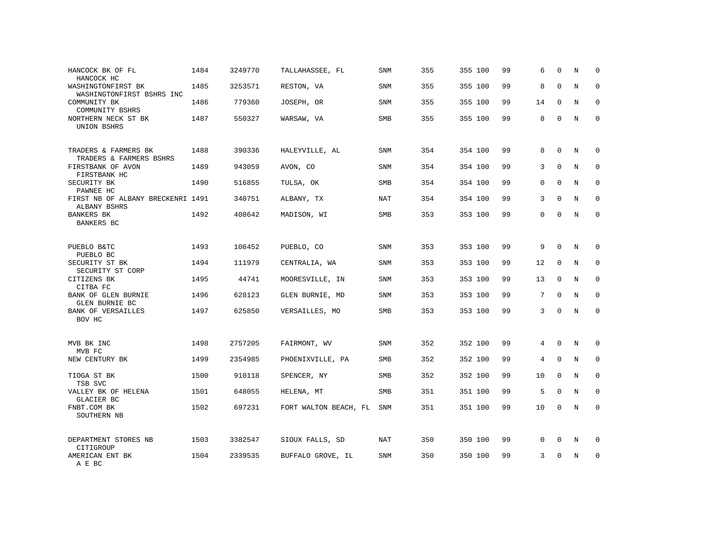| HANCOCK BK OF FL<br>HANCOCK HC                               | 1484 | 3249770 | TALLAHASSEE, FL       | SNM        | 355 | 355 100 | 99 | 6           | $\mathbf 0$ | N           | 0           |
|--------------------------------------------------------------|------|---------|-----------------------|------------|-----|---------|----|-------------|-------------|-------------|-------------|
| WASHINGTONFIRST BK<br>WASHINGTONFIRST BSHRS INC              | 1485 | 3253571 | RESTON, VA            | SNM        | 355 | 355 100 | 99 | 8           | $\Omega$    | N           | $\mathbf 0$ |
| COMMUNITY BK<br>COMMUNITY BSHRS                              | 1486 | 779360  | JOSEPH, OR            | SNM        | 355 | 355 100 | 99 | 14          | 0           | N           | $\mathbf 0$ |
| NORTHERN NECK ST BK<br>UNION BSHRS                           | 1487 | 550327  | WARSAW, VA            | <b>SMB</b> | 355 | 355 100 | 99 | 8           | $\Omega$    | $_{\rm N}$  | $\Omega$    |
| TRADERS & FARMERS BK                                         | 1488 | 390336  | HALEYVILLE, AL        | <b>SNM</b> | 354 | 354 100 | 99 | 8           | $\Omega$    | N           | $\Omega$    |
| TRADERS & FARMERS BSHRS<br>FIRSTBANK OF AVON<br>FIRSTBANK HC | 1489 | 943059  | AVON, CO              | <b>SNM</b> | 354 | 354 100 | 99 | 3           | $\Omega$    | N           | $\mathbf 0$ |
| SECURITY BK<br>PAWNEE HC                                     | 1490 | 516855  | TULSA, OK             | <b>SMB</b> | 354 | 354 100 | 99 | $\Omega$    | $\Omega$    | N           | $\Omega$    |
| FIRST NB OF ALBANY BRECKENRI 1491<br>ALBANY BSHRS            |      | 340751  | ALBANY, TX            | <b>NAT</b> | 354 | 354 100 | 99 | 3           | $\Omega$    | N           | $\mathbf 0$ |
| <b>BANKERS BK</b><br><b>BANKERS BC</b>                       | 1492 | 408642  | MADISON, WI           | <b>SMB</b> | 353 | 353 100 | 99 | $\Omega$    | $\Omega$    | $_{\rm N}$  | $\mathbf 0$ |
| PUEBLO B&TC<br>PUEBLO BC                                     | 1493 | 106452  | PUEBLO, CO            | <b>SNM</b> | 353 | 353 100 | 99 | 9           | $\mathbf 0$ | N           | $\mathbf 0$ |
| SECURITY ST BK<br>SECURITY ST CORP                           | 1494 | 111979  | CENTRALIA, WA         | <b>SNM</b> | 353 | 353 100 | 99 | 12          | $\mathbf 0$ | N           | $\mathbf 0$ |
| CITIZENS BK<br>CITBA FC                                      | 1495 | 44741   | MOORESVILLE, IN       | <b>SNM</b> | 353 | 353 100 | 99 | 13          | $\mathbf 0$ | N           | $\mathbf 0$ |
| BANK OF GLEN BURNIE<br>GLEN BURNIE BC                        | 1496 | 628123  | GLEN BURNIE, MD       | <b>SNM</b> | 353 | 353 100 | 99 | 7           | $\Omega$    | N           | $\mathbf 0$ |
| <b>BANK OF VERSAILLES</b><br>BOV HC                          | 1497 | 625850  | VERSAILLES, MO        | SMB        | 353 | 353 100 | 99 | 3           | $\mathbf 0$ | $\rm N$     | $\mathbf 0$ |
| MVB BK INC<br>MVB FC                                         | 1498 | 2757205 | FAIRMONT, WV          | SNM        | 352 | 352 100 | 99 | 4           | $\mathbf 0$ | N           | $\mathbf 0$ |
| NEW CENTURY BK                                               | 1499 | 2354985 | PHOENIXVILLE, PA      | SMB        | 352 | 352 100 | 99 | 4           | $\Omega$    | N           | 0           |
| TIOGA ST BK<br>TSB SVC                                       | 1500 | 910118  | SPENCER, NY           | SMB        | 352 | 352 100 | 99 | 10          | $\mathbf 0$ | $\mathbf N$ | 0           |
| VALLEY BK OF HELENA<br>GLACIER BC                            | 1501 | 648055  | HELENA, MT            | <b>SMB</b> | 351 | 351 100 | 99 | 5           | $\Omega$    | N           | 0           |
| FNBT.COM BK<br>SOUTHERN NB                                   | 1502 | 697231  | FORT WALTON BEACH, FL | SNM        | 351 | 351 100 | 99 | 10          | $\mathbf 0$ | $\rm N$     | $\mathsf 0$ |
| DEPARTMENT STORES NB<br>CITIGROUP                            | 1503 | 3382547 | SIOUX FALLS, SD       | NAT        | 350 | 350 100 | 99 | $\mathbf 0$ | $\mathbf 0$ | N           | 0           |
| AMERICAN ENT BK<br>A E BC                                    | 1504 | 2339535 | BUFFALO GROVE, IL     | SNM        | 350 | 350 100 | 99 | 3           | $\Omega$    | N           | $\mathbf 0$ |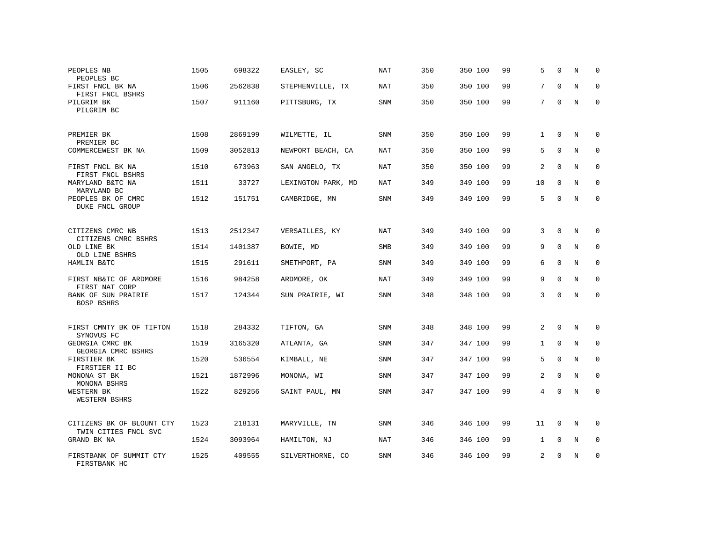| PEOPLES NB<br>PEOPLES BC                            | 1505 | 698322  | EASLEY, SC         | NAT        | 350 | 350 100 | 99 | 5              | $\Omega$    | N           | $\Omega$    |
|-----------------------------------------------------|------|---------|--------------------|------------|-----|---------|----|----------------|-------------|-------------|-------------|
| FIRST FNCL BK NA<br>FIRST FNCL BSHRS                | 1506 | 2562838 | STEPHENVILLE, TX   | NAT        | 350 | 350 100 | 99 | 7              | $\Omega$    | N           | $\Omega$    |
| PILGRIM BK<br>PILGRIM BC                            | 1507 | 911160  | PITTSBURG, TX      | SNM        | 350 | 350 100 | 99 | 7              | $\Omega$    | N           | $\Omega$    |
| PREMIER BK<br>PREMIER BC                            | 1508 | 2869199 | WILMETTE, IL       | SNM        | 350 | 350 100 | 99 | $\mathbf{1}$   | $\mathbf 0$ | $_{\rm N}$  | $\mathbf 0$ |
| COMMERCEWEST BK NA                                  | 1509 | 3052813 | NEWPORT BEACH, CA  | NAT        | 350 | 350 100 | 99 | 5              | $\mathbf 0$ | $\mathbf N$ | $\mathbf 0$ |
| FIRST FNCL BK NA<br>FIRST FNCL BSHRS                | 1510 | 673963  | SAN ANGELO, TX     | NAT        | 350 | 350 100 | 99 | 2              | $\mathbf 0$ | $\mathbf N$ | $\mathbf 0$ |
| MARYLAND B&TC NA<br>MARYLAND BC                     | 1511 | 33727   | LEXINGTON PARK, MD | NAT        | 349 | 349 100 | 99 | 10             | $\mathbf 0$ | $\mathbf N$ | $\mathbf 0$ |
| PEOPLES BK OF CMRC<br>DUKE FNCL GROUP               | 1512 | 151751  | CAMBRIDGE, MN      | SNM        | 349 | 349 100 | 99 | 5              | $\mathbf 0$ | $\mathbf N$ | $\mathbf 0$ |
| CITIZENS CMRC NB<br>CITIZENS CMRC BSHRS             | 1513 | 2512347 | VERSAILLES, KY     | NAT        | 349 | 349 100 | 99 | 3              | $\Omega$    | N           | 0           |
| OLD LINE BK<br>OLD LINE BSHRS                       | 1514 | 1401387 | BOWIE, MD          | <b>SMB</b> | 349 | 349 100 | 99 | 9              | $\Omega$    | $_{\rm N}$  | $\mathbf 0$ |
| HAMLIN B&TC                                         | 1515 | 291611  | SMETHPORT, PA      | SNM        | 349 | 349 100 | 99 | 6              | $\Omega$    | N           | $\mathbf 0$ |
| FIRST NB&TC OF ARDMORE<br>FIRST NAT CORP            | 1516 | 984258  | ARDMORE, OK        | NAT        | 349 | 349 100 | 99 | 9              | $\Omega$    | N           | $\mathbf 0$ |
| BANK OF SUN PRAIRIE<br>BOSP BSHRS                   | 1517 | 124344  | SUN PRAIRIE, WI    | SNM        | 348 | 348 100 | 99 | 3              | $\Omega$    | N           | $\Omega$    |
| FIRST CMNTY BK OF TIFTON                            | 1518 | 284332  | TIFTON, GA         | SNM        | 348 | 348 100 | 99 | $\overline{2}$ | $\mathbf 0$ | N           | $\Omega$    |
| SYNOVUS FC<br>GEORGIA CMRC BK<br>GEORGIA CMRC BSHRS | 1519 | 3165320 | ATLANTA, GA        | SNM        | 347 | 347 100 | 99 | $\mathbf{1}$   | $\mathbf 0$ | N           | $\mathbf 0$ |
| FIRSTIER BK<br>FIRSTIER II BC                       | 1520 | 536554  | KIMBALL, NE        | SNM        | 347 | 347 100 | 99 | 5              | $\Omega$    | N           | $\mathbf 0$ |
| MONONA ST BK<br>MONONA BSHRS                        | 1521 | 1872996 | MONONA, WI         | SNM        | 347 | 347 100 | 99 | 2              | $\Omega$    | N           | 0           |
| WESTERN BK<br>WESTERN BSHRS                         | 1522 | 829256  | SAINT PAUL, MN     | SNM        | 347 | 347 100 | 99 | 4              | $\Omega$    | N           | $\mathbf 0$ |
| CITIZENS BK OF BLOUNT CTY<br>TWIN CITIES FNCL SVC   | 1523 | 218131  | MARYVILLE, TN      | SNM        | 346 | 346 100 | 99 | 11             | $\mathbf 0$ | N           | $\mathbf 0$ |
| GRAND BK NA                                         | 1524 | 3093964 | HAMILTON, NJ       | NAT        | 346 | 346 100 | 99 | 1              | 0           | N           | 0           |
| FIRSTBANK OF SUMMIT CTY<br>FIRSTBANK HC             | 1525 | 409555  | SILVERTHORNE, CO   | SNM        | 346 | 346 100 | 99 | 2              | $\Omega$    | $\mathbf N$ | $\mathbf 0$ |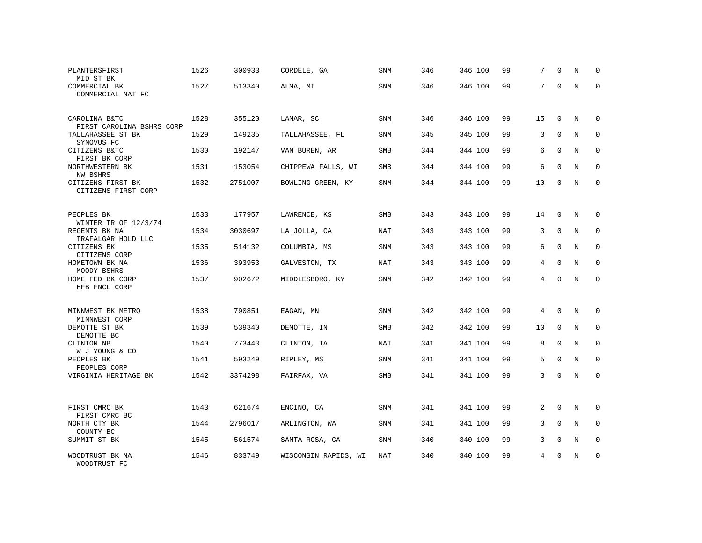| PLANTERSFIRST<br>MID ST BK                 | 1526 | 300933  | CORDELE, GA          | SNM        | 346 | 346 100 | 99 | 7              | $\Omega$    | N           | $\Omega$    |
|--------------------------------------------|------|---------|----------------------|------------|-----|---------|----|----------------|-------------|-------------|-------------|
| COMMERCIAL BK<br>COMMERCIAL NAT FC         | 1527 | 513340  | ALMA, MI             | SNM        | 346 | 346 100 | 99 | 7              | $\Omega$    | $\mathbf N$ | $\mathbf 0$ |
| CAROLINA B&TC<br>FIRST CAROLINA BSHRS CORP | 1528 | 355120  | LAMAR, SC            | SNM        | 346 | 346 100 | 99 | 15             | $\Omega$    | N           | $\Omega$    |
| TALLAHASSEE ST BK<br>SYNOVUS FC            | 1529 | 149235  | TALLAHASSEE, FL      | <b>SNM</b> | 345 | 345 100 | 99 | 3              | $\Omega$    | N           | $\mathbf 0$ |
| CITIZENS B&TC<br>FIRST BK CORP             | 1530 | 192147  | VAN BUREN, AR        | <b>SMB</b> | 344 | 344 100 | 99 | 6              | $\mathbf 0$ | N           | $\mathbf 0$ |
| NORTHWESTERN BK<br>NW BSHRS                | 1531 | 153054  | CHIPPEWA FALLS, WI   | SMB        | 344 | 344 100 | 99 | 6              | $\mathbf 0$ | $\mathbf N$ | $\mathbf 0$ |
| CITIZENS FIRST BK<br>CITIZENS FIRST CORP   | 1532 | 2751007 | BOWLING GREEN, KY    | <b>SNM</b> | 344 | 344 100 | 99 | 10             | $\Omega$    | $_{\rm N}$  | $\mathbf 0$ |
| PEOPLES BK<br>WINTER TR OF 12/3/74         | 1533 | 177957  | LAWRENCE, KS         | <b>SMB</b> | 343 | 343 100 | 99 | 14             | 0           | N           | 0           |
| REGENTS BK NA<br>TRAFALGAR HOLD LLC        | 1534 | 3030697 | LA JOLLA, CA         | NAT        | 343 | 343 100 | 99 | 3              | $\mathbf 0$ | N           | 0           |
| CITIZENS BK<br>CITIZENS CORP               | 1535 | 514132  | COLUMBIA, MS         | SNM        | 343 | 343 100 | 99 | 6              | $\mathbf 0$ | $\mathbf N$ | 0           |
| HOMETOWN BK NA<br>MOODY BSHRS              | 1536 | 393953  | GALVESTON, TX        | NAT        | 343 | 343 100 | 99 | $\overline{4}$ | $\Omega$    | N           | $\mathbf 0$ |
| HOME FED BK CORP<br>HFB FNCL CORP          | 1537 | 902672  | MIDDLESBORO, KY      | SNM        | 342 | 342 100 | 99 | $\overline{4}$ | $\Omega$    | $\mathbf N$ | 0           |
| MINNWEST BK METRO<br>MINNWEST CORP         | 1538 | 790851  | EAGAN, MN            | SNM        | 342 | 342 100 | 99 | 4              | $\mathbf 0$ | N           | 0           |
| DEMOTTE ST BK<br>DEMOTTE BC                | 1539 | 539340  | DEMOTTE, IN          | SMB        | 342 | 342 100 | 99 | 10             | $\mathbf 0$ | N           | 0           |
| CLINTON NB<br>W J YOUNG & CO               | 1540 | 773443  | CLINTON, IA          | NAT        | 341 | 341 100 | 99 | 8              | $\Omega$    | N           | $\mathbf 0$ |
| PEOPLES BK<br>PEOPLES CORP                 | 1541 | 593249  | RIPLEY, MS           | <b>SNM</b> | 341 | 341 100 | 99 | 5              | $\Omega$    | N           | $\Omega$    |
| VIRGINIA HERITAGE BK                       | 1542 | 3374298 | FAIRFAX, VA          | SMB        | 341 | 341 100 | 99 | 3              | $\Omega$    | N           | $\mathbf 0$ |
| FIRST CMRC BK                              | 1543 | 621674  | ENCINO, CA           | <b>SNM</b> | 341 | 341 100 | 99 | 2              | $\mathbf 0$ | $\mathbf N$ | $\mathbf 0$ |
| FIRST CMRC BC<br>NORTH CTY BK<br>COUNTY BC | 1544 | 2796017 | ARLINGTON, WA        | <b>SNM</b> | 341 | 341 100 | 99 | 3              | $\Omega$    | $\mathbf N$ | $\mathbf 0$ |
| SUMMIT ST BK                               | 1545 | 561574  | SANTA ROSA, CA       | <b>SNM</b> | 340 | 340 100 | 99 | 3              | $\Omega$    | N           | $\mathbf 0$ |
| WOODTRUST BK NA<br>WOODTRUST FC            | 1546 | 833749  | WISCONSIN RAPIDS, WI | <b>NAT</b> | 340 | 340 100 | 99 | 4              | U           | N           | $\mathbf 0$ |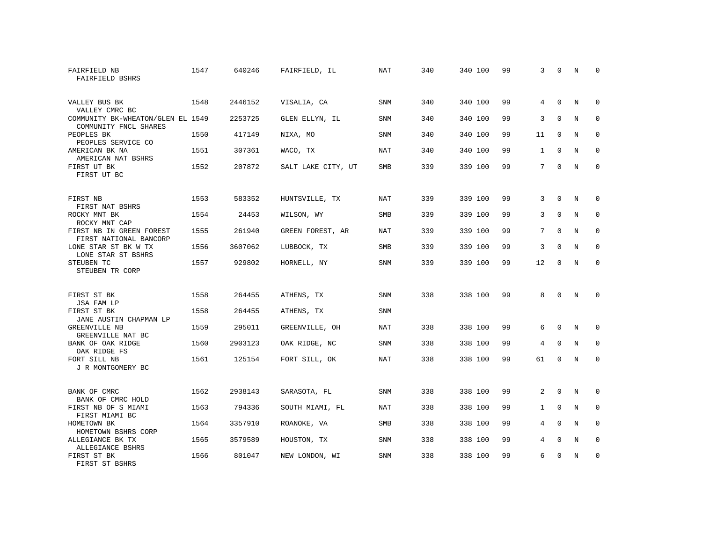| FAIRFIELD NB<br>FAIRFIELD BSHRS                            | 1547 | 640246  | FAIRFIELD, IL      | NAT        | 340 | 340 100 | 99 | 3              | $\Omega$    | N           | $\Omega$    |
|------------------------------------------------------------|------|---------|--------------------|------------|-----|---------|----|----------------|-------------|-------------|-------------|
| VALLEY BUS BK<br>VALLEY CMRC BC                            | 1548 | 2446152 | VISALIA, CA        | SNM        | 340 | 340 100 | 99 | 4              | $\Omega$    | N           | $\mathbf 0$ |
| COMMUNITY BK-WHEATON/GLEN EL 1549<br>COMMUNITY FNCL SHARES |      | 2253725 | GLEN ELLYN, IL     | <b>SNM</b> | 340 | 340 100 | 99 | 3              | $\Omega$    | $_{\rm N}$  | $\mathbf 0$ |
| PEOPLES BK<br>PEOPLES SERVICE CO                           | 1550 | 417149  | NIXA, MO           | <b>SNM</b> | 340 | 340 100 | 99 | 11             | $\Omega$    | N           | $\Omega$    |
| AMERICAN BK NA<br>AMERICAN NAT BSHRS                       | 1551 | 307361  | WACO, TX           | NAT        | 340 | 340 100 | 99 | $\mathbf{1}$   | $\Omega$    | N           | $\Omega$    |
| FIRST UT BK<br>FIRST UT BC                                 | 1552 | 207872  | SALT LAKE CITY, UT | <b>SMB</b> | 339 | 339 100 | 99 | 7              | $\Omega$    | $_{\rm N}$  | $\Omega$    |
| FIRST NB<br>FIRST NAT BSHRS                                | 1553 | 583352  | HUNTSVILLE, TX     | <b>NAT</b> | 339 | 339 100 | 99 | 3              | $\Omega$    | N           | $\Omega$    |
| ROCKY MNT BK<br>ROCKY MNT CAP                              | 1554 | 24453   | WILSON, WY         | <b>SMB</b> | 339 | 339 100 | 99 | 3              | $\mathbf 0$ | N           | $\mathbf 0$ |
| FIRST NB IN GREEN FOREST<br>FIRST NATIONAL BANCORP         | 1555 | 261940  | GREEN FOREST, AR   | NAT        | 339 | 339 100 | 99 | 7              | $\Omega$    | N           | $\Omega$    |
| LONE STAR ST BK W TX<br>LONE STAR ST BSHRS                 | 1556 | 3607062 | LUBBOCK, TX        | SMB        | 339 | 339 100 | 99 | 3              | $\Omega$    | $\mathbf N$ | $\mathbf 0$ |
| STEUBEN TC<br>STEUBEN TR CORP                              | 1557 | 929802  | HORNELL, NY        | <b>SNM</b> | 339 | 339 100 | 99 | 12             | $\Omega$    | N           | $\mathbf 0$ |
| FIRST ST BK<br>JSA FAM LP                                  | 1558 | 264455  | ATHENS, TX         | <b>SNM</b> | 338 | 338 100 | 99 | 8              | $\Omega$    | N           | $\Omega$    |
| FIRST ST BK<br>JANE AUSTIN CHAPMAN LP                      | 1558 | 264455  | ATHENS, TX         | SNM        |     |         |    |                |             |             |             |
| GREENVILLE NB<br>GREENVILLE NAT BC                         | 1559 | 295011  | GREENVILLE, OH     | <b>NAT</b> | 338 | 338 100 | 99 | 6              | $\mathbf 0$ | N           | 0           |
| BANK OF OAK RIDGE<br>OAK RIDGE FS                          | 1560 | 2903123 | OAK RIDGE, NC      | <b>SNM</b> | 338 | 338 100 | 99 | $\overline{4}$ | $\Omega$    | $_{\rm N}$  | $\mathbf 0$ |
| FORT SILL NB<br>J R MONTGOMERY BC                          | 1561 | 125154  | FORT SILL, OK      | <b>NAT</b> | 338 | 338 100 | 99 | 61             | $\mathbf 0$ | $\mathbf N$ | $\mathbf 0$ |
| BANK OF CMRC<br>BANK OF CMRC HOLD                          | 1562 | 2938143 | SARASOTA, FL       | <b>SNM</b> | 338 | 338 100 | 99 | 2              | $\Omega$    | N           | $\Omega$    |
| FIRST NB OF S MIAMI<br>FIRST MIAMI BC                      | 1563 | 794336  | SOUTH MIAMI, FL    | NAT        | 338 | 338 100 | 99 | $\mathbf{1}$   | $\mathbf 0$ | N           | $\mathbf 0$ |
| HOMETOWN BK<br>HOMETOWN BSHRS CORP                         | 1564 | 3357910 | ROANOKE, VA        | <b>SMB</b> | 338 | 338 100 | 99 | 4              | $\Omega$    | N           | $\Omega$    |
| ALLEGIANCE BK TX<br>ALLEGIANCE BSHRS                       | 1565 | 3579589 | HOUSTON, TX        | <b>SNM</b> | 338 | 338 100 | 99 | 4              | 0           | N           | 0           |
| FIRST ST BK<br>FIRST ST BSHRS                              | 1566 | 801047  | NEW LONDON, WI     | <b>SNM</b> | 338 | 338 100 | 99 | 6              | $\Omega$    | N           | $\mathbf 0$ |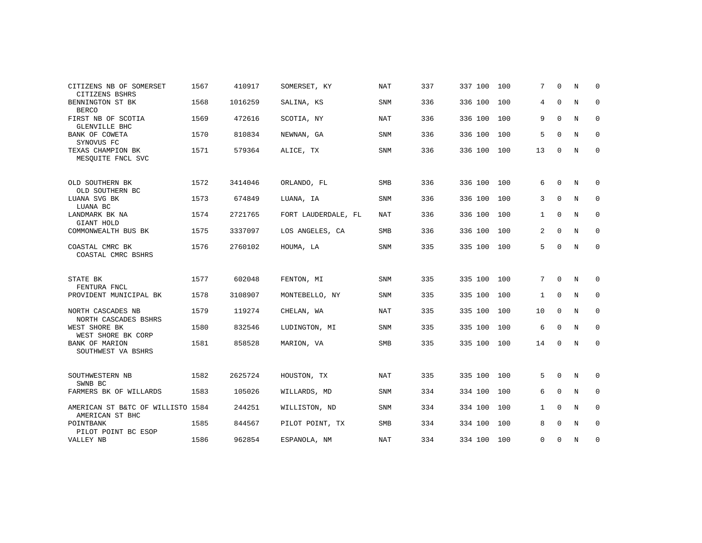| CITIZENS NB OF SOMERSET<br>CITIZENS BSHRS            | 1567 | 410917  | SOMERSET, KY        | NAT        | 337 | 337 100 100 |     | 7            | $\Omega$    | N | 0           |
|------------------------------------------------------|------|---------|---------------------|------------|-----|-------------|-----|--------------|-------------|---|-------------|
| BENNINGTON ST BK<br><b>BERCO</b>                     | 1568 | 1016259 | SALINA, KS          | <b>SNM</b> | 336 | 336 100     | 100 | 4            | $\mathbf 0$ | N | 0           |
| FIRST NB OF SCOTIA<br>GLENVILLE BHC                  | 1569 | 472616  | SCOTIA, NY          | <b>NAT</b> | 336 | 336 100     | 100 | 9            | $\Omega$    | N | $\mathbf 0$ |
| BANK OF COWETA<br>SYNOVUS FC                         | 1570 | 810834  | NEWNAN, GA          | <b>SNM</b> | 336 | 336 100 100 |     | 5            | $\mathbf 0$ | N | $\mathbf 0$ |
| TEXAS CHAMPION BK<br>MESOUITE FNCL SVC               | 1571 | 579364  | ALICE, TX           | <b>SNM</b> | 336 | 336 100     | 100 | 13           | $\mathbf 0$ | N | 0           |
| OLD SOUTHERN BK<br>OLD SOUTHERN BC                   | 1572 | 3414046 | ORLANDO, FL         | <b>SMB</b> | 336 | 336 100 100 |     | 6            | $\mathbf 0$ | N | 0           |
| LUANA SVG BK<br>LUANA BC                             | 1573 | 674849  | LUANA, IA           | <b>SNM</b> | 336 | 336 100     | 100 | 3            | $\mathbf 0$ | N | $\mathbf 0$ |
| LANDMARK BK NA<br>GIANT HOLD                         | 1574 | 2721765 | FORT LAUDERDALE, FL | NAT        | 336 | 336 100     | 100 | $\mathbf{1}$ | $\mathbf 0$ | N | 0           |
| COMMONWEALTH BUS BK                                  | 1575 | 3337097 | LOS ANGELES, CA     | <b>SMB</b> | 336 | 336 100     | 100 | 2            | $\Omega$    | N | $\Omega$    |
| COASTAL CMRC BK<br>COASTAL CMRC BSHRS                | 1576 | 2760102 | HOUMA, LA           | <b>SNM</b> | 335 | 335 100 100 |     | 5            | $\mathbf 0$ | N | $\mathbf 0$ |
| STATE BK                                             | 1577 | 602048  | FENTON, MI          | SNM        | 335 | 335 100 100 |     | 7            | $\Omega$    | N | 0           |
| FENTURA FNCL<br>PROVIDENT MUNICIPAL BK               | 1578 | 3108907 | MONTEBELLO, NY      | SNM        | 335 | 335 100     | 100 | $\mathbf{1}$ | $\mathbf 0$ | N | 0           |
| NORTH CASCADES NB<br>NORTH CASCADES BSHRS            | 1579 | 119274  | CHELAN, WA          | NAT        | 335 | 335 100     | 100 | 10           | $\Omega$    | N | 0           |
| WEST SHORE BK<br>WEST SHORE BK CORP                  | 1580 | 832546  | LUDINGTON, MI       | <b>SNM</b> | 335 | 335 100     | 100 | 6            | $\Omega$    | N | $\mathbf 0$ |
| BANK OF MARION<br>SOUTHWEST VA BSHRS                 | 1581 | 858528  | MARION, VA          | SMB        | 335 | 335 100     | 100 | 14           | $\mathbf 0$ | N | $\mathbf 0$ |
| SOUTHWESTERN NB                                      | 1582 | 2625724 | HOUSTON, TX         | NAT        | 335 | 335 100     | 100 | 5            | $\mathbf 0$ | N | 0           |
| SWNB BC<br>FARMERS BK OF WILLARDS                    | 1583 | 105026  | WILLARDS, MD        | <b>SNM</b> | 334 | 334 100     | 100 | 6            | $\Omega$    | N | 0           |
| AMERICAN ST B&TC OF WILLISTO 1584<br>AMERICAN ST BHC |      | 244251  | WILLISTON, ND       | <b>SNM</b> | 334 | 334 100     | 100 | $\mathbf{1}$ | $\Omega$    | N | $\mathbf 0$ |
| POINTBANK<br>PILOT POINT BC ESOP                     | 1585 | 844567  | PILOT POINT, TX     | SMB        | 334 | 334 100     | 100 | 8            | $\mathbf 0$ | N | 0           |
| VALLEY NB                                            | 1586 | 962854  | ESPANOLA, NM        | <b>NAT</b> | 334 | 334 100 100 |     | $\Omega$     | $\Omega$    | N | $\mathbf 0$ |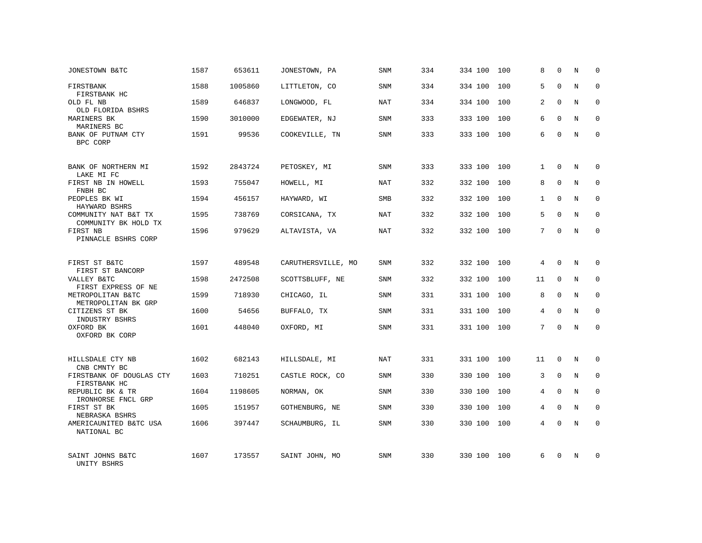| JONESTOWN B&TC                               | 1587 | 653611  | JONESTOWN, PA      | <b>SNM</b> | 334 | 334 100     | 100 | 8            | $\Omega$    | N          | $\Omega$    |
|----------------------------------------------|------|---------|--------------------|------------|-----|-------------|-----|--------------|-------------|------------|-------------|
| FIRSTBANK<br>FIRSTBANK HC                    | 1588 | 1005860 | LITTLETON, CO      | SNM        | 334 | 334 100     | 100 | 5            | $\Omega$    | N          | $\Omega$    |
| OLD FL NB<br>OLD FLORIDA BSHRS               | 1589 | 646837  | LONGWOOD, FL       | <b>NAT</b> | 334 | 334 100     | 100 | 2            | $\Omega$    | N          | $\mathbf 0$ |
| MARINERS BK<br>MARINERS BC                   | 1590 | 3010000 | EDGEWATER, NJ      | <b>SNM</b> | 333 | 333 100     | 100 | 6            | $\Omega$    | N          | $\Omega$    |
| BANK OF PUTNAM CTY<br>BPC CORP               | 1591 | 99536   | COOKEVILLE, TN     | <b>SNM</b> | 333 | 333 100     | 100 | 6            | $\Omega$    | N          | $\Omega$    |
| BANK OF NORTHERN MI<br>LAKE MI FC            | 1592 | 2843724 | PETOSKEY, MI       | <b>SNM</b> | 333 | 333 100     | 100 | $\mathbf{1}$ | $\Omega$    | N          | $\Omega$    |
| FIRST NB IN HOWELL<br>FNBH BC                | 1593 | 755047  | HOWELL, MI         | NAT        | 332 | 332 100     | 100 | 8            | $\mathbf 0$ | N          | $\mathbf 0$ |
| PEOPLES BK WI<br>HAYWARD BSHRS               | 1594 | 456157  | HAYWARD, WI        | <b>SMB</b> | 332 | 332 100     | 100 | $\mathbf{1}$ | $\Omega$    | N          | $\Omega$    |
| COMMUNITY NAT B&T TX<br>COMMUNITY BK HOLD TX | 1595 | 738769  | CORSICANA, TX      | NAT        | 332 | 332 100     | 100 | 5            | $\mathbf 0$ | N          | $\mathbf 0$ |
| FIRST NB<br>PINNACLE BSHRS CORP              | 1596 | 979629  | ALTAVISTA, VA      | <b>NAT</b> | 332 | 332 100     | 100 | 7            | $\Omega$    | N          | $\Omega$    |
| FIRST ST B&TC<br>FIRST ST BANCORP            | 1597 | 489548  | CARUTHERSVILLE, MO | <b>SNM</b> | 332 | 332 100     | 100 | 4            | $\Omega$    | N          | 0           |
| VALLEY B&TC<br>FIRST EXPRESS OF NE           | 1598 | 2472508 | SCOTTSBLUFF, NE    | <b>SNM</b> | 332 | 332 100     | 100 | 11           | $\Omega$    | $_{\rm N}$ | $\Omega$    |
| METROPOLITAN B&TC<br>METROPOLITAN BK GRP     | 1599 | 718930  | CHICAGO, IL        | <b>SNM</b> | 331 | 331 100     | 100 | 8            | $\Omega$    | N          | $\mathbf 0$ |
| CITIZENS ST BK<br>INDUSTRY BSHRS             | 1600 | 54656   | BUFFALO, TX        | SNM        | 331 | 331 100     | 100 | 4            | $\Omega$    | $_{\rm N}$ | $\Omega$    |
| OXFORD BK<br>OXFORD BK CORP                  | 1601 | 448040  | OXFORD, MI         | <b>SNM</b> | 331 | 331 100     | 100 | 7            | $\Omega$    | N          | $\mathbf 0$ |
| HILLSDALE CTY NB<br>CNB CMNTY BC             | 1602 | 682143  | HILLSDALE, MI      | <b>NAT</b> | 331 | 331 100     | 100 | 11           | $\mathbf 0$ | N          | $\mathbf 0$ |
| FIRSTBANK OF DOUGLAS CTY<br>FIRSTBANK HC     | 1603 | 710251  | CASTLE ROCK, CO    | SNM        | 330 | 330 100     | 100 | 3            | $\mathbf 0$ | N          | $\mathbf 0$ |
| REPUBLIC BK & TR<br>IRONHORSE FNCL GRP       | 1604 | 1198605 | NORMAN, OK         | SNM        | 330 | 330 100     | 100 | 4            | $\Omega$    | N          | $\Omega$    |
| FIRST ST BK<br>NEBRASKA BSHRS                | 1605 | 151957  | GOTHENBURG, NE     | SNM        | 330 | 330 100     | 100 | 4            | $\Omega$    | N          | $\mathbf 0$ |
| AMERICAUNITED B&TC USA<br>NATIONAL BC        | 1606 | 397447  | SCHAUMBURG, IL     | <b>SNM</b> | 330 | 330 100     | 100 | 4            | $\Omega$    | N          | $\Omega$    |
| SAINT JOHNS B&TC<br>UNITY BSHRS              | 1607 | 173557  | SAINT JOHN, MO     | <b>SNM</b> | 330 | 330 100 100 |     | 6            | $\Omega$    | N          | $\Omega$    |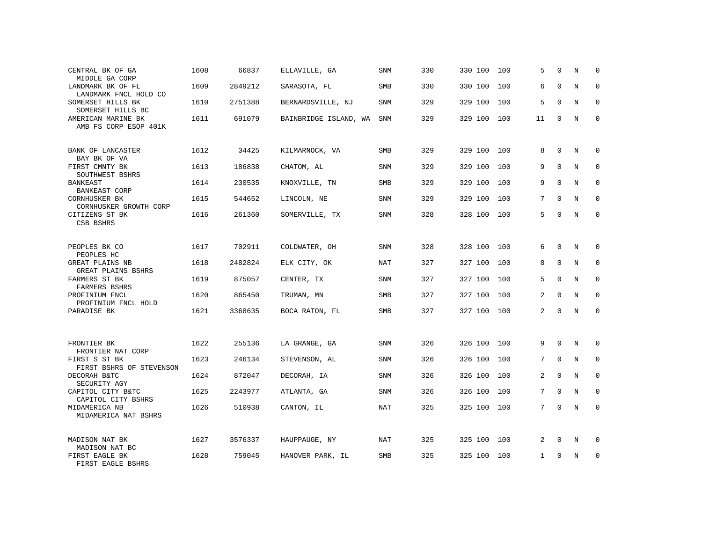| CENTRAL BK OF GA<br>MIDDLE GA CORP                          | 1608 | 66837   | ELLAVILLE, GA         | SNM        | 330 | 330 100     | 100 | 5            | $\Omega$    | N          | $\mathbf 0$  |
|-------------------------------------------------------------|------|---------|-----------------------|------------|-----|-------------|-----|--------------|-------------|------------|--------------|
| LANDMARK BK OF FL<br>LANDMARK FNCL HOLD CO                  | 1609 | 2849212 | SARASOTA, FL          | SMB        | 330 | 330 100     | 100 | 6            | $\Omega$    | N          | $\mathbf{0}$ |
| SOMERSET HILLS BK<br>SOMERSET HILLS BC                      | 1610 | 2751388 | BERNARDSVILLE, NJ     | SNM        | 329 | 329 100     | 100 | 5            | $\Omega$    | N          | $\mathbf 0$  |
| AMERICAN MARINE BK<br>AMB FS CORP ESOP 401K                 | 1611 | 691079  | BAINBRIDGE ISLAND, WA | SNM        | 329 | 329 100     | 100 | 11           | $\Omega$    | N          | $\mathbf{0}$ |
| BANK OF LANCASTER                                           | 1612 | 34425   | KILMARNOCK, VA        | <b>SMB</b> | 329 | 329 100     | 100 | 8            | $\Omega$    | N          | $\mathbf 0$  |
| BAY BK OF VA<br>FIRST CMNTY BK<br>SOUTHWEST BSHRS           | 1613 | 186838  | CHATOM, AL            | SNM        | 329 | 329 100     | 100 | 9            | $\mathbf 0$ | N          | $\mathbf 0$  |
| BANKEAST<br>BANKEAST CORP                                   | 1614 | 230535  | KNOXVILLE, TN         | SMB        | 329 | 329 100     | 100 | 9            | $\Omega$    | N          | $\mathbf 0$  |
| CORNHUSKER BK<br>CORNHUSKER GROWTH CORP                     | 1615 | 544652  | LINCOLN, NE           | SNM        | 329 | 329 100     | 100 | 7            | $\mathbf 0$ | N          | $\mathbf 0$  |
| CITIZENS ST BK<br>CSB BSHRS                                 | 1616 | 261360  | SOMERVILLE, TX        | SNM        | 328 | 328 100 100 |     | 5            | $\Omega$    | N          | $\mathbf{0}$ |
| PEOPLES BK CO<br>PEOPLES HC                                 | 1617 | 702911  | COLDWATER, OH         | SNM        | 328 | 328 100     | 100 | 6            | $\mathbf 0$ | N          | $\mathbf 0$  |
| GREAT PLAINS NB<br>GREAT PLAINS BSHRS                       | 1618 | 2482824 | ELK CITY, OK          | <b>NAT</b> | 327 | 327 100     | 100 | 8            | $\Omega$    | N          | $\Omega$     |
| FARMERS ST BK<br>FARMERS BSHRS                              | 1619 | 875057  | CENTER, TX            | SNM        | 327 | 327 100     | 100 | 5            | $\mathbf 0$ | N          | $\mathbf 0$  |
| PROFINIUM FNCL<br>PROFINIUM FNCL HOLD                       | 1620 | 865450  | TRUMAN, MN            | SMB        | 327 | 327 100     | 100 | 2            | $\Omega$    | N          | $\Omega$     |
| PARADISE BK                                                 | 1621 | 3368635 | BOCA RATON, FL        | <b>SMB</b> | 327 | 327 100 100 |     | 2            | $\mathbf 0$ | N          | $\mathbf 0$  |
| FRONTIER BK                                                 | 1622 | 255136  | LA GRANGE, GA         | SNM        | 326 | 326 100     | 100 | 9            | $\mathbf 0$ | N          | $\mathbf 0$  |
| FRONTIER NAT CORP<br>FIRST S ST BK                          | 1623 | 246134  | STEVENSON, AL         | SNM        | 326 | 326 100     | 100 | 7            | $\Omega$    | $_{\rm N}$ | $\mathbf 0$  |
| FIRST BSHRS OF STEVENSON<br>DECORAH B&TC                    | 1624 | 872047  | DECORAH, IA           | SNM        | 326 | 326 100     | 100 | 2            | $\mathbf 0$ | N          | 0            |
| SECURITY AGY<br>CAPITOL CITY B&TC                           | 1625 | 2243977 | ATLANTA, GA           | SNM        | 326 | 326 100     | 100 | 7            | $\Omega$    | N          | $\mathbf 0$  |
| CAPITOL CITY BSHRS<br>MIDAMERICA NB<br>MIDAMERICA NAT BSHRS | 1626 | 510938  | CANTON, IL            | NAT        | 325 | 325 100 100 |     | 7            | 0           | N          | $\mathbf{0}$ |
| MADISON NAT BK<br>MADISON NAT BC                            | 1627 | 3576337 | HAUPPAUGE, NY         | NAT        | 325 | 325 100     | 100 | 2            | 0           | N          | 0            |
| FIRST EAGLE BK<br>FIRST EAGLE BSHRS                         | 1628 | 759045  | HANOVER PARK, IL      | SMB        | 325 | 325 100 100 |     | $\mathbf{1}$ | $\Omega$    | N          | $\mathbf{0}$ |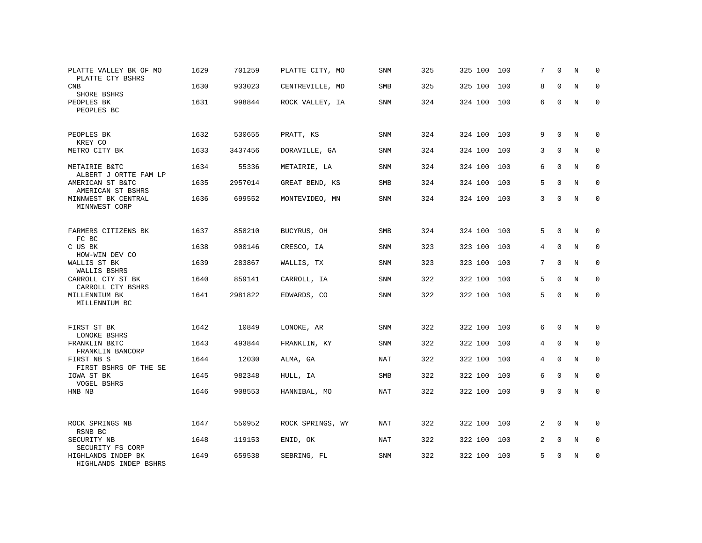| PLATTE VALLEY BK OF MO<br>PLATTE CTY BSHRS  | 1629 | 701259  | PLATTE CITY, MO  | <b>SNM</b> | 325 | 325 100 | 100 | 7 | $\Omega$    | N           | 0           |
|---------------------------------------------|------|---------|------------------|------------|-----|---------|-----|---|-------------|-------------|-------------|
| <b>CNB</b><br>SHORE BSHRS                   | 1630 | 933023  | CENTREVILLE, MD  | SMB        | 325 | 325 100 | 100 | 8 | $\Omega$    | $_{\rm N}$  | $\Omega$    |
| PEOPLES BK<br>PEOPLES BC                    | 1631 | 998844  | ROCK VALLEY, IA  | <b>SNM</b> | 324 | 324 100 | 100 | 6 | $\mathbf 0$ | N           | $\mathbf 0$ |
| PEOPLES BK<br>KREY CO                       | 1632 | 530655  | PRATT, KS        | SNM        | 324 | 324 100 | 100 | 9 | $\Omega$    | N           | 0           |
| METRO CITY BK                               | 1633 | 3437456 | DORAVILLE, GA    | SNM        | 324 | 324 100 | 100 | 3 | $\mathbf 0$ | $\mathbf N$ | $\mathbf 0$ |
| METAIRIE B&TC<br>ALBERT J ORTTE FAM LP      | 1634 | 55336   | METAIRIE, LA     | SNM        | 324 | 324 100 | 100 | 6 | $\Omega$    | N           | $\Omega$    |
| AMERICAN ST B&TC<br>AMERICAN ST BSHRS       | 1635 | 2957014 | GREAT BEND, KS   | SMB        | 324 | 324 100 | 100 | 5 | $\Omega$    | N           | 0           |
| MINNWEST BK CENTRAL<br>MINNWEST CORP        | 1636 | 699552  | MONTEVIDEO, MN   | SNM        | 324 | 324 100 | 100 | 3 | $\Omega$    | N           | $\mathbf 0$ |
| FARMERS CITIZENS BK                         | 1637 | 858210  | BUCYRUS, OH      | SMB        | 324 | 324 100 | 100 | 5 | $\Omega$    | N           | $\Omega$    |
| FC BC<br>C US BK<br>HOW-WIN DEV CO          | 1638 | 900146  | CRESCO, IA       | SNM        | 323 | 323 100 | 100 | 4 | $\Omega$    | N           | 0           |
| WALLIS ST BK<br>WALLIS BSHRS                | 1639 | 283867  | WALLIS, TX       | SNM        | 323 | 323 100 | 100 | 7 | $\Omega$    | N           | $\Omega$    |
| CARROLL CTY ST BK<br>CARROLL CTY BSHRS      | 1640 | 859141  | CARROLL, IA      | SNM        | 322 | 322 100 | 100 | 5 | $\Omega$    | N           | $\mathbf 0$ |
| MILLENNIUM BK<br>MILLENNIUM BC              | 1641 | 2981822 | EDWARDS, CO      | SNM        | 322 | 322 100 | 100 | 5 | $\Omega$    | N           | $\mathbf 0$ |
| FIRST ST BK<br>LONOKE BSHRS                 | 1642 | 10849   | LONOKE, AR       | SNM        | 322 | 322 100 | 100 | 6 | 0           | N           | 0           |
| FRANKLIN B&TC<br>FRANKLIN BANCORP           | 1643 | 493844  | FRANKLIN, KY     | SNM        | 322 | 322 100 | 100 | 4 | $\Omega$    | N           | $\mathbf 0$ |
| FIRST NB S<br>FIRST BSHRS OF THE SE         | 1644 | 12030   | ALMA, GA         | NAT        | 322 | 322 100 | 100 | 4 | $\mathbf 0$ | N           | $\mathbf 0$ |
| IOWA ST BK<br><b>VOGEL BSHRS</b>            | 1645 | 982348  | HULL, IA         | SMB        | 322 | 322 100 | 100 | 6 | $\Omega$    | $_{\rm N}$  | $\mathbf 0$ |
| HNB NB                                      | 1646 | 908553  | HANNIBAL, MO     | <b>NAT</b> | 322 | 322 100 | 100 | 9 | $\Omega$    | N           | $\mathbf 0$ |
| ROCK SPRINGS NB<br>RSNB BC                  | 1647 | 550952  | ROCK SPRINGS, WY | <b>NAT</b> | 322 | 322 100 | 100 | 2 | 0           | N           | 0           |
| SECURITY NB<br>SECURITY FS CORP             | 1648 | 119153  | ENID, OK         | <b>NAT</b> | 322 | 322 100 | 100 | 2 | $\mathbf 0$ | N           | $\mathbf 0$ |
| HIGHLANDS INDEP BK<br>HIGHLANDS INDEP BSHRS | 1649 | 659538  | SEBRING, FL      | SNM        | 322 | 322 100 | 100 | 5 | $\Omega$    | N           | $\mathbf 0$ |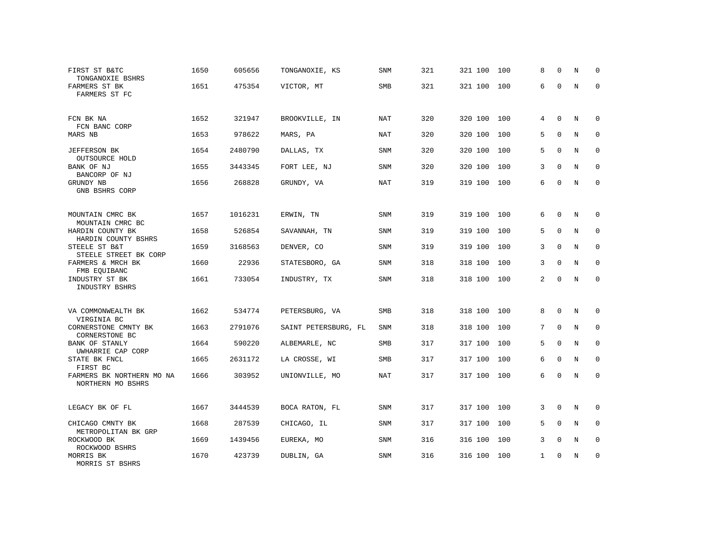| FIRST ST B&TC<br>TONGANOXIE BSHRS              | 1650 | 605656  | TONGANOXIE, KS       | SNM        | 321 | 321 100 | 100 | 8 | $\Omega$    | N           | $\Omega$    |
|------------------------------------------------|------|---------|----------------------|------------|-----|---------|-----|---|-------------|-------------|-------------|
| FARMERS ST BK<br>FARMERS ST FC                 | 1651 | 475354  | VICTOR, MT           | SMB        | 321 | 321 100 | 100 | 6 | $\Omega$    | $\mathbf N$ | $\mathbf 0$ |
| FCN BK NA<br>FCN BANC CORP                     | 1652 | 321947  | BROOKVILLE, IN       | NAT        | 320 | 320 100 | 100 | 4 | $\Omega$    | N           | $\Omega$    |
| MARS NB                                        | 1653 | 978622  | MARS, PA             | NAT        | 320 | 320 100 | 100 | 5 | $\Omega$    | N           | $\mathbf 0$ |
| <b>JEFFERSON BK</b><br>OUTSOURCE HOLD          | 1654 | 2480790 | DALLAS, TX           | <b>SNM</b> | 320 | 320 100 | 100 | 5 | $\mathbf 0$ | N           | $\mathbf 0$ |
| BANK OF NJ<br>BANCORP OF NJ                    | 1655 | 3443345 | FORT LEE, NJ         | SNM        | 320 | 320 100 | 100 | 3 | $\mathbf 0$ | $\mathbf N$ | $\mathbf 0$ |
| GRUNDY NB<br>GNB BSHRS CORP                    | 1656 | 268828  | GRUNDY, VA           | <b>NAT</b> | 319 | 319 100 | 100 | 6 | $\Omega$    | $\mathbf N$ | $\mathbf 0$ |
| MOUNTAIN CMRC BK<br>MOUNTAIN CMRC BC           | 1657 | 1016231 | ERWIN, TN            | SNM        | 319 | 319 100 | 100 | 6 | 0           | N           | 0           |
| HARDIN COUNTY BK<br>HARDIN COUNTY BSHRS        | 1658 | 526854  | SAVANNAH, TN         | SNM        | 319 | 319 100 | 100 | 5 | $\Omega$    | N           | 0           |
| STEELE ST B&T<br>STEELE STREET BK CORP         | 1659 | 3168563 | DENVER, CO           | SNM        | 319 | 319 100 | 100 | 3 | $\mathbf 0$ | $\mathbf N$ | 0           |
| FARMERS & MRCH BK<br>FMB EQUIBANC              | 1660 | 22936   | STATESBORO, GA       | <b>SNM</b> | 318 | 318 100 | 100 | 3 | $\Omega$    | N           | $\mathbf 0$ |
| INDUSTRY ST BK<br>INDUSTRY BSHRS               | 1661 | 733054  | INDUSTRY, TX         | SNM        | 318 | 318 100 | 100 | 2 | $\Omega$    | $\mathbf N$ | $\mathbf 0$ |
| VA COMMONWEALTH BK<br>VIRGINIA BC              | 1662 | 534774  | PETERSBURG, VA       | SMB        | 318 | 318 100 | 100 | 8 | 0           | N           | 0           |
| CORNERSTONE CMNTY BK<br>CORNERSTONE BC         | 1663 | 2791076 | SAINT PETERSBURG, FL | SNM        | 318 | 318 100 | 100 | 7 | $\mathbf 0$ | N           | 0           |
| <b>BANK OF STANLY</b><br>UWHARRIE CAP CORP     | 1664 | 590220  | ALBEMARLE, NC        | SMB        | 317 | 317 100 | 100 | 5 | $\Omega$    | N           | $\mathbf 0$ |
| STATE BK FNCL<br>FIRST BC                      | 1665 | 2631172 | LA CROSSE, WI        | SMB        | 317 | 317 100 | 100 | 6 | $\Omega$    | N           | $\mathbf 0$ |
| FARMERS BK NORTHERN MO NA<br>NORTHERN MO BSHRS | 1666 | 303952  | UNIONVILLE, MO       | NAT        | 317 | 317 100 | 100 | 6 | $\Omega$    | N           | $\mathbf 0$ |
| LEGACY BK OF FL                                | 1667 | 3444539 | BOCA RATON, FL       | SNM        | 317 | 317 100 | 100 | 3 | $\mathbf 0$ | N           | $\mathbf 0$ |
| CHICAGO CMNTY BK<br>METROPOLITAN BK GRP        | 1668 | 287539  | CHICAGO, IL          | <b>SNM</b> | 317 | 317 100 | 100 | 5 | $\Omega$    | $\mathbf N$ | $\mathbf 0$ |
| ROCKWOOD BK<br>ROCKWOOD BSHRS                  | 1669 | 1439456 | EUREKA, MO           | <b>SNM</b> | 316 | 316 100 | 100 | 3 | $\Omega$    | N           | $\mathbf 0$ |
| MORRIS BK<br>MORRIS ST BSHRS                   | 1670 | 423739  | DUBLIN, GA           | SNM        | 316 | 316 100 | 100 | 1 | $\Omega$    | N           | $\mathbf 0$ |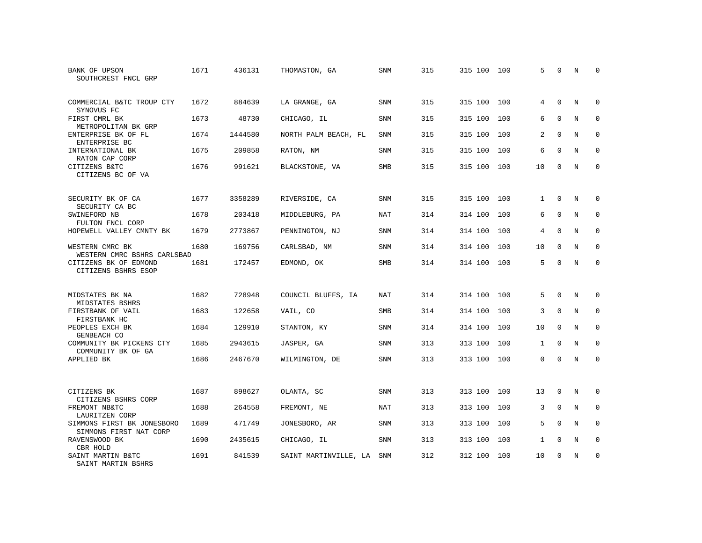| <b>BANK OF UPSON</b><br>SOUTHCREST FNCL GRP          | 1671 | 436131  | THOMASTON, GA         | SNM        | 315 | 315 100 | 100 | 5            | $\Omega$    | N           | $\Omega$    |
|------------------------------------------------------|------|---------|-----------------------|------------|-----|---------|-----|--------------|-------------|-------------|-------------|
| COMMERCIAL B&TC TROUP CTY<br>SYNOVUS FC              | 1672 | 884639  | LA GRANGE, GA         | <b>SNM</b> | 315 | 315 100 | 100 | 4            | $\Omega$    | N           | $\Omega$    |
| FIRST CMRL BK<br>METROPOLITAN BK GRP                 | 1673 | 48730   | CHICAGO, IL           | <b>SNM</b> | 315 | 315 100 | 100 | 6            | $\mathbf 0$ | $\mathbf N$ | $\mathbf 0$ |
| ENTERPRISE BK OF FL<br>ENTERPRISE BC                 | 1674 | 1444580 | NORTH PALM BEACH, FL  | <b>SNM</b> | 315 | 315 100 | 100 | 2            | $\Omega$    | N           | $\Omega$    |
| INTERNATIONAL BK<br>RATON CAP CORP                   | 1675 | 209858  | RATON, NM             | SNM        | 315 | 315 100 | 100 | 6            | $\Omega$    | N           | $\mathbf 0$ |
| CITIZENS B&TC<br>CITIZENS BC OF VA                   | 1676 | 991621  | BLACKSTONE, VA        | <b>SMB</b> | 315 | 315 100 | 100 | 10           | $\Omega$    | N           | $\Omega$    |
| SECURITY BK OF CA<br>SECURITY CA BC                  | 1677 | 3358289 | RIVERSIDE, CA         | <b>SNM</b> | 315 | 315 100 | 100 | $\mathbf{1}$ | $\Omega$    | N           | 0           |
| SWINEFORD NB<br>FULTON FNCL CORP                     | 1678 | 203418  | MIDDLEBURG, PA        | <b>NAT</b> | 314 | 314 100 | 100 | 6            | $\Omega$    | N           | $\mathbf 0$ |
| HOPEWELL VALLEY CMNTY BK                             | 1679 | 2773867 | PENNINGTON, NJ        | <b>SNM</b> | 314 | 314 100 | 100 | 4            | $\Omega$    | N           | $\mathbf 0$ |
| WESTERN CMRC BK<br>WESTERN CMRC BSHRS CARLSBAD       | 1680 | 169756  | CARLSBAD, NM          | <b>SNM</b> | 314 | 314 100 | 100 | 10           | $\Omega$    | $_{\rm N}$  | $\mathbf 0$ |
| CITIZENS BK OF EDMOND<br>CITIZENS BSHRS ESOP         | 1681 | 172457  | EDMOND, OK            | SMB        | 314 | 314 100 | 100 | 5            | $\Omega$    | $_{\rm N}$  | $\Omega$    |
| MIDSTATES BK NA<br>MIDSTATES BSHRS                   | 1682 | 728948  | COUNCIL BLUFFS, IA    | <b>NAT</b> | 314 | 314 100 | 100 | 5            | $\Omega$    | N           | 0           |
| FIRSTBANK OF VAIL<br>FIRSTBANK HC                    | 1683 | 122658  | VAIL, CO              | SMB        | 314 | 314 100 | 100 | 3            | $\mathbf 0$ | N           | 0           |
| PEOPLES EXCH BK<br>GENBEACH CO                       | 1684 | 129910  | STANTON, KY           | <b>SNM</b> | 314 | 314 100 | 100 | 10           | $\Omega$    | N           | $\mathbf 0$ |
| COMMUNITY BK PICKENS CTY<br>COMMUNITY BK OF GA       | 1685 | 2943615 | JASPER, GA            | SNM        | 313 | 313 100 | 100 | $\mathbf{1}$ | $\Omega$    | N           | $\Omega$    |
| APPLIED BK                                           | 1686 | 2467670 | WILMINGTON, DE        | SNM        | 313 | 313 100 | 100 | $\Omega$     | $\Omega$    | N           | $\mathbf 0$ |
| CITIZENS BK<br>CITIZENS BSHRS CORP                   | 1687 | 898627  | OLANTA, SC            | SNM        | 313 | 313 100 | 100 | 13           | $\mathbf 0$ | N           | 0           |
| FREMONT NB&TC<br>LAURITZEN CORP                      | 1688 | 264558  | FREMONT, NE           | <b>NAT</b> | 313 | 313 100 | 100 | 3            | $\mathbf 0$ | N           | $\mathbf 0$ |
| SIMMONS FIRST BK JONESBORO<br>SIMMONS FIRST NAT CORP | 1689 | 471749  | JONESBORO, AR         | <b>SNM</b> | 313 | 313 100 | 100 | 5            | $\Omega$    | N           | $\Omega$    |
| RAVENSWOOD BK<br>CBR HOLD                            | 1690 | 2435615 | CHICAGO, IL           | SNM        | 313 | 313 100 | 100 | $\mathbf{1}$ | $\Omega$    | N           | $\mathbf 0$ |
| SAINT MARTIN B&TC<br>SAINT MARTIN BSHRS              | 1691 | 841539  | SAINT MARTINVILLE, LA | SNM        | 312 | 312 100 | 100 | 10           | $\Omega$    | N           | $\mathbf 0$ |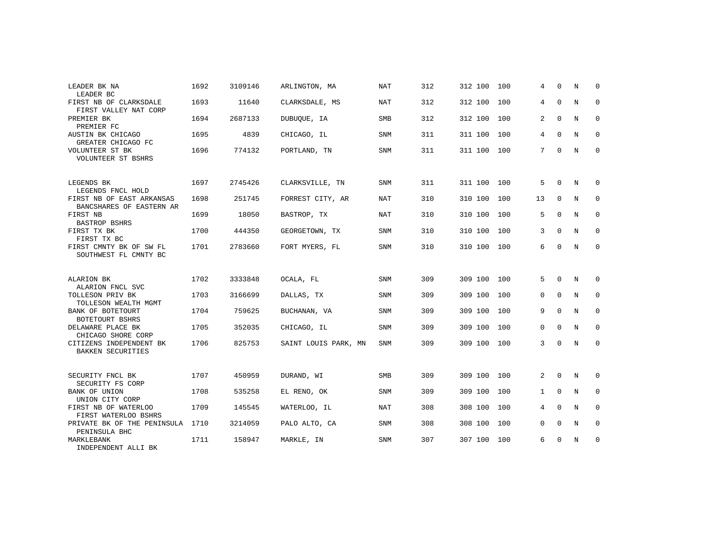| LEADER BK NA<br>LEADER BC                                                 | 1692 | 3109146 | ARLINGTON, MA        | NAT        | 312 | 312 100     | 100 | 4              | $\Omega$     | N | $\Omega$    |
|---------------------------------------------------------------------------|------|---------|----------------------|------------|-----|-------------|-----|----------------|--------------|---|-------------|
| FIRST NB OF CLARKSDALE<br>FIRST VALLEY NAT CORP                           | 1693 | 11640   | CLARKSDALE, MS       | NAT        | 312 | 312 100     | 100 | 4              | $\mathbf 0$  | N | 0           |
| PREMIER BK<br>PREMIER FC                                                  | 1694 | 2687133 | DUBUOUE, IA          | SMB        | 312 | 312 100     | 100 | 2              | $\mathbf 0$  | N | 0           |
| AUSTIN BK CHICAGO<br>GREATER CHICAGO FC                                   | 1695 | 4839    | CHICAGO, IL          | <b>SNM</b> | 311 | 311 100     | 100 | 4              | $\Omega$     | N | 0           |
| VOLUNTEER ST BK<br>VOLUNTEER ST BSHRS                                     | 1696 | 774132  | PORTLAND, TN         | <b>SNM</b> | 311 | 311 100 100 |     | 7              | $\mathbf 0$  | N | $\mathbf 0$ |
| LEGENDS BK<br>LEGENDS FNCL HOLD                                           | 1697 | 2745426 | CLARKSVILLE, TN      | SNM        | 311 | 311 100     | 100 | 5              | $\Omega$     | N | 0           |
| FIRST NB OF EAST ARKANSAS<br>BANCSHARES OF EASTERN AR                     | 1698 | 251745  | FORREST CITY, AR     | NAT        | 310 | 310 100     | 100 | 13             | $\Omega$     | N | $\mathbf 0$ |
| FIRST NB<br><b>BASTROP BSHRS</b>                                          | 1699 | 18050   | BASTROP, TX          | NAT        | 310 | 310 100     | 100 | 5              | $\Omega$     | N | 0           |
| FIRST TX BK<br>FIRST TX BC                                                | 1700 | 444350  | GEORGETOWN, TX       | <b>SNM</b> | 310 | 310 100     | 100 | 3              | $\Omega$     | N | $\mathbf 0$ |
| FIRST CMNTY BK OF SW FL<br>SOUTHWEST FL CMNTY BC                          | 1701 | 2783660 | FORT MYERS, FL       | <b>SNM</b> | 310 | 310 100     | 100 | 6              | $\Omega$     | N | 0           |
| ALARION BK                                                                | 1702 | 3333848 | OCALA, FL            | SNM        | 309 | 309 100     | 100 | 5              | <sup>0</sup> | N | 0           |
| ALARION FNCL SVC<br>TOLLESON PRIV BK                                      | 1703 | 3166699 | DALLAS, TX           | SNM        | 309 | 309 100     | 100 | 0              | $\mathbf 0$  | N | 0           |
| TOLLESON WEALTH MGMT<br>BANK OF BOTETOURT                                 | 1704 | 759625  | BUCHANAN, VA         | <b>SNM</b> | 309 | 309 100     | 100 | 9              | $\Omega$     | N | $\mathbf 0$ |
| BOTETOURT BSHRS<br>DELAWARE PLACE BK                                      | 1705 | 352035  | CHICAGO, IL          | SNM        | 309 | 309 100     | 100 | 0              | $\Omega$     | N | 0           |
| CHICAGO SHORE CORP<br>CITIZENS INDEPENDENT BK<br><b>BAKKEN SECURITIES</b> | 1706 | 825753  | SAINT LOUIS PARK, MN | <b>SNM</b> | 309 | 309 100     | 100 | 3              | $\Omega$     | N | $\Omega$    |
|                                                                           |      |         |                      |            |     |             |     |                |              |   |             |
| SECURITY FNCL BK<br>SECURITY FS CORP                                      | 1707 | 450959  | DURAND, WI           | <b>SMB</b> | 309 | 309 100 100 |     | $\overline{2}$ | $\Omega$     | N | 0           |
| BANK OF UNION<br>UNION CITY CORP                                          | 1708 | 535258  | EL RENO, OK          | SNM        | 309 | 309 100     | 100 | 1              | $\Omega$     | N | 0           |
| FIRST NB OF WATERLOO<br>FIRST WATERLOO BSHRS                              | 1709 | 145545  | WATERLOO, IL         | <b>NAT</b> | 308 | 308 100     | 100 | 4              | $\Omega$     | N | $\Omega$    |
| PRIVATE BK OF THE PENINSULA<br>PENINSULA BHC                              | 1710 | 3214059 | PALO ALTO, CA        | <b>SNM</b> | 308 | 308 100     | 100 | $\Omega$       | $\Omega$     | N | $\mathbf 0$ |
| MARKLEBANK<br>INDEPENDENT ALLI BK                                         | 1711 | 158947  | MARKLE, IN           | <b>SNM</b> | 307 | 307 100     | 100 | 6              | $\mathbf 0$  | N | 0           |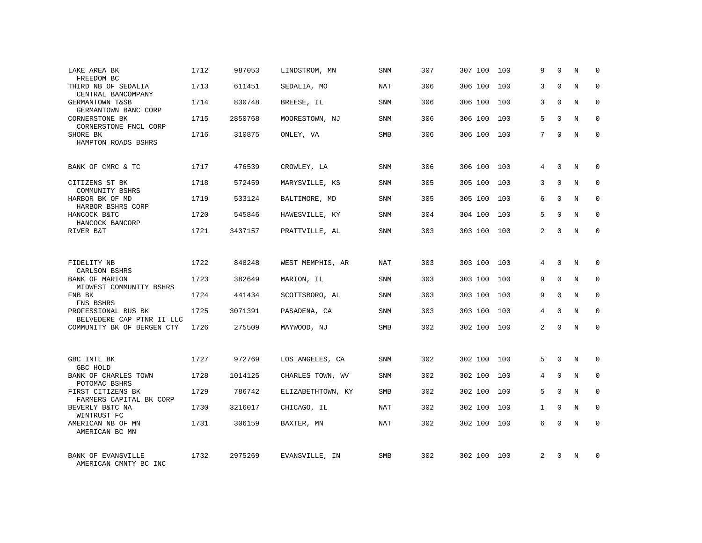| LAKE AREA BK<br>FREEDOM BC                       | 1712 | 987053  | LINDSTROM, MN     | SNM        | 307 | 307 100     | 100 | 9              | $\Omega$     | N          | 0           |
|--------------------------------------------------|------|---------|-------------------|------------|-----|-------------|-----|----------------|--------------|------------|-------------|
| THIRD NB OF SEDALIA<br>CENTRAL BANCOMPANY        | 1713 | 611451  | SEDALIA, MO       | <b>NAT</b> | 306 | 306 100     | 100 | 3              | $\Omega$     | N          | $\Omega$    |
| GERMANTOWN T&SB<br>GERMANTOWN BANC CORP          | 1714 | 830748  | BREESE, IL        | SNM        | 306 | 306 100     | 100 | 3              | $\Omega$     | N          | $\mathbf 0$ |
| CORNERSTONE BK<br>CORNERSTONE FNCL CORP          | 1715 | 2850768 | MOORESTOWN, NJ    | SNM        | 306 | 306 100     | 100 | 5              | $\Omega$     | N          | $\Omega$    |
| SHORE BK<br>HAMPTON ROADS BSHRS                  | 1716 | 310875  | ONLEY, VA         | SMB        | 306 | 306 100     | 100 | 7              | $\Omega$     | N          | $\mathbf 0$ |
| BANK OF CMRC & TC                                | 1717 | 476539  | CROWLEY, LA       | SNM        | 306 | 306 100     | 100 | 4              | $\Omega$     | N          | $\Omega$    |
| CITIZENS ST BK<br>COMMUNITY BSHRS                | 1718 | 572459  | MARYSVILLE, KS    | SNM        | 305 | 305 100     | 100 | 3              | $\Omega$     | N          | $\Omega$    |
| HARBOR BK OF MD<br>HARBOR BSHRS CORP             | 1719 | 533124  | BALTIMORE, MD     | SNM        | 305 | 305 100     | 100 | 6              | $\Omega$     | N          | $\mathbf 0$ |
| HANCOCK B&TC<br>HANCOCK BANCORP                  | 1720 | 545846  | HAWESVILLE, KY    | SNM        | 304 | 304 100     | 100 | 5              | $\Omega$     | N          | $\Omega$    |
| RIVER B&T                                        | 1721 | 3437157 | PRATTVILLE, AL    | SNM        | 303 | 303 100     | 100 | 2              | $\Omega$     | N          | $\mathbf 0$ |
|                                                  |      |         |                   |            |     |             |     |                |              |            |             |
| FIDELITY NB<br>CARLSON BSHRS                     | 1722 | 848248  | WEST MEMPHIS, AR  | <b>NAT</b> | 303 | 303 100     | 100 | 4              | $\Omega$     | N          | $\Omega$    |
| BANK OF MARION<br>MIDWEST COMMUNITY BSHRS        | 1723 | 382649  | MARION, IL        | SNM        | 303 | 303 100     | 100 | 9              | $\Omega$     | N          | $\mathbf 0$ |
| FNB BK<br>FNS BSHRS                              | 1724 | 441434  | SCOTTSBORO, AL    | SNM        | 303 | 303 100     | 100 | 9              | $\Omega$     | N          | $\Omega$    |
| PROFESSIONAL BUS BK<br>BELVEDERE CAP PTNR II LLC | 1725 | 3071391 | PASADENA, CA      | <b>SNM</b> | 303 | 303 100     | 100 | 4              | $\Omega$     | N          | $\mathbf 0$ |
| COMMUNITY BK OF BERGEN CTY                       | 1726 | 275509  | MAYWOOD, NJ       | SMB        | 302 | 302 100     | 100 | $\overline{a}$ | $\Omega$     | $_{\rm N}$ | $\Omega$    |
|                                                  |      |         |                   |            |     |             |     |                |              |            |             |
| GBC INTL BK<br>GBC HOLD                          | 1727 | 972769  | LOS ANGELES, CA   | <b>SNM</b> | 302 | 302 100     | 100 | 5              | $\Omega$     | N          | $\Omega$    |
| BANK OF CHARLES TOWN<br>POTOMAC BSHRS            | 1728 | 1014125 | CHARLES TOWN, WV  | SNM        | 302 | 302 100     | 100 | 4              | $\mathbf 0$  | N          | $\mathbf 0$ |
| FIRST CITIZENS BK<br>FARMERS CAPITAL BK CORP     | 1729 | 786742  | ELIZABETHTOWN, KY | <b>SMB</b> | 302 | 302 100     | 100 | 5              | $\Omega$     | $_{\rm N}$ | $\Omega$    |
| BEVERLY B&TC NA<br>WINTRUST FC                   | 1730 | 3216017 | CHICAGO, IL       | NAT        | 302 | 302 100     | 100 | $\mathbf{1}$   | $\mathbf 0$  | N          | 0           |
| AMERICAN NB OF MN<br>AMERICAN BC MN              | 1731 | 306159  | BAXTER, MN        | <b>NAT</b> | 302 | 302 100 100 |     | 6              | $\Omega$     | N          | $\Omega$    |
| BANK OF EVANSVILLE<br>AMERICAN CMNTY BC INC      | 1732 | 2975269 | EVANSVILLE, IN    | <b>SMB</b> | 302 | 302 100 100 |     | 2              | <sup>0</sup> | N          | $\Omega$    |